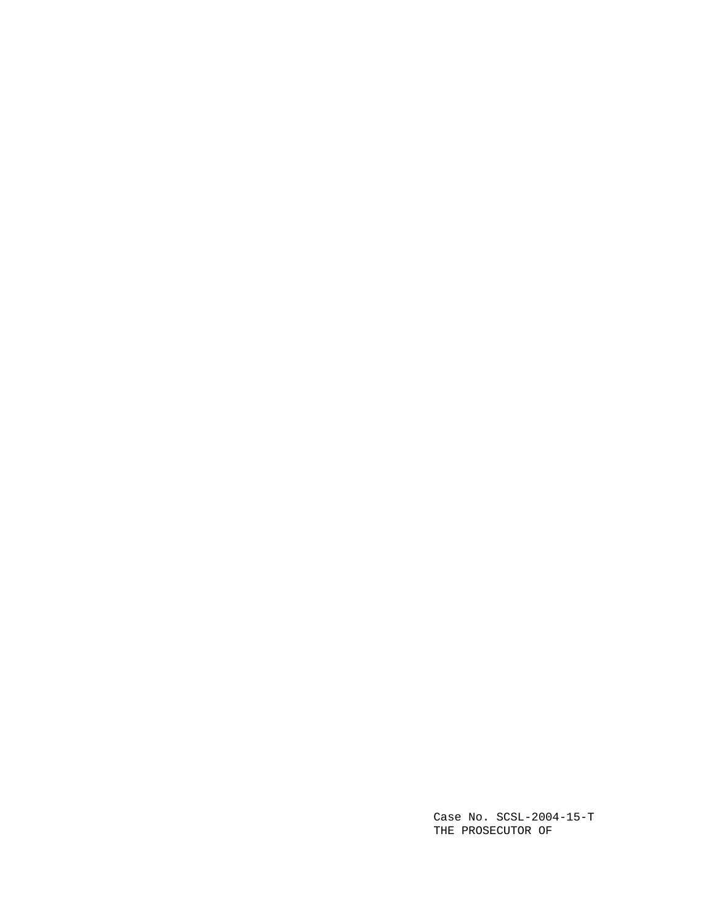Case No. SCSL-2004-15-T THE PROSECUTOR OF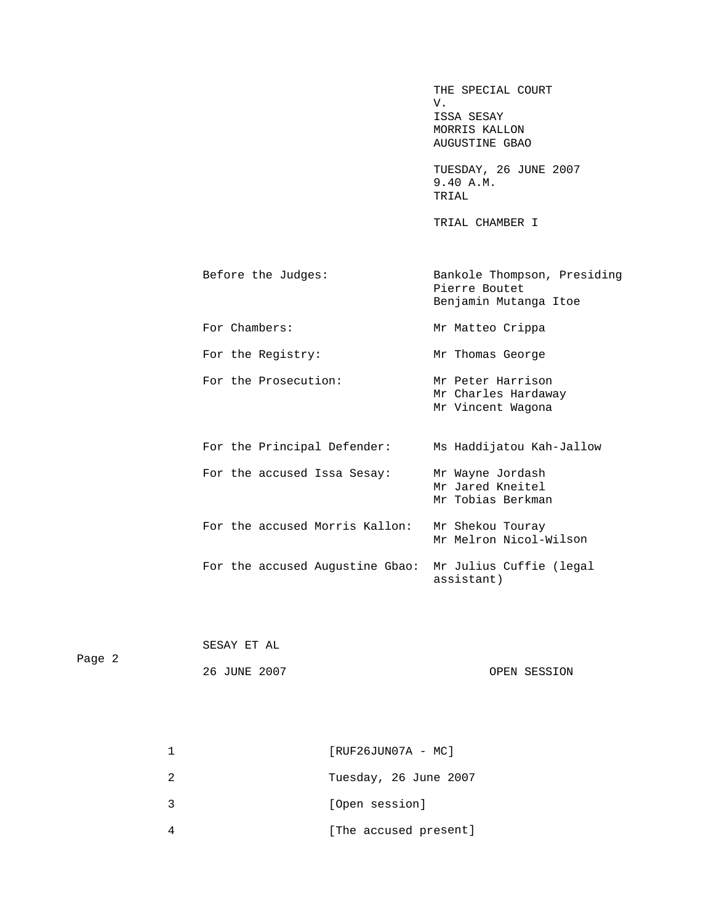THE SPECIAL COURT<br>V. V. ISSA SESAY MORRIS KALLON AUGUSTINE GBAO

**TUESDAY, 26 JUNE 2007**  9.40 A.M. TRIAL

TRIAL CHAMBER I TRIAL C

> Before the Judges: Bankole Thompson, Presiding Pierre Boutet Benjamin Mutanga Itoe

For Chambers: Mr Matteo Crippa

For the Registry: Mr Thomas George

 Mr Charles Hardaway For the Prosecution: Mr Peter Harrison

Mr Vincent Wagona

 For the Principal Defender: Ms Haddijatou Kah-Jallow Mr Jared Kneitel Mr Melron Nicol-Wilson For the accused Issa Sesay: Mr Wayne Jordash Mr Tobias Berkman For the accused Morris Kallon: Mr Shekou Touray For the accused Augustine Gbao: Mr Julius Cuffie (legal assistant)

|        | SESAY ET AL  |              |
|--------|--------------|--------------|
| Page 2 |              |              |
|        | 26 JUNE 2007 | OPEN SESSION |

| $[RUF26JUN07A - MC]$  |
|-----------------------|
| Tuesday, 26 June 2007 |
| [Open session]        |
| [The accused present] |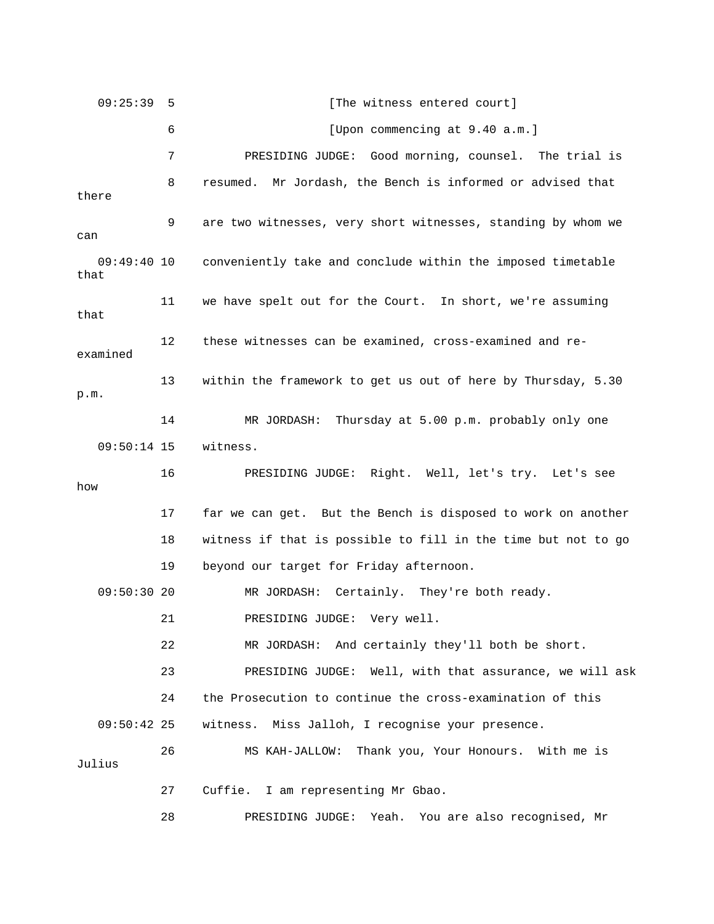09:25:39 5 [The witness entered court] 6 **6** [Upon commencing at 9.40 a.m.] e trial is 7 PRESIDING JUDGE: Good morning, counsel. Th there 9 are two witnesses, very short witnesses, standing by whom we can conveniently take and conclude within the imposed timetable that 11 we have spelt out for the Court. In short, we're assuming that 12 these witnesses can be examined, cross-examined and reexamined 13 within the framework to get us out of here by Thursday, 5.30 m. p. 14 MR JORDASH: Thursday at 5.00 p.m. probably only one IDING JUDGE: Right. Well, let's try. Let's see 16 PRES w ho 17 far we can get. But the Bench is disposed to work on another 09:50:30 20 MR JORDASH: Certainly. They're both ready. 22 MR JORDASH: And certainly they'll both be short. l ask 23 PRESIDING JUDGE: Well, with that assurance, we wil h me is 26 MS KAH-JALLOW: Thank you, Your Honours. Wit Julius 27 Cuffie. I am representing Mr Gbao. 28 PRESIDING JUDGE: Yeah. You are also recognised, Mr 8 resumed. Mr Jordash, the Bench is informed or advised that 09:49:40 10 09:50:14 15 witness. 18 witness if that is possible to fill in the time but not to go 19 beyond our target for Friday afternoon. 21 PRESIDING JUDGE: Very well. 24 the Prosecution to continue the cross-examination of this 09:50:42 25 witness. Miss Jalloh, I recognise your presence.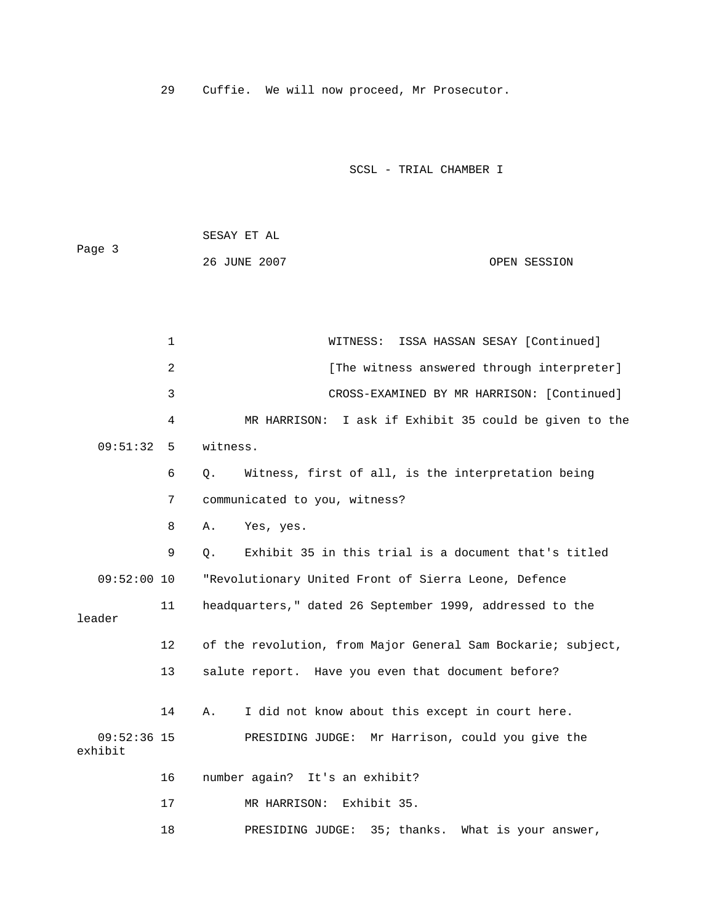29 Cuffie. We will now proceed, Mr Prosecutor.

SCSL - TRIAL CHAMBER I

 SESAY ET AL Page 3 26 JUNE 2007 CPEN SESSION

 1 WITNESS: ISSA HASSAN SESAY [Continued] 2 **12** [The witness answered through interpreter] 3 CROSS-EXAMINED BY MR HARRISON: [Continued] 09:51:32 5 witness. 6 Q. Witness, first of all, is the interpretation being 7 communicated to you, witness? 8 A. Yes, yes. 9 Q. Exhibit 35 in this trial is a document that's titled nited Front of Sierra Leone, Defence 09:52:00 10 "Revolutionary U 11 headquarters," dated 26 September 1999, addressed to the 12 of the revolution, from Major General Sam Bockarie; subject, 13 salute report. Have you even that document before? 09:52:36 15 PRESIDING JUDGE: Mr Harrison, could you give the 17 MR HARRISON: Exhibit 35. 18 PRESIDING JUDGE: 35; thanks. What is your answer, 4 MR HARRISON: I ask if Exhibit 35 could be given to the leader 14 A. I did not know about this except in court here. exhibit 16 number again? It's an exhibit?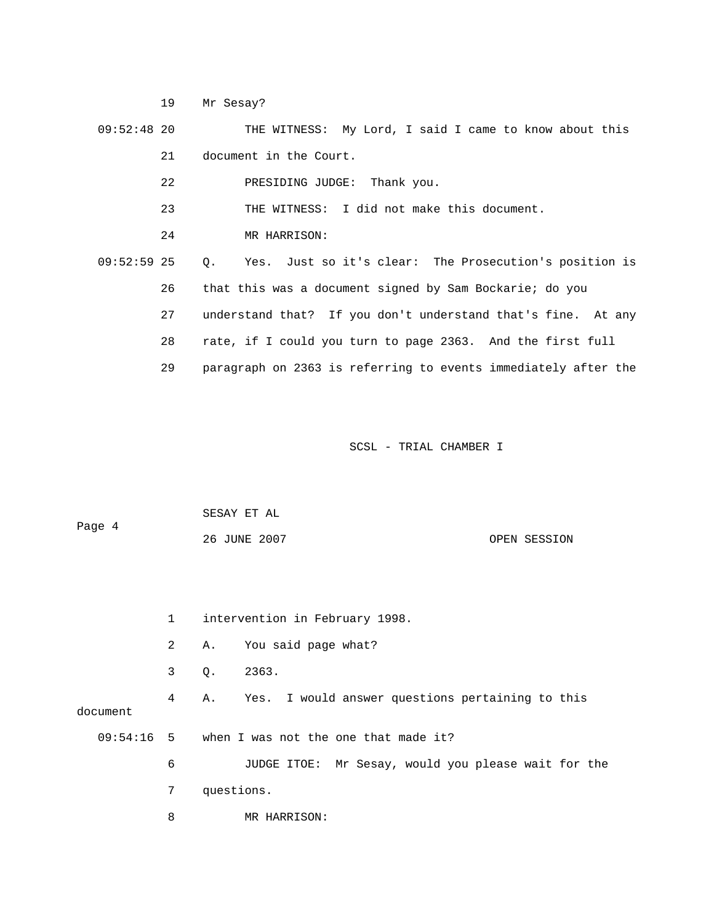19 Mr Sesay?

 09:52:48 20 THE WITNESS: My Lord, I said I came to know about this 21 document in the Court. 22 **PRESIDING JUDGE:** Thank you. 23 THE WITNESS: I did not make this document. 24 MR HARRISON: 09:52:59 25 Q. Yes. Just so it's clear: The Prosecution's position is 26 that this was a document signed by Sam Bockarie; do you 27 understand that? If you don't understand that's fine. At any 29 paragraph on 2363 is referring to events immediately after the 28 rate, if I could you turn to page 2363. And the first full

|        | SESAY ET AL  |              |
|--------|--------------|--------------|
| Page 4 |              |              |
|        | 26 JUNE 2007 | OPEN SESSION |

|          | $1 \quad$      | intervention in February 1998.                      |
|----------|----------------|-----------------------------------------------------|
|          | $\overline{a}$ | You said page what?<br>А.                           |
|          | 3              | 2363.<br>Q.                                         |
| document | 4              | A. Yes. I would answer questions pertaining to this |
|          |                | $09:54:16$ 5 when I was not the one that made it?   |
|          | 6              | JUDGE ITOE: Mr Sesay, would you please wait for the |
|          | 7              | questions.                                          |
|          | 8              | MR HARRISON:                                        |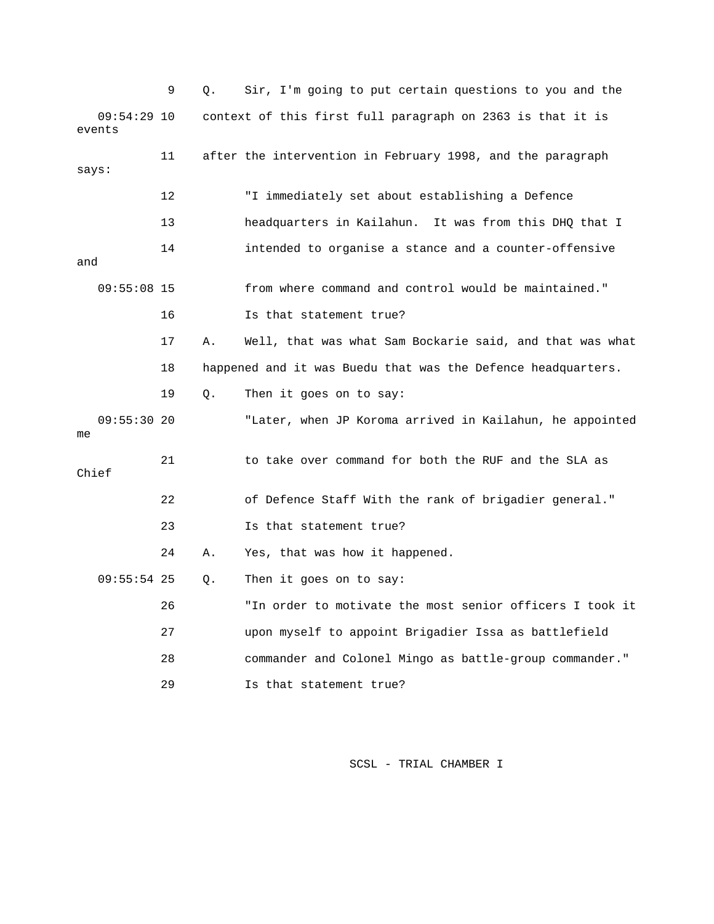|       |                         | 9  | Q. | Sir, I'm going to put certain questions to you and the       |
|-------|-------------------------|----|----|--------------------------------------------------------------|
|       | $09:54:29$ 10<br>events |    |    | context of this first full paragraph on 2363 is that it is   |
| says: |                         | 11 |    | after the intervention in February 1998, and the paragraph   |
|       |                         | 12 |    | "I immediately set about establishing a Defence              |
|       |                         | 13 |    | headquarters in Kailahun. It was from this DHQ that I        |
| and   |                         | 14 |    | intended to organise a stance and a counter-offensive        |
|       | $09:55:08$ 15           |    |    | from where command and control would be maintained."         |
|       |                         | 16 |    | Is that statement true?                                      |
|       |                         | 17 | Α. | Well, that was what Sam Bockarie said, and that was what     |
|       |                         | 18 |    | happened and it was Buedu that was the Defence headquarters. |
|       |                         | 19 | Q. | Then it goes on to say:                                      |
| me    | 09:55:3020              |    |    | "Later, when JP Koroma arrived in Kailahun, he appointed     |
| Chief |                         | 21 |    | to take over command for both the RUF and the SLA as         |
|       |                         | 22 |    | of Defence Staff With the rank of brigadier general."        |
|       |                         | 23 |    | Is that statement true?                                      |
|       |                         | 24 | Α. | Yes, that was how it happened.                               |
|       | $09:55:54$ 25           |    | Q. | Then it goes on to say:                                      |
|       |                         | 26 |    | "In order to motivate the most senior officers I took it     |
|       |                         | 27 |    | upon myself to appoint Brigadier Issa as battlefield         |
|       |                         | 28 |    | commander and Colonel Mingo as battle-group commander."      |
|       |                         | 29 |    | Is that statement true?                                      |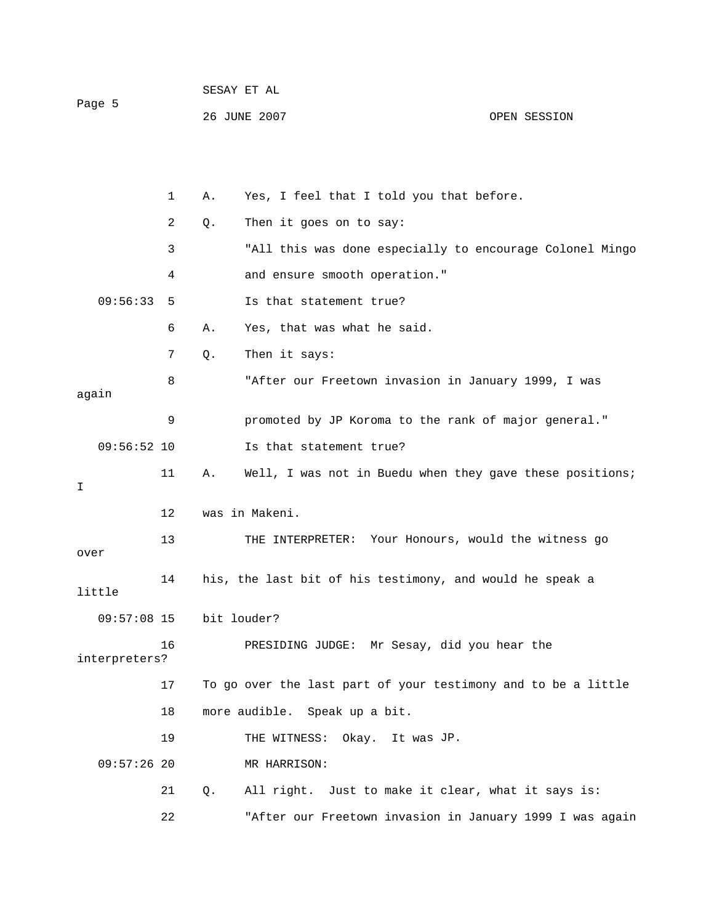|        | SESAY ET AL  |              |
|--------|--------------|--------------|
| Page 5 |              |              |
|        | 26 JUNE 2007 | OPEN SESSION |

|       |               | 1  | Α. | Yes, I feel that I told you that before.                      |
|-------|---------------|----|----|---------------------------------------------------------------|
|       |               | 2  | Q. | Then it goes on to say:                                       |
|       |               | 3  |    | "All this was done especially to encourage Colonel Mingo      |
|       |               | 4  |    | and ensure smooth operation."                                 |
|       | 09:56:33      | 5  |    | Is that statement true?                                       |
|       |               | 6  | Α. | Yes, that was what he said.                                   |
|       |               | 7  | Q. | Then it says:                                                 |
| again |               | 8  |    | "After our Freetown invasion in January 1999, I was           |
|       |               | 9  |    | promoted by JP Koroma to the rank of major general."          |
|       | $09:56:52$ 10 |    |    | Is that statement true?                                       |
| I     |               | 11 | Α. | Well, I was not in Buedu when they gave these positions;      |
|       |               | 12 |    | was in Makeni.                                                |
| over  |               | 13 |    | THE INTERPRETER: Your Honours, would the witness go           |
|       | little        | 14 |    | his, the last bit of his testimony, and would he speak a      |
|       | $09:57:08$ 15 |    |    | bit louder?                                                   |
|       | interpreters? | 16 |    | PRESIDING JUDGE: Mr Sesay, did you hear the                   |
|       |               | 17 |    | To go over the last part of your testimony and to be a little |
|       |               | 18 |    | more audible. Speak up a bit.                                 |
|       |               | 19 |    | THE WITNESS: Okay. It was JP.                                 |
|       | $09:57:26$ 20 |    |    | MR HARRISON:                                                  |
|       |               | 21 | Q. | All right. Just to make it clear, what it says is:            |
|       |               | 22 |    | "After our Freetown invasion in January 1999 I was again      |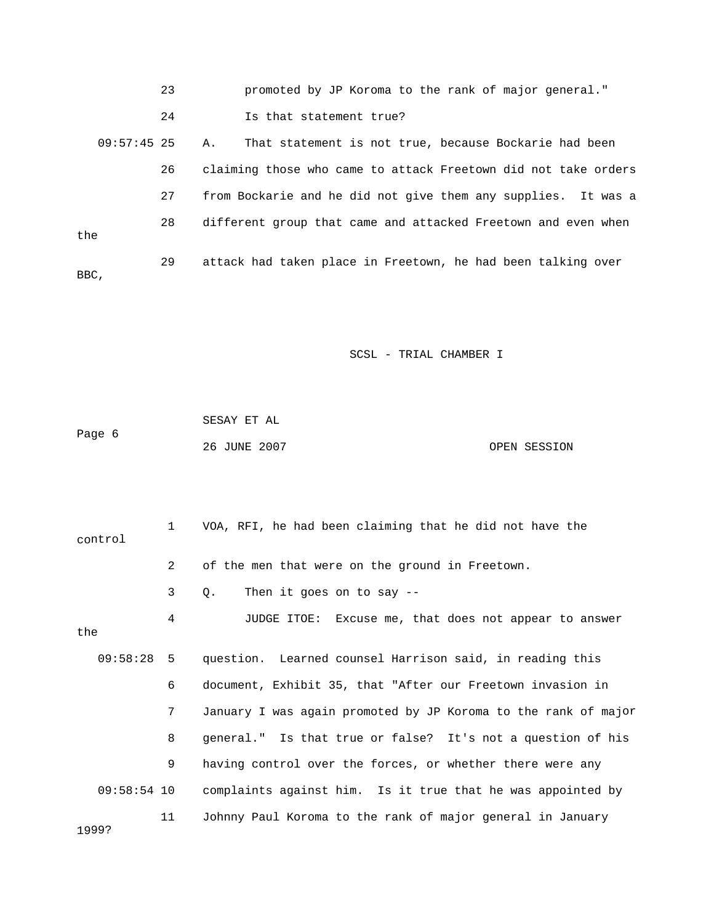23 promoted by JP Koroma to the rank of major general." 24 Is that statement true? 09:57:45 25 A. That statement is not true, because Bockarie had been 26 claiming those who came to attack Freetown did not take orders the 29 attack had taken place in Freetown, he had been talking over BBC, 27 from Bockarie and he did not give them any supplies. It was a 28 different group that came and attacked Freetown and even when

|        | SESAY ET AL  |              |
|--------|--------------|--------------|
| Page 6 |              |              |
|        | 26 JUNE 2007 | OPEN SESSION |

|       | control       | $1 \quad$      | VOA, RFI, he had been claiming that he did not have the             |
|-------|---------------|----------------|---------------------------------------------------------------------|
|       |               | $\overline{2}$ | of the men that were on the ground in Freetown.                     |
|       |               | 3              | Then it goes on to say $-$ -<br>$\circ$ .                           |
| the   |               | 4              | JUDGE ITOE: Excuse me, that does not appear to answer               |
|       |               |                | 09:58:28 5 question. Learned counsel Harrison said, in reading this |
|       |               | 6              | document, Exhibit 35, that "After our Freetown invasion in          |
|       |               | 7              | January I was again promoted by JP Koroma to the rank of major      |
|       |               | 8              | general." Is that true or false? It's not a question of his         |
|       |               | 9              | having control over the forces, or whether there were any           |
|       | $09:58:54$ 10 |                | complaints against him. Is it true that he was appointed by         |
| 1999? |               | 11             | Johnny Paul Koroma to the rank of major general in January          |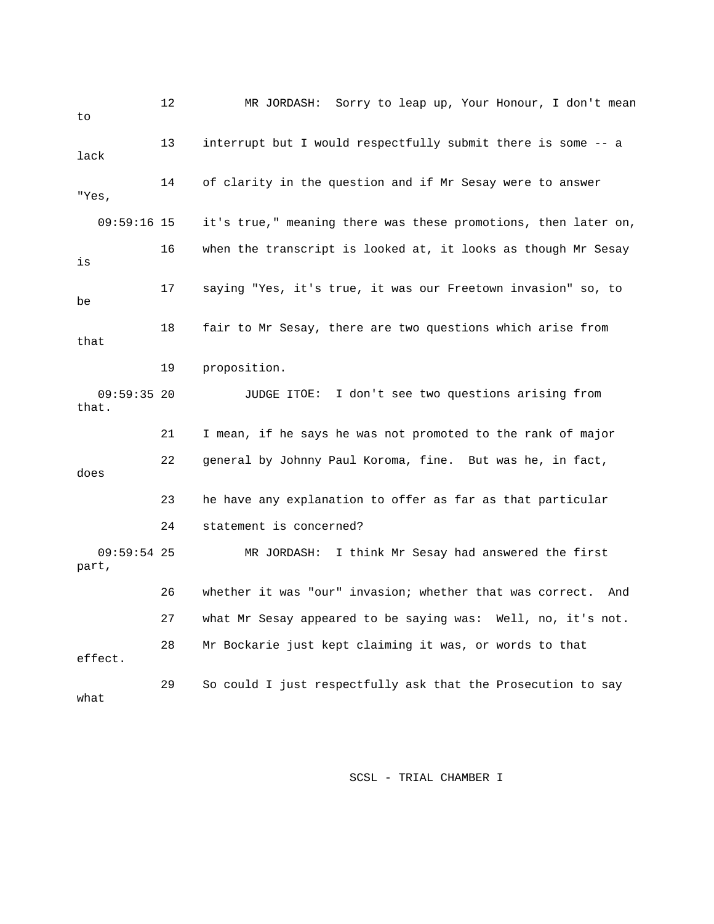| to                     | 12 | MR JORDASH: Sorry to leap up, Your Honour, I don't mean         |
|------------------------|----|-----------------------------------------------------------------|
| lack                   | 13 | interrupt but I would respectfully submit there is some -- a    |
| "Yes,                  | 14 | of clarity in the question and if Mr Sesay were to answer       |
| $09:59:16$ 15          |    | it's true," meaning there was these promotions, then later on,  |
| is                     | 16 | when the transcript is looked at, it looks as though Mr Sesay   |
| be                     | 17 | saying "Yes, it's true, it was our Freetown invasion" so, to    |
| that                   | 18 | fair to Mr Sesay, there are two questions which arise from      |
|                        | 19 | proposition.                                                    |
| $09:59:35$ 20<br>that. |    | JUDGE ITOE: I don't see two questions arising from              |
|                        | 21 | I mean, if he says he was not promoted to the rank of major     |
| does                   | 22 | general by Johnny Paul Koroma, fine. But was he, in fact,       |
|                        | 23 | he have any explanation to offer as far as that particular      |
|                        | 24 | statement is concerned?                                         |
| $09:59:54$ 25<br>part, |    | MR JORDASH: I think Mr Sesay had answered the first             |
|                        | 26 | whether it was "our" invasion; whether that was correct.<br>And |
|                        | 27 | what Mr Sesay appeared to be saying was: Well, no, it's not.    |
| effect.                | 28 | Mr Bockarie just kept claiming it was, or words to that         |
| what                   | 29 | So could I just respectfully ask that the Prosecution to say    |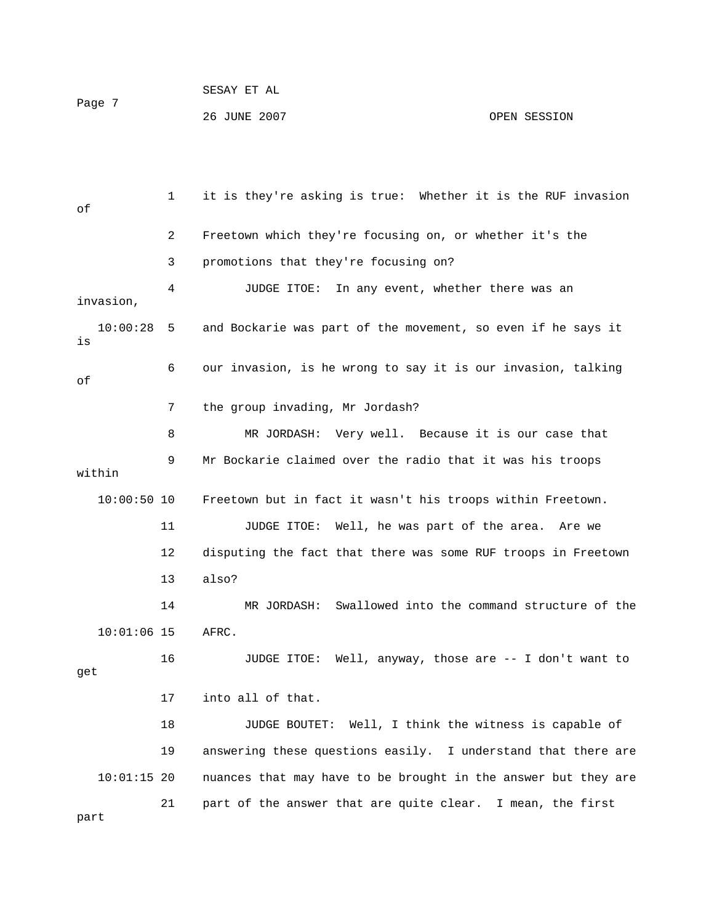26 JUNE 2007 OPEN SESSION

 1 it is they're asking is true: Whether it is the RUF invasion 4 JUDGE ITOE: In any event, whether there was an  $10:00:28$  5 and Bockarie was part of the movement, so even if he says it 8 MR JORDASH: Very well. Because it is our case that 9 Mr Bockarie claimed over the radio that it was his troops 11 JUDGE ITOE: Well, he was part of the area. Are we 12 disputing the fact that there was some RUF troops in Freetown 14 MR JORDASH: Swallowed into the command structure of the 10:01:06 15 AFRC. 18 JUDGE BOUTET: Well, I think the witness is capable of 19 answering these questions easily. I understand that there are e 10:01:15 20 nuances that may have to be brought in the answer but they ar 21 part of the answer that are quite clear. I mean, the first of 2 Freetown which they're focusing on, or whether it's the 3 promotions that they're focusing on? invasion, is 6 our invasion, is he wrong to say it is our invasion, talking of 7 the group invading, Mr Jordash? within 10:00:50 10 Freetown but in fact it wasn't his troops within Freetown. 13 also? 16 JUDGE ITOE: Well, anyway, those are -- I don't want to get 17 into all of that.

part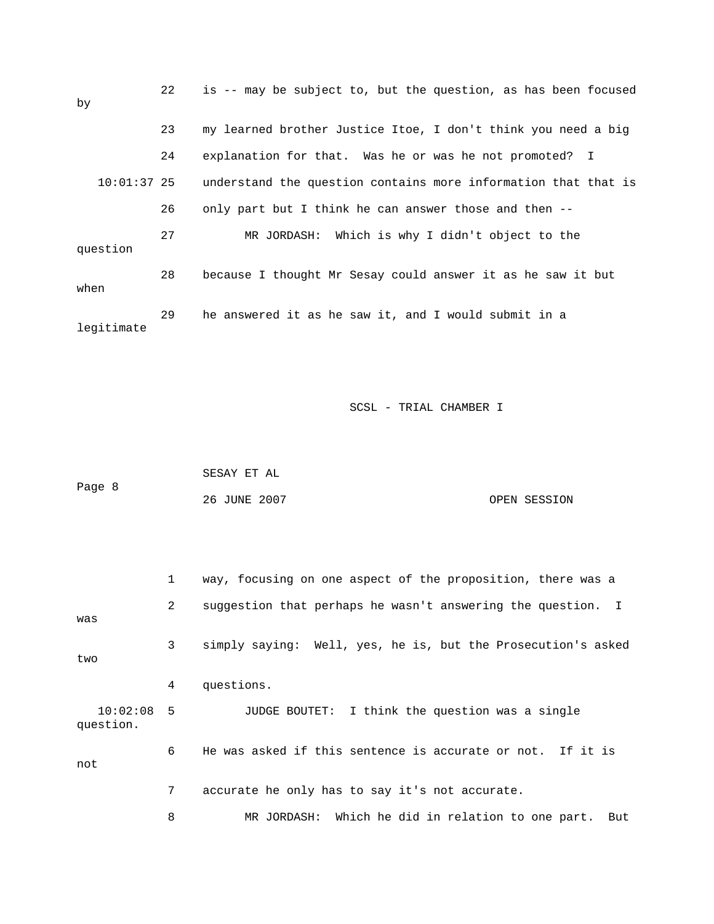| by            | 22 | is -- may be subject to, but the question, as has been focused |
|---------------|----|----------------------------------------------------------------|
|               | 23 | my learned brother Justice Itoe, I don't think you need a big  |
|               | 24 | explanation for that. Was he or was he not promoted? I         |
| $10:01:37$ 25 |    | understand the question contains more information that that is |
|               | 26 | only part but I think he can answer those and then --          |
| question      | 27 | Which is why I didn't object to the<br>MR JORDASH:             |
| when          | 28 | because I thought Mr Sesay could answer it as he saw it but    |
| legitimate    | 29 | he answered it as he saw it, and I would submit in a           |

|        | SESAY ET AL  |              |
|--------|--------------|--------------|
| Page 8 |              |              |
|        | 26 JUNE 2007 | OPEN SESSION |

|                           | $\mathbf{1}$   | way, focusing on one aspect of the proposition, there was a  |
|---------------------------|----------------|--------------------------------------------------------------|
| was                       | $\overline{a}$ | suggestion that perhaps he wasn't answering the question. I  |
| two                       | 3              | simply saying: Well, yes, he is, but the Prosecution's asked |
|                           | 4              | questions.                                                   |
| $10:02:08$ 5<br>question. |                | JUDGE BOUTET: I think the question was a single              |
| not                       | 6              | He was asked if this sentence is accurate or not. If it is   |
|                           | $7^{\circ}$    | accurate he only has to say it's not accurate.               |
|                           | 8              | MR JORDASH: Which he did in relation to one part. But        |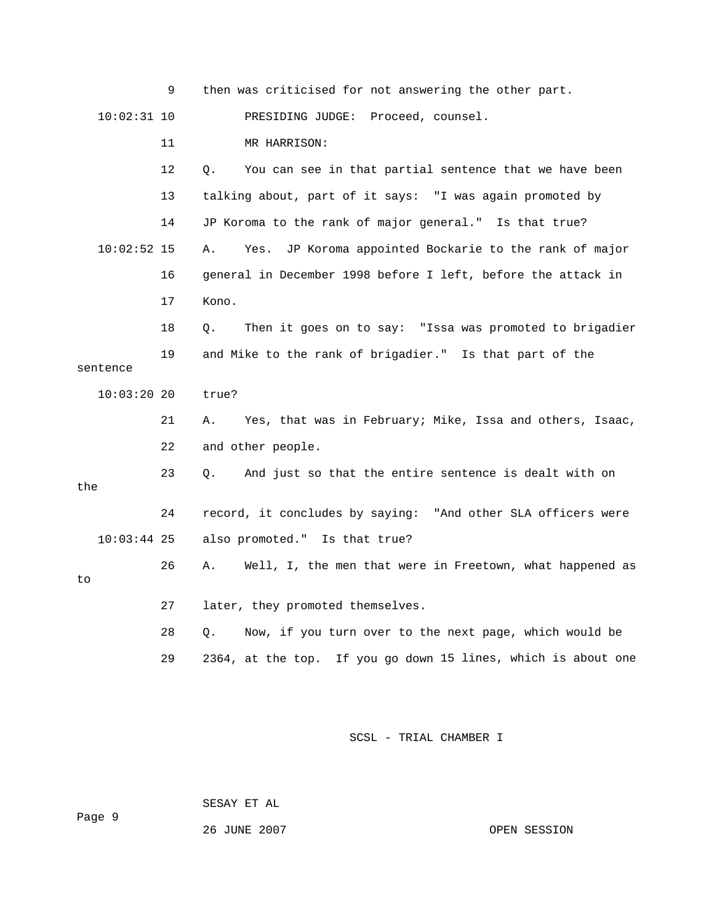|               | 9  | then was criticised for not answering the other part.          |
|---------------|----|----------------------------------------------------------------|
| $10:02:31$ 10 |    | PRESIDING JUDGE:<br>Proceed, counsel.                          |
|               | 11 | MR HARRISON:                                                   |
|               | 12 | Q.<br>You can see in that partial sentence that we have been   |
|               | 13 | talking about, part of it says: "I was again promoted by       |
|               | 14 | JP Koroma to the rank of major general." Is that true?         |
| $10:02:52$ 15 |    | Yes. JP Koroma appointed Bockarie to the rank of major<br>Α.   |
|               | 16 | general in December 1998 before I left, before the attack in   |
|               | 17 | Kono.                                                          |
|               | 18 | Then it goes on to say: "Issa was promoted to brigadier<br>Q.  |
| sentence      | 19 | and Mike to the rank of brigadier." Is that part of the        |
|               |    |                                                                |
| $10:03:20$ 20 |    | true?                                                          |
|               | 21 | Α.<br>Yes, that was in February; Mike, Issa and others, Isaac, |
|               | 22 | and other people.                                              |
| the           | 23 | And just so that the entire sentence is dealt with on<br>О.    |
|               | 24 | record, it concludes by saying: "And other SLA officers were   |
| $10:03:44$ 25 |    | also promoted." Is that true?                                  |
| to            | 26 | Well, I, the men that were in Freetown, what happened as<br>Α. |
|               | 27 | later, they promoted themselves.                               |
|               | 28 | Now, if you turn over to the next page, which would be<br>0.   |

SESAY ET AL

26 JUNE 2007 OPEN SESSION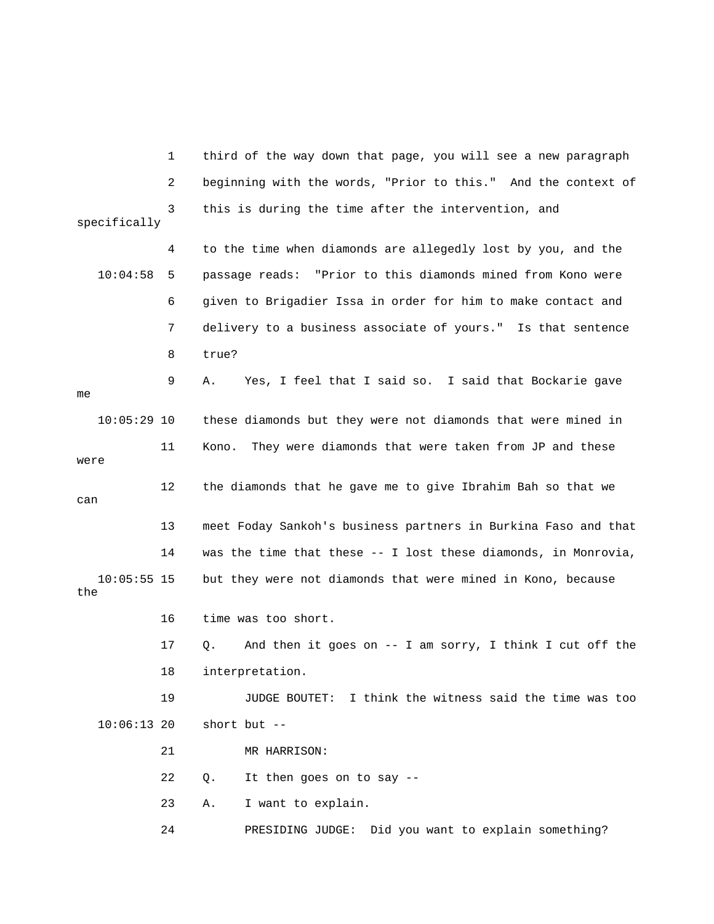1 third of the way down that page, you will see a new paragraph 3 this is during the time after the intervention, and 4 to the time when diamonds are allegedly lost by you, and the 10:04:58 5 passage reads: "Prior to this diamonds mined from Kono were 7 delivery to a business associate of yours." Is that sentence 8 true? Yes, I feel that I said so. I said that Bockarie gave 11 Kono. They were diamonds that were taken from JP and these 13 meet Foday Sankoh's business partners in Burkina Faso and that 14 was the time that these -- I lost these diamonds, in Monrovia, 17 Q. And then it goes on -- I am sorry, I think I cut off the 18 interpretation. 10:06:13 20 short but -- 21 MR HARRISON: 22 Q. It then goes on to say -- 23 A. I want to explain. 24 PRESIDING JUDGE: Did you want to explain something? 2 beginning with the words, "Prior to this." And the context of specifically 6 given to Brigadier Issa in order for him to make contact and 9 A. me 10:05:29 10 these diamonds but they were not diamonds that were mined in were 12 the diamonds that he gave me to give Ibrahim Bah so that we can 10:05:55 15 but they were not diamonds that were mined in Kono, because the 16 time was too short. 19 JUDGE BOUTET: I think the witness said the time was too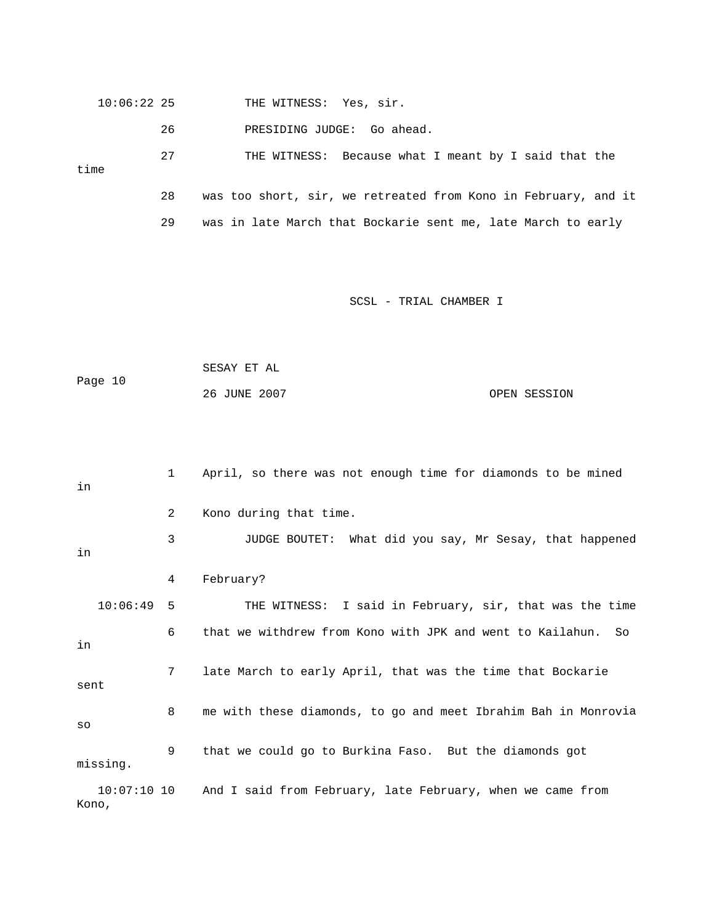|      | $10:06:22$ 25 |                                                                | THE WITNESS: Yes, sir.                                       |
|------|---------------|----------------------------------------------------------------|--------------------------------------------------------------|
|      |               | 26                                                             | PRESIDING JUDGE: Go ahead.                                   |
| time | 27            | THE WITNESS: Because what I meant by I said that the           |                                                              |
|      | 28            | was too short, sir, we retreated from Kono in February, and it |                                                              |
|      |               | 29                                                             | was in late March that Bockarie sent me, late March to early |

```
 SESAY ET AL 
Page 10
             26 JUNE 2007 OPEN SESSION
```

```
 1 April, so there was not enough time for diamonds to be mined 
             3 JUDGE BOUTET: What did you say, Mr Sesay, that happened 
   10:06:49 5 THE WITNESS: I said in February, sir, that was the time 
             6 that we withdrew from Kono with JPK and went to Kailahun. So 
8 me with these diamonds, to go and meet Ibrahim Bah in Monrovia
missing.
10:07:10 10 And I said from February, late February, when we came from
in
             2 Kono during that time. 
in 
             4 February? 
in 
             7 late March to early April, that was the time that Bockarie 
sent
so 
             9 that we could go to Burkina Faso. But the diamonds got 
Kono,
```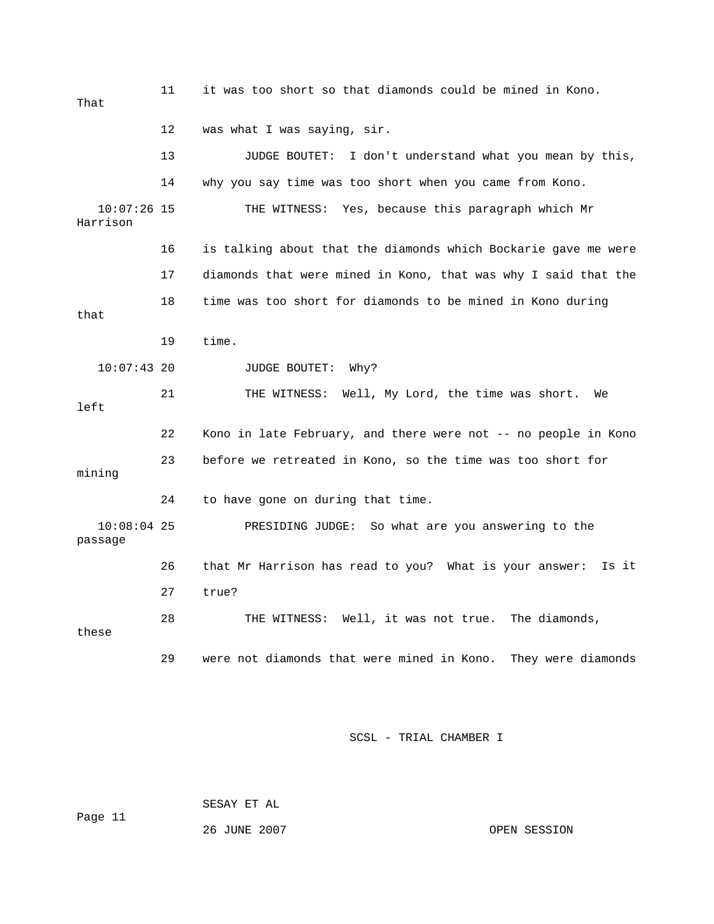11 it was too short so that diamonds could be mined in Kono. That 12 was what I was saying, sir. 13 JUDGE BOUTET: I don't understand what you mean by this, 10:07:26 15 THE WITNESS: Yes, because this paragraph which Mr 16 is talking about that the diamonds which Bockarie gave me were 17 diamonds that were mined in Kono, that was why I said that the 10:07:43 20 JUDGE BOUTET: Why? 21 THE WITNESS: Well, My Lord, the time was short. We 22 Kono in late February, and there were not -- no people in Kono 23 before we retreated in Kono, so the time was too short for 10:08:04 25 PRESIDING JUDGE: So what are you answering to the 26 that Mr Harrison has read to you? What is your answer: Is it 27 true? 29 were not diamonds that were mined in Kono. They were diamonds 14 why you say time was too short when you came from Kono. Harrison 18 time was too short for diamonds to be mined in Kono during that 19 time. left mining 24 to have gone on during that time. passage 28 THE WITNESS: Well, it was not true. The diamonds, these

SCSL - TRIAL CHAMBER I

SESAY ET AL

26 JUNE 2007 OPEN SESSION

Page 11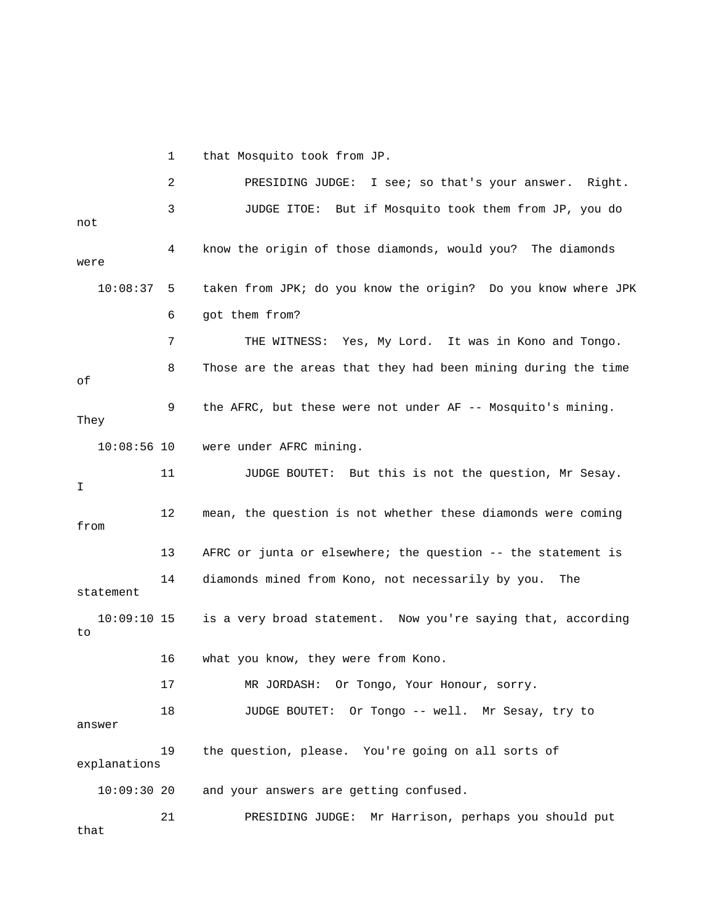1 that Mosquito took from JP.

|                   | 2   | PRESIDING JUDGE: I see; so that's your answer. Right.         |
|-------------------|-----|---------------------------------------------------------------|
| not               | 3   | But if Mosquito took them from JP, you do<br>JUDGE ITOE:      |
| were              | 4   | know the origin of those diamonds, would you? The diamonds    |
| 10:08:37          | - 5 | taken from JPK; do you know the origin? Do you know where JPK |
|                   | 6   | got them from?                                                |
|                   | 7   | THE WITNESS: Yes, My Lord. It was in Kono and Tongo.          |
| оf                | 8   | Those are the areas that they had been mining during the time |
| They              | 9   | the AFRC, but these were not under AF -- Mosquito's mining.   |
| $10:08:56$ 10     |     | were under AFRC mining.                                       |
| I                 | 11  | JUDGE BOUTET: But this is not the question, Mr Sesay.         |
| from              | 12  | mean, the question is not whether these diamonds were coming  |
|                   | 13  | AFRC or junta or elsewhere; the question -- the statement is  |
| statement         | 14  | diamonds mined from Kono, not necessarily by you.<br>The      |
| 10:09:10 15<br>to |     | is a very broad statement. Now you're saying that, according  |
|                   | 16  | what you know, they were from Kono.                           |
|                   | 17  | MR JORDASH:<br>Or Tongo, Your Honour, sorry.                  |
| answer            | 18  | JUDGE BOUTET: Or Tongo -- well. Mr Sesay, try to              |
| explanations      | 19  | the question, please. You're going on all sorts of            |
| $10:09:30$ 20     |     | and your answers are getting confused.                        |
| that              | 21  | Mr Harrison, perhaps you should put<br>PRESIDING JUDGE:       |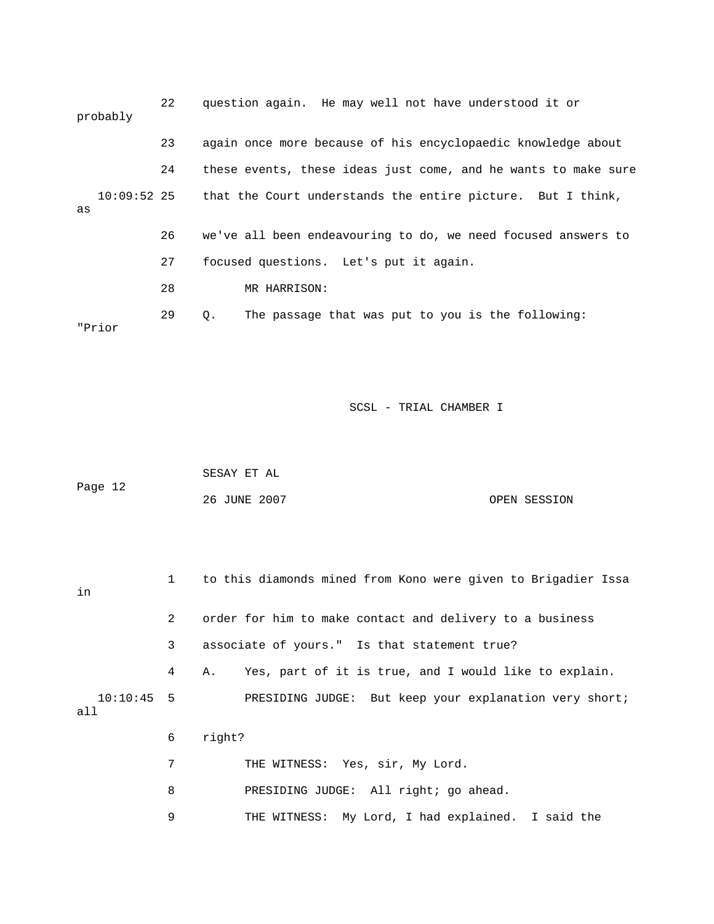| probably            | 22 | question again. He may well not have understood it or          |  |
|---------------------|----|----------------------------------------------------------------|--|
|                     | 23 | again once more because of his encyclopaedic knowledge about   |  |
|                     | 24 | these events, these ideas just come, and he wants to make sure |  |
| $10:09:52$ 25<br>as |    | that the Court understands the entire picture. But I think,    |  |
|                     | 26 | we've all been endeavouring to do, we need focused answers to  |  |
|                     | 27 | focused questions. Let's put it again.                         |  |
|                     | 28 | MR HARRISON:                                                   |  |
| "Prior              | 29 | The passage that was put to you is the following:<br>О.        |  |

| Page 12 | SESAY ET AL  |              |
|---------|--------------|--------------|
|         | 26 JUNE 2007 | OPEN SESSION |

| in                  |                | to this diamonds mined from Kono were given to Brigadier Issa |
|---------------------|----------------|---------------------------------------------------------------|
|                     | $\mathbf{2}$   | order for him to make contact and delivery to a business      |
|                     | $\overline{3}$ | associate of yours." Is that statement true?                  |
|                     | 4              | Yes, part of it is true, and I would like to explain.<br>Α.   |
| $10:10:45$ 5<br>all |                | PRESIDING JUDGE: But keep your explanation very short;        |
|                     | 6              | right?                                                        |
|                     | 7              | THE WITNESS: Yes, sir, My Lord.                               |
|                     | 8              | PRESIDING JUDGE: All right; go ahead.                         |

9 THE WITNESS: My Lord, I had explained. I said the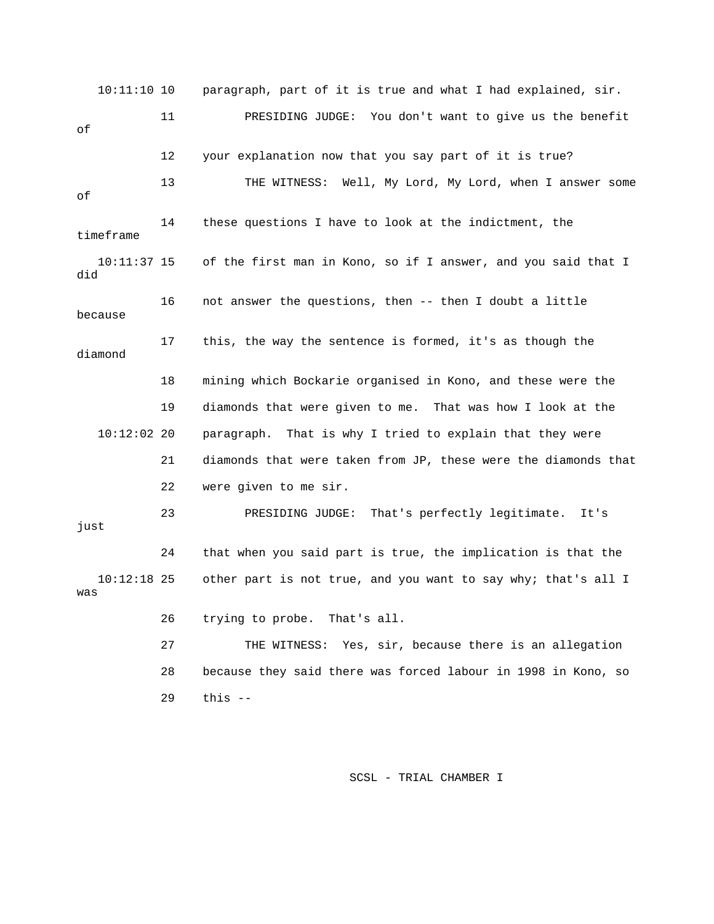10:11:10 10 paragraph, part of it is true and what I had explained, sir. 11 PRESIDING JUDGE: You don't want to give us the benefit wer some 13 THE WITNESS: Well, My Lord, My Lord, when I ans timeframe 10:11:37 15 of the first man in Kono, so if I answer, and you said that I because e 18 mining which Bockarie organised in Kono, and these were th 19 diamonds that were given to me. That was how I look at the 10:12:02 20 paragraph. That is why I tried to explain that they were 21 diamonds that were taken from JP, these were the diamonds that 22 were given to me sir. 23 PRESIDING JUDGE: That's perfectly legitimate. It's other part is not true, and you want to say why; that's all I 27 THE WITNESS: Yes, sir, because there is an allegation 28 because they said there was forced labour in 1998 in Kono, so of 12 your explanation now that you say part of it is true? of 14 these questions I have to look at the indictment, the did 16 not answer the questions, then -- then I doubt a little 17 this, the way the sentence is formed, it's as though the diamond just 24 that when you said part is true, the implication is that the  $10:12:18$  25 was 26 trying to probe. That's all. 29 this --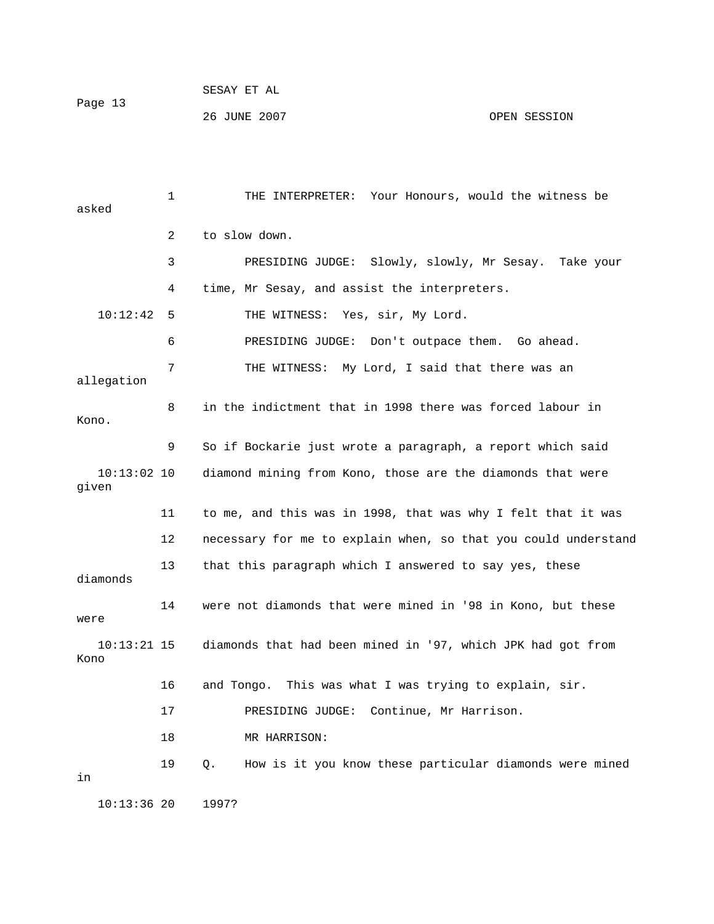26 JUNE 2007 OPEN SESSION

 1 THE INTERPRETER: Your Honours, would the witness be asked G JUDGE: Slowly, slowly, Mr Sesay. Take your 3 PRESIDIN 4 time, Mr Sesay, and assist the interpreters. 10:12:42 5 THE WITNESS: Yes, sir, My Lord. 6 BRESIDING JUDGE: Don't outpace them. Go ahead. 7 THE WITNESS: My Lord, I said that there was an 8 in the indictment that in 1998 there was forced labour in 10:13:02 10 diamond mining from Kono, those are the diamonds that were 12 necessary for me to explain when, so that you could understand 13 that this paragraph which I answered to say yes, these 14 were not diamonds that were mined in '98 in Kono, but these 17 PRESIDING JUDGE: Continue, Mr Harrison. 19 Q. How is it you know these particular diamonds were mined 2 to slow down. allegation Kono. 9 So if Bockarie just wrote a paragraph, a report which said given 11 to me, and this was in 1998, that was why I felt that it was diamonds were 10:13:21 15 diamonds that had been mined in '97, which JPK had got from Kono 16 and Tongo. This was what I was trying to explain, sir. 18 MR HARRISON: in 10:13:36 20 1997?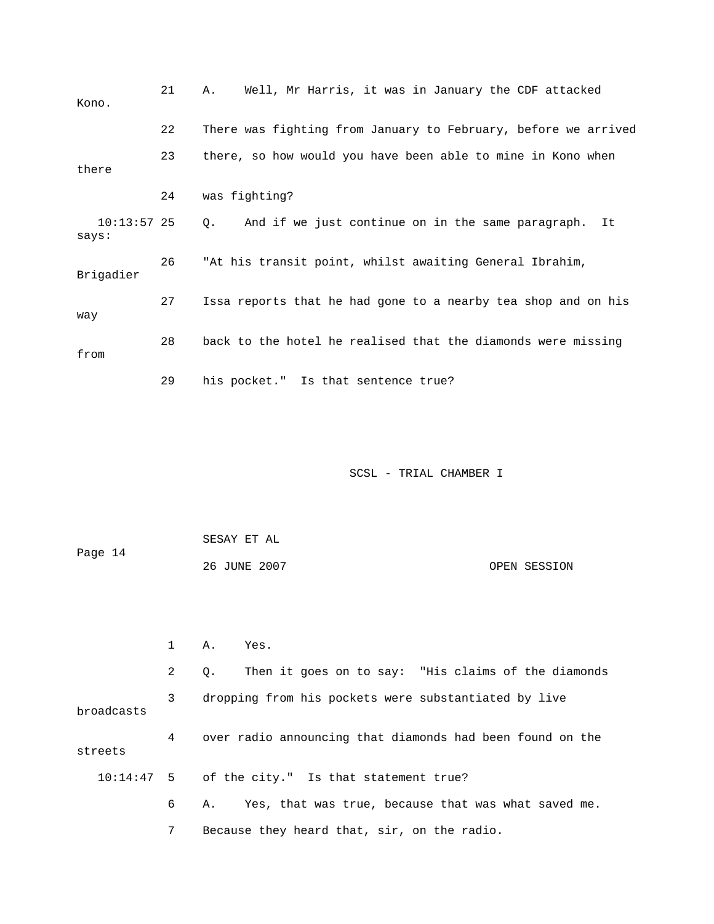| Kono.                  | 21 | Well, Mr Harris, it was in January the CDF attacked<br>Α.      |
|------------------------|----|----------------------------------------------------------------|
|                        | 22 | There was fighting from January to February, before we arrived |
| there                  | 23 | there, so how would you have been able to mine in Kono when    |
|                        | 24 | was fighting?                                                  |
| $10:13:57$ 25<br>says: |    | And if we just continue on in the same paragraph.<br>Q.<br>It  |
| Brigadier              | 26 | "At his transit point, whilst awaiting General Ibrahim,        |
| way                    | 27 | Issa reports that he had gone to a nearby tea shop and on his  |
| from                   | 28 | back to the hotel he realised that the diamonds were missing   |
|                        | 29 | his pocket." Is that sentence true?                            |

| Page 14 | SESAY ET AL  |              |
|---------|--------------|--------------|
|         | 26 JUNE 2007 | OPEN SESSION |

|            | $A$ . | Yes.                                                      |  |
|------------|-------|-----------------------------------------------------------|--|
|            | 2     | Then it goes on to say: "His claims of the diamonds<br>0. |  |
| broadcasts | 3     | dropping from his pockets were substantiated by live      |  |
| streets    | 4     | over radio announcing that diamonds had been found on the |  |
|            |       | 10:14:47 5 of the city." Is that statement true?          |  |
|            | 6     | Yes, that was true, because that was what saved me.<br>А. |  |
|            |       | Because they heard that, sir, on the radio.               |  |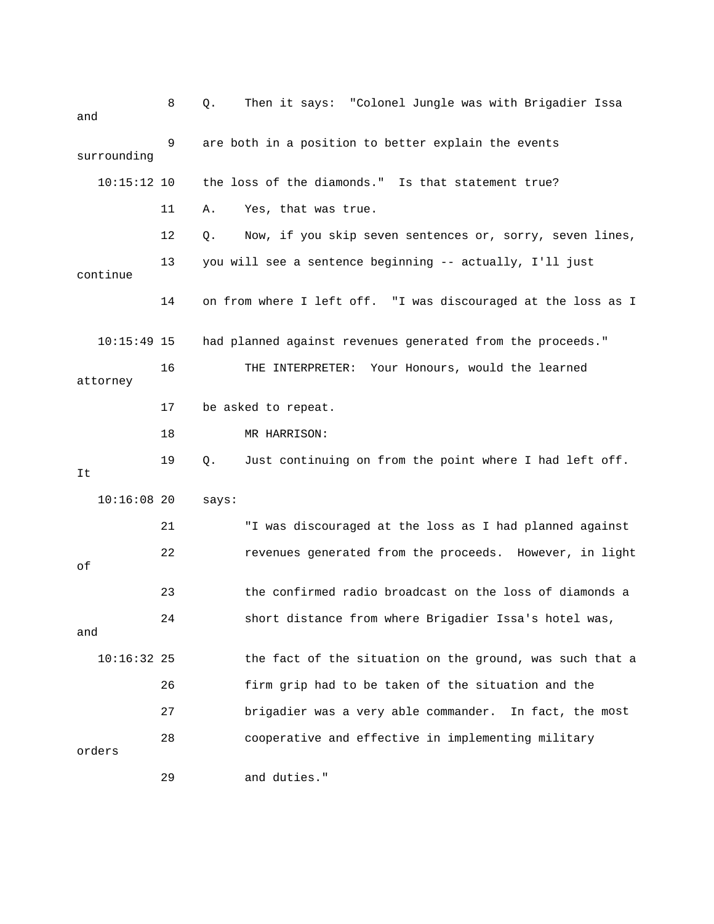| and           | 8  | Then it says: "Colonel Jungle was with Brigadier Issa<br>Q.    |
|---------------|----|----------------------------------------------------------------|
| surrounding   | 9  | are both in a position to better explain the events            |
| $10:15:12$ 10 |    | the loss of the diamonds." Is that statement true?             |
|               | 11 | Yes, that was true.<br>Α.                                      |
|               | 12 | Now, if you skip seven sentences or, sorry, seven lines,<br>Q. |
| continue      | 13 | you will see a sentence beginning -- actually, I'll just       |
|               | 14 | on from where I left off. "I was discouraged at the loss as I  |
| $10:15:49$ 15 |    | had planned against revenues generated from the proceeds."     |
| attorney      | 16 | THE INTERPRETER: Your Honours, would the learned               |
|               | 17 | be asked to repeat.                                            |
|               | 18 | MR HARRISON:                                                   |
| It            | 19 | Just continuing on from the point where I had left off.<br>Q.  |
| $10:16:08$ 20 |    | says:                                                          |
|               | 21 | "I was discouraged at the loss as I had planned against        |
| оf            | 22 | revenues generated from the proceeds. However, in light        |
|               | 23 | the confirmed radio broadcast on the loss of diamonds a        |
| and           | 24 | short distance from where Brigadier Issa's hotel was,          |
| $10:16:32$ 25 |    | the fact of the situation on the ground, was such that a       |
|               | 26 | firm grip had to be taken of the situation and the             |
|               | 27 | brigadier was a very able commander. In fact, the most         |
| orders        | 28 | cooperative and effective in implementing military             |
|               | 29 | and duties."                                                   |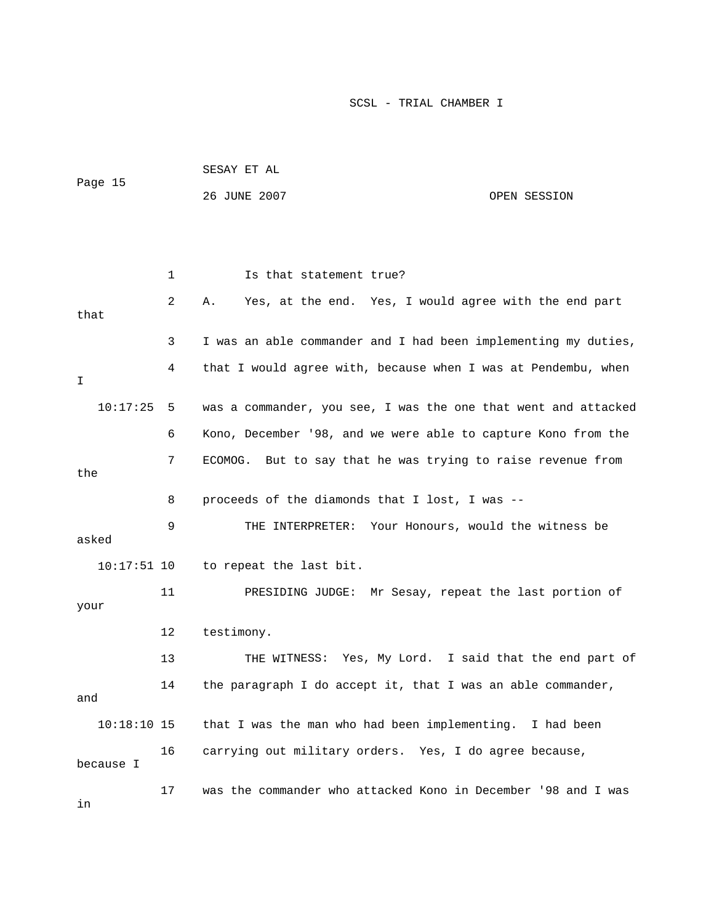|               |    | SESAY ET AL                                                    |  |
|---------------|----|----------------------------------------------------------------|--|
| Page 15       |    | 26 JUNE 2007<br>OPEN SESSION                                   |  |
|               |    |                                                                |  |
|               |    |                                                                |  |
|               | 1  | Is that statement true?                                        |  |
| that          | 2  | Yes, at the end. Yes, I would agree with the end part<br>Α.    |  |
|               | 3  | I was an able commander and I had been implementing my duties, |  |
| I             | 4  | that I would agree with, because when I was at Pendembu, when  |  |
| 10:17:25      | -5 | was a commander, you see, I was the one that went and attacked |  |
|               | 6  | Kono, December '98, and we were able to capture Kono from the  |  |
| the           | 7  | ECOMOG. But to say that he was trying to raise revenue from    |  |
|               | 8  | proceeds of the diamonds that I lost, I was --                 |  |
| asked         | 9  | THE INTERPRETER: Your Honours, would the witness be            |  |
| $10:17:51$ 10 |    | to repeat the last bit.                                        |  |
| your          | 11 | PRESIDING JUDGE: Mr Sesay, repeat the last portion of          |  |
|               | 12 | testimony.                                                     |  |
|               | 13 | THE WITNESS: Yes, My Lord. I said that the end part of         |  |
| and           | 14 | the paragraph I do accept it, that I was an able commander,    |  |
| $10:18:10$ 15 |    | that I was the man who had been implementing.<br>I had been    |  |
| because I     | 16 | carrying out military orders. Yes, I do agree because,         |  |
| in            | 17 | was the commander who attacked Kono in December '98 and I was  |  |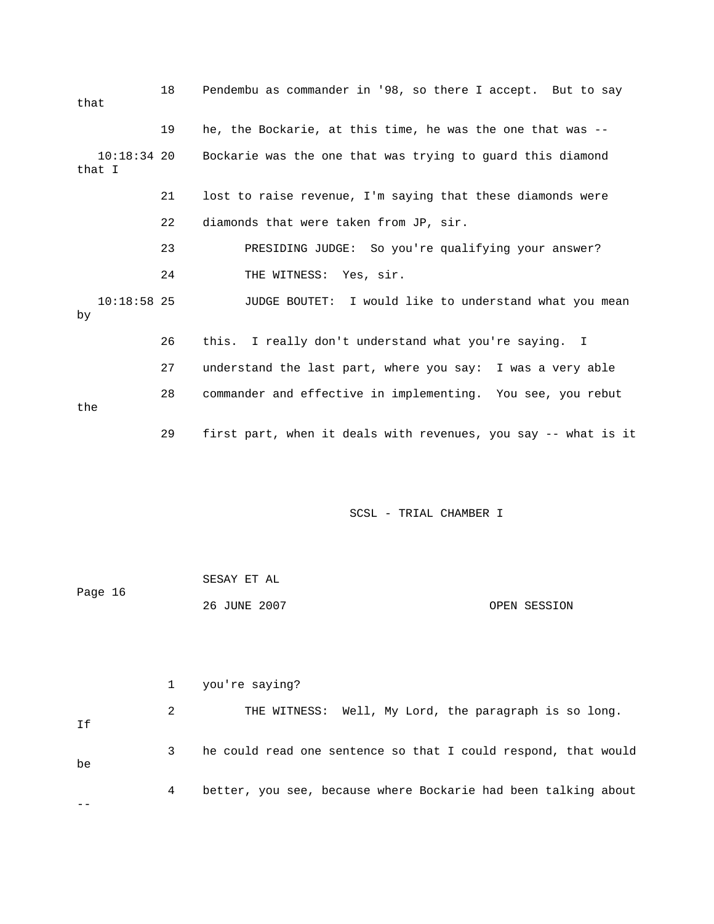| that                    | 18 | Pendembu as commander in '98, so there I accept. But to say    |
|-------------------------|----|----------------------------------------------------------------|
|                         | 19 | he, the Bockarie, at this time, he was the one that was --     |
| $10:18:34$ 20<br>that I |    | Bockarie was the one that was trying to guard this diamond     |
|                         | 21 | lost to raise revenue, I'm saying that these diamonds were     |
|                         | 22 | diamonds that were taken from JP, sir.                         |
|                         | 23 | PRESIDING JUDGE: So you're qualifying your answer?             |
|                         | 24 | THE WITNESS: Yes, sir.                                         |
| $10:18:58$ 25<br>by     |    | JUDGE BOUTET: I would like to understand what you mean         |
|                         | 26 | this. I really don't understand what you're saying. I          |
|                         | 27 | understand the last part, where you say: I was a very able     |
| the                     | 28 | commander and effective in implementing. You see, you rebut    |
|                         | 29 | first part, when it deals with revenues, you say -- what is it |

| Page 16 | SESAY ET AL  |              |
|---------|--------------|--------------|
|         | 26 JUNE 2007 | OPEN SESSION |

|    |   | 1 you're saying?                                               |
|----|---|----------------------------------------------------------------|
| Ιf | 2 | THE WITNESS: Well, My Lord, the paragraph is so long.          |
| be | 3 | he could read one sentence so that I could respond, that would |
|    | 4 | better, you see, because where Bockarie had been talking about |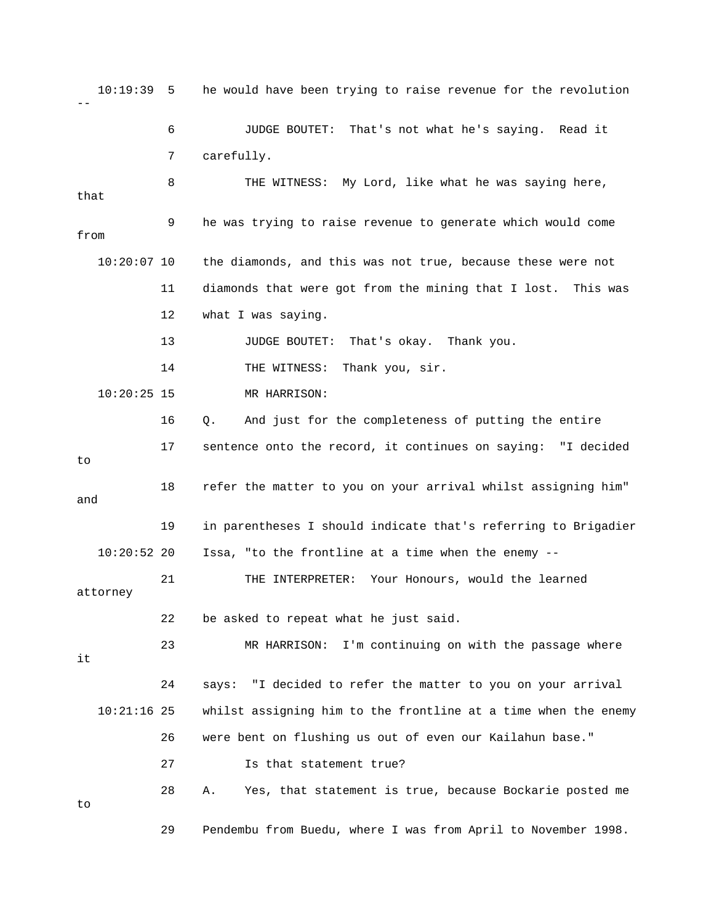10:19:39 5 he would have been trying to raise revenue for the revolution 6 JUDGE BOUTET: That's not what he's saying. Read it 7 carefully. 11 diamonds that were got from the mining that I lost. This was 12 what I was saying. 14 THE WITNESS: Thank you, sir. 10:20:25 15 MR HARRISON: 17 sentence onto the record, it continues on saying: "I decided 18 refer the matter to you on your arrival whilst assigning him" 19 in parentheses I should indicate that's referring to Brigadier 10:20:52 20 Issa, "to the frontline at a time when the enemy -- 21 THE INTERPRETER: Your Honours, would the learned 22 be asked to repeat what he just said. 23 MR HARRISON: I'm continuing on with the passage where 24 says: "I decided to refer the matter to you on your arrival 10:21:16 25 whilst assigning him to the frontline at a time when the enemy 27 Is that statement true? 29 Pendembu from Buedu, where I was from April to November 1998. -- 8 THE WITNESS: My Lord, like what he was saying here, that 9 he was trying to raise revenue to generate which would come from 10:20:07 10 the diamonds, and this was not true, because these were not 13 JUDGE BOUTET: That's okay. Thank you. 16 Q. And just for the completeness of putting the entire to and attorney it 26 were bent on flushing us out of even our Kailahun base." 28 A. Yes, that statement is true, because Bockarie posted me to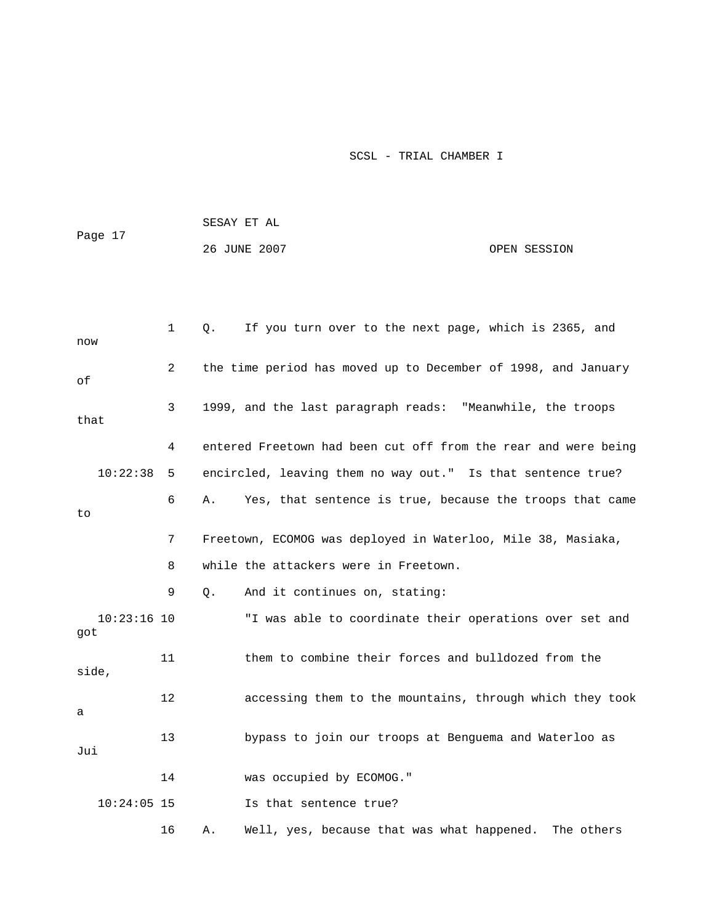|                      |    |             | SESAY ET AL                                                    |              |
|----------------------|----|-------------|----------------------------------------------------------------|--------------|
| Page 17              |    |             | 26 JUNE 2007                                                   | OPEN SESSION |
|                      |    |             |                                                                |              |
|                      |    |             |                                                                |              |
| now                  | 1  | $Q_{\star}$ | If you turn over to the next page, which is 2365, and          |              |
| οf                   | 2  |             | the time period has moved up to December of 1998, and January  |              |
| that                 | 3  |             | 1999, and the last paragraph reads: "Meanwhile, the troops     |              |
|                      | 4  |             | entered Freetown had been cut off from the rear and were being |              |
| 10:22:38             | 5  |             | encircled, leaving them no way out." Is that sentence true?    |              |
| to                   | 6  | Α.          | Yes, that sentence is true, because the troops that came       |              |
|                      | 7  |             | Freetown, ECOMOG was deployed in Waterloo, Mile 38, Masiaka,   |              |
|                      | 8  |             | while the attackers were in Freetown.                          |              |
|                      | 9  | Q.          | And it continues on, stating:                                  |              |
| $10:23:16$ 10<br>got |    |             | "I was able to coordinate their operations over set and        |              |
| side,                | 11 |             | them to combine their forces and bulldozed from the            |              |
| а                    | 12 |             | accessing them to the mountains, through which they took       |              |
| Jui                  | 13 |             | bypass to join our troops at Benguema and Waterloo as          |              |
|                      | 14 |             | was occupied by ECOMOG."                                       |              |
| $10:24:05$ 15        |    |             | Is that sentence true?                                         |              |
|                      | 16 | Α.          | Well, yes, because that was what happened.                     | The others   |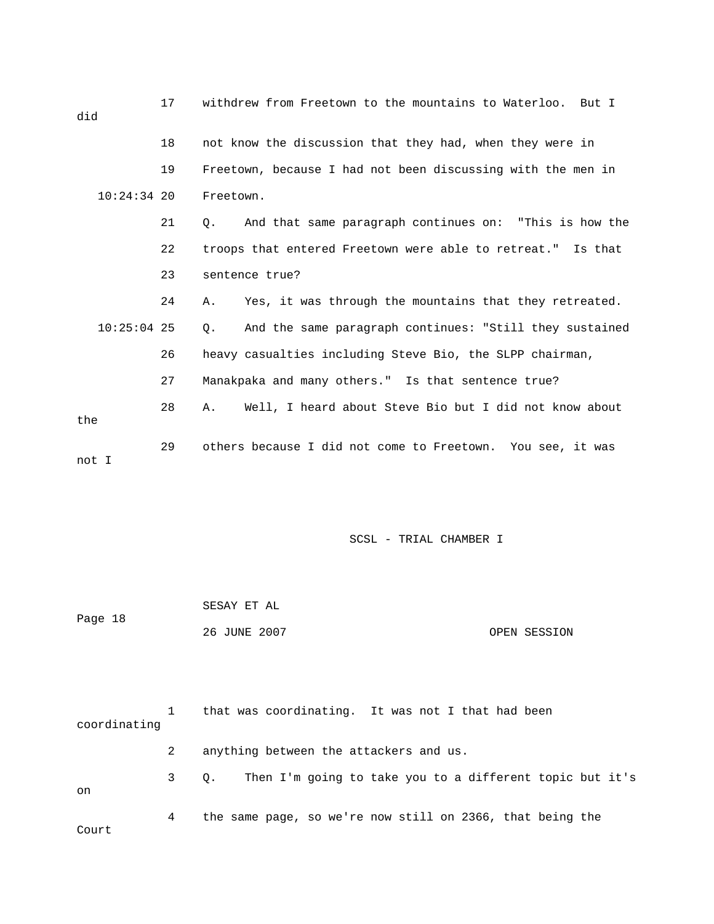| did   | 17            | withdrew from Freetown to the mountains to Waterloo. But I    |
|-------|---------------|---------------------------------------------------------------|
|       | 18            | not know the discussion that they had, when they were in      |
|       | 19            | Freetown, because I had not been discussing with the men in   |
|       | $10:24:34$ 20 | Freetown.                                                     |
|       | 21            | And that same paragraph continues on: "This is how the<br>О.  |
|       | 22            | troops that entered Freetown were able to retreat." Is that   |
|       | 23            | sentence true?                                                |
|       | 24            | Yes, it was through the mountains that they retreated.<br>Α.  |
|       | $10:25:04$ 25 | And the same paragraph continues: "Still they sustained<br>Q. |
|       | 26            | heavy casualties including Steve Bio, the SLPP chairman,      |
|       | 27            | Manakpaka and many others." Is that sentence true?            |
| the   | 28            | Well, I heard about Steve Bio but I did not know about<br>Α.  |
| not I | 29            | others because I did not come to Freetown. You see, it was    |

| Page 18 | SESAY ET AL  |              |
|---------|--------------|--------------|
|         | 26 JUNE 2007 | OPEN SESSION |

| coordinating |      | that was coordinating. It was not I that had been         |
|--------------|------|-----------------------------------------------------------|
|              | 2    | anything between the attackers and us.                    |
| on           | 3 O. | Then I'm going to take you to a different topic but it's  |
| Court        | 4    | the same page, so we're now still on 2366, that being the |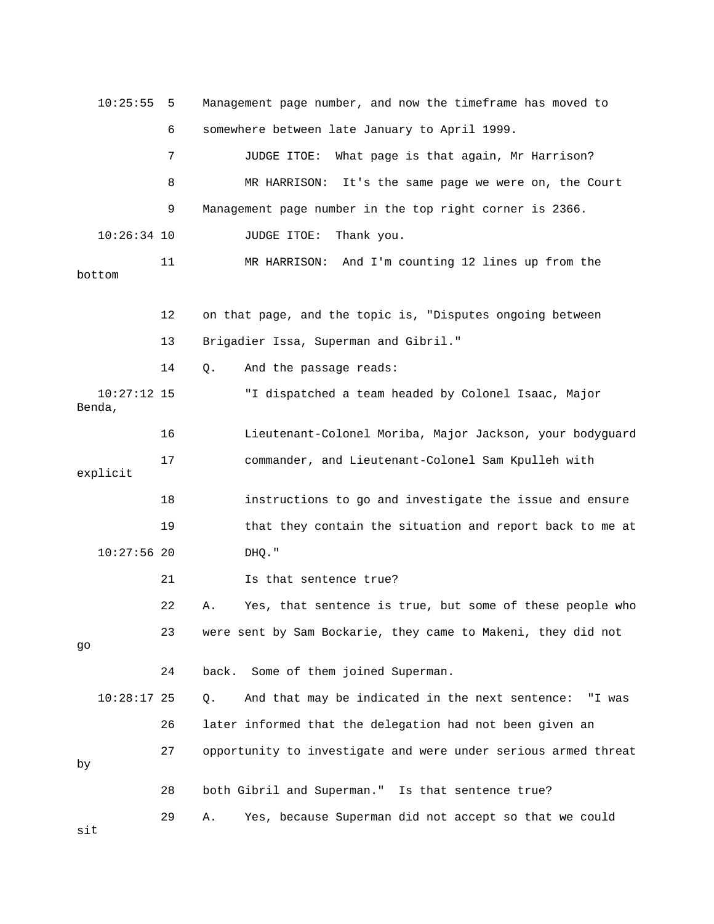10:25:55 5 Management page number, and now the timeframe has moved to 7 JUDGE ITOE: What page is that again, Mr Harrison? 8 MR HARRISON: It's the same page we were on, the Court 11 MR HARRISON: And I'm counting 12 lines up from the bottom 12 on that page, and the topic is, "Disputes ongoing between 10:27:12 15 TI dispatched a team headed by Colonel Isaac, Major Benda, 16 Lieutenant-Colonel Moriba, Major Jackson, your bodyguard explicit 18 **instructions to go and investigate the issue and ensure** 21 Is that sentence true? 22 A. Yes, that sentence is true, but some of these people who 24 back. Some of them joined Superman.  $10:28:17$  25  $Q.$  And that may be indicated in the next sentence: "I was 27 opportunity to investigate and were under serious armed threat 28 both Gibril and Superman." Is that sentence true? 29 A. Yes, because Superman did not accept so that we could sit 6 somewhere between late January to April 1999. 9 Management page number in the top right corner is 2366. 10:26:34 10 JUDGE ITOE: Thank you. 13 Brigadier Issa, Superman and Gibril." 14 Q. And the passage reads: 17 commander, and Lieutenant-Colonel Sam Kpulleh with 19 that they contain the situation and report back to me at 10:27:56 20 DHQ." 23 were sent by Sam Bockarie, they came to Makeni, they did not go 26 later informed that the delegation had not been given an by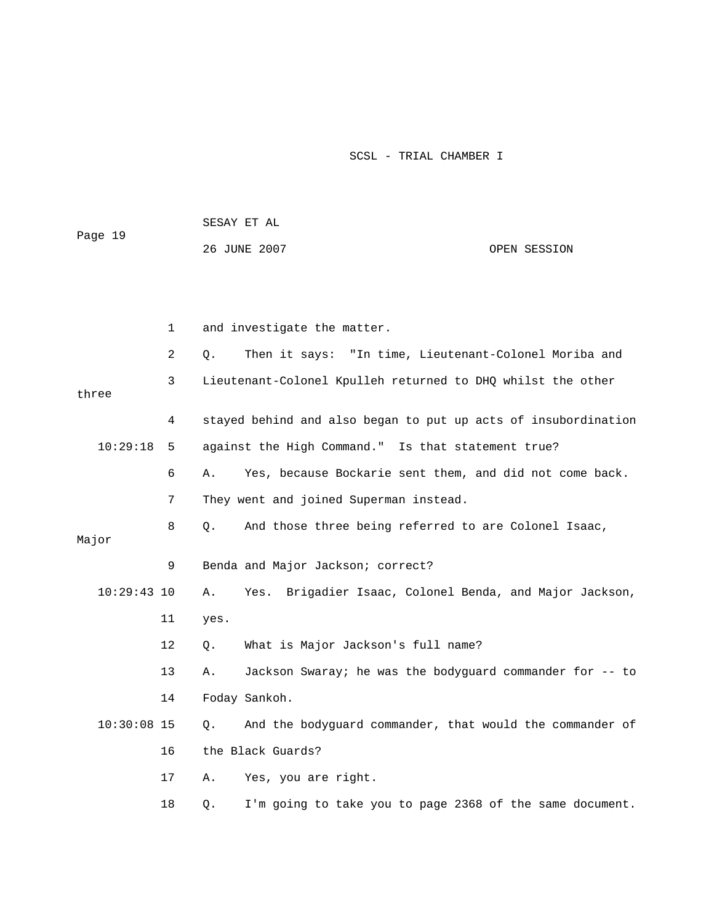|               |             | SESAY ET AL                                                      |              |
|---------------|-------------|------------------------------------------------------------------|--------------|
| Page 19       |             | 26 JUNE 2007                                                     | OPEN SESSION |
|               |             |                                                                  |              |
|               |             |                                                                  |              |
|               | $\mathbf 1$ | and investigate the matter.                                      |              |
|               | 2           | Then it says: "In time, Lieutenant-Colonel Moriba and<br>О.      |              |
| three         | 3           | Lieutenant-Colonel Kpulleh returned to DHQ whilst the other      |              |
|               | 4           | stayed behind and also began to put up acts of insubordination   |              |
| 10:29:18      | 5           | against the High Command." Is that statement true?               |              |
|               | 6           | Yes, because Bockarie sent them, and did not come back.<br>Α.    |              |
|               | 7           | They went and joined Superman instead.                           |              |
| Major         | 8           | And those three being referred to are Colonel Isaac,<br>Q.       |              |
|               | 9           | Benda and Major Jackson; correct?                                |              |
| $10:29:43$ 10 |             | Brigadier Isaac, Colonel Benda, and Major Jackson,<br>Α.<br>Yes. |              |
|               | 11          | yes.                                                             |              |
|               | 12          | What is Major Jackson's full name?<br>О.                         |              |
|               | 13          | Jackson Swaray; he was the bodyguard commander for -- to<br>Α.   |              |
|               | 14          | Foday Sankoh.                                                    |              |
| $10:30:08$ 15 |             | And the bodyguard commander, that would the commander of<br>Q.   |              |
|               | 16          | the Black Guards?                                                |              |
|               | 17          | Yes, you are right.<br>Α.                                        |              |
|               | 18          | I'm going to take you to page 2368 of the same document.<br>Q.   |              |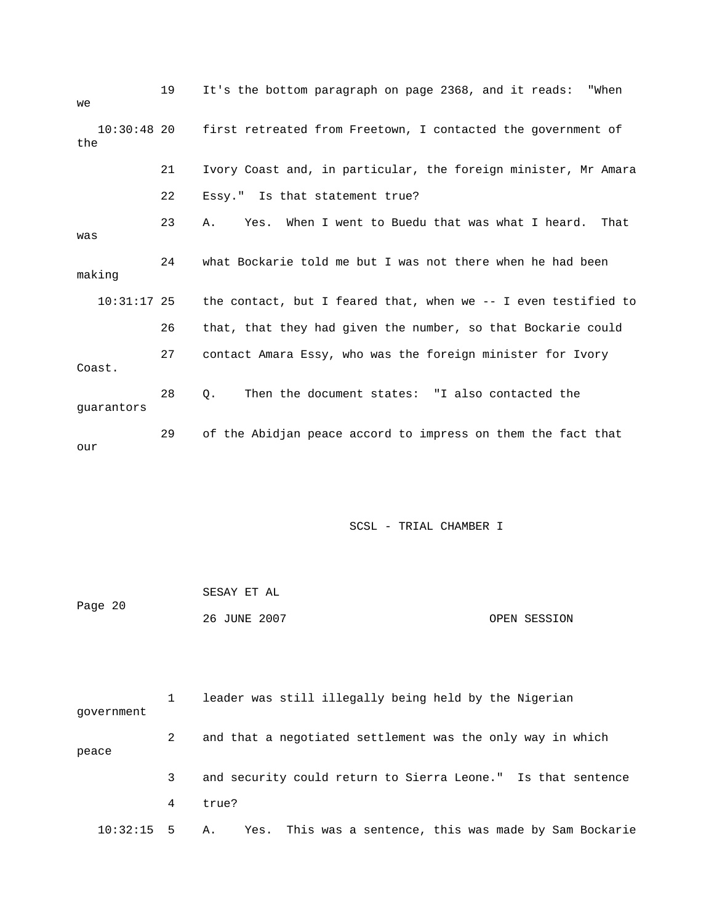| we                   | 19 | It's the bottom paragraph on page 2368, and it reads:<br>"When |
|----------------------|----|----------------------------------------------------------------|
| $10:30:48$ 20<br>the |    | first retreated from Freetown, I contacted the government of   |
|                      | 21 | Ivory Coast and, in particular, the foreign minister, Mr Amara |
|                      | 22 | Essy." Is that statement true?                                 |
| was                  | 23 | Yes. When I went to Buedu that was what I heard.<br>That<br>Α. |
| making               | 24 | what Bockarie told me but I was not there when he had been     |
| $10:31:17$ 25        |    | the contact, but I feared that, when we -- I even testified to |
|                      | 26 | that, that they had given the number, so that Bockarie could   |
| Coast.               | 27 | contact Amara Essy, who was the foreign minister for Ivory     |
| quarantors           | 28 | Then the document states: "I also contacted the<br>$\circ$ .   |
| our                  | 29 | of the Abidjan peace accord to impress on them the fact that   |

| Page 20 | SESAY ET AL  |              |
|---------|--------------|--------------|
|         | 26 JUNE 2007 | OPEN SESSION |

| qovernment      |   | leader was still illegally being held by the Nigerian        |
|-----------------|---|--------------------------------------------------------------|
| peace           | 2 | and that a negotiated settlement was the only way in which   |
|                 | 3 | and security could return to Sierra Leone." Is that sentence |
|                 | 4 | true?                                                        |
| $10:32:15$ 5 A. |   | Yes. This was a sentence, this was made by Sam Bockarie      |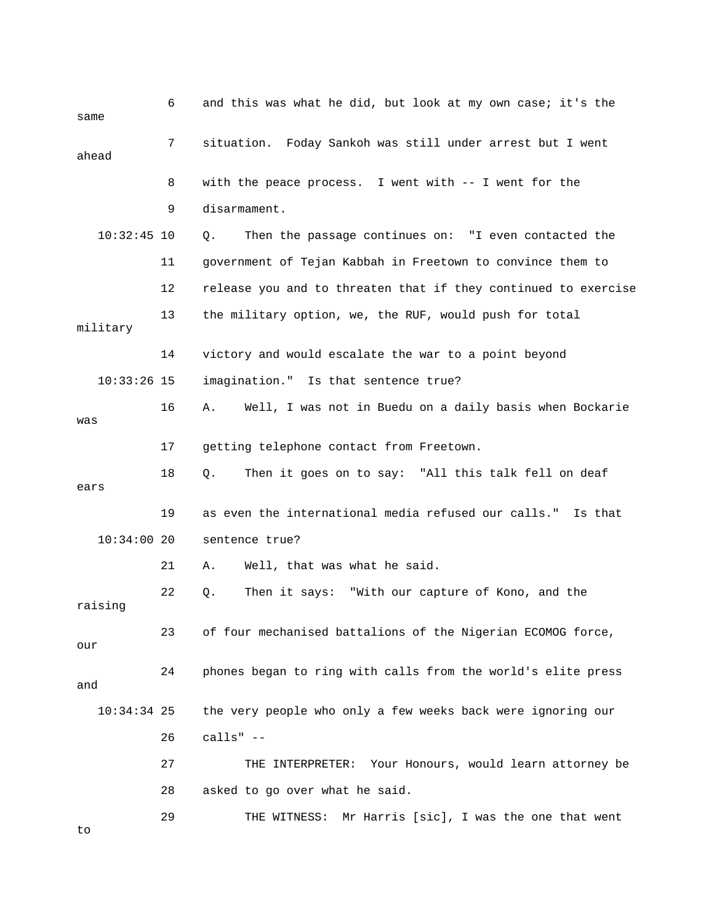| same          | 6  | and this was what he did, but look at my own case; it's the    |
|---------------|----|----------------------------------------------------------------|
| ahead         | 7  | situation. Foday Sankoh was still under arrest but I went      |
|               | 8  | with the peace process. I went with -- I went for the          |
|               | 9  | disarmament.                                                   |
| $10:32:45$ 10 |    | Then the passage continues on: "I even contacted the<br>Q.     |
|               | 11 | government of Tejan Kabbah in Freetown to convince them to     |
|               | 12 | release you and to threaten that if they continued to exercise |
| military      | 13 | the military option, we, the RUF, would push for total         |
|               | 14 | victory and would escalate the war to a point beyond           |
| $10:33:26$ 15 |    | imagination." Is that sentence true?                           |
| was           | 16 | Well, I was not in Buedu on a daily basis when Bockarie<br>Α.  |
|               | 17 | getting telephone contact from Freetown.                       |
| ears          | 18 | Then it goes on to say: "All this talk fell on deaf<br>Q.      |
|               | 19 | as even the international media refused our calls."<br>Is that |
| $10:34:00$ 20 |    | sentence true?                                                 |
|               | 21 | Well, that was what he said.<br>Α.                             |
| raising       | 22 | Then it says: "With our capture of Kono, and the<br>Q.         |
| our           | 23 | of four mechanised battalions of the Nigerian ECOMOG force,    |
| and           | 24 | phones began to ring with calls from the world's elite press   |
| $10:34:34$ 25 |    | the very people who only a few weeks back were ignoring our    |
|               | 26 | calls" $--$                                                    |
|               | 27 | THE INTERPRETER: Your Honours, would learn attorney be         |
|               | 28 | asked to go over what he said.                                 |
| to            | 29 | Mr Harris [sic], I was the one that went<br>THE WITNESS:       |
|               |    |                                                                |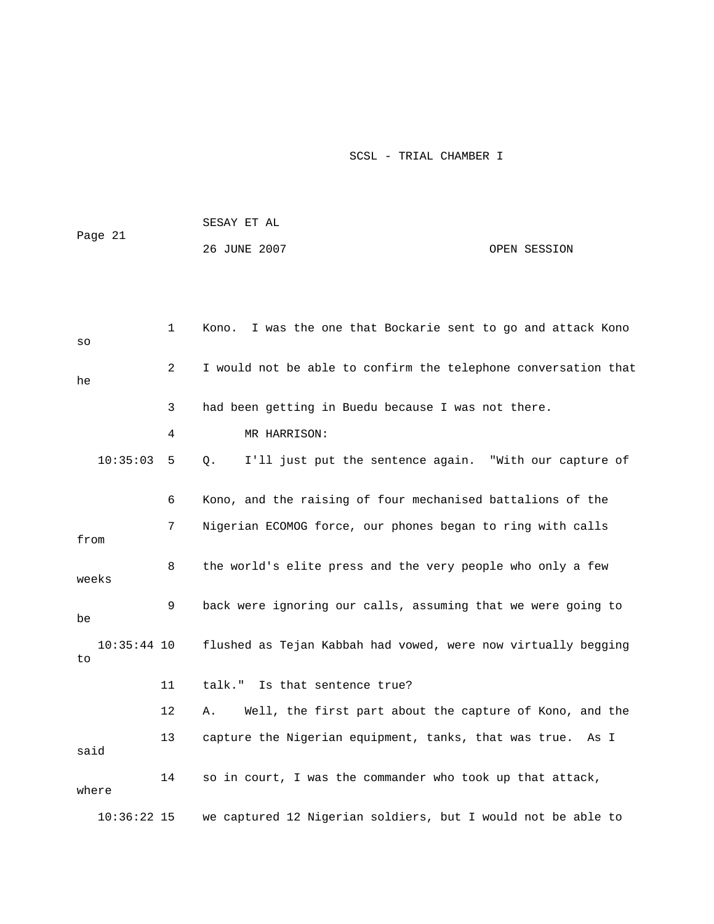|         |               |    | SESAY ET AL                                                    |              |
|---------|---------------|----|----------------------------------------------------------------|--------------|
| Page 21 |               |    | 26 JUNE 2007                                                   | OPEN SESSION |
|         |               |    |                                                                |              |
|         |               |    |                                                                |              |
| SO      |               | 1  | Kono. I was the one that Bockarie sent to go and attack Kono   |              |
| he      |               | 2  | I would not be able to confirm the telephone conversation that |              |
|         |               | 3  | had been getting in Buedu because I was not there.             |              |
|         |               | 4  | MR HARRISON:                                                   |              |
|         | 10:35:03      | 5  | I'll just put the sentence again. "With our capture of<br>Q.   |              |
|         |               | 6  | Kono, and the raising of four mechanised battalions of the     |              |
| from    |               | 7  | Nigerian ECOMOG force, our phones began to ring with calls     |              |
| weeks   |               | 8  | the world's elite press and the very people who only a few     |              |
| be      |               | 9  | back were ignoring our calls, assuming that we were going to   |              |
| to      | $10:35:44$ 10 |    | flushed as Tejan Kabbah had vowed, were now virtually begging  |              |
|         |               | 11 | talk." Is that sentence true?                                  |              |
|         |               | 12 | Well, the first part about the capture of Kono, and the<br>Α.  |              |
| said    |               | 13 | capture the Nigerian equipment, tanks, that was true. As I     |              |
| where   |               | 14 | so in court, I was the commander who took up that attack,      |              |
|         | $10:36:22$ 15 |    | we captured 12 Nigerian soldiers, but I would not be able to   |              |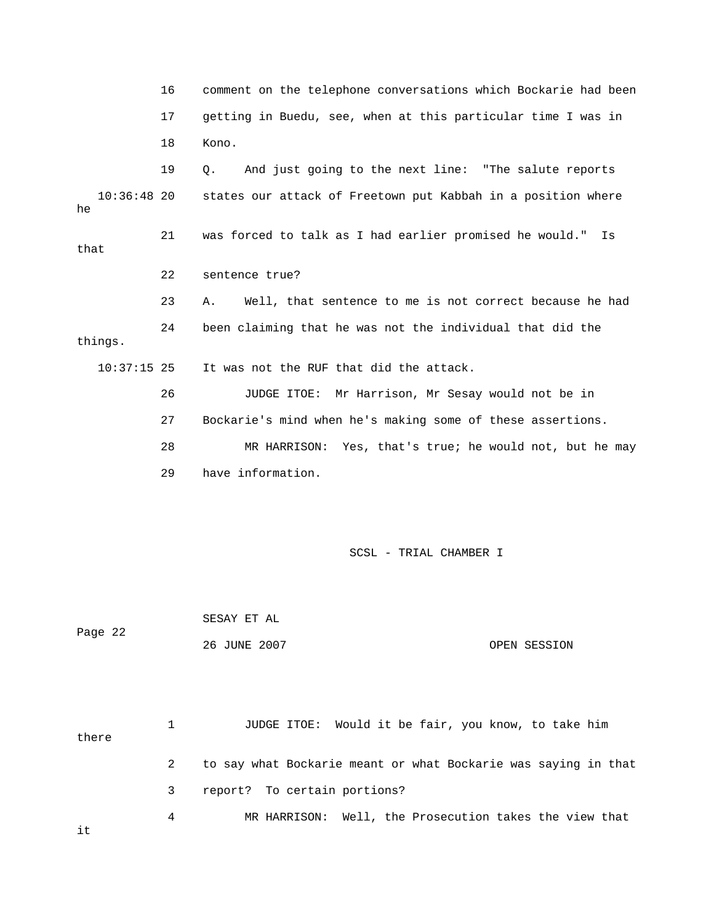16 comment on the telephone conversations which Bockarie had been 17 getting in Buedu, see, when at this particular time I was in 19 Q. And just going to the next line: "The salute reports 10:36:48 20 states our attack of Freetown put Kabbah in a position where 23 A. Well, that sentence to me is not correct because he had 24 been claiming that he was not the individual that did the 26 JUDGE ITOE: Mr Harrison, Mr Sesay would not be in . 27 Bockarie's mind when he's making some of these assertions 28 MR HARRISON: Yes, that's true; he would not, but he may 29 have information. SCSL - TRIAL CHAMBER I SESAY ET AL Page 22 26 JUNE 2007 OPEN SESSION 1 JUDGE ITOE: Would it be fair, you know, to take him there 2 to say what Bockarie meant or what Bockarie was saying in that 18 Kono. he 21 was forced to talk as I had earlier promised he would." Is that 22 sentence true? things. 10:37:15 25 It was not the RUF that did the attack.

3 report? To certain portions?

4 MR HARRISON: Well, the Prosecution takes the view that

it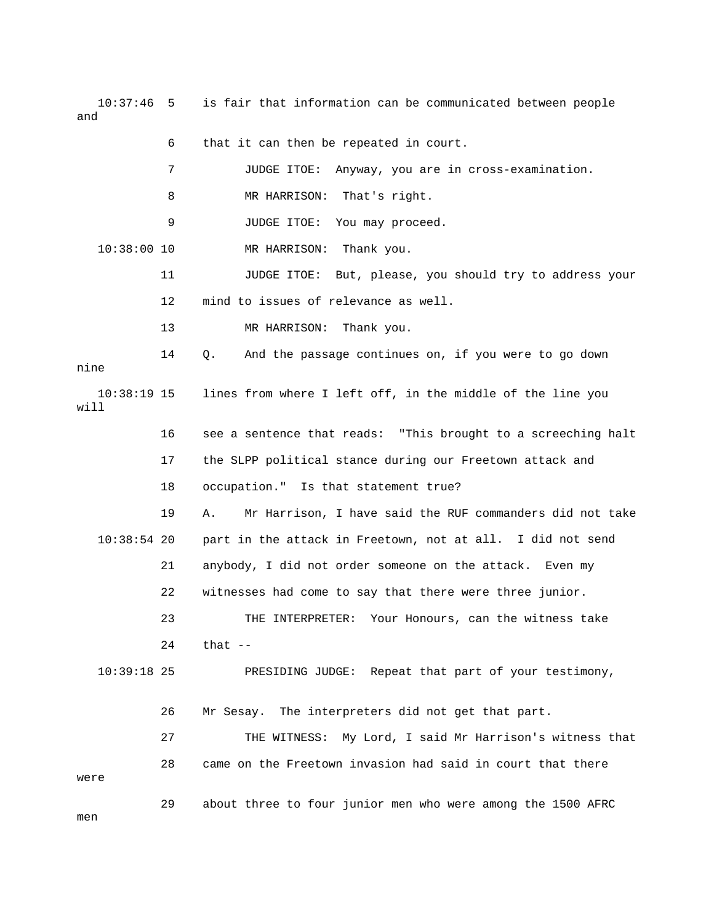10:37:46 5 is fair that information can be communicated between people and 6 that it can then be repeated in court.

|                                            | 7                                                             | JUDGE ITOE:<br>Anyway, you are in cross-examination.           |  |
|--------------------------------------------|---------------------------------------------------------------|----------------------------------------------------------------|--|
|                                            | 8                                                             | MR HARRISON: That's right.                                     |  |
|                                            | 9                                                             | JUDGE ITOE:<br>You may proceed.                                |  |
| $10:38:00$ 10                              |                                                               | MR HARRISON: Thank you.                                        |  |
|                                            | 11                                                            | JUDGE ITOE: But, please, you should try to address your        |  |
|                                            | 12                                                            | mind to issues of relevance as well.                           |  |
|                                            | 13                                                            | MR HARRISON: Thank you.                                        |  |
| nine                                       | 14                                                            | And the passage continues on, if you were to go down<br>Q.     |  |
| $10:38:19$ 15<br>will                      |                                                               | lines from where I left off, in the middle of the line you     |  |
|                                            | 16                                                            | see a sentence that reads: "This brought to a screeching halt  |  |
|                                            | 17                                                            | the SLPP political stance during our Freetown attack and       |  |
| 18<br>occupation." Is that statement true? |                                                               |                                                                |  |
|                                            | 19                                                            | Mr Harrison, I have said the RUF commanders did not take<br>Α. |  |
| $10:38:54$ 20                              |                                                               | part in the attack in Freetown, not at all. I did not send     |  |
|                                            | 21                                                            | anybody, I did not order someone on the attack. Even my        |  |
|                                            | 22<br>witnesses had come to say that there were three junior. |                                                                |  |
|                                            | 23                                                            | THE INTERPRETER: Your Honours, can the witness take            |  |
|                                            | that $--$<br>24                                               |                                                                |  |
| $10:39:18$ 25                              |                                                               | Repeat that part of your testimony,<br>PRESIDING JUDGE:        |  |
|                                            | 26                                                            | Mr Sesay. The interpreters did not get that part.              |  |
|                                            | 27                                                            | My Lord, I said Mr Harrison's witness that<br>THE WITNESS:     |  |
| were                                       | 28                                                            | came on the Freetown invasion had said in court that there     |  |
| men                                        | 29                                                            | about three to four junior men who were among the 1500 AFRC    |  |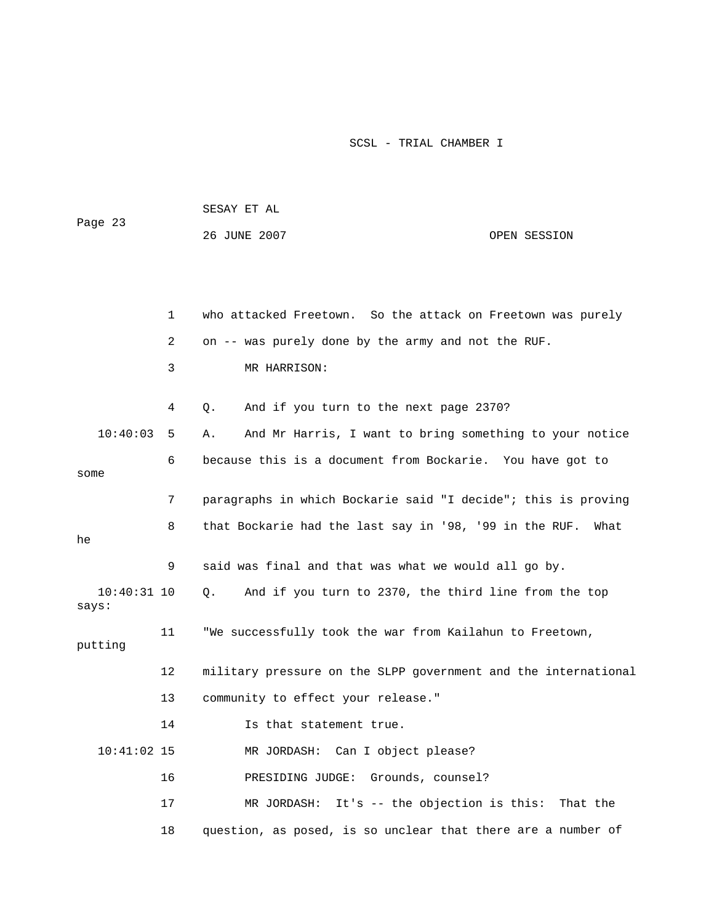| Page 23                |    | SESAY ET AL                                                    |              |  |
|------------------------|----|----------------------------------------------------------------|--------------|--|
|                        |    | 26 JUNE 2007                                                   | OPEN SESSION |  |
|                        |    |                                                                |              |  |
|                        |    |                                                                |              |  |
|                        | 1  | who attacked Freetown. So the attack on Freetown was purely    |              |  |
|                        | 2  | on -- was purely done by the army and not the RUF.             |              |  |
|                        | 3  | MR HARRISON:                                                   |              |  |
|                        | 4  | And if you turn to the next page 2370?<br>Q.                   |              |  |
| 10:40:03               | 5  | And Mr Harris, I want to bring something to your notice<br>Α.  |              |  |
| some                   | 6  | because this is a document from Bockarie. You have got to      |              |  |
|                        | 7  | paragraphs in which Bockarie said "I decide"; this is proving  |              |  |
| he                     | 8  | that Bockarie had the last say in '98, '99 in the RUF.         | What         |  |
|                        | 9  | said was final and that was what we would all go by.           |              |  |
| $10:40:31$ 10<br>says: |    | And if you turn to 2370, the third line from the top<br>Q.     |              |  |
| putting                | 11 | "We successfully took the war from Kailahun to Freetown,       |              |  |
|                        | 12 | military pressure on the SLPP government and the international |              |  |
|                        | 13 | community to effect your release."                             |              |  |
|                        | 14 | Is that statement true.                                        |              |  |
| $10:41:02$ 15          |    | MR JORDASH: Can I object please?                               |              |  |
|                        | 16 | PRESIDING JUDGE: Grounds, counsel?                             |              |  |
|                        | 17 | MR JORDASH: It's -- the objection is this: That the            |              |  |
|                        | 18 | question, as posed, is so unclear that there are a number of   |              |  |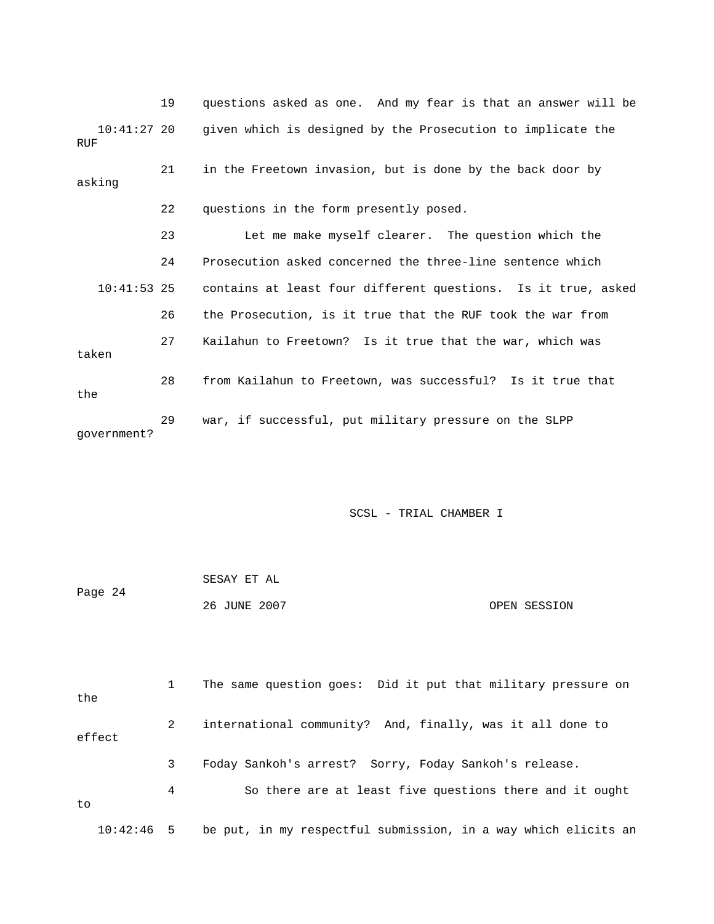19 questions asked as one. And my fear is that an answer will be 21 in the Freetown invasion, but is done by the back door by 22 questions in the form presently posed. 23 Let me make myself clearer. The question which the 24 Prosecution asked concerned the three-line sentence which 10:41:53 25 contains at least four different questions. Is it true, asked taken 28 from Kailahun to Freetown, was successful? Is it true that 10:41:27 20 given which is designed by the Prosecution to implicate the RUF asking 26 the Prosecution, is it true that the RUF took the war from 27 Kailahun to Freetown? Is it true that the war, which was the 29 war, if successful, put military pressure on the SLPP government?

SCSL - TRIAL CHAMBER I

| Page 24 | SESAY ET AL  |              |
|---------|--------------|--------------|
|         | 26 JUNE 2007 | OPEN SESSION |

 1 The same question goes: Did it put that military pressure on the 2 international community? And, finally, was it all done to 3 Foday Sankoh's arrest? Sorry, Foday Sankoh's release. 4 So there are at least five questions there and it ought 10:42:46 5 be put, in my respectful submission, in a way which elicits an effect to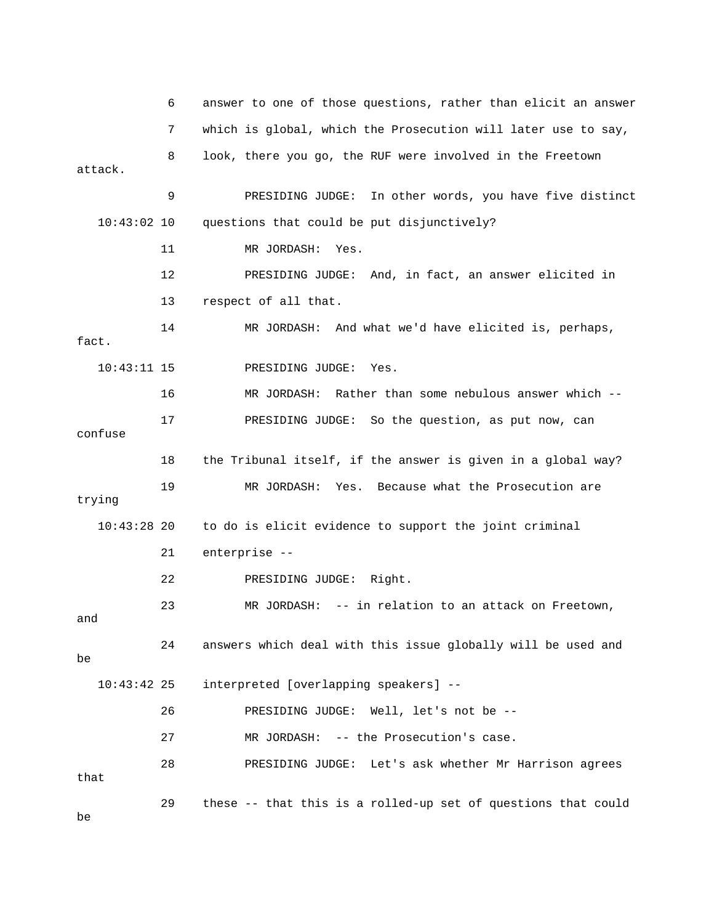6 answer to one of those questions, rather than elicit an answer attack. 9 PRESIDING JUDGE: In other words, you have five distinct questions that could be put disjunctively? 12 PRESIDING JUDGE: And, in fact, an answer elicited in 10:43:11 15 PRESIDING JUDGE: Yes. 16 MR JORDASH: Rather than some nebulous answer which -- 17 PRESIDING JUDGE: So the question, as put now, can confuse 19 MR JORDASH: Yes. Because what the Prosecution are 10:43:28 20 to do is elicit evidence to support the joint criminal 21 enterprise -- 23 MR JORDASH: -- in relation to an attack on Freetown, 24 answers which deal with this issue globally will be used and 10:43:42 25 interpreted [overlapping speakers] -- 26 PRESIDING JUDGE: Well, let's not be -- 27 MR JORDASH: -- the Prosecution's case. 28 PRESIDING JUDGE: Let's ask whether Mr Harrison agrees 29 these -- that this is a rolled-up set of questions that could 7 which is global, which the Prosecution will later use to say, 8 look, there you go, the RUF were involved in the Freetown  $10:43:02$  10 11 MR JORDASH: Yes. 13 respect of all that. 14 MR JORDASH: And what we'd have elicited is, perhaps, fact. 18 the Tribunal itself, if the answer is given in a global way? trying 22 PRESIDING JUDGE: Right. and be that be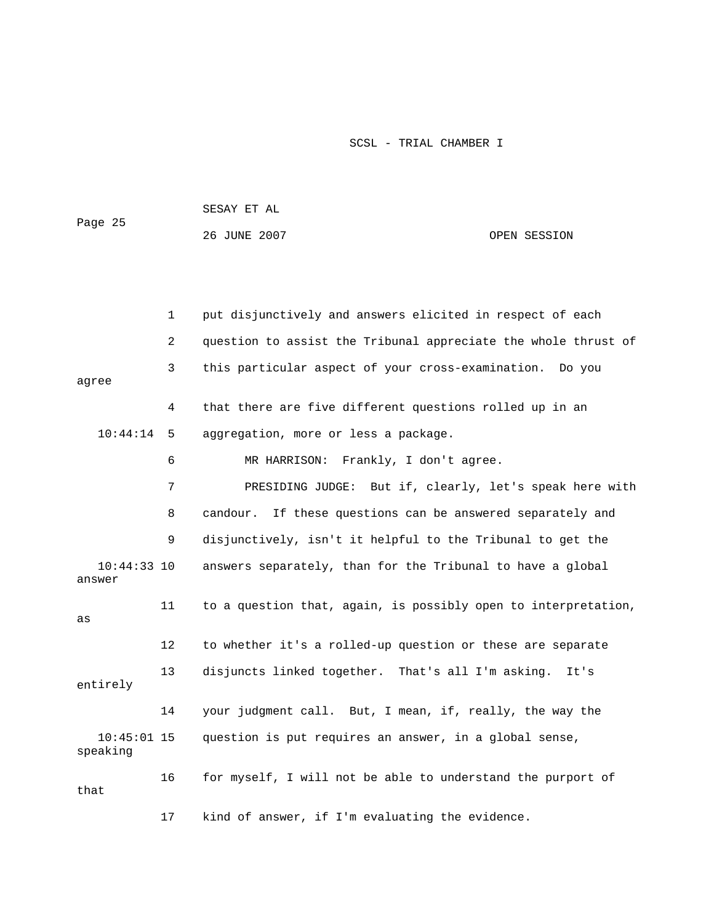| Page 25                   |    | SESAY ET AL                                                    |              |  |  |
|---------------------------|----|----------------------------------------------------------------|--------------|--|--|
|                           |    | 26 JUNE 2007                                                   | OPEN SESSION |  |  |
|                           |    |                                                                |              |  |  |
|                           |    |                                                                |              |  |  |
|                           | 1  | put disjunctively and answers elicited in respect of each      |              |  |  |
|                           | 2  | question to assist the Tribunal appreciate the whole thrust of |              |  |  |
| agree                     | 3  | this particular aspect of your cross-examination. Do you       |              |  |  |
|                           | 4  | that there are five different questions rolled up in an        |              |  |  |
| 10:44:14                  | 5  | aggregation, more or less a package.                           |              |  |  |
|                           | 6  | MR HARRISON: Frankly, I don't agree.                           |              |  |  |
|                           | 7  | PRESIDING JUDGE: But if, clearly, let's speak here with        |              |  |  |
|                           | 8  | If these questions can be answered separately and<br>candour.  |              |  |  |
|                           | 9  | disjunctively, isn't it helpful to the Tribunal to get the     |              |  |  |
| $10:44:33$ 10<br>answer   |    | answers separately, than for the Tribunal to have a global     |              |  |  |
| as                        | 11 | to a question that, again, is possibly open to interpretation, |              |  |  |
|                           | 12 | to whether it's a rolled-up question or these are separate     |              |  |  |
| entirely                  | 13 | disjuncts linked together. That's all I'm asking.              | It's         |  |  |
|                           | 14 | your judgment call. But, I mean, if, really, the way the       |              |  |  |
| $10:45:01$ 15<br>speaking |    | question is put requires an answer, in a global sense,         |              |  |  |
| that                      | 16 | for myself, I will not be able to understand the purport of    |              |  |  |
|                           | 17 | kind of answer, if I'm evaluating the evidence.                |              |  |  |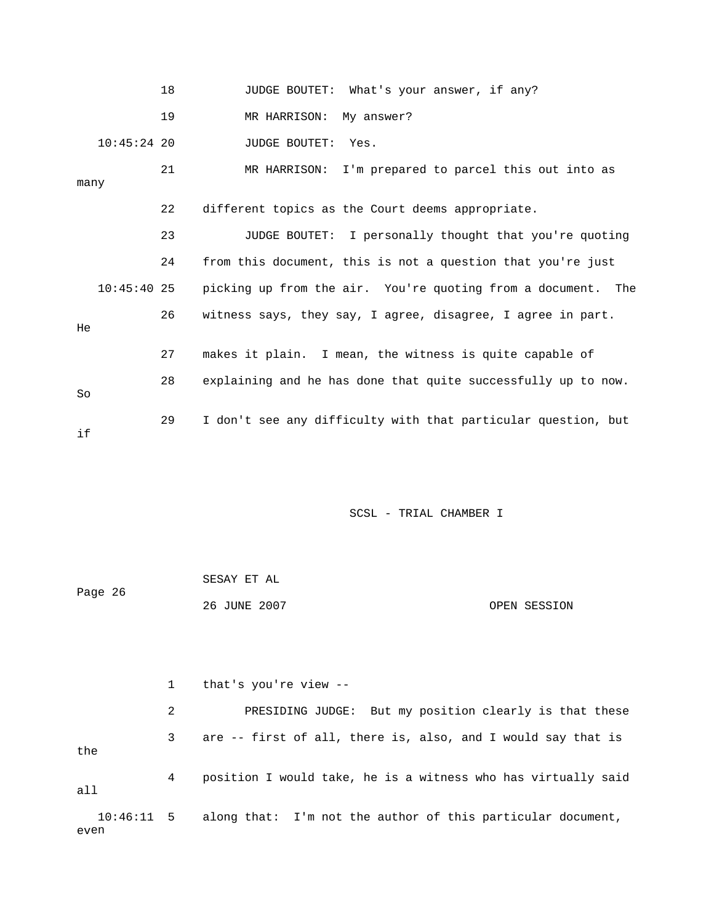|      |               | 18 | JUDGE BOUTET: What's your answer, if any?                     |
|------|---------------|----|---------------------------------------------------------------|
|      |               | 19 | MR HARRISON: My answer?                                       |
|      | $10:45:24$ 20 |    | JUDGE BOUTET: Yes.                                            |
| many |               | 21 | MR HARRISON: I'm prepared to parcel this out into as          |
|      |               | 22 | different topics as the Court deems appropriate.              |
|      |               | 23 | JUDGE BOUTET: I personally thought that you're quoting        |
|      |               | 24 | from this document, this is not a question that you're just   |
|      | $10:45:40$ 25 |    | picking up from the air. You're quoting from a document. The  |
| He.  |               | 26 | witness says, they say, I agree, disagree, I agree in part.   |
|      |               | 27 | makes it plain. I mean, the witness is quite capable of       |
| So   |               | 28 | explaining and he has done that quite successfully up to now. |
| if   |               | 29 | I don't see any difficulty with that particular question, but |

|         | SESAY ET AL  |  |              |
|---------|--------------|--|--------------|
| Page 26 |              |  |              |
|         | 26 JUNE 2007 |  | OPEN SESSION |

 1 that's you're view -- 2 PRESIDING JUDGE: But my position clearly is that these 3 are -- first of all, there is, also, and I would say that is even the 4 position I would take, he is a witness who has virtually said all 10:46:11 5 along that: I'm not the author of this particular document,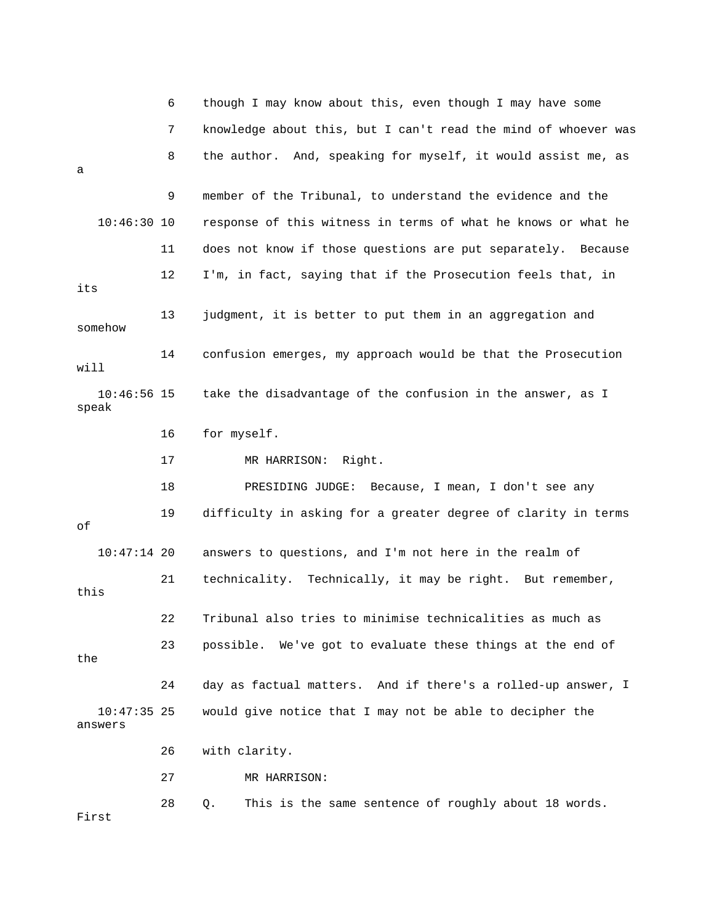|                          | 6  | though I may know about this, even though I may have some      |
|--------------------------|----|----------------------------------------------------------------|
|                          | 7  | knowledge about this, but I can't read the mind of whoever was |
| a                        | 8  | the author. And, speaking for myself, it would assist me, as   |
|                          | 9  | member of the Tribunal, to understand the evidence and the     |
| $10:46:30$ 10            |    | response of this witness in terms of what he knows or what he  |
|                          | 11 | does not know if those questions are put separately. Because   |
| its                      | 12 | I'm, in fact, saying that if the Prosecution feels that, in    |
| somehow                  | 13 | judgment, it is better to put them in an aggregation and       |
| will                     | 14 | confusion emerges, my approach would be that the Prosecution   |
| $10:46:56$ 15<br>speak   |    | take the disadvantage of the confusion in the answer, as I     |
|                          | 16 | for myself.                                                    |
|                          | 17 | MR HARRISON: Right.                                            |
|                          | 18 | PRESIDING JUDGE: Because, I mean, I don't see any              |
| оf                       | 19 | difficulty in asking for a greater degree of clarity in terms  |
| $10:47:14$ 20            |    | answers to questions, and I'm not here in the realm of         |
| this                     | 21 | technicality. Technically, it may be right. But remember,      |
|                          | 22 | Tribunal also tries to minimise technicalities as much as      |
| the                      | 23 | possible. We've got to evaluate these things at the end of     |
|                          | 24 | day as factual matters. And if there's a rolled-up answer, I   |
| $10:47:35$ 25<br>answers |    | would give notice that I may not be able to decipher the       |
|                          | 26 | with clarity.                                                  |
|                          | 27 | MR HARRISON:                                                   |
| First                    | 28 | This is the same sentence of roughly about 18 words.<br>Q.     |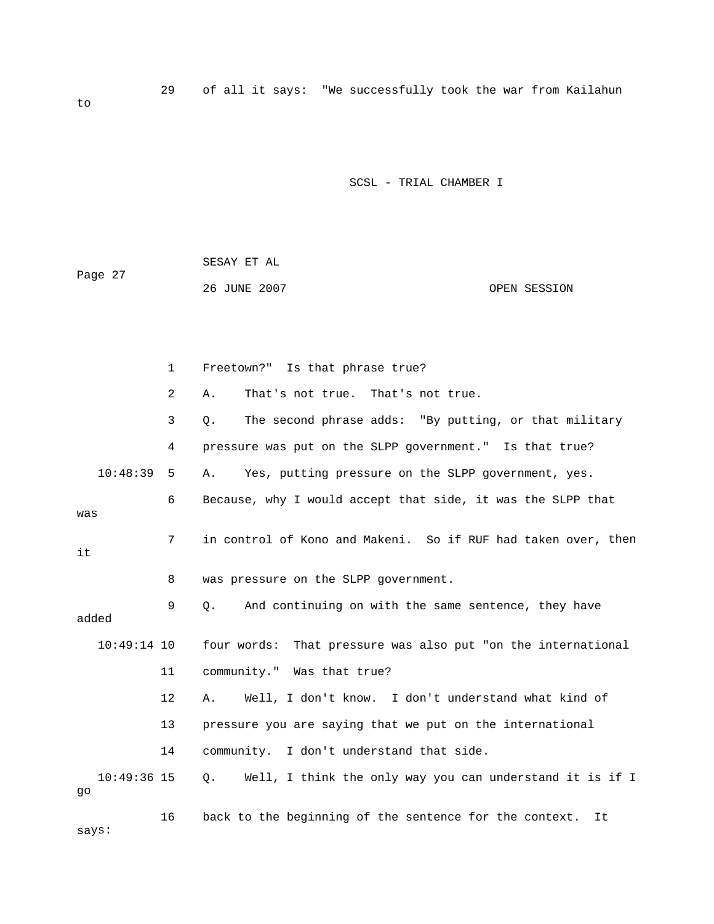| Page 27 | SESAY ET AL  |              |
|---------|--------------|--------------|
|         | 26 JUNE 2007 | OPEN SESSION |

|                     | $\mathbf{1}$   | Freetown?" Is that phrase true?                                         |
|---------------------|----------------|-------------------------------------------------------------------------|
|                     | $\overline{2}$ | That's not true. That's not true.<br>Α.                                 |
|                     | 3              | The second phrase adds: "By putting, or that military<br>Q.             |
|                     | 4              | pressure was put on the SLPP government." Is that true?                 |
| 10:48:39            | 5              | Yes, putting pressure on the SLPP government, yes.<br>Α.                |
| was                 | 6              | Because, why I would accept that side, it was the SLPP that             |
| it                  | 7              | in control of Kono and Makeni. So if RUF had taken over, then           |
|                     | 8              | was pressure on the SLPP government.                                    |
| added               | 9              | And continuing on with the same sentence, they have<br>О.               |
| $10:49:14$ 10       |                | four words: That pressure was also put "on the international            |
|                     | 11             | community." Was that true?                                              |
|                     | $12 \,$        | Well, I don't know. I don't understand what kind of<br>Α.               |
|                     | 13             | pressure you are saying that we put on the international                |
|                     | 14             | community. I don't understand that side.                                |
| $10:49:36$ 15<br>go |                | Well, I think the only way you can understand it is if I<br>$Q_{\star}$ |
| says:               | 16             | back to the beginning of the sentence for the context.<br>It.           |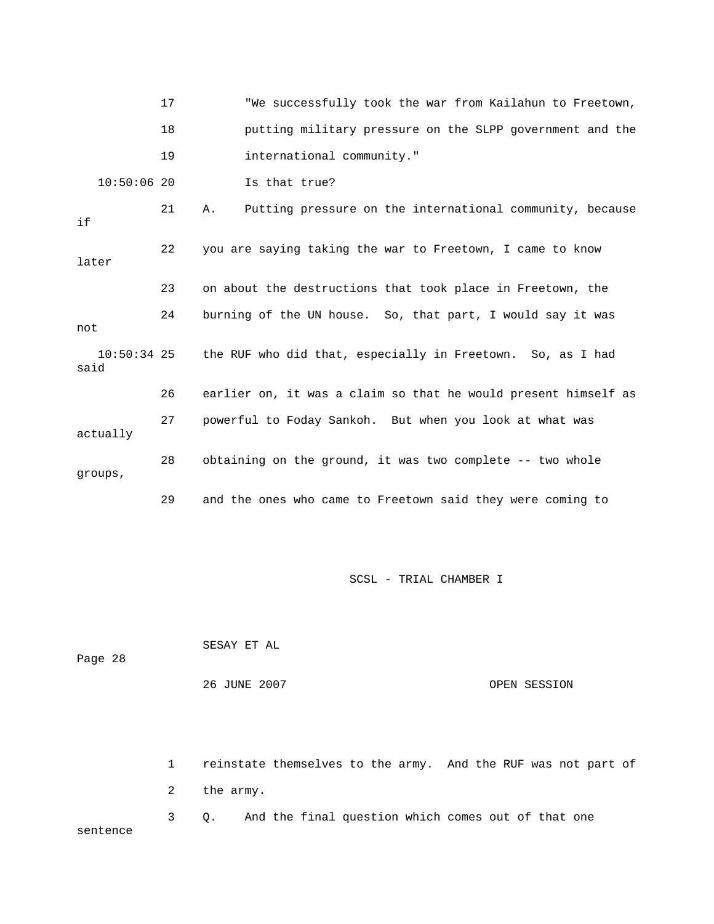|                       | 17 | "We successfully took the war from Kailahun to Freetown,       |
|-----------------------|----|----------------------------------------------------------------|
|                       | 18 | putting military pressure on the SLPP government and the       |
|                       | 19 | international community."                                      |
| $10:50:06$ 20         |    | Is that true?                                                  |
| if                    | 21 | Putting pressure on the international community, because<br>Α. |
| later                 | 22 | you are saying taking the war to Freetown, I came to know      |
|                       | 23 | on about the destructions that took place in Freetown, the     |
| not                   | 24 | burning of the UN house. So, that part, I would say it was     |
| $10:50:34$ 25<br>said |    | the RUF who did that, especially in Freetown. So, as I had     |
|                       | 26 | earlier on, it was a claim so that he would present himself as |
| actually              | 27 | powerful to Foday Sankoh. But when you look at what was        |
| groups,               | 28 | obtaining on the ground, it was two complete -- two whole      |
|                       | 29 | and the ones who came to Freetown said they were coming to     |

| Page 28 | SESAY ET AL  |              |
|---------|--------------|--------------|
|         | 26 JUNE 2007 | OPEN SESSION |

 1 reinstate themselves to the army. And the RUF was not part of 2 the army. 3 Q. And the final question which comes out of that one sentence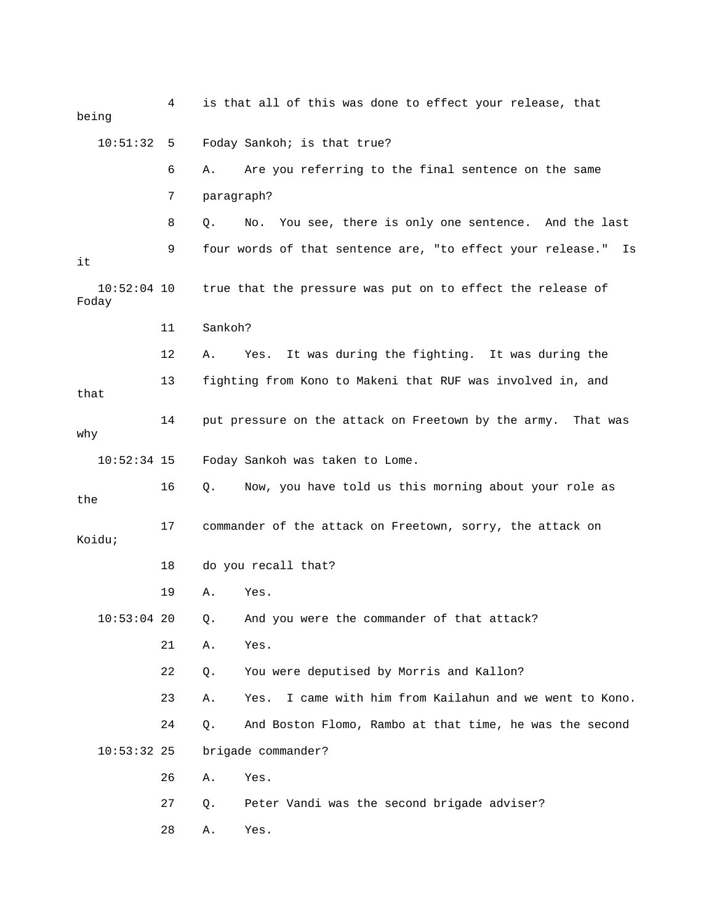| being                  | 4  | is that all of this was done to effect your release, that        |
|------------------------|----|------------------------------------------------------------------|
| 10:51:32 5             |    | Foday Sankoh; is that true?                                      |
|                        | 6  | Are you referring to the final sentence on the same<br>Α.        |
|                        | 7  | paragraph?                                                       |
|                        | 8  | No. You see, there is only one sentence. And the last<br>Q.      |
| it                     | 9  | four words of that sentence are, "to effect your release."<br>Is |
| $10:52:04$ 10<br>Foday |    | true that the pressure was put on to effect the release of       |
|                        | 11 | Sankoh?                                                          |
|                        | 12 | It was during the fighting. It was during the<br>Α.<br>Yes.      |
| that                   | 13 | fighting from Kono to Makeni that RUF was involved in, and       |
| why                    | 14 | put pressure on the attack on Freetown by the army. That was     |
| $10:52:34$ 15          |    | Foday Sankoh was taken to Lome.                                  |
| the                    | 16 | Now, you have told us this morning about your role as<br>Q.      |
| Koidu;                 | 17 | commander of the attack on Freetown, sorry, the attack on        |
|                        | 18 | do you recall that?                                              |
|                        | 19 | Α.<br>Yes.                                                       |
| $10:53:04$ 20          |    | Q. And you were the commander of that attack?                    |
|                        | 21 | Α.<br>Yes.                                                       |
|                        | 22 | You were deputised by Morris and Kallon?<br>Q.                   |
|                        | 23 | I came with him from Kailahun and we went to Kono.<br>Yes.<br>Α. |
|                        | 24 | And Boston Flomo, Rambo at that time, he was the second<br>$Q$ . |
| $10:53:32$ 25          |    | brigade commander?                                               |
|                        | 26 | Yes.<br>Α.                                                       |
|                        | 27 | Peter Vandi was the second brigade adviser?<br>Q.                |
|                        | 28 | Yes.<br>Α.                                                       |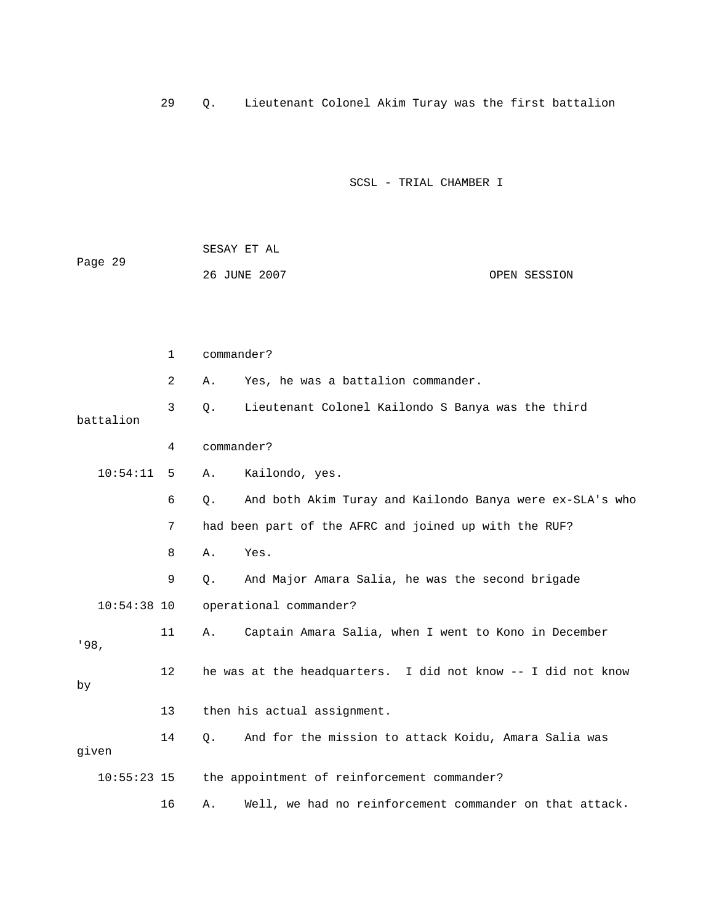29 Q. Lieutenant Colonel Akim Turay was the first battalion

|         | SESAY ET AL  |  |              |
|---------|--------------|--|--------------|
| Page 29 |              |  |              |
|         | 26 JUNE 2007 |  | OPEN SESSION |

|       |               | 1       | commander? |                                                              |
|-------|---------------|---------|------------|--------------------------------------------------------------|
|       |               | 2       | Α.         | Yes, he was a battalion commander.                           |
|       | battalion     | 3       | $\circ$ .  | Lieutenant Colonel Kailondo S Banya was the third            |
|       |               | 4       | commander? |                                                              |
|       | 10:54:11      | 5       | Α.         | Kailondo, yes.                                               |
|       |               | 6       | $\circ$ .  | And both Akim Turay and Kailondo Banya were ex-SLA's who     |
|       |               | 7       |            | had been part of the AFRC and joined up with the RUF?        |
|       |               | 8       | Α.         | Yes.                                                         |
|       |               | 9       | О.         | And Major Amara Salia, he was the second brigade             |
|       | $10:54:38$ 10 |         |            | operational commander?                                       |
| '98.  |               | 11      | Α.         | Captain Amara Salia, when I went to Kono in December         |
| by    |               | $12 \,$ |            | he was at the headquarters. I did not know -- I did not know |
|       |               | 13      |            | then his actual assignment.                                  |
| given |               | 14      | О.         | And for the mission to attack Koidu, Amara Salia was         |
|       | $10:55:23$ 15 |         |            | the appointment of reinforcement commander?                  |
|       |               | 16      | Α.         | Well, we had no reinforcement commander on that attack.      |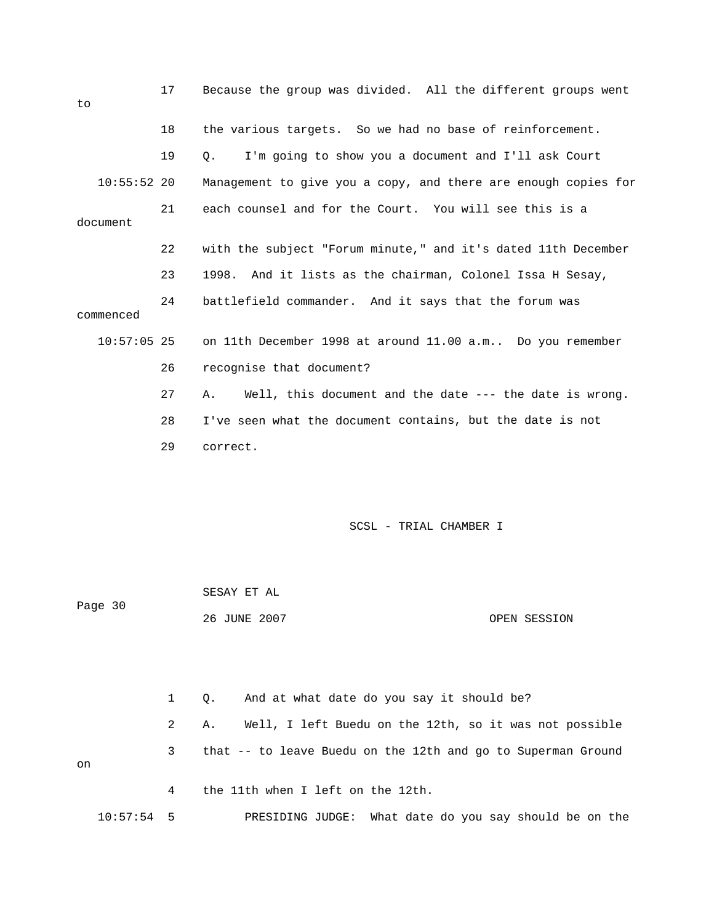| to            | 17 | Because the group was divided. All the different groups went    |
|---------------|----|-----------------------------------------------------------------|
|               | 18 | the various targets. So we had no base of reinforcement.        |
|               | 19 | I'm going to show you a document and I'll ask Court<br>0.       |
| $10:55:52$ 20 |    | Management to give you a copy, and there are enough copies for  |
| document      | 21 | each counsel and for the Court. You will see this is a          |
|               | 22 | with the subject "Forum minute," and it's dated 11th December   |
|               | 23 | 1998. And it lists as the chairman, Colonel Issa H Sesay,       |
| commenced     | 24 | battlefield commander. And it says that the forum was           |
| $10:57:05$ 25 |    | on 11th December 1998 at around 11.00 a.m Do you remember       |
|               | 26 | recognise that document?                                        |
|               | 27 | Well, this document and the date $---$ the date is wrong.<br>Α. |
|               | 28 | I've seen what the document contains, but the date is not       |
|               | 29 | correct.                                                        |
|               |    |                                                                 |

| Page 30 | SESAY ET AL  |              |
|---------|--------------|--------------|
|         | 26 JUNE 2007 | OPEN SESSION |

 1 Q. And at what date do you say it should be? 2 A. Well, I left Buedu on the 12th, so it was not possible 3 that -- to leave Buedu on the 12th and go to Superman Ground on 4 the 11th when I left on the 12th.

10:57:54 5 PRESIDING JUDGE: What date do you say should be on the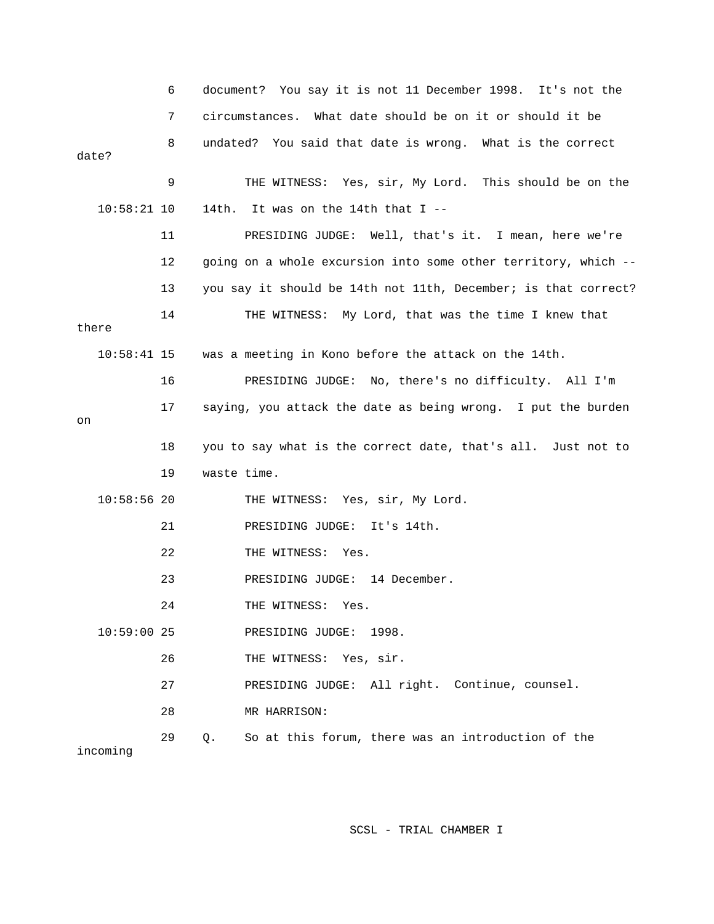|               | 6  | document? You say it is not 11 December 1998. It's not the        |
|---------------|----|-------------------------------------------------------------------|
|               | 7  | circumstances. What date should be on it or should it be          |
| date?         | 8  | undated? You said that date is wrong. What is the correct         |
|               | 9  | THE WITNESS: Yes, sir, My Lord. This should be on the             |
| $10:58:21$ 10 |    | 14th. It was on the 14th that I --                                |
|               | 11 | PRESIDING JUDGE: Well, that's it. I mean, here we're              |
|               | 12 | going on a whole excursion into some other territory, which --    |
|               | 13 | you say it should be 14th not 11th, December; is that correct?    |
| there         | 14 | THE WITNESS: My Lord, that was the time I knew that               |
| $10:58:41$ 15 |    | was a meeting in Kono before the attack on the 14th.              |
|               | 16 | PRESIDING JUDGE: No, there's no difficulty. All I'm               |
| on            | 17 | saying, you attack the date as being wrong. I put the burden      |
|               | 18 | you to say what is the correct date, that's all. Just not to      |
|               | 19 | waste time.                                                       |
| $10:58:56$ 20 |    | THE WITNESS: Yes, sir, My Lord.                                   |
|               | 21 | PRESIDING JUDGE: It's 14th.                                       |
|               | 22 | THE WITNESS: Yes.                                                 |
|               | 23 | PRESIDING JUDGE: 14 December.                                     |
|               | 24 | THE WITNESS: Yes.                                                 |
| $10:59:00$ 25 |    | PRESIDING JUDGE: 1998.                                            |
|               | 26 | THE WITNESS: Yes, sir.                                            |
|               | 27 | PRESIDING JUDGE: All right. Continue, counsel.                    |
|               | 28 | MR HARRISON:                                                      |
| incoming      | 29 | So at this forum, there was an introduction of the<br>$Q_{\star}$ |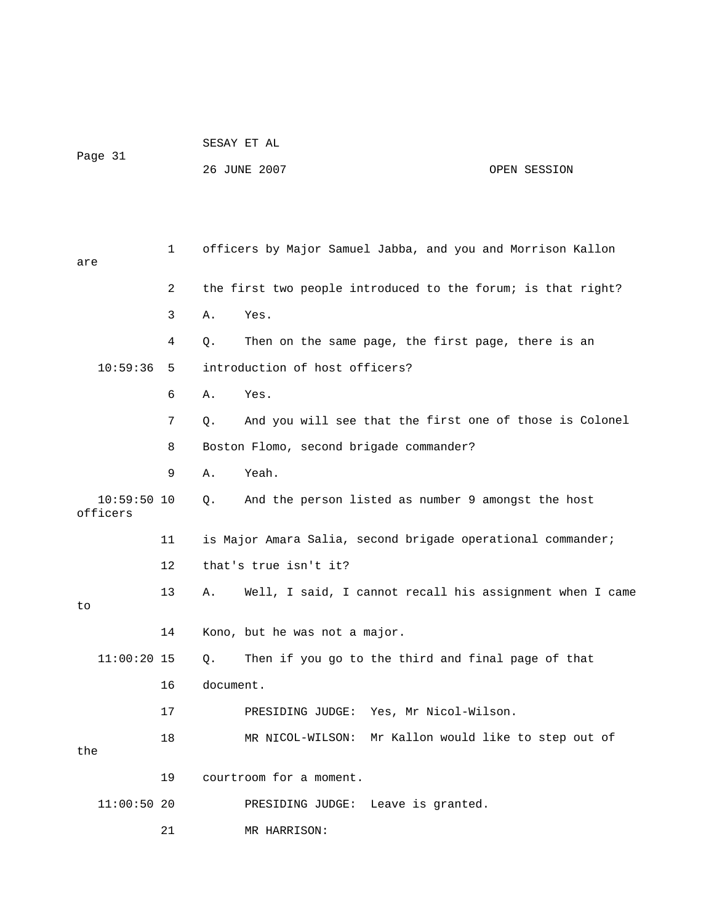|  |  |  | SESAY ET AL |  |
|--|--|--|-------------|--|
|  |  |  |             |  |

Page 31

26 JUNE 2007 OPEN SESSION

| are                       |               | 1  |           | officers by Major Samuel Jabba, and you and Morrison Kallon  |
|---------------------------|---------------|----|-----------|--------------------------------------------------------------|
|                           |               | 2  |           | the first two people introduced to the forum; is that right? |
|                           |               | 3  | Α.        | Yes.                                                         |
|                           |               | 4  | Q.        | Then on the same page, the first page, there is an           |
|                           | 10:59:36      | 5  |           | introduction of host officers?                               |
|                           |               | 6  | Α.        | Yes.                                                         |
|                           |               | 7  | О.        | And you will see that the first one of those is Colonel      |
|                           |               | 8  |           | Boston Flomo, second brigade commander?                      |
|                           |               | 9  | Α.        | Yeah.                                                        |
| $10:59:50$ 10<br>officers |               |    | Q.        | And the person listed as number 9 amongst the host           |
|                           |               | 11 |           | is Major Amara Salia, second brigade operational commander;  |
|                           |               | 12 |           | that's true isn't it?                                        |
| to                        |               | 13 | Α.        | Well, I said, I cannot recall his assignment when I came     |
|                           |               | 14 |           | Kono, but he was not a major.                                |
|                           | $11:00:20$ 15 |    | Q.        | Then if you go to the third and final page of that           |
|                           |               | 16 | document. |                                                              |
|                           |               | 17 |           | PRESIDING JUDGE: Yes, Mr Nicol-Wilson.                       |
| the                       |               | 18 |           | MR NICOL-WILSON: Mr Kallon would like to step out of         |
|                           |               | 19 |           | courtroom for a moment.                                      |
|                           | $11:00:50$ 20 |    |           | Leave is granted.<br>PRESIDING JUDGE:                        |
|                           |               | 21 |           | MR HARRISON:                                                 |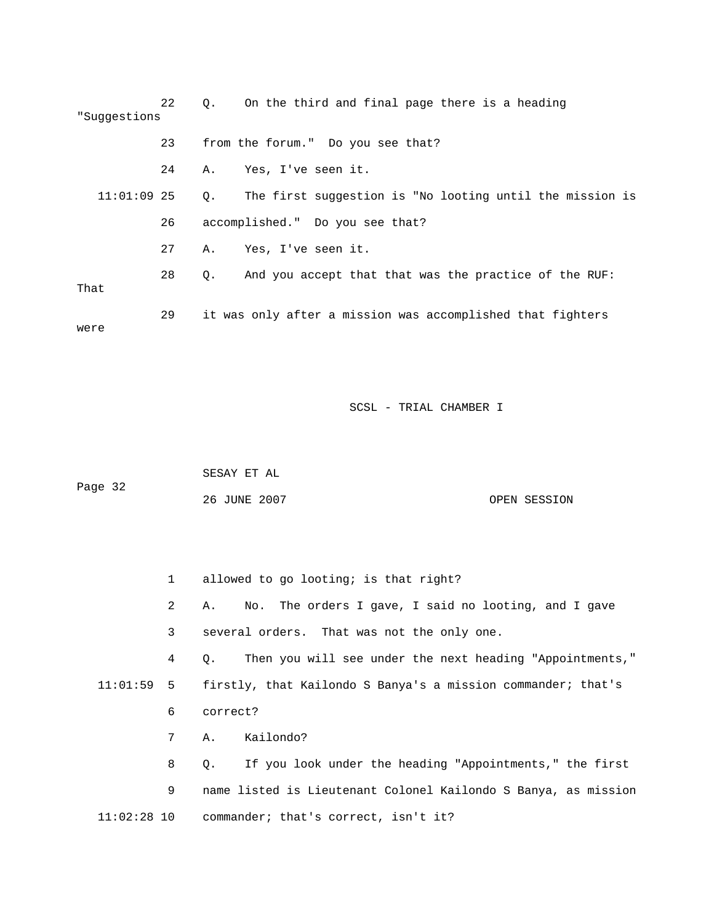| "Suggestions  | 22 | $\circ$ .   | On the third and final page there is a heading             |
|---------------|----|-------------|------------------------------------------------------------|
|               | 23 |             | from the forum." Do you see that?                          |
|               | 24 |             | A. Yes, I've seen it.                                      |
| $11:01:09$ 25 |    | $Q_{\star}$ | The first suggestion is "No looting until the mission is   |
|               | 26 |             | accomplished." Do you see that?                            |
|               | 27 | Α.          | Yes, I've seen it.                                         |
| That          | 28 | О.          | And you accept that that was the practice of the RUF:      |
| were          | 29 |             | it was only after a mission was accomplished that fighters |

 SESAY ET AL Page 32 26 JUNE 2007 OPEN SESSION

 1 allowed to go looting; is that right? 2 A. No. The orders I gave, I said no looting, and I gave 3 several orders. That was not the only one. 4 Q. Then you will see under the next heading "Appointments," 11:01:59 5 firstly, that Kailondo S Banya's a mission commander; that's 8 Q. If you look under the heading "Appointments," the first 9 name listed is Lieutenant Colonel Kailondo S Banya, as mission 6 correct? 7 A. Kailondo?

11:02:28 10 commander; that's correct, isn't it?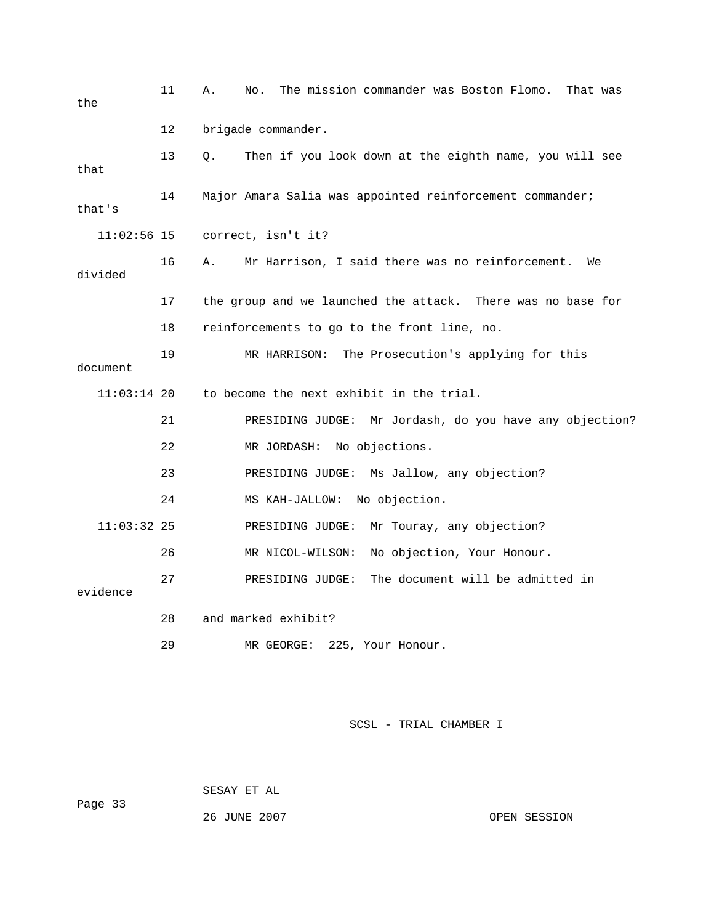| the           | 11 | The mission commander was Boston Flomo.<br>Α.<br>No.<br>That was |
|---------------|----|------------------------------------------------------------------|
|               | 12 | brigade commander.                                               |
| that          | 13 | Then if you look down at the eighth name, you will see<br>О.     |
| that's        | 14 | Major Amara Salia was appointed reinforcement commander;         |
| $11:02:56$ 15 |    | correct, isn't it?                                               |
| divided       | 16 | Mr Harrison, I said there was no reinforcement.<br>Α.<br>We      |
|               | 17 | the group and we launched the attack. There was no base for      |
|               | 18 | reinforcements to go to the front line, no.                      |
| document      | 19 | MR HARRISON:<br>The Prosecution's applying for this              |
| $11:03:14$ 20 |    | to become the next exhibit in the trial.                         |
|               | 21 | Mr Jordash, do you have any objection?<br>PRESIDING JUDGE:       |
|               | 22 | No objections.<br>MR JORDASH:                                    |
|               | 23 | PRESIDING JUDGE: Ms Jallow, any objection?                       |
|               | 24 | No objection.<br>MS KAH-JALLOW:                                  |
| $11:03:32$ 25 |    | Mr Touray, any objection?<br>PRESIDING JUDGE:                    |
|               | 26 | No objection, Your Honour.<br>MR NICOL-WILSON:                   |
| evidence      | 27 | The document will be admitted in<br>PRESIDING JUDGE:             |
|               | 28 | and marked exhibit?                                              |
|               | 29 | 225, Your Honour.<br>MR GEORGE:                                  |

 SESAY ET AL ge 33 26 JUNE 2007 CPEN SESSION Pa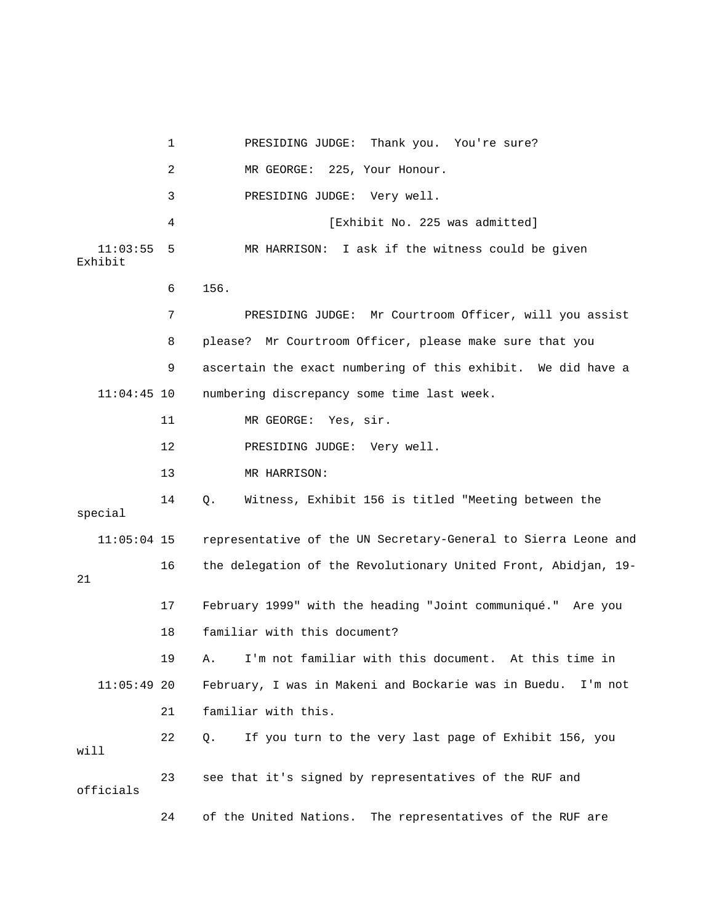1 PRESIDING JUDGE: Thank you. You're sure? 2 MR GEORGE: 225, Your Honour. 4 **1** [Exhibit No. 225 was admitted] 11:03:55 5 MR HARRISON: I ask if the witness could be given 6 156. 7 PRESIDING JUDGE: Mr Courtroom Officer, will you assist 8 please? Mr Courtroom Officer, please make sure that you 14 Q. Witness, Exhibit 156 is titled "Meeting between the special 11:05:04 15 representative of the UN Secretary-General to Sierra Leone and 16 the delegation of the Revolutionary United Front, Abidjan, 19- 17 February 1999" with the heading "Joint communiqué." Are you 18 familiar with this document? 11:05:49 20 February, I was in Makeni and Bockarie was in Buedu. I'm not will 23 see that it's signed by representatives of the RUF and 24 of the United Nations. The representatives of the RUF are 3 PRESIDING JUDGE: Very well. Exhibit 9 ascertain the exact numbering of this exhibit. We did have a 11:04:45 10 numbering discrepancy some time last week. 11 MR GEORGE: Yes, sir. 12 PRESIDING JUDGE: Very well. 13 MR HARRISON: 21 19 A. I'm not familiar with this document. At this time in 21 familiar with this. 22 Q. If you turn to the very last page of Exhibit 156, you officials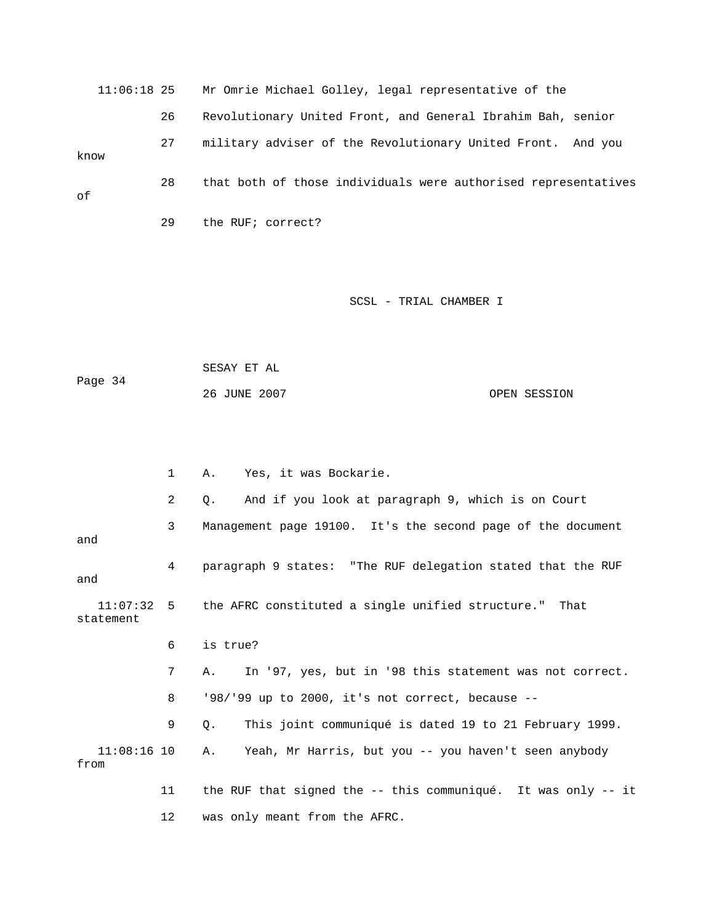11:06:18 25 Mr Omrie Michael Golley, legal representative of the 26 Revolutionary United Front, and General Ibrahim Bah, senior 27 military adviser of the Revolutionary United Front. And you 28 that both of those individuals were authorised representatives 29 the RUF; correct? know of

#### SCSL - TRIAL CHAMBER I

Page 34 26 JUNE 2007 OPEN SESSION SESAY ET AL

 1 A. Yes, it was Bockarie. 2 Q. And if you look at paragraph 9, which is on Court 3 Management page 19100. It's the second page of the document 4 paragraph 9 states: "The RUF delegation stated that the RUF the AFRC constituted a single unified structure." That statement 6 is true? 7 A. In '97, yes, but in '98 this statement was not correct. 8 '98/'99 up to 2000, it's not correct, because -- 9 Q. This joint communiqué is dated 19 to 21 February 1999. 11:08:16 10 A. Yeah, Mr Harris, but you -- you haven't seen anybody and and  $11:07:32$  5 from 11 the RUF that signed the -- this communiqué. It was only -- it 12 was only meant from the AFRC.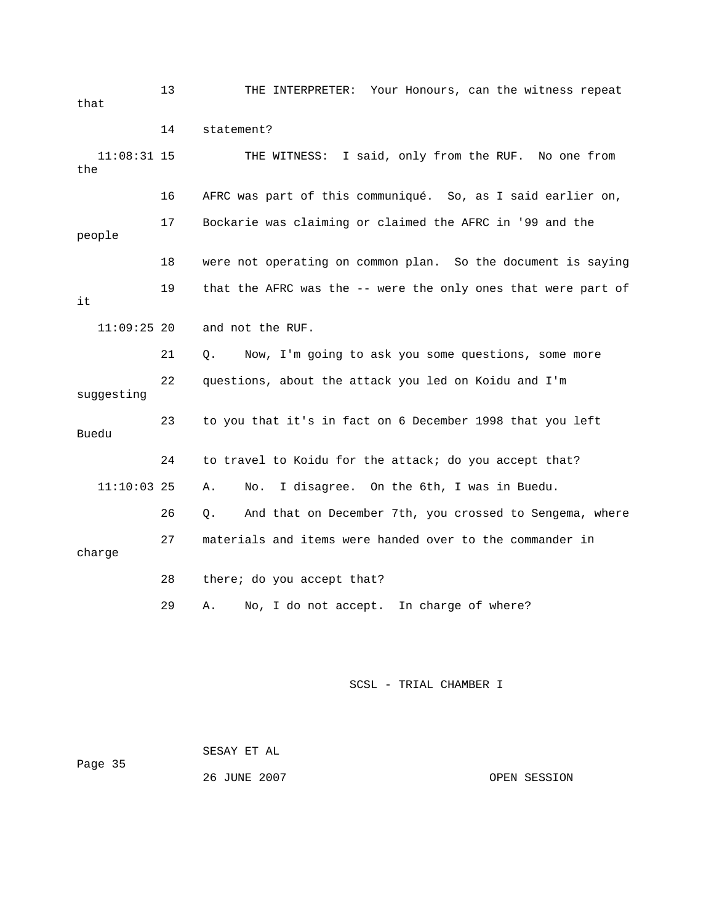13 THE INTERPRETER: Your Honours, can the witness repeat 16 AFRC was part of this communiqué. So, as I said earlier on, people 19 that the AFRC was the -- were the only ones that were part of 22 questions, about the attack you led on Koidu and I'm Buedu 24 to travel to Koidu for the attack; do you accept that? 26 Q. And that on December 7th, you crossed to Sengema, where 27 materials and items were handed over to the commander in that 14 statement? 11:08:31 15 THE WITNESS: I said, only from the RUF. No one from the 17 Bockarie was claiming or claimed the AFRC in '99 and the 18 were not operating on common plan. So the document is saying it 11:09:25 20 and not the RUF. 21 Q. Now, I'm going to ask you some questions, some more suggesting 23 to you that it's in fact on 6 December 1998 that you left 11:10:03 25 A. No. I disagree. On the 6th, I was in Buedu. charge 28 there; do you accept that? 29 A. No, I do not accept. In charge of where?

| Page 35 | SESAY ET AL  |              |
|---------|--------------|--------------|
|         | 26 JUNE 2007 | OPEN SESSION |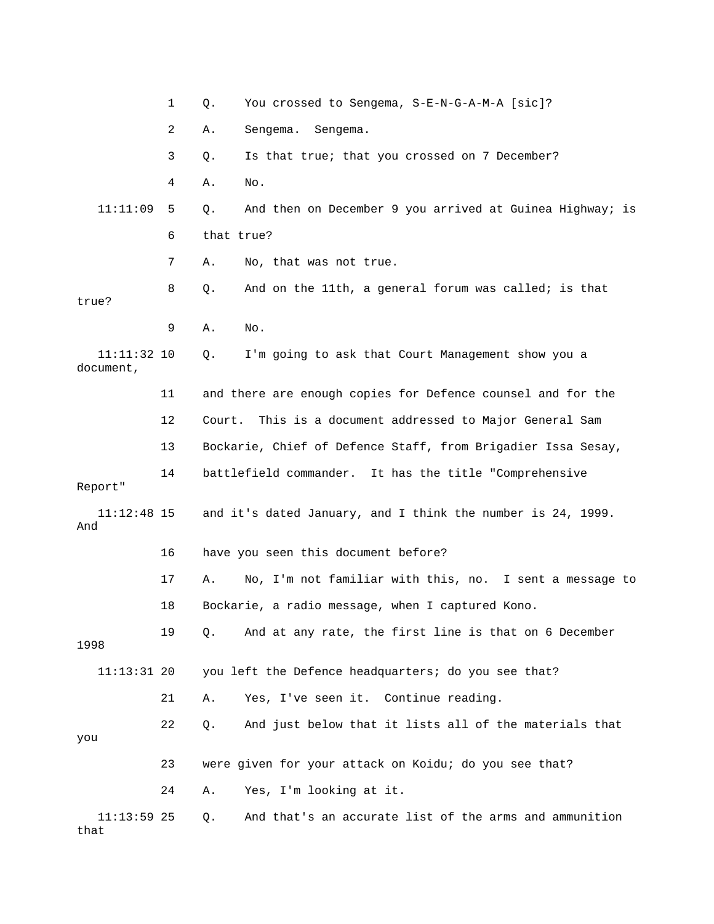|                            | 1  | You crossed to Sengema, S-E-N-G-A-M-A [sic]?<br>Q.             |
|----------------------------|----|----------------------------------------------------------------|
|                            | 2  | Α.<br>Sengema.<br>Sengema.                                     |
|                            | 3  | Is that true; that you crossed on 7 December?<br>Q.            |
|                            | 4  | Α.<br>No.                                                      |
| 11:11:09                   | 5  | And then on December 9 you arrived at Guinea Highway; is<br>Q. |
|                            | 6  | that true?                                                     |
|                            | 7  | No, that was not true.<br>Α.                                   |
| true?                      | 8  | And on the 11th, a general forum was called; is that<br>Q.     |
|                            | 9  | Α.<br>No.                                                      |
| $11:11:32$ 10<br>document, |    | I'm going to ask that Court Management show you a<br>Q.        |
|                            | 11 | and there are enough copies for Defence counsel and for the    |
|                            | 12 | Court. This is a document addressed to Major General Sam       |
|                            | 13 | Bockarie, Chief of Defence Staff, from Brigadier Issa Sesay,   |
| Report"                    | 14 | battlefield commander. It has the title "Comprehensive         |
| 11:12:48 15<br>And         |    | and it's dated January, and I think the number is 24, 1999.    |
|                            | 16 | have you seen this document before?                            |
|                            | 17 | No, I'm not familiar with this, no. I sent a message to<br>Α.  |
|                            | 18 | Bockarie, a radio message, when I captured Kono.               |
| 1998                       | 19 | And at any rate, the first line is that on 6 December<br>Q.    |
| $11:13:31$ 20              |    | you left the Defence headquarters; do you see that?            |
|                            | 21 | Yes, I've seen it. Continue reading.<br>Α.                     |
| you                        | 22 | And just below that it lists all of the materials that<br>Q.   |
|                            | 23 | were given for your attack on Koidu; do you see that?          |
|                            |    |                                                                |
|                            | 24 | Yes, I'm looking at it.<br>Α.                                  |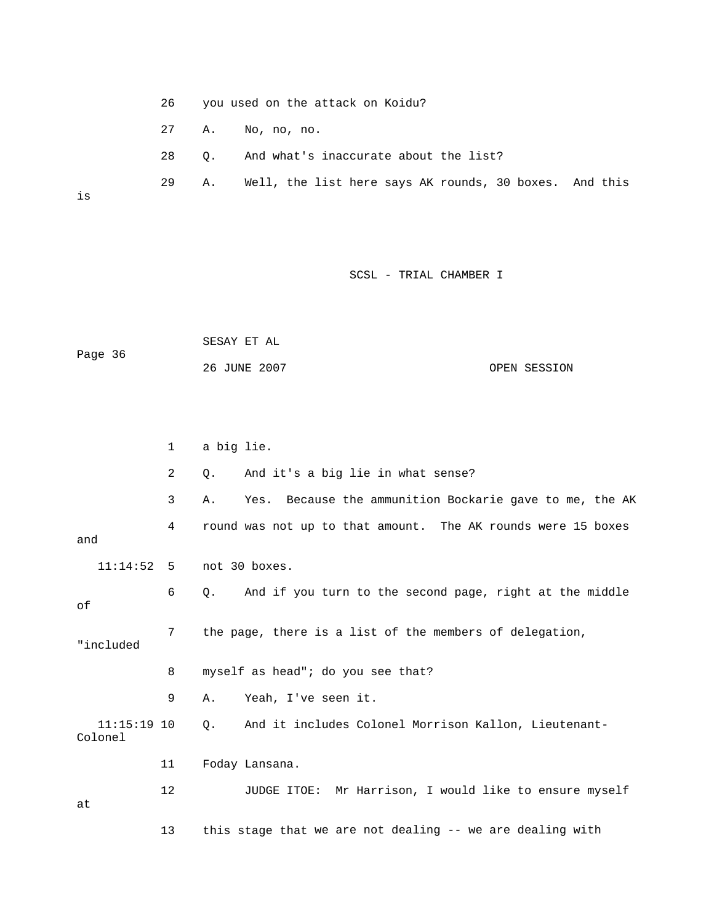- 26 you used on the attack on Koidu?
- 27 A. No, no, no.
- 28 Q. And what's inaccurate about the list?
- 29 A. Well, the list here says AK rounds, 30 boxes. And this

is

## SCSL - TRIAL CHAMBER I

|         | SESAY ET AL  |              |
|---------|--------------|--------------|
| Page 36 |              |              |
|         | 26 JUNE 2007 | OPEN SESSION |

|           |               | $\mathbf 1$ | a big lie.                                                           |
|-----------|---------------|-------------|----------------------------------------------------------------------|
|           |               | 2           | And it's a big lie in what sense?<br>$\circ$ .                       |
|           |               | 3           | Yes. Because the ammunition Bockarie gave to me, the AK<br>Α.        |
| and       |               | 4           | round was not up to that amount. The AK rounds were 15 boxes         |
|           |               |             | $11:14:52$ 5 not 30 boxes.                                           |
| of        |               | 6           | And if you turn to the second page, right at the middle<br>$\circ$ . |
| "included |               | 7           | the page, there is a list of the members of delegation,              |
|           |               | 8           | myself as head"; do you see that?                                    |
|           |               | 9           | Yeah, I've seen it.<br>Α.                                            |
| Colonel   | $11:15:19$ 10 |             | And it includes Colonel Morrison Kallon, Lieutenant-<br>$\circ$ .    |
|           |               | 11          | Foday Lansana.                                                       |
| at        |               | 12          | JUDGE ITOE: Mr Harrison, I would like to ensure myself               |

13 this stage that we are not dealing -- we are dealing with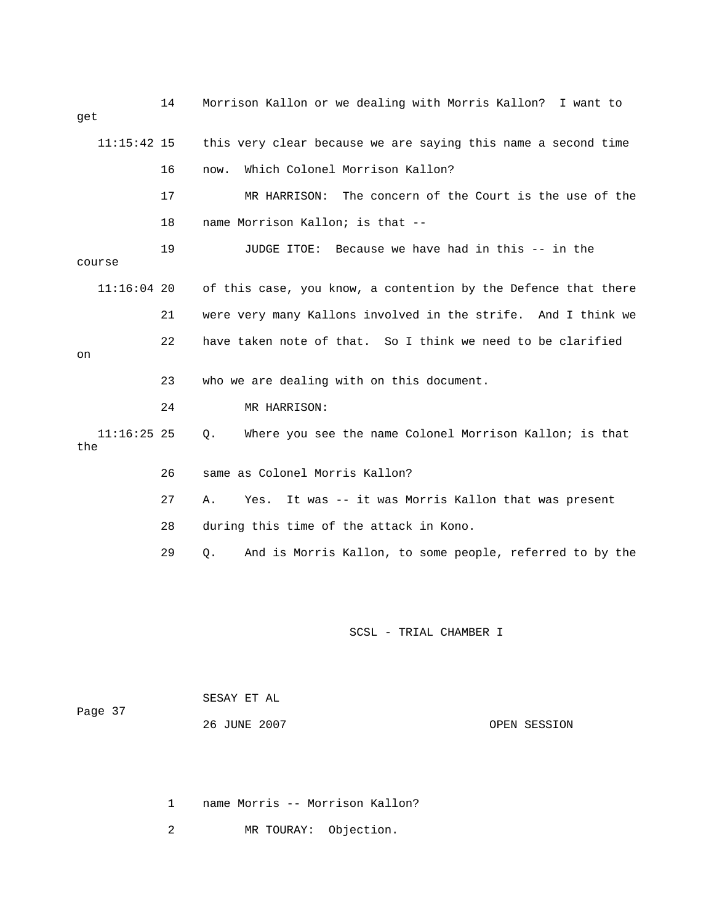| get                  |    | Morrison Kallon or we dealing with Morris Kallon? I want to    |
|----------------------|----|----------------------------------------------------------------|
| $11:15:42$ 15        |    | this very clear because we are saying this name a second time  |
|                      | 16 | Which Colonel Morrison Kallon?<br>now.                         |
|                      | 17 | MR HARRISON: The concern of the Court is the use of the        |
|                      | 18 | name Morrison Kallon; is that --                               |
| course               | 19 | JUDGE ITOE: Because we have had in this -- in the              |
| $11:16:04$ 20        |    | of this case, you know, a contention by the Defence that there |
|                      | 21 | were very many Kallons involved in the strife. And I think we  |
| on                   | 22 | have taken note of that. So I think we need to be clarified    |
|                      | 23 | who we are dealing with on this document.                      |
|                      | 24 | MR HARRISON:                                                   |
| $11:16:25$ 25<br>the |    | Where you see the name Colonel Morrison Kallon; is that<br>Q.  |
|                      | 26 | same as Colonel Morris Kallon?                                 |
|                      | 27 | It was -- it was Morris Kallon that was present<br>Α.<br>Yes.  |
|                      | 28 | during this time of the attack in Kono.                        |
|                      | 29 | And is Morris Kallon, to some people, referred to by the<br>О. |
|                      |    |                                                                |
|                      |    |                                                                |

|         | SESAY ET AL  |  |              |
|---------|--------------|--|--------------|
| Page 37 |              |  |              |
|         | 26 JUNE 2007 |  | OPEN SESSION |

1 name Morris -- Morrison Kallon?

2 MR TOURAY: Objection.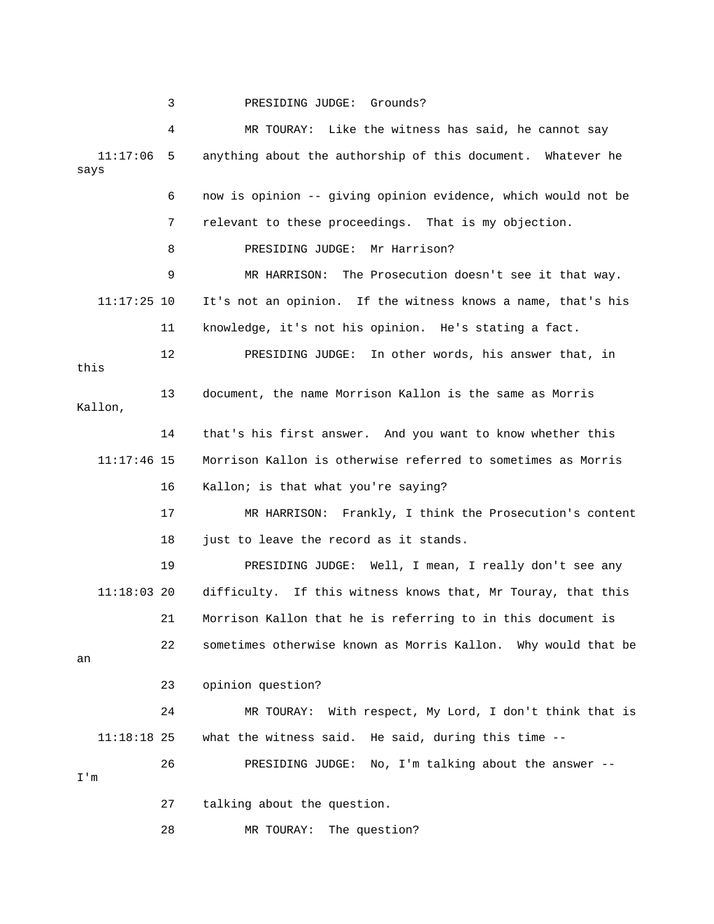3 PRESIDING JUDGE: Grounds?

 4 MR TOURAY: Like the witness has said, he cannot say 11:17:06 5 anything about the authorship of this document. Whatever he e 6 now is opinion -- giving opinion evidence, which would not b 8 PRESIDING JUDGE: Mr Harrison? 9 MR HARRISON: The Prosecution doesn't see it that way. 11:17:25 10 It's not an opinion. If the witness knows a name, that's his 11 knowledge, it's not his opinion. He's stating a fact. 12 PRESIDING JUDGE: In other words, his answer that, in Kallon, 14 that's his first answer. And you want to know whether this  $11:17:46$  15 Morrison Kallon is otherwise referred to sometimes as Morris 16 Kallon; is that what you're saying? 17 MR HARRISON: Frankly, I think the Prosecution's content 19 PRESIDING JUDGE: Well, I mean, I really don't see any 11:18:03 20 difficulty. If this witness knows that, Mr Touray, that this 21 Morrison Kallon that he is referring to in this document is 22 sometimes otherwise known as Morris Kallon. Why would that be 11:18:18 25 what the witness said. He said, during this time -- 26 PRESIDING JUDGE: No, I'm talking about the answer -- 28 MR TOURAY: The question? says 7 relevant to these proceedings. That is my objection. this 13 document, the name Morrison Kallon is the same as Morris 18 just to leave the record as it stands. an 23 opinion question? 24 MR TOURAY: With respect, My Lord, I don't think that is I'm 27 talking about the question.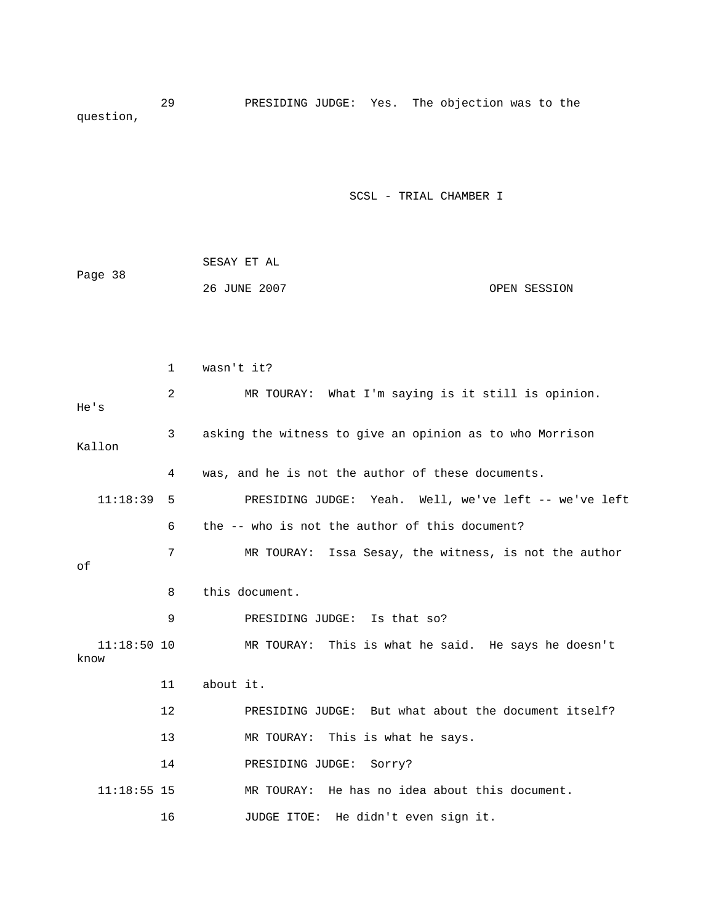29 PRESIDING JUDGE: Yes. The objection was to the question,

|         | SESAY ET AL  |              |
|---------|--------------|--------------|
| Page 38 |              |              |
|         | 26 JUNE 2007 | OPEN SESSION |

|                       | $\mathbf{1}$ | wasn't it?                                               |
|-----------------------|--------------|----------------------------------------------------------|
| He's                  | 2            | MR TOURAY: What I'm saying is it still is opinion.       |
| Kallon                | 3            | asking the witness to give an opinion as to who Morrison |
|                       | 4            | was, and he is not the author of these documents.        |
| 11:18:39              | 5            | PRESIDING JUDGE: Yeah. Well, we've left -- we've left    |
|                       | 6            | the -- who is not the author of this document?           |
| of                    | 7            | Issa Sesay, the witness, is not the author<br>MR TOURAY: |
|                       | 8            | this document.                                           |
|                       | 9            | PRESIDING JUDGE: Is that so?                             |
| $11:18:50$ 10<br>know |              | MR TOURAY: This is what he said. He says he doesn't      |
|                       | 11           | about it.                                                |
|                       | 12           | PRESIDING JUDGE: But what about the document itself?     |
|                       | 13           | MR TOURAY: This is what he says.                         |
|                       | 14           | PRESIDING JUDGE:<br>Sorry?                               |
| $11:18:55$ 15         |              | MR TOURAY: He has no idea about this document.           |
|                       | 16           | He didn't even sign it.<br>JUDGE ITOE:                   |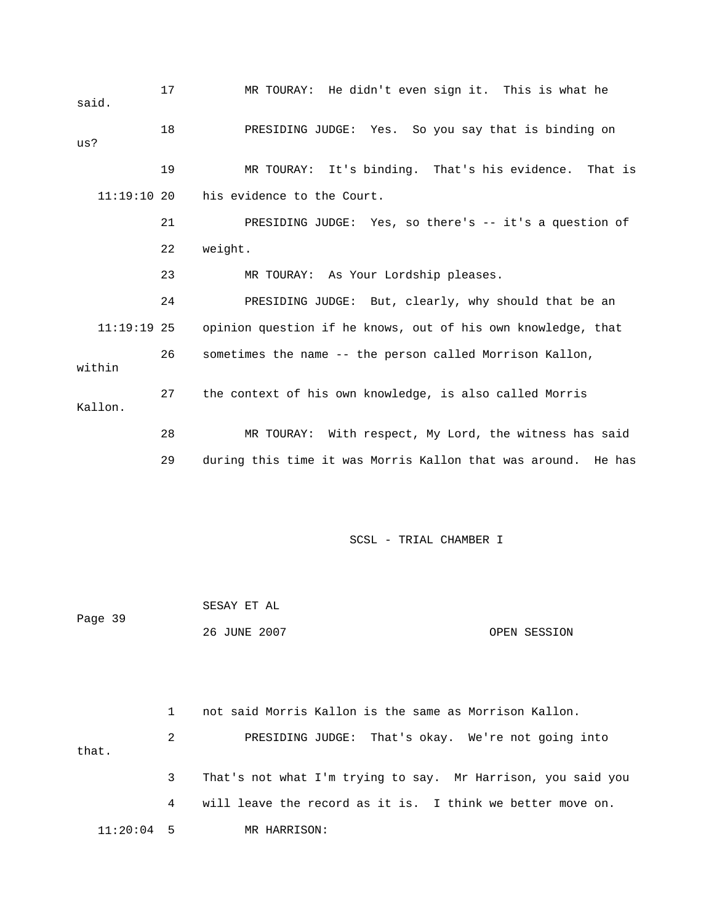| said.         | 17 | MR TOURAY: He didn't even sign it. This is what he            |
|---------------|----|---------------------------------------------------------------|
| us?           | 18 | PRESIDING JUDGE: Yes. So you say that is binding on           |
|               | 19 | MR TOURAY: It's binding. That's his evidence.<br>That is      |
| 11:19:1020    |    | his evidence to the Court.                                    |
|               | 21 | PRESIDING JUDGE: Yes, so there's -- it's a question of        |
|               | 22 | weight.                                                       |
|               | 23 | MR TOURAY: As Your Lordship pleases.                          |
|               | 24 | PRESIDING JUDGE: But, clearly, why should that be an          |
| $11:19:19$ 25 |    | opinion question if he knows, out of his own knowledge, that  |
| within        | 26 | sometimes the name -- the person called Morrison Kallon,      |
| Kallon.       | 27 | the context of his own knowledge, is also called Morris       |
|               | 28 | MR TOURAY: With respect, My Lord, the witness has said        |
|               | 29 | during this time it was Morris Kallon that was around. He has |

|         | SESAY ET AL  |              |
|---------|--------------|--------------|
| Page 39 |              |              |
|         | 26 JUNE 2007 | OPEN SESSION |

 2 PRESIDING JUDGE: That's okay. We're not going into that. 3 That's not what I'm trying to say. Mr Harrison, you said you 4 will leave the record as it is. I think we better move on. 11:20:04 5 MR HARRISON: 1 not said Morris Kallon is the same as Morrison Kallon.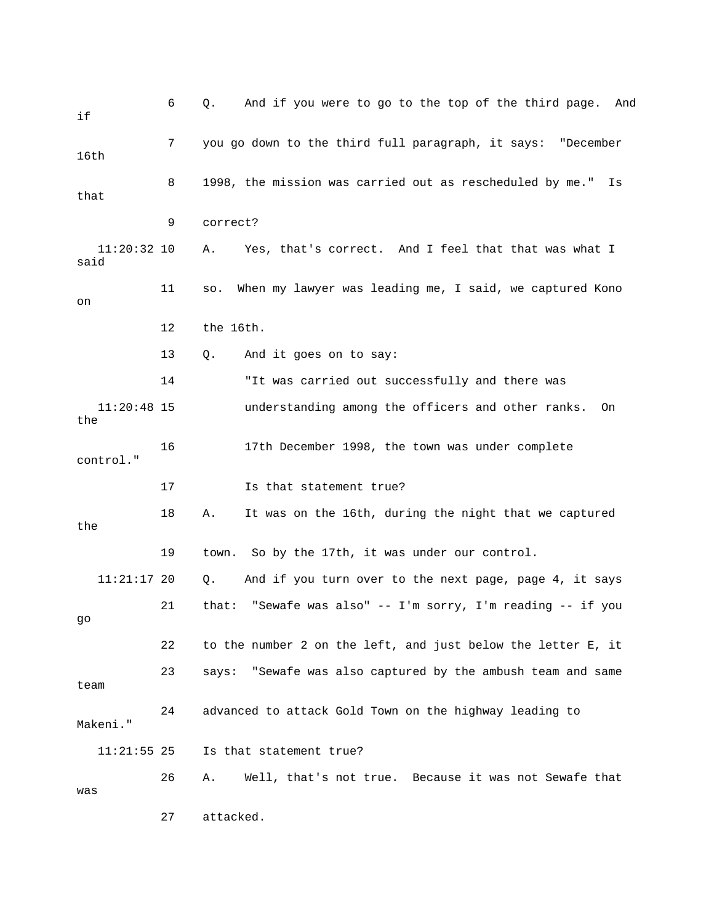| if                    | 6  | And if you were to go to the top of the third page. And<br>Q.  |
|-----------------------|----|----------------------------------------------------------------|
| 16th                  | 7  | you go down to the third full paragraph, it says: "December    |
| that                  | 8  | 1998, the mission was carried out as rescheduled by me."<br>Is |
|                       | 9  | correct?                                                       |
| $11:20:32$ 10<br>said |    | Yes, that's correct. And I feel that that was what I<br>Α.     |
| on                    | 11 | When my lawyer was leading me, I said, we captured Kono<br>SO. |
|                       | 12 | the 16th.                                                      |
|                       | 13 | And it goes on to say:<br>Q.                                   |
|                       | 14 | "It was carried out successfully and there was                 |
| $11:20:48$ 15<br>the  |    | understanding among the officers and other ranks.<br>On        |
| control."             | 16 | 17th December 1998, the town was under complete                |
|                       | 17 | Is that statement true?                                        |
| the                   | 18 | It was on the 16th, during the night that we captured<br>Α.    |
|                       | 19 | So by the 17th, it was under our control.<br>town.             |
| $11:21:17$ 20         |    | And if you turn over to the next page, page 4, it says<br>Q.   |
| go                    | 21 | "Sewafe was also" -- I'm sorry, I'm reading -- if you<br>that: |
|                       | 22 | to the number 2 on the left, and just below the letter E, it   |
| team                  | 23 | says: "Sewafe was also captured by the ambush team and same    |
| Makeni."              | 24 | advanced to attack Gold Town on the highway leading to         |
| $11:21:55$ 25         |    | Is that statement true?                                        |
| was                   | 26 | Well, that's not true. Because it was not Sewafe that<br>Α.    |
|                       | 27 | attacked.                                                      |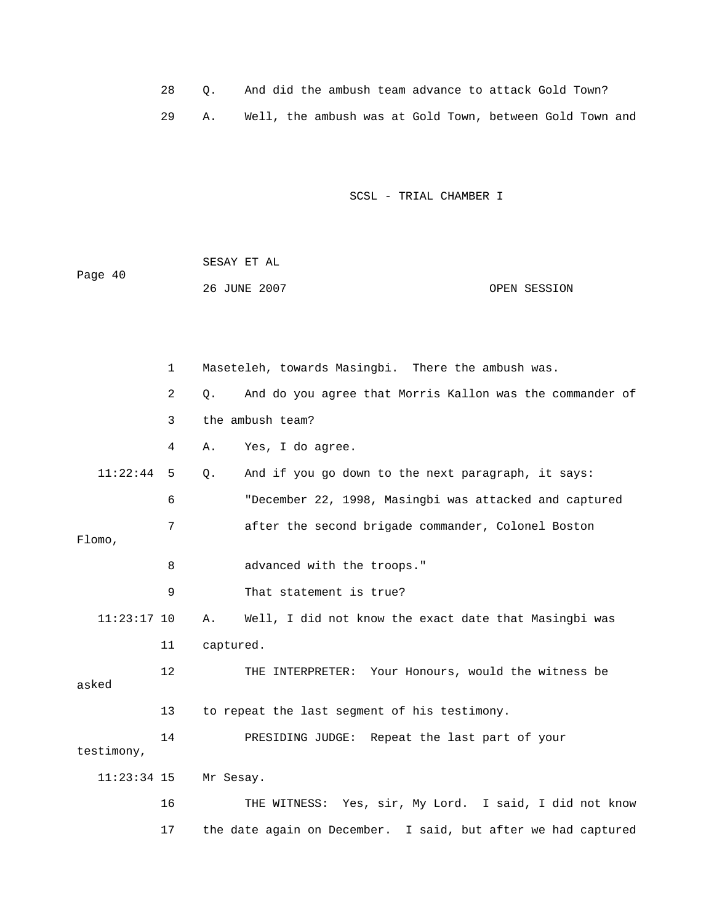| 28 O. |  |  |  |  | And did the ambush team advance to attack Gold Town?     |  |  |
|-------|--|--|--|--|----------------------------------------------------------|--|--|
|       |  |  |  |  | Well, the ambush was at Gold Town, between Gold Town and |  |  |

| Page 40 | SESAY ET AL  |              |
|---------|--------------|--------------|
|         | 26 JUNE 2007 | OPEN SESSION |

|               | $\mathbf{1}$ | Maseteleh, towards Masingbi. There the ambush was.                    |
|---------------|--------------|-----------------------------------------------------------------------|
|               | 2            | And do you agree that Morris Kallon was the commander of<br>$\circ$ . |
|               | 3            | the ambush team?                                                      |
|               | 4            | Yes, I do agree.<br>Α.                                                |
| 11:22:44      | 5            | And if you go down to the next paragraph, it says:<br>$Q$ .           |
|               | 6            | "December 22, 1998, Masingbi was attacked and captured                |
| Flomo,        | 7            | after the second brigade commander, Colonel Boston                    |
|               | 8            | advanced with the troops."                                            |
|               | 9            | That statement is true?                                               |
| $11:23:17$ 10 |              | Well, I did not know the exact date that Masingbi was<br>Α.           |
|               | 11           | captured.                                                             |
| asked         | $12 \,$      | THE INTERPRETER: Your Honours, would the witness be                   |
|               | 13           | to repeat the last segment of his testimony.                          |
| testimony,    | 14           | PRESIDING JUDGE: Repeat the last part of your                         |
| $11:23:34$ 15 |              | Mr Sesay.                                                             |
|               | 16           | THE WITNESS: Yes, sir, My Lord. I said, I did not know                |
|               | 17           | the date again on December. I said, but after we had captured         |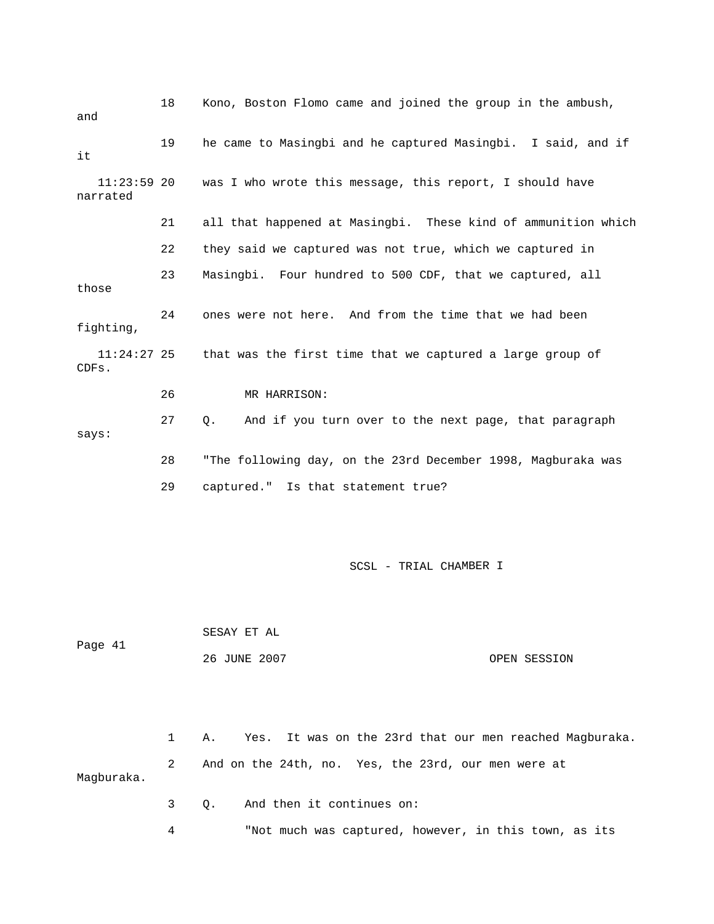| and                       | 18 | Kono, Boston Flomo came and joined the group in the ambush,      |
|---------------------------|----|------------------------------------------------------------------|
| it                        | 19 | he came to Masingbi and he captured Masingbi. I said, and if     |
| $11:23:59$ 20<br>narrated |    | was I who wrote this message, this report, I should have         |
|                           | 21 | all that happened at Masingbi. These kind of ammunition which    |
|                           | 22 | they said we captured was not true, which we captured in         |
| those                     | 23 | Masingbi. Four hundred to 500 CDF, that we captured, all         |
| fighting,                 | 24 | ones were not here. And from the time that we had been           |
| $11:24:27$ 25<br>CDFs.    |    | that was the first time that we captured a large group of        |
|                           | 26 | MR HARRISON:                                                     |
| says:                     | 27 | And if you turn over to the next page, that paragraph<br>Q.      |
|                           | 28 | "The following day, on the 23rd December 1998, Magburaka was     |
|                           | 29 | captured." Is that statement true?                               |
|                           |    |                                                                  |
|                           |    | SCSL - TRIAL CHAMBER I                                           |
|                           |    | SESAY ET AL                                                      |
| Page 41                   |    | 26 JUNE 2007<br>OPEN SESSION                                     |
|                           |    |                                                                  |
|                           | 1  | It was on the 23rd that our men reached Magburaka.<br>Α.<br>Yes. |
| Magburaka.                | 2  | And on the 24th, no. Yes, the 23rd, our men were at              |
|                           | 3  | And then it continues on:<br>Q.                                  |

4 "Not much was captured, however, in this town, as its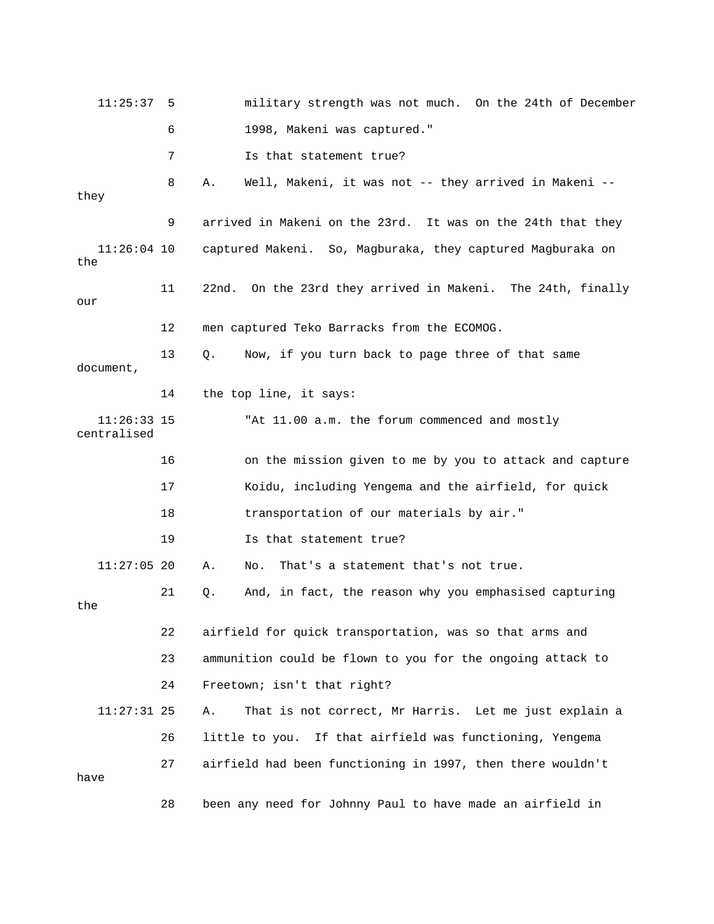| 11:25:37                     | 5  | military strength was not much. On the 24th of December        |
|------------------------------|----|----------------------------------------------------------------|
|                              | 6  | 1998, Makeni was captured."                                    |
|                              | 7  | Is that statement true?                                        |
| they                         | 8  | Well, Makeni, it was not -- they arrived in Makeni --<br>Α.    |
|                              | 9  | arrived in Makeni on the 23rd. It was on the 24th that they    |
| $11:26:04$ 10<br>the         |    | captured Makeni. So, Magburaka, they captured Magburaka on     |
| our                          | 11 | 22nd.<br>On the 23rd they arrived in Makeni. The 24th, finally |
|                              | 12 | men captured Teko Barracks from the ECOMOG.                    |
| document,                    | 13 | Now, if you turn back to page three of that same<br>Q.         |
|                              | 14 | the top line, it says:                                         |
| $11:26:33$ 15<br>centralised |    | "At 11.00 a.m. the forum commenced and mostly                  |
|                              | 16 | on the mission given to me by you to attack and capture        |
|                              | 17 | Koidu, including Yengema and the airfield, for quick           |
|                              | 18 | transportation of our materials by air."                       |
|                              | 19 | Is that statement true?                                        |
| $11:27:05$ 20                |    | That's a statement that's not true.<br>Α.<br>No.               |
| the                          | 21 | And, in fact, the reason why you emphasised capturing<br>Q.    |
|                              | 22 | airfield for quick transportation, was so that arms and        |
|                              | 23 | ammunition could be flown to you for the ongoing attack to     |
|                              | 24 | Freetown; isn't that right?                                    |
| $11:27:31$ 25                |    | That is not correct, Mr Harris. Let me just explain a<br>Α.    |
|                              | 26 | little to you. If that airfield was functioning, Yengema       |
| have                         | 27 | airfield had been functioning in 1997, then there wouldn't     |
|                              | 28 | been any need for Johnny Paul to have made an airfield in      |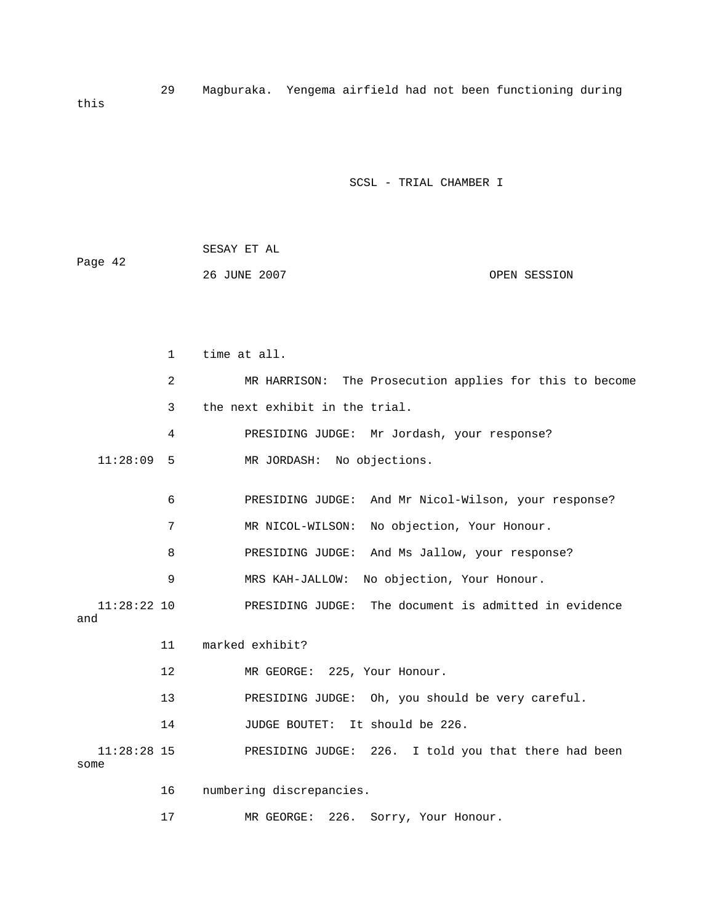29 Magburaka. Yengema airfield had not been functioning during this

|         | SESAY ET AL  |              |
|---------|--------------|--------------|
| Page 42 |              |              |
|         | 26 JUNE 2007 | OPEN SESSION |

|                       | 1  | time at all.                                            |
|-----------------------|----|---------------------------------------------------------|
|                       | 2  | MR HARRISON: The Prosecution applies for this to become |
|                       | 3  | the next exhibit in the trial.                          |
|                       | 4  | PRESIDING JUDGE: Mr Jordash, your response?             |
| 11:28:09              | 5  | MR JORDASH: No objections.                              |
|                       | 6  | PRESIDING JUDGE: And Mr Nicol-Wilson, your response?    |
|                       | 7  | MR NICOL-WILSON:<br>No objection, Your Honour.          |
|                       | 8  | PRESIDING JUDGE: And Ms Jallow, your response?          |
|                       | 9  | No objection, Your Honour.<br>MRS KAH-JALLOW:           |
| $11:28:22$ 10<br>and  |    | PRESIDING JUDGE: The document is admitted in evidence   |
|                       | 11 | marked exhibit?                                         |
|                       | 12 | MR GEORGE: 225, Your Honour.                            |
|                       | 13 | PRESIDING JUDGE: Oh, you should be very careful.        |
|                       | 14 | JUDGE BOUTET:<br>It should be 226.                      |
| $11:28:28$ 15<br>some |    | PRESIDING JUDGE: 226. I told you that there had been    |
|                       | 16 | numbering discrepancies.                                |
|                       | 17 | 226.<br>MR GEORGE:<br>Sorry, Your Honour.               |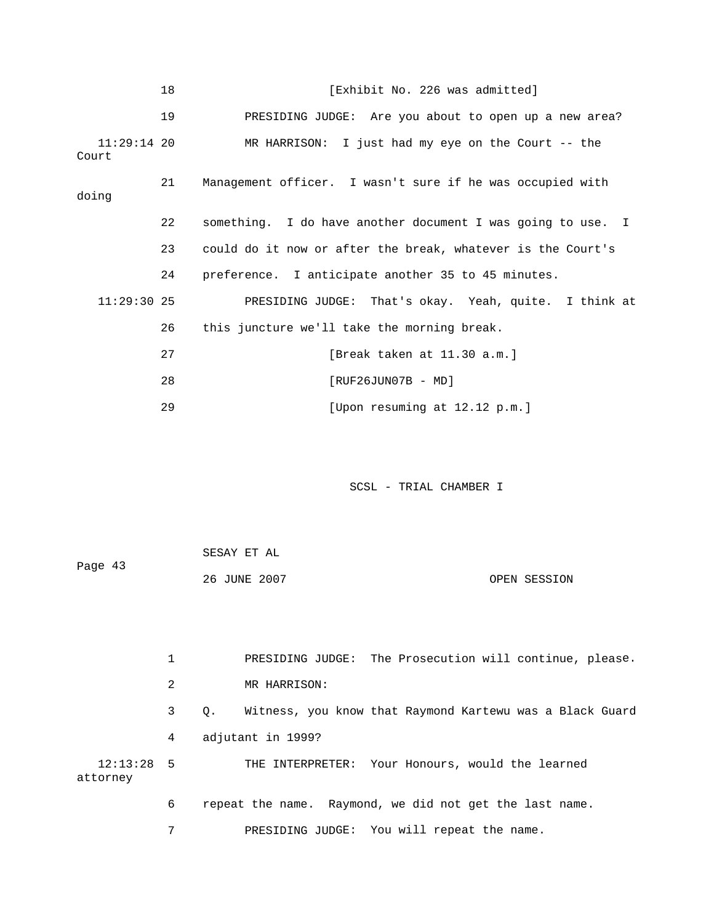|                      | 18 | [Exhibit No. 226 was admitted]                              |
|----------------------|----|-------------------------------------------------------------|
|                      | 19 | PRESIDING JUDGE: Are you about to open up a new area?       |
| 11:29:14 20<br>Court |    | MR HARRISON: I just had my eye on the Court $-$ - the       |
| doing                | 21 | Management officer. I wasn't sure if he was occupied with   |
|                      | 22 | something. I do have another document I was going to use. I |
|                      | 23 | could do it now or after the break, whatever is the Court's |
|                      | 24 | preference. I anticipate another 35 to 45 minutes.          |
| $11:29:30$ 25        |    | PRESIDING JUDGE: That's okay. Yeah, quite. I think at       |
|                      | 26 | this juncture we'll take the morning break.                 |
|                      | 27 | [Break taken at 11.30 a.m.]                                 |
|                      | 28 | $[RUF26JUN07B - MD]$                                        |
|                      | 29 | [Upon resuming at 12.12 p.m.]                               |

|         | SESAY ET AL  |              |
|---------|--------------|--------------|
| Page 43 |              |              |
|         | 26 JUNE 2007 | OPEN SESSION |

|                          |   | PRESIDING JUDGE: The Prosecution will continue, please.               |
|--------------------------|---|-----------------------------------------------------------------------|
|                          | 2 | MR HARRISON:                                                          |
|                          | 3 | Witness, you know that Raymond Kartewu was a Black Guard<br>$\circ$ . |
|                          | 4 | adjutant in 1999?                                                     |
| $12:13:28$ 5<br>attorney |   | THE INTERPRETER: Your Honours, would the learned                      |
|                          | 6 | repeat the name. Raymond, we did not get the last name.               |
|                          | 7 | PRESIDING JUDGE: You will repeat the name.                            |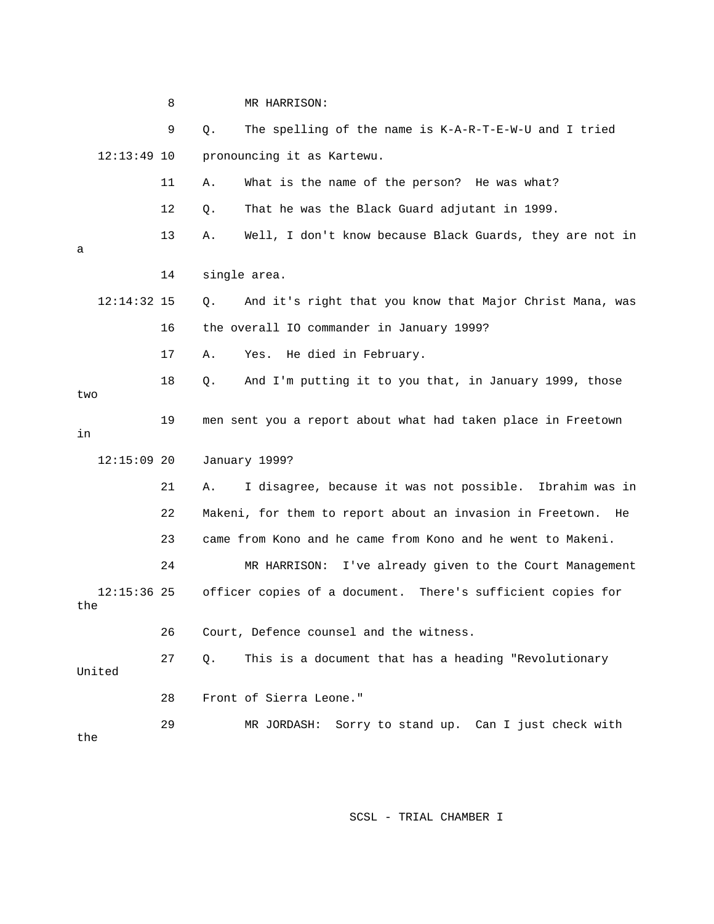8 MR HARRISON: 9 Q. The spelling of the name is K-A-R-T-E-W-U and I tried 12:13:49 10 pronouncing it as Kartewu. 11 A. What is the name of the person? He was what? 12 Q. That he was the Black Guard adjutant in 1999. 13 A. Well, I don't know because Black Guards, they are not in 12:14:32 15 Q. And it's right that you know that Major Christ Mana, was 17 A. Yes. He died in February. 19 men sent you a report about what had taken place in Freetown 21 A. I disagree, because it was not possible. Ibrahim was in 23 came from Kono and he came from Kono and he went to Makeni. 24 MR HARRISON: I've already given to the Court Management 12:15:36 25 officer copies of a document. There's sufficient copies for United n I just check with 29 MR JORDASH: Sorry to stand up. Ca a 14 single area. 16 the overall IO commander in January 1999? 18 Q. And I'm putting it to you that, in January 1999, those two in 12:15:09 20 January 1999? 22 Makeni, for them to report about an invasion in Freetown. He the 26 Court, Defence counsel and the witness. 27 Q. This is a document that has a heading "Revolutionary 28 Front of Sierra Leone." the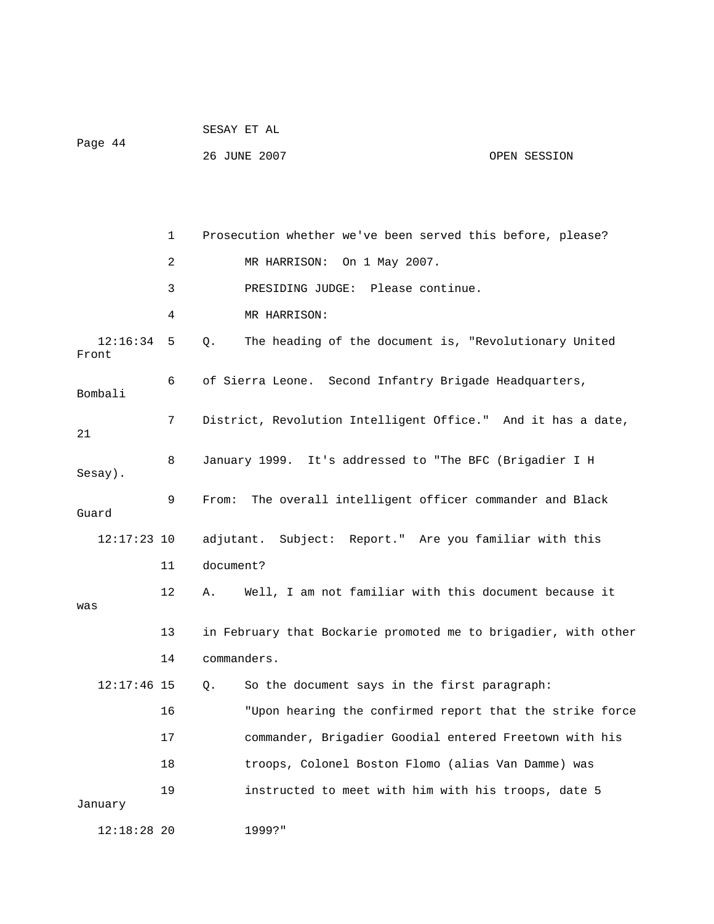| Page 44           |    | 26 JUNE 2007                                                   | OPEN SESSION |
|-------------------|----|----------------------------------------------------------------|--------------|
|                   |    |                                                                |              |
|                   | 1  | Prosecution whether we've been served this before, please?     |              |
|                   | 2  | On 1 May 2007.<br>MR HARRISON:                                 |              |
|                   | 3  | PRESIDING JUDGE: Please continue.                              |              |
|                   | 4  | MR HARRISON:                                                   |              |
| 12:16:34<br>Front | 5  | The heading of the document is, "Revolutionary United<br>Q.    |              |
| Bombali           | 6  | of Sierra Leone. Second Infantry Brigade Headquarters,         |              |
| 21                | 7  | District, Revolution Intelligent Office." And it has a date,   |              |
| Sesay).           | 8  | January 1999. It's addressed to "The BFC (Brigadier I H        |              |
| Guard             | 9  | The overall intelligent officer commander and Black<br>From:   |              |
| $12:17:23$ 10     |    | adjutant. Subject: Report." Are you familiar with this         |              |
|                   | 11 | document?                                                      |              |
| was               | 12 | Well, I am not familiar with this document because it<br>Α.    |              |
|                   | 13 | in February that Bockarie promoted me to brigadier, with other |              |
|                   | 14 | commanders.                                                    |              |
| $12:17:46$ 15     |    | So the document says in the first paragraph:<br>Q.             |              |
|                   | 16 | "Upon hearing the confirmed report that the strike force       |              |
|                   | 17 | commander, Brigadier Goodial entered Freetown with his         |              |
|                   | 18 | troops, Colonel Boston Flomo (alias Van Damme) was             |              |
| January           | 19 | instructed to meet with him with his troops, date 5            |              |
| $12:18:28$ 20     |    | 1999?"                                                         |              |

SESAY ET AL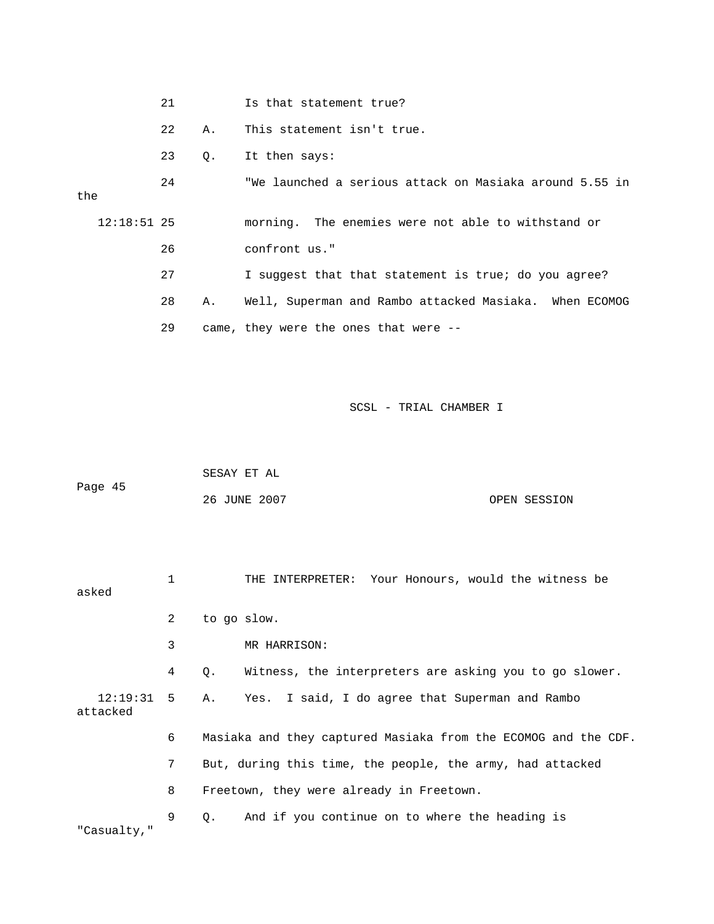|     |               | 21 |    | Is that statement true?                                 |
|-----|---------------|----|----|---------------------------------------------------------|
|     |               | 22 | Α. | This statement isn't true.                              |
|     |               | 23 | Q. | It then says:                                           |
| the |               | 24 |    | "We launched a serious attack on Masiaka around 5.55 in |
|     | $12:18:51$ 25 |    |    | morning. The enemies were not able to withstand or      |
|     |               | 26 |    | confront us."                                           |
|     |               | 27 |    | I suggest that that statement is true; do you agree?    |
|     |               | 28 | Α. | Well, Superman and Rambo attacked Masiaka. When ECOMOG  |
|     |               | 29 |    | came, they were the ones that were --                   |

|         | SESAY ET AL  |              |
|---------|--------------|--------------|
| Page 45 |              |              |
|         | 26 JUNE 2007 | OPEN SESSION |

| asked                    | 1 | THE INTERPRETER: Your Honours, would the witness be            |
|--------------------------|---|----------------------------------------------------------------|
|                          | 2 | to go slow.                                                    |
|                          | 3 | MR HARRISON:                                                   |
|                          | 4 | Witness, the interpreters are asking you to go slower.<br>Q.   |
| $12:19:31$ 5<br>attacked |   | A. Yes. I said, I do agree that Superman and Rambo             |
|                          | 6 | Masiaka and they captured Masiaka from the ECOMOG and the CDF. |
|                          | 7 | But, during this time, the people, the army, had attacked      |
|                          | 8 | Freetown, they were already in Freetown.                       |
| "Casualty,"              | 9 | And if you continue on to where the heading is<br>$Q$ .        |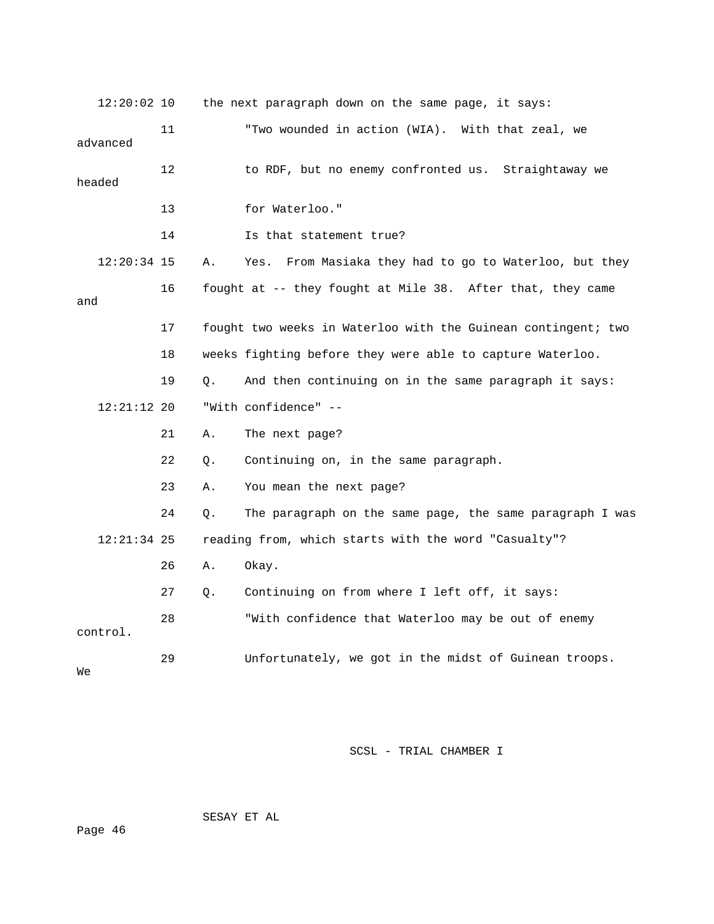| $12:20:02$ 10 |    |    | the next paragraph down on the same page, it says:            |
|---------------|----|----|---------------------------------------------------------------|
| advanced      | 11 |    | "Two wounded in action (WIA). With that zeal, we              |
| headed        | 12 |    | to RDF, but no enemy confronted us. Straightaway we           |
|               | 13 |    | for Waterloo."                                                |
|               | 14 |    | Is that statement true?                                       |
| $12:20:34$ 15 |    | Α. | From Masiaka they had to go to Waterloo, but they<br>Yes.     |
| and           | 16 |    | fought at -- they fought at Mile 38. After that, they came    |
|               | 17 |    | fought two weeks in Waterloo with the Guinean contingent; two |
|               | 18 |    | weeks fighting before they were able to capture Waterloo.     |
|               | 19 | Q. | And then continuing on in the same paragraph it says:         |
| $12:21:12$ 20 |    |    | "With confidence" --                                          |
|               | 21 | Α. | The next page?                                                |
|               | 22 | Q. | Continuing on, in the same paragraph.                         |
|               | 23 | Α. | You mean the next page?                                       |
|               | 24 | Q. | The paragraph on the same page, the same paragraph I was      |
| $12:21:34$ 25 |    |    | reading from, which starts with the word "Casualty"?          |
|               | 26 | Α. | Okay.                                                         |
|               | 27 | Q. | Continuing on from where I left off, it says:                 |
| control.      | 28 |    | "With confidence that Waterloo may be out of enemy            |
| Wе            | 29 |    | Unfortunately, we got in the midst of Guinean troops.         |

SESAY ET AL

ge 46 Pa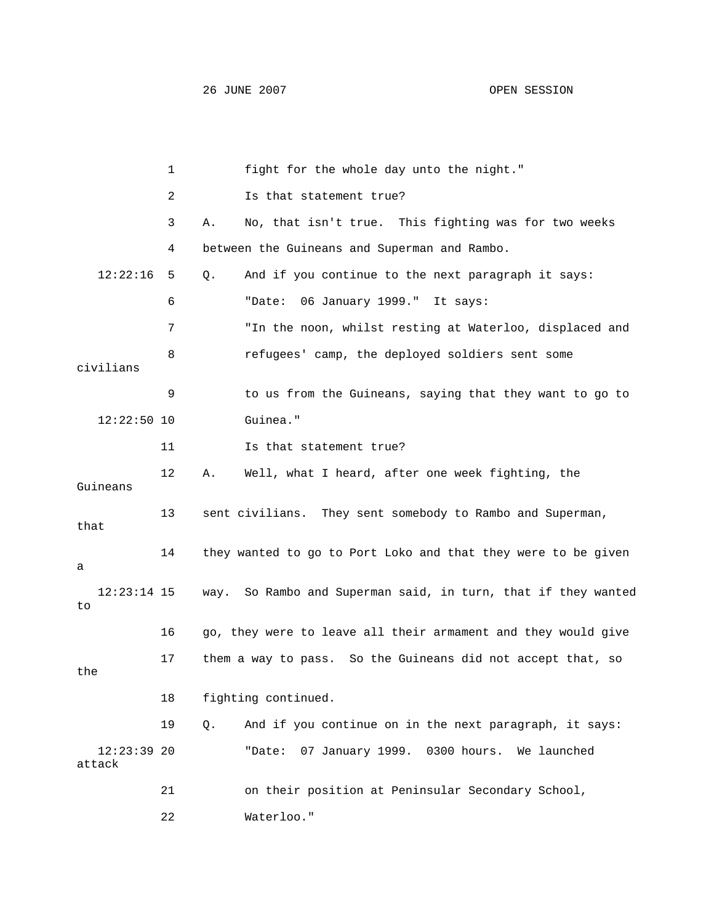|                         | 1  | fight for the whole day unto the night."                      |
|-------------------------|----|---------------------------------------------------------------|
|                         | 2  | Is that statement true?                                       |
|                         | 3  | No, that isn't true. This fighting was for two weeks<br>Α.    |
|                         | 4  | between the Guineans and Superman and Rambo.                  |
| 12:22:16                | 5  | And if you continue to the next paragraph it says:<br>Q.      |
|                         | 6  | 06 January 1999." It says:<br>"Date:                          |
|                         | 7  | "In the noon, whilst resting at Waterloo, displaced and       |
| civilians               | 8  | refugees' camp, the deployed soldiers sent some               |
|                         | 9  | to us from the Guineans, saying that they want to go to       |
| $12:22:50$ 10           |    | Guinea."                                                      |
|                         | 11 | Is that statement true?                                       |
| Guineans                | 12 | Well, what I heard, after one week fighting, the<br>Α.        |
| that                    | 13 | sent civilians. They sent somebody to Rambo and Superman,     |
| а                       | 14 | they wanted to go to Port Loko and that they were to be given |
| $12:23:14$ 15<br>to     |    | way. So Rambo and Superman said, in turn, that if they wanted |
|                         | 16 | go, they were to leave all their armament and they would give |
| the                     | 17 | them a way to pass. So the Guineans did not accept that, so   |
|                         | 18 | fighting continued.                                           |
|                         | 19 | And if you continue on in the next paragraph, it says:<br>Q.  |
| $12:23:39$ 20<br>attack |    | 07 January 1999. 0300 hours.<br>We launched<br>"Date:         |
|                         | 21 | on their position at Peninsular Secondary School,             |
|                         | 22 | Waterloo."                                                    |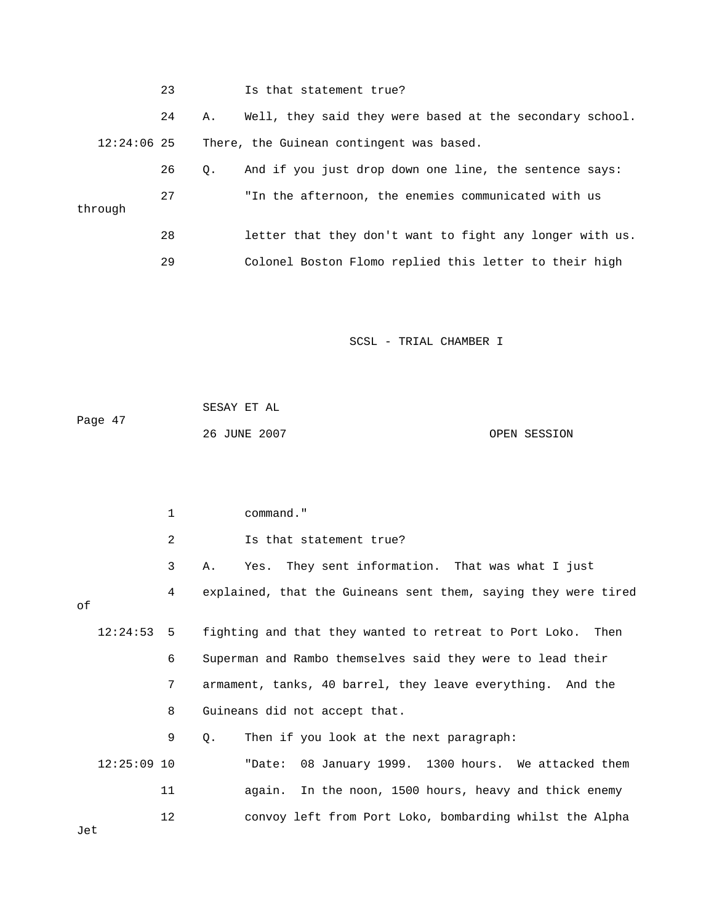|               | 23 |           | Is that statement true?                                  |
|---------------|----|-----------|----------------------------------------------------------|
|               | 24 | Α.        | Well, they said they were based at the secondary school. |
| $12:24:06$ 25 |    |           | There, the Guinean contingent was based.                 |
|               | 26 | $\circ$ . | And if you just drop down one line, the sentence says:   |
| through       | 27 |           | "In the afternoon, the enemies communicated with us      |
|               | 28 |           | letter that they don't want to fight any longer with us. |
|               | 29 |           | Colonel Boston Flomo replied this letter to their high   |

|         | SESAY ET AL  |              |
|---------|--------------|--------------|
| Page 47 |              |              |
|         | 26 JUNE 2007 | OPEN SESSION |

 1 command." 3 A. Yes. They sent information. That was what I just 4 explained, that the Guineans sent them, saying they were tired 12:24:53 5 fighting and that they wanted to retreat to Port Loko. Then 6 Superman and Rambo themselves said they were to lead their 7 armament, tanks, 40 barrel, they leave everything. And the 8 Guineans did not accept that. Jet 2 Is that statement true? of 9 Q. Then if you look at the next paragraph: 12:25:09 10 "Date: 08 January 1999. 1300 hours. We attacked them 11 again. In the noon, 1500 hours, heavy and thick enemy 12 convoy left from Port Loko, bombarding whilst the Alpha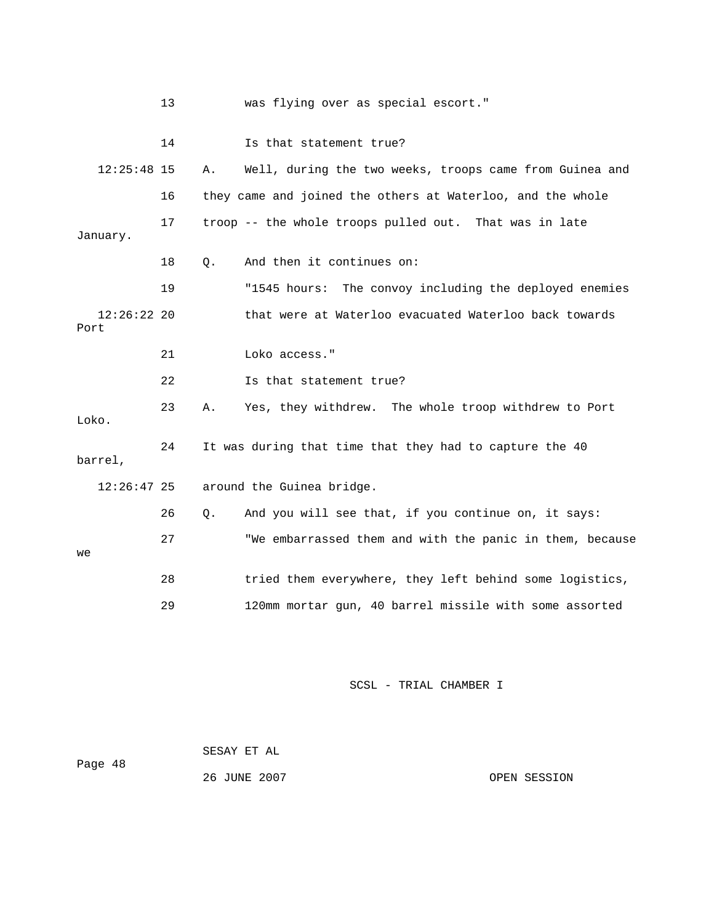|                       | 13 |       | was flying over as special escort."                        |
|-----------------------|----|-------|------------------------------------------------------------|
|                       | 14 |       | Is that statement true?                                    |
| $12:25:48$ 15         |    | Α.    | Well, during the two weeks, troops came from Guinea and    |
|                       | 16 |       | they came and joined the others at Waterloo, and the whole |
| January.              | 17 |       | troop -- the whole troops pulled out. That was in late     |
|                       | 18 | $Q$ . | And then it continues on:                                  |
|                       | 19 |       | "1545 hours: The convoy including the deployed enemies     |
| $12:26:22$ 20<br>Port |    |       | that were at Waterloo evacuated Waterloo back towards      |
|                       | 21 |       | Loko access."                                              |
|                       | 22 |       | Is that statement true?                                    |
| Loko.                 | 23 | Α.    | Yes, they withdrew. The whole troop withdrew to Port       |
| barrel,               | 24 |       | It was during that time that they had to capture the 40    |
| $12:26:47$ 25         |    |       | around the Guinea bridge.                                  |
|                       | 26 | Ο.    | And you will see that, if you continue on, it says:        |
| we                    | 27 |       | "We embarrassed them and with the panic in them, because   |
|                       | 28 |       | tried them everywhere, they left behind some logistics,    |
|                       | 29 |       | 120mm mortar gun, 40 barrel missile with some assorted     |

| Page 48 | SESAY ET AL  |              |
|---------|--------------|--------------|
|         | 26 JUNE 2007 | OPEN SESSION |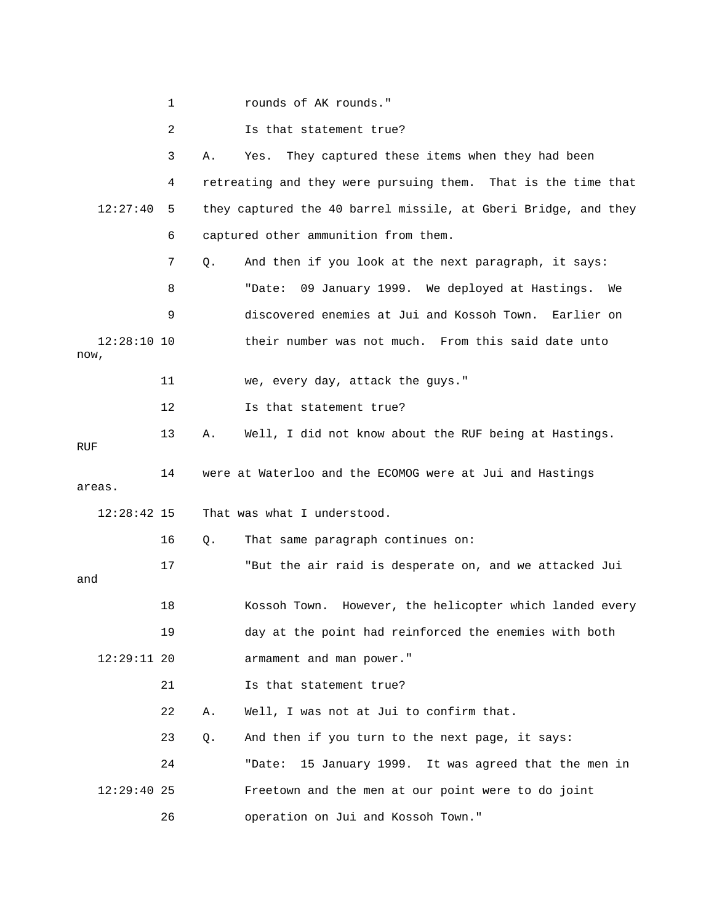2 Is that statement true?

|                       | 3  | Α.                          | They captured these items when they had been<br>Yes.           |
|-----------------------|----|-----------------------------|----------------------------------------------------------------|
|                       | 4  |                             | retreating and they were pursuing them. That is the time that  |
| 12:27:40              | 5  |                             | they captured the 40 barrel missile, at Gberi Bridge, and they |
|                       | 6  |                             | captured other ammunition from them.                           |
|                       | 7  | Q.                          | And then if you look at the next paragraph, it says:           |
|                       | 8  |                             | 09 January 1999. We deployed at Hastings. We<br>"Date:         |
|                       | 9  |                             | discovered enemies at Jui and Kossoh Town. Earlier on          |
| $12:28:10$ 10<br>now, |    |                             | their number was not much. From this said date unto            |
|                       | 11 |                             | we, every day, attack the guys."                               |
|                       | 12 |                             | Is that statement true?                                        |
| RUF                   | 13 | Α.                          | Well, I did not know about the RUF being at Hastings.          |
| areas.                | 14 |                             | were at Waterloo and the ECOMOG were at Jui and Hastings       |
| $12:28:42$ 15         |    | That was what I understood. |                                                                |
|                       | 16 | Q.                          | That same paragraph continues on:                              |
| and                   | 17 |                             | "But the air raid is desperate on, and we attacked Jui         |
|                       | 18 |                             | Kossoh Town. However, the helicopter which landed every        |
|                       | 19 |                             | day at the point had reinforced the enemies with both          |
| $12:29:11$ 20         |    |                             | armament and man power."                                       |
|                       | 21 |                             | Is that statement true?                                        |
|                       | 22 | Α.                          | Well, I was not at Jui to confirm that.                        |
|                       |    |                             |                                                                |
|                       | 23 | Q.                          | And then if you turn to the next page, it says:                |
|                       | 24 |                             | 15 January 1999. It was agreed that the men in<br>"Date:       |
| $12:29:40$ 25         |    |                             | Freetown and the men at our point were to do joint             |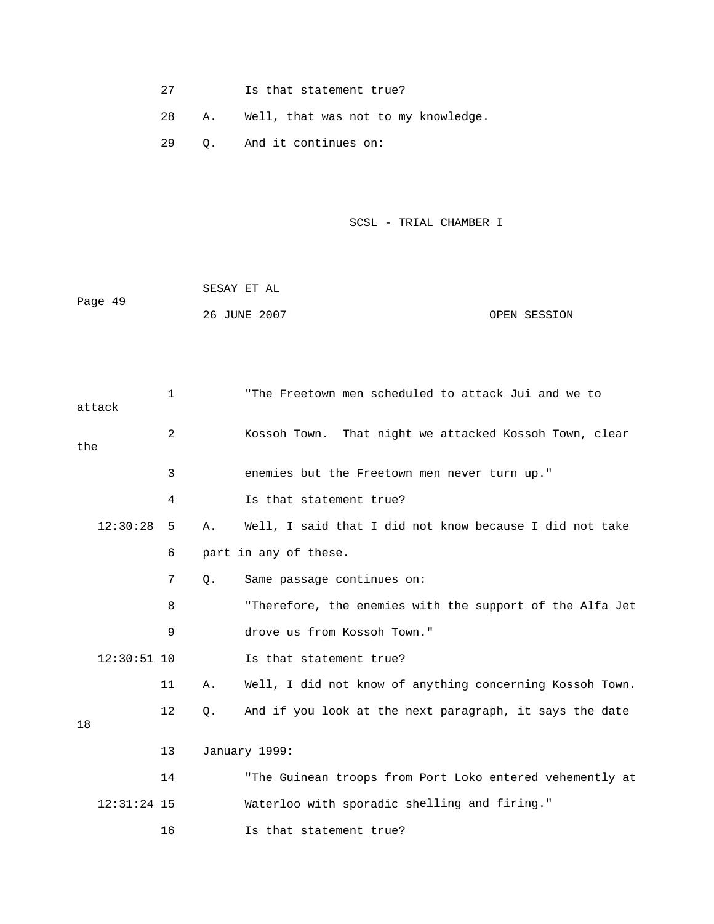- 27 Is that statement true?
- 28 A. Well, that was not to my knowledge.
- 29 Q. And it continues on:

```
SCSL - TRIAL CHAMBER I
```

| Page 49 | SESAY ET AL  |              |
|---------|--------------|--------------|
|         | 26 JUNE 2007 | OPEN SESSION |

|     | attack        | $\mathbf{1}$ |       | "The Freetown men scheduled to attack Jui and we to      |
|-----|---------------|--------------|-------|----------------------------------------------------------|
| the |               | 2            |       | Kossoh Town. That night we attacked Kossoh Town, clear   |
|     |               | 3            |       | enemies but the Freetown men never turn up."             |
|     |               | 4            |       | Is that statement true?                                  |
|     | 12:30:28      | 5            | Α.    | Well, I said that I did not know because I did not take  |
|     |               | 6            |       | part in any of these.                                    |
|     |               | 7            | $Q$ . | Same passage continues on:                               |
|     |               | 8            |       | "Therefore, the enemies with the support of the Alfa Jet |
|     |               | 9            |       | drove us from Kossoh Town."                              |
|     | $12:30:51$ 10 |              |       | Is that statement true?                                  |
|     |               | 11           | Α.    | Well, I did not know of anything concerning Kossoh Town. |
| 18  |               | 12           | $Q$ . | And if you look at the next paragraph, it says the date  |
|     |               | 13           |       | January 1999:                                            |
|     |               | 14           |       | "The Guinean troops from Port Loko entered vehemently at |
|     | $12:31:24$ 15 |              |       | Waterloo with sporadic shelling and firing."             |
|     |               | 16           |       | Is that statement true?                                  |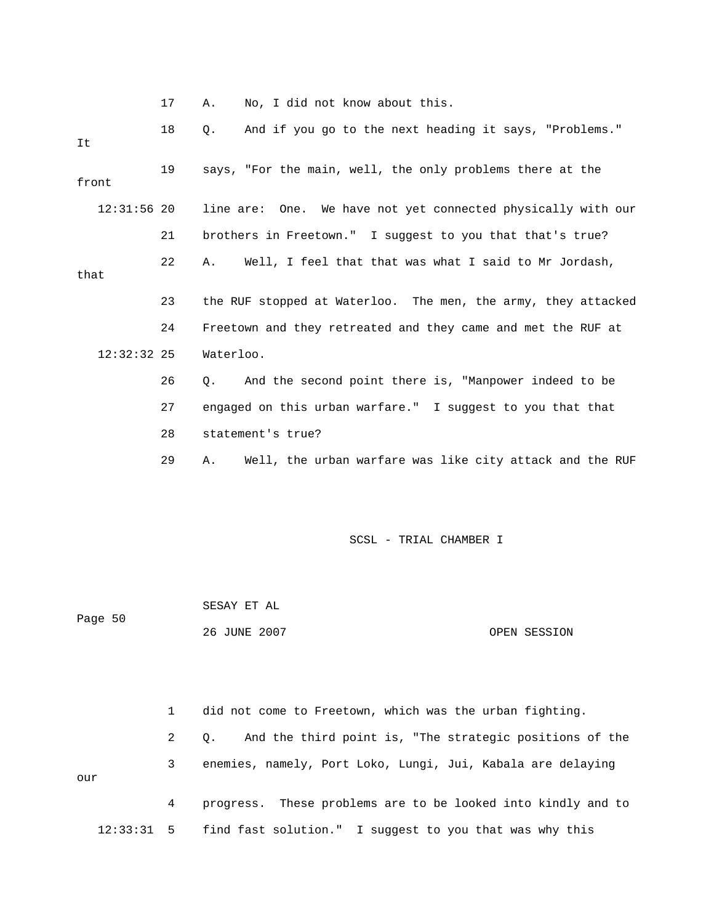17 A. No, I did not know about this.

| It            | 18 | And if you go to the next heading it says, "Problems."<br>$\circ$ . |
|---------------|----|---------------------------------------------------------------------|
| front         | 19 | says, "For the main, well, the only problems there at the           |
| $12:31:56$ 20 |    | line are: One. We have not yet connected physically with our        |
|               | 21 | brothers in Freetown." I suggest to you that that's true?           |
| that          | 22 | Well, I feel that that was what I said to Mr Jordash,<br>Α.         |
|               | 23 | the RUF stopped at Waterloo. The men, the army, they attacked       |
|               | 24 | Freetown and they retreated and they came and met the RUF at        |
| $12:32:32$ 25 |    | Waterloo.                                                           |
|               | 26 | And the second point there is, "Manpower indeed to be<br>О.         |
|               | 27 | engaged on this urban warfare." I suggest to you that that          |
|               | 28 | statement's true?                                                   |
|               | 29 | Well, the urban warfare was like city attack and the RUF<br>Α.      |
|               |    |                                                                     |
|               |    |                                                                     |

SCSL - TRIAL CHAMBER I

| Page 50 | SESAY ET AL  |              |  |
|---------|--------------|--------------|--|
|         | 26 JUNE 2007 | OPEN SESSION |  |

 1 did not come to Freetown, which was the urban fighting. 2 Q. And the third point is, "The strategic positions of the 3 enemies, namely, Port Loko, Lungi, Jui, Kabala are delaying 4 progress. These problems are to be looked into kindly and to 12:33:31 5 find fast solution." I suggest to you that was why this our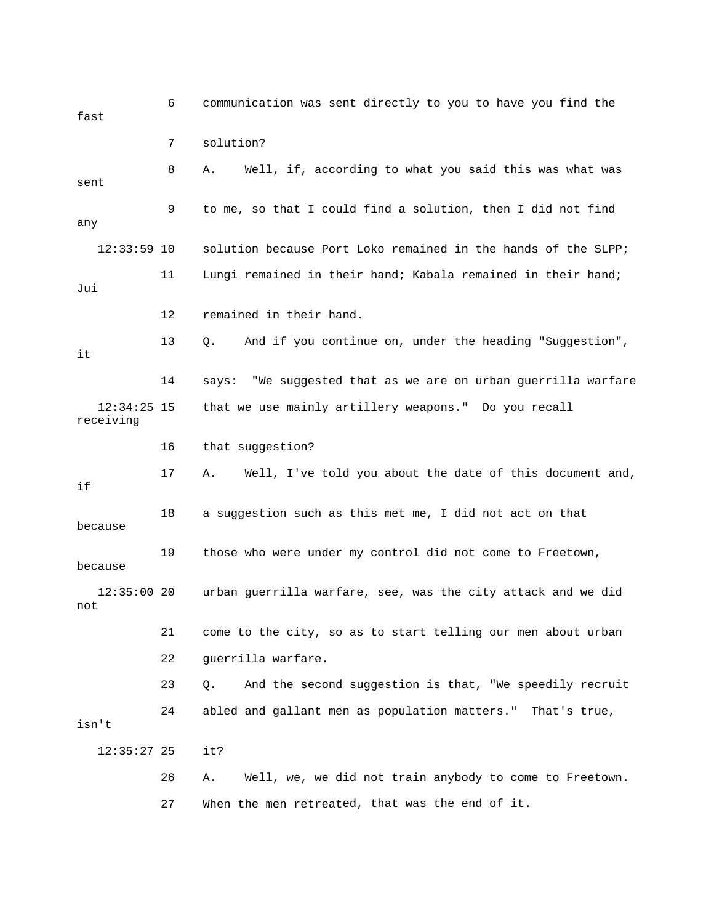6 communication was sent directly to you to have you find the fast 8 A. Well, if, according to what you said this was what was 9 to me, so that I could find a solution, then I did not find 11 Lungi remained in their hand; Kabala remained in their hand; 13 Q. And if you continue on, under the heading "Suggestion", 12:34:25 15 that we use mainly artillery weapons." Do you recall 16 that suggestion? 17 A. Well, I've told you about the date of this document and, 18 a suggestion such as this met me, I did not act on that 19 those who were under my control did not come to Freetown, 12:35:00 20 urban guerrilla warfare, see, was the city attack and we did not 21 come to the city, so as to start telling our men about urban 23 Q. And the second suggestion is that, "We speedily recruit 24 abled and gallant men as population matters." That's true, isn't :35:27 25 it? 12 27 When the men retreated, that was the end of it. 7 solution? sent any 12:33:59 10 solution because Port Loko remained in the hands of the SLPP; Jui 12 remained in their hand. it 14 says: "We suggested that as we are on urban guerrilla warfare receiving if because because 22 guerrilla warfare. 26 A. Well, we, we did not train anybody to come to Freetown.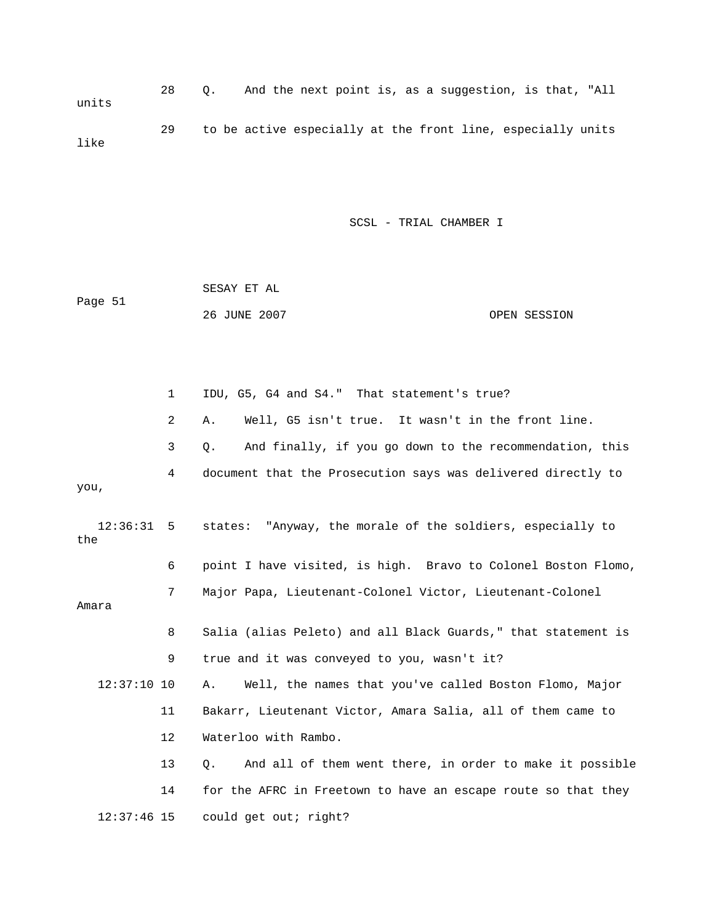28 Q. And the next point is, as a suggestion, is that, "All 29 to be active especially at the front line, especially units units like

SCSL - TRIAL CHAMBER I

| Page 51 | SESAY ET AL  |              |
|---------|--------------|--------------|
|         | 26 JUNE 2007 | OPEN SESSION |

 1 IDU, G5, G4 and S4." That statement's true? 3 Q. And finally, if you go down to the recommendation, this 4 document that the Prosecution says was delivered directly to you, 12:36:31 5 states: "Anyway, the morale of the soldiers, especially to 6 point I have visited, is high. Bravo to Colonel Boston Flomo, 7 Major Papa, Lieutenant-Colonel Victor, Lieutenant-Colonel 8 Salia (alias Peleto) and all Black Guards," that statement is 12:37:10 10 A. Well, the names that you've called Boston Flomo, Major 11 Bakarr, Lieutenant Victor, Amara Salia, all of them came to 14 for the AFRC in Freetown to have an escape route so that they 2 A. Well, G5 isn't true. It wasn't in the front line. the Amara 9 true and it was conveyed to you, wasn't it? 12 Waterloo with Rambo. 13 Q. And all of them went there, in order to make it possible 12:37:46 15 could get out; right?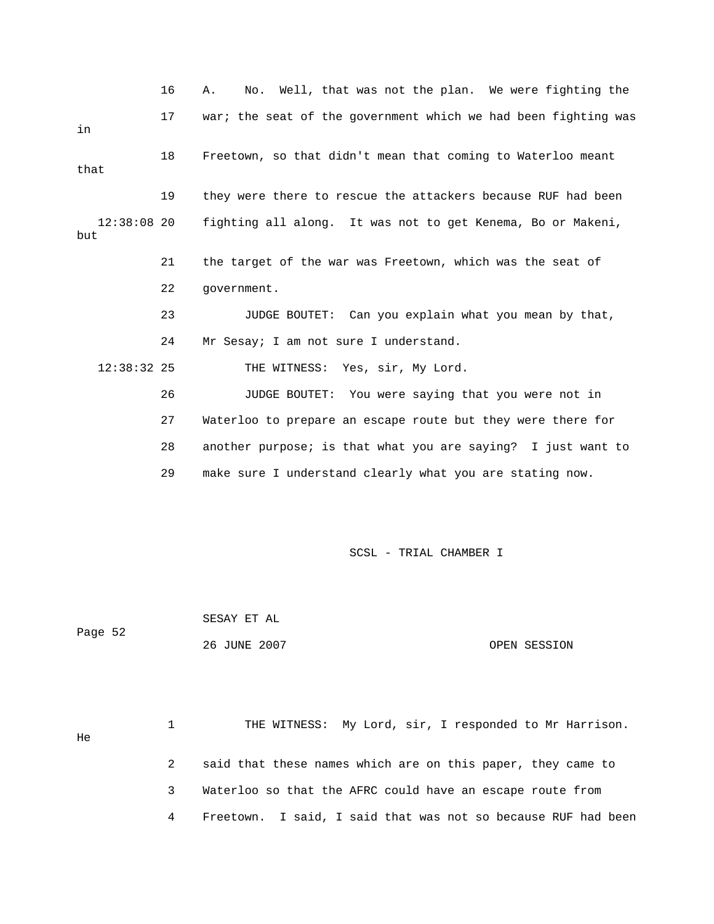16 A. No. Well, that was not the plan. We were fighting the 17 war; the seat of the government which we had been fighting was 18 Freetown, so that didn't mean that coming to Waterloo meant 19 they were there to rescue the attackers because RUF had been but 21 the target of the war was Freetown, which was the seat of 23 JUDGE BOUTET: Can you explain what you mean by that, THE WITNESS: Yes, sir, My Lord. 27 Waterloo to prepare an escape route but they were there for 29 make sure I understand clearly what you are stating now. in that 12:38:08 20 fighting all along. It was not to get Kenema, Bo or Makeni, 22 government. 24 Mr Sesay; I am not sure I understand.  $12:38:32$  25 26 JUDGE BOUTET: You were saying that you were not in 28 another purpose; is that what you are saying? I just want to

SCSL - TRIAL CHAMBER I

Page 52 26 JUNE 2007 OPEN SESSION SESAY ET AL

 1 THE WITNESS: My Lord, sir, I responded to Mr Harrison. 3 Waterloo so that the AFRC could have an escape route from 4 Freetown. I said, I said that was not so because RUF had been He 2 said that these names which are on this paper, they came to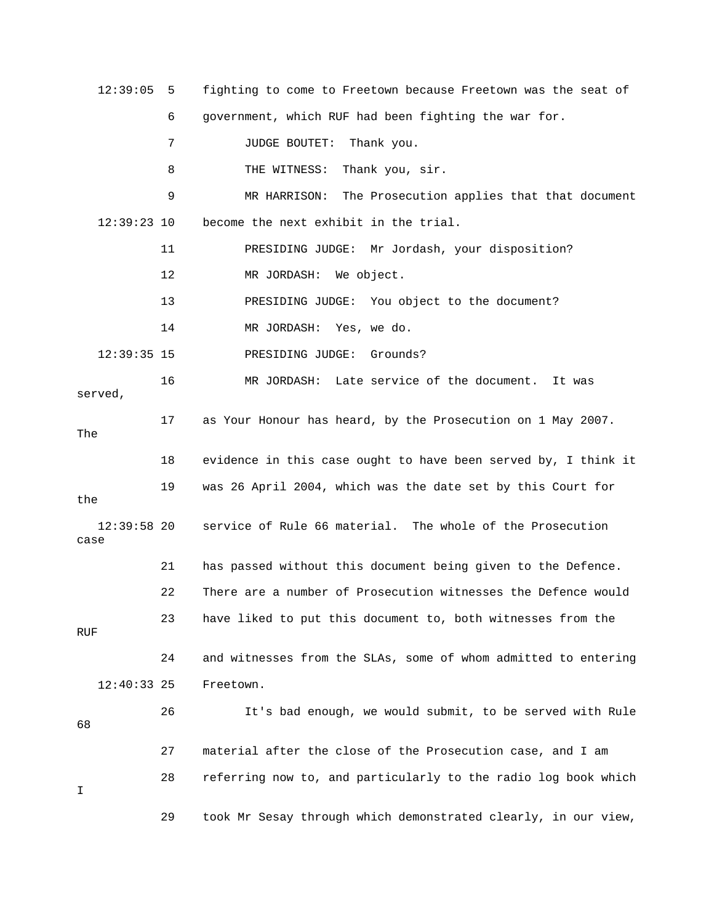| 12:39:05              | 5  | fighting to come to Freetown because Freetown was the seat of  |
|-----------------------|----|----------------------------------------------------------------|
|                       | 6  | government, which RUF had been fighting the war for.           |
|                       | 7  | Thank you.<br><b>JUDGE BOUTET:</b>                             |
|                       | 8  | THE WITNESS:<br>Thank you, sir.                                |
|                       | 9  | MR HARRISON:<br>The Prosecution applies that that document     |
| 12:39:23 10           |    | become the next exhibit in the trial.                          |
|                       | 11 | PRESIDING JUDGE: Mr Jordash, your disposition?                 |
|                       | 12 | We object.<br>MR JORDASH:                                      |
|                       | 13 | PRESIDING JUDGE:<br>You object to the document?                |
|                       | 14 | MR JORDASH:<br>Yes, we do.                                     |
| $12:39:35$ 15         |    | PRESIDING JUDGE:<br>Grounds?                                   |
| served,               | 16 | Late service of the document.<br>MR JORDASH:<br>It was         |
| The                   | 17 | as Your Honour has heard, by the Prosecution on 1 May 2007.    |
|                       | 18 | evidence in this case ought to have been served by, I think it |
| the                   | 19 | was 26 April 2004, which was the date set by this Court for    |
| $12:39:58$ 20<br>case |    | service of Rule 66 material. The whole of the Prosecution      |
|                       | 21 | has passed without this document being given to the Defence.   |
|                       | 22 | There are a number of Prosecution witnesses the Defence would  |
| RUF                   | 23 | have liked to put this document to, both witnesses from the    |
|                       | 24 | and witnesses from the SLAs, some of whom admitted to entering |
| $12:40:33$ 25         |    | Freetown.                                                      |
| 68                    | 26 | It's bad enough, we would submit, to be served with Rule       |
|                       | 27 | material after the close of the Prosecution case, and I am     |
| I                     | 28 | referring now to, and particularly to the radio log book which |
|                       | 29 | took Mr Sesay through which demonstrated clearly, in our view, |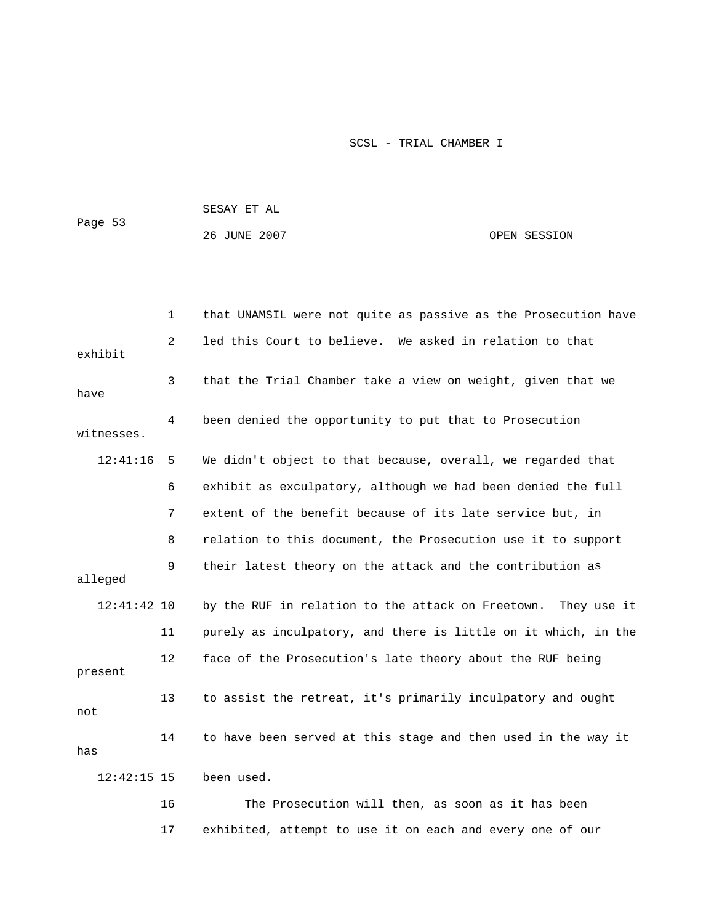| Page 53 | SESAY ET AL  |              |
|---------|--------------|--------------|
|         | 26 JUNE 2007 | OPEN SESSION |

|               | 1              | that UNAMSIL were not quite as passive as the Prosecution have   |
|---------------|----------------|------------------------------------------------------------------|
| exhibit       | $\overline{a}$ | led this Court to believe. We asked in relation to that          |
| have          | 3              | that the Trial Chamber take a view on weight, given that we      |
| witnesses.    | 4              | been denied the opportunity to put that to Prosecution           |
| 12:41:16      | 5              | We didn't object to that because, overall, we regarded that      |
|               | 6              | exhibit as exculpatory, although we had been denied the full     |
|               | 7              | extent of the benefit because of its late service but, in        |
|               | 8              | relation to this document, the Prosecution use it to support     |
| alleged       | 9              | their latest theory on the attack and the contribution as        |
| $12:41:42$ 10 |                | by the RUF in relation to the attack on Freetown.<br>They use it |
|               | 11             | purely as inculpatory, and there is little on it which, in the   |
| present       | 12             | face of the Prosecution's late theory about the RUF being        |
| not           | 13             | to assist the retreat, it's primarily inculpatory and ought      |
| has           | 14             | to have been served at this stage and then used in the way it    |
| $12:42:15$ 15 |                | been used.                                                       |
|               | 16             | The Prosecution will then, as soon as it has been                |

17 exhibited, attempt to use it on each and every one of our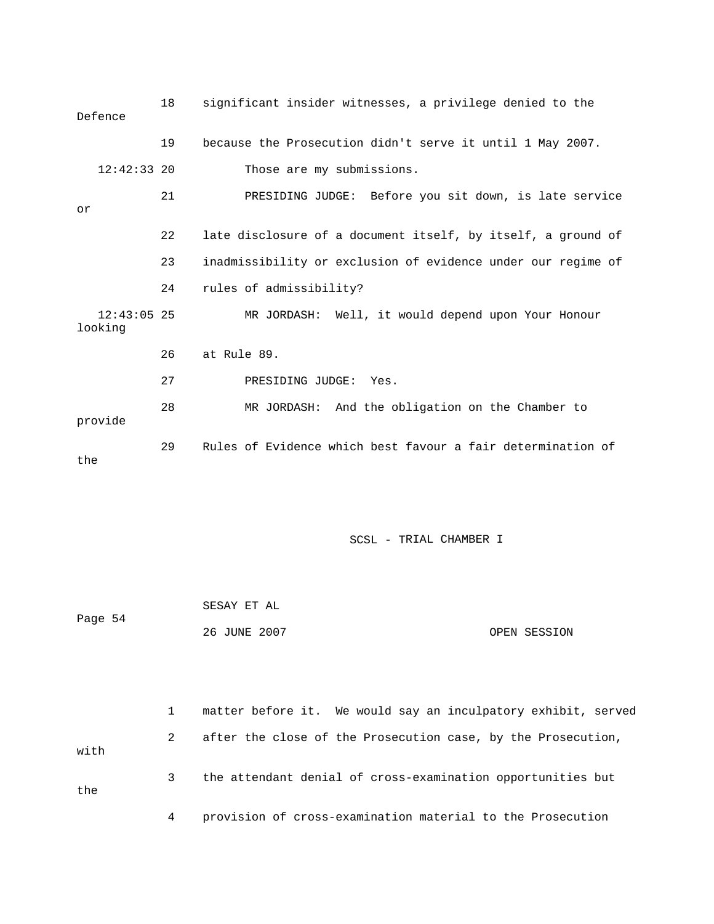|     | Defence                  | 18 | significant insider witnesses, a privilege denied to the     |
|-----|--------------------------|----|--------------------------------------------------------------|
|     |                          | 19 | because the Prosecution didn't serve it until 1 May 2007.    |
|     | $12:42:33$ 20            |    | Those are my submissions.                                    |
| or  |                          | 21 | PRESIDING JUDGE: Before you sit down, is late service        |
|     |                          | 22 | late disclosure of a document itself, by itself, a ground of |
|     |                          | 23 | inadmissibility or exclusion of evidence under our regime of |
|     |                          | 24 | rules of admissibility?                                      |
|     | $12:43:05$ 25<br>looking |    | MR JORDASH: Well, it would depend upon Your Honour           |
|     |                          | 26 | at Rule 89.                                                  |
|     |                          | 27 | PRESIDING JUDGE:<br>Yes.                                     |
|     | provide                  | 28 | MR JORDASH: And the obligation on the Chamber to             |
| the |                          | 29 | Rules of Evidence which best favour a fair determination of  |

|         | SESAY ET AL  |              |
|---------|--------------|--------------|
| Page 54 |              |              |
|         | 26 JUNE 2007 | OPEN SESSION |

|      |   | matter before it. We would say an inculpatory exhibit, served |
|------|---|---------------------------------------------------------------|
| with | 2 | after the close of the Prosecution case, by the Prosecution,  |
| the  | 3 | the attendant denial of cross-examination opportunities but   |
|      |   | provision of cross-examination material to the Prosecution    |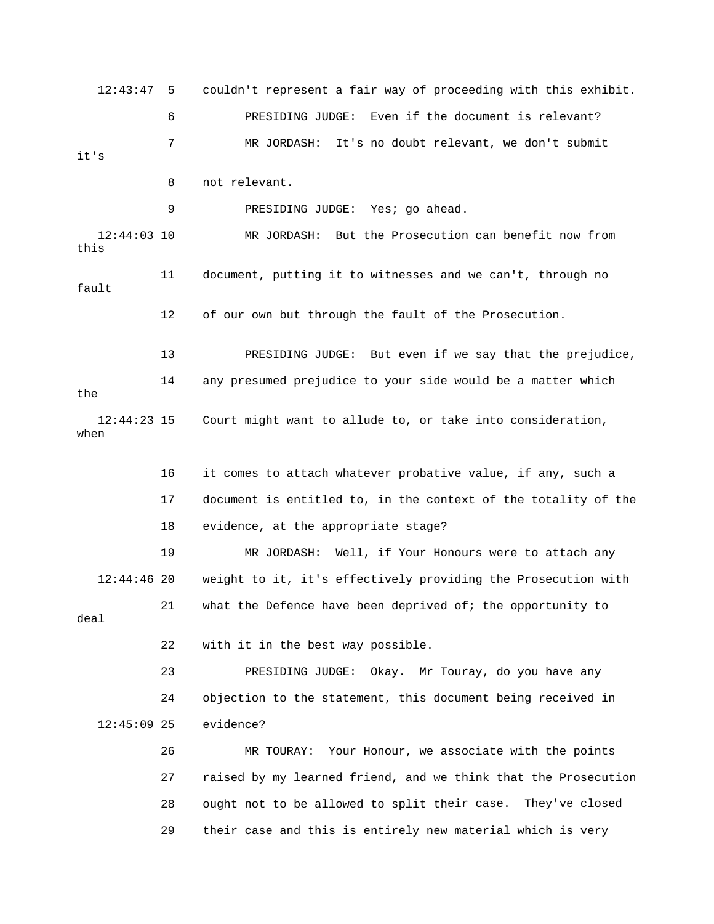12:43:47 5 couldn't represent a fair way of proceeding with this exhibit. 9 PRESIDING JUDGE: Yes; go ahead. 12:44:03 10 MR JORDASH: But the Prosecution can benefit now from fault 12 of our own but through the fault of the Prosecution. 13 PRESIDING JUDGE: But even if we say that the prejudice, 16 it comes to attach whatever probative value, if any, such a 17 document is entitled to, in the context of the totality of the 18 evidence, at the appropriate stage? 19 MR JORDASH: Well, if Your Honours were to attach any 12:44:46 20 weight to it, it's effectively providing the Prosecution with 21 what the Defence have been deprived of; the opportunity to deal 22 with it in the best way possible. 23 PRESIDING JUDGE: Okay. Mr Touray, do you have any 24 objection to the statement, this document being received in 12:45:09 25 evidence? 26 MR TOURAY: Your Honour, we associate with the points 27 raised by my learned friend, and we think that the Prosecution 28 ought not to be allowed to split their case. They've closed 6 PRESIDING JUDGE: Even if the document is relevant? 7 MR JORDASH: It's no doubt relevant, we don't submit it's 8 not relevant. this 11 document, putting it to witnesses and we can't, through no 14 any presumed prejudice to your side would be a matter which the 12:44:23 15 Court might want to allude to, or take into consideration, when 29 their case and this is entirely new material which is very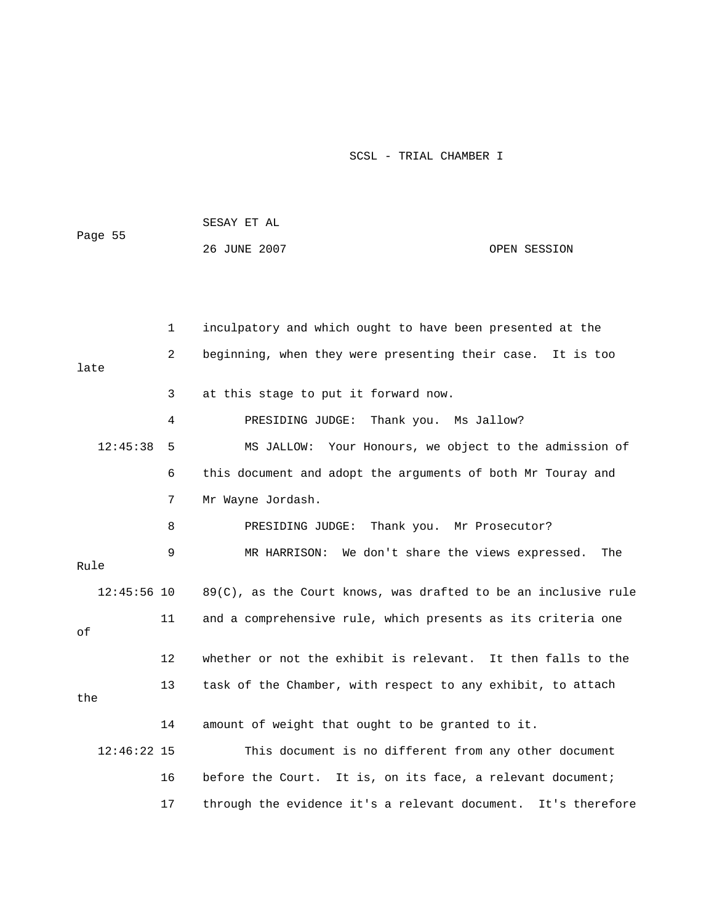|               |    | SESAY ET AL                                                       |                |
|---------------|----|-------------------------------------------------------------------|----------------|
| Page 55       |    | 26 JUNE 2007                                                      | OPEN SESSION   |
|               |    |                                                                   |                |
|               |    |                                                                   |                |
|               | 1  | inculpatory and which ought to have been presented at the         |                |
| late          | 2  | beginning, when they were presenting their case.                  | It is too      |
|               | 3  | at this stage to put it forward now.                              |                |
|               | 4  | Thank you. Ms Jallow?<br>PRESIDING JUDGE:                         |                |
| 12:45:38      | -5 | MS JALLOW: Your Honours, we object to the admission of            |                |
|               | 6  | this document and adopt the arguments of both Mr Touray and       |                |
|               | 7  | Mr Wayne Jordash.                                                 |                |
|               | 8  | Thank you. Mr Prosecutor?<br>PRESIDING JUDGE:                     |                |
| Rule          | 9  | We don't share the views expressed.<br>MR HARRISON:               | The            |
|               |    |                                                                   |                |
| $12:45:56$ 10 |    | $89(C)$ , as the Court knows, was drafted to be an inclusive rule |                |
| οf            | 11 | and a comprehensive rule, which presents as its criteria one      |                |
|               | 12 | whether or not the exhibit is relevant. It then falls to the      |                |
| the           | 13 | task of the Chamber, with respect to any exhibit, to attach       |                |
|               | 14 | amount of weight that ought to be granted to it.                  |                |
| $12:46:22$ 15 |    | This document is no different from any other document             |                |
|               | 16 | before the Court. It is, on its face, a relevant document;        |                |
|               | 17 | through the evidence it's a relevant document.                    | It's therefore |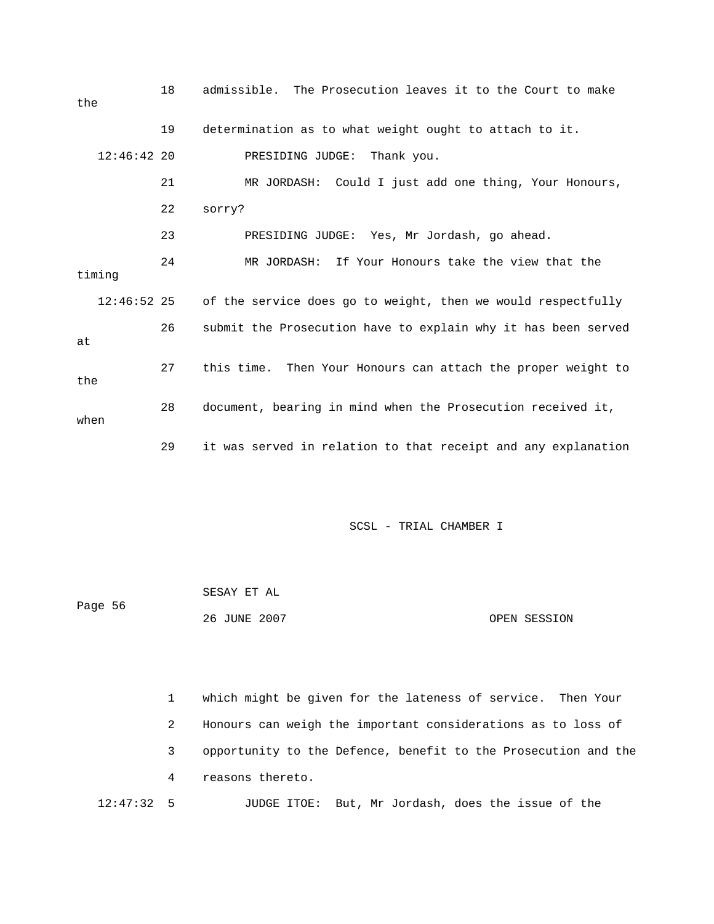| the           | 18 | admissible. The Prosecution leaves it to the Court to make    |
|---------------|----|---------------------------------------------------------------|
|               | 19 | determination as to what weight ought to attach to it.        |
| $12:46:42$ 20 |    | PRESIDING JUDGE: Thank you.                                   |
|               | 21 | MR JORDASH: Could I just add one thing, Your Honours,         |
|               | 22 | sorry?                                                        |
|               | 23 | PRESIDING JUDGE: Yes, Mr Jordash, go ahead.                   |
| timing        | 24 | MR JORDASH: If Your Honours take the view that the            |
| $12:46:52$ 25 |    | of the service does go to weight, then we would respectfully  |
| at            | 26 | submit the Prosecution have to explain why it has been served |
| the           | 27 | this time. Then Your Honours can attach the proper weight to  |
| when          | 28 | document, bearing in mind when the Prosecution received it,   |
|               | 29 | it was served in relation to that receipt and any explanation |

| Page 56 | SESAY ET AL  |              |
|---------|--------------|--------------|
|         | 26 JUNE 2007 | OPEN SESSION |

 1 which might be given for the lateness of service. Then Your 2 Honours can weigh the important considerations as to loss of 3 opportunity to the Defence, benefit to the Prosecution and the 4 reasons thereto.

12:47:32 5 JUDGE ITOE: But, Mr Jordash, does the issue of the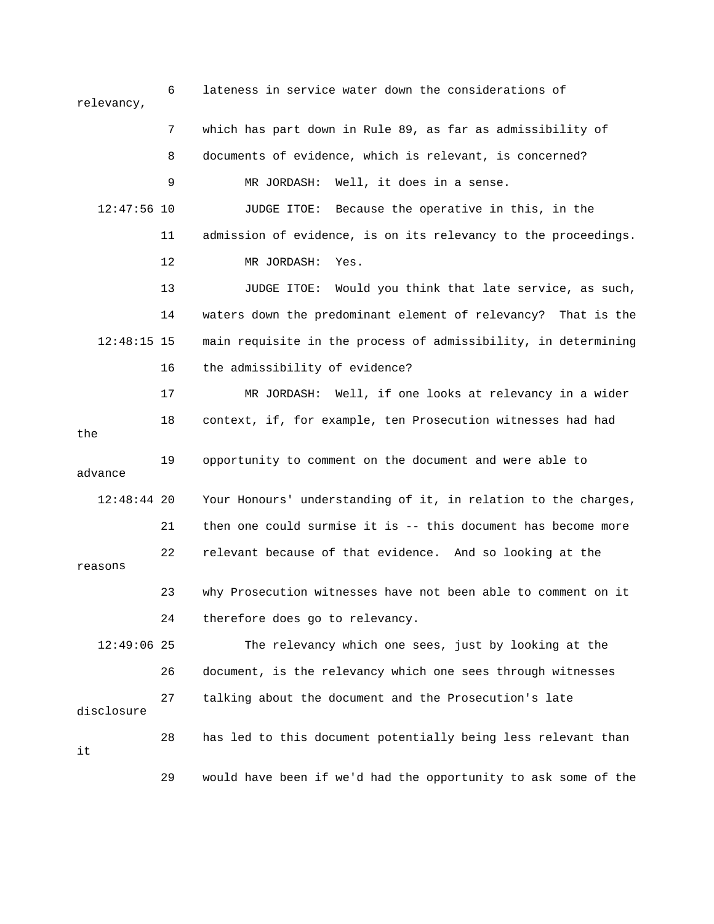6 lateness in service water down the considerations of relevancy, 7 which has part down in Rule 89, as far as admissibility of 8 documents of evidence, which is relevant, is concerned? 12:47:56 10 JUDGE ITOE: Because the operative in this, in the 11 admission of evidence, is on its relevancy to the proceedings. 13 JUDGE ITOE: Would you think that late service, as such, 14 waters down the predominant element of relevancy? That is the 12:48:15 15 main requisite in the process of admissibility, in determining 17 MR JORDASH: Well, if one looks at relevancy in a wider the 12:48:44 20 Your Honours' understanding of it, in relation to the charges, reasons 23 why Prosecution witnesses have not been able to comment on it 24 therefore does go to relevancy. 12:49:06 25 The relevancy which one sees, just by looking at the 26 document, is the relevancy which one sees through witnesses disclosure 29 would have been if we'd had the opportunity to ask some of the 9 MR JORDASH: Well, it does in a sense. 12 MR JORDASH: Yes. 16 the admissibility of evidence? 18 context, if, for example, ten Prosecution witnesses had had 19 opportunity to comment on the document and were able to advance 21 then one could surmise it is -- this document has become more 22 relevant because of that evidence. And so looking at the 27 talking about the document and the Prosecution's late 28 has led to this document potentially being less relevant than it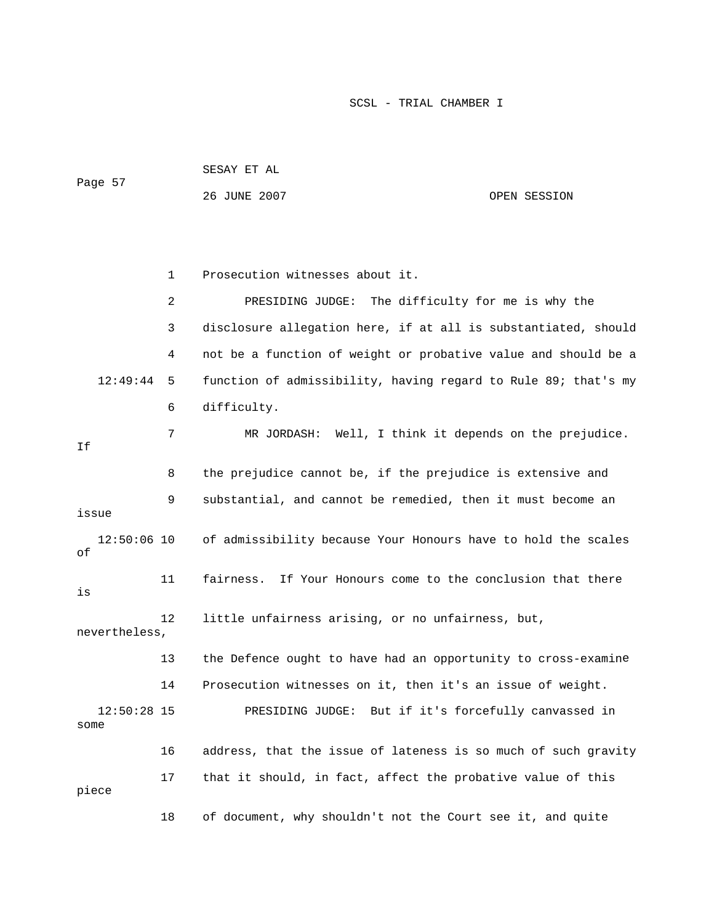| Page 57               |    | SESAY ET AL                                                    |              |  |  |
|-----------------------|----|----------------------------------------------------------------|--------------|--|--|
|                       |    | 26 JUNE 2007                                                   | OPEN SESSION |  |  |
|                       |    |                                                                |              |  |  |
|                       |    |                                                                |              |  |  |
|                       | 1  | Prosecution witnesses about it.                                |              |  |  |
|                       | 2  | PRESIDING JUDGE: The difficulty for me is why the              |              |  |  |
|                       | 3  | disclosure allegation here, if at all is substantiated, should |              |  |  |
|                       | 4  | not be a function of weight or probative value and should be a |              |  |  |
| 12:49:44              | 5  | function of admissibility, having regard to Rule 89; that's my |              |  |  |
|                       | 6  | difficulty.                                                    |              |  |  |
| Ιf                    | 7  | MR JORDASH: Well, I think it depends on the prejudice.         |              |  |  |
|                       | 8  | the prejudice cannot be, if the prejudice is extensive and     |              |  |  |
| issue                 | 9  | substantial, and cannot be remedied, then it must become an    |              |  |  |
| $12:50:06$ 10<br>οf   |    | of admissibility because Your Honours have to hold the scales  |              |  |  |
| is                    | 11 | If Your Honours come to the conclusion that there<br>fairness. |              |  |  |
| nevertheless,         | 12 | little unfairness arising, or no unfairness, but,              |              |  |  |
|                       | 13 | the Defence ought to have had an opportunity to cross-examine  |              |  |  |
|                       | 14 | Prosecution witnesses on it, then it's an issue of weight.     |              |  |  |
| $12:50:28$ 15<br>some |    | PRESIDING JUDGE: But if it's forcefully canvassed in           |              |  |  |
|                       | 16 | address, that the issue of lateness is so much of such gravity |              |  |  |
| piece                 | 17 | that it should, in fact, affect the probative value of this    |              |  |  |
|                       | 18 | of document, why shouldn't not the Court see it, and quite     |              |  |  |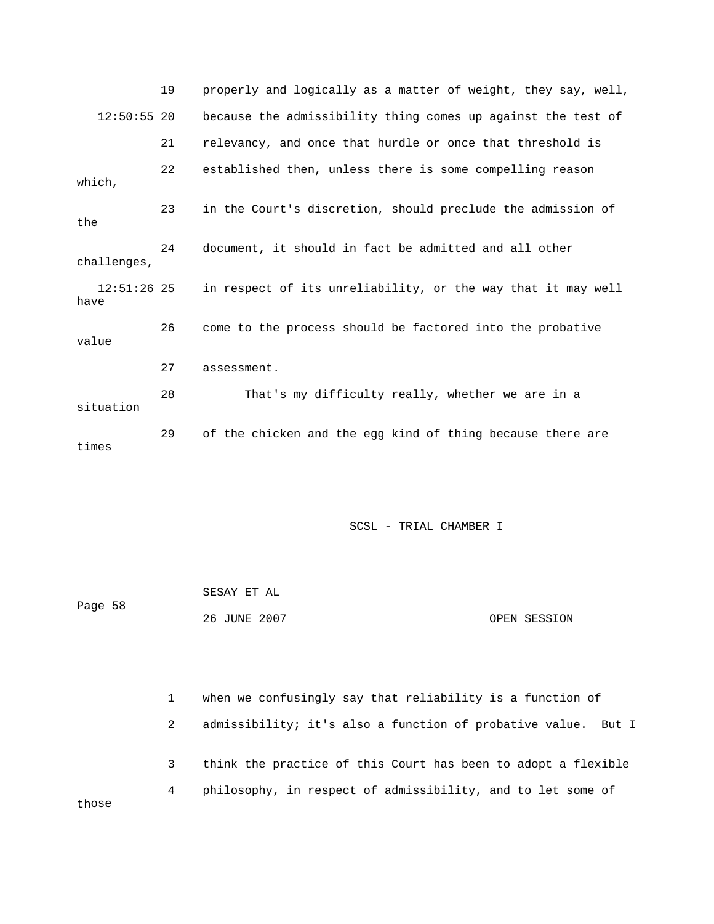|                       | 19 | properly and logically as a matter of weight, they say, well, |
|-----------------------|----|---------------------------------------------------------------|
| $12:50:55$ 20         |    | because the admissibility thing comes up against the test of  |
|                       | 21 | relevancy, and once that hurdle or once that threshold is     |
| which,                | 22 | established then, unless there is some compelling reason      |
| the                   | 23 | in the Court's discretion, should preclude the admission of   |
| challenges,           | 24 | document, it should in fact be admitted and all other         |
| $12:51:26$ 25<br>have |    | in respect of its unreliability, or the way that it may well  |
| value                 | 26 | come to the process should be factored into the probative     |
|                       | 27 | assessment.                                                   |
| situation             | 28 | That's my difficulty really, whether we are in a              |
| times                 | 29 | of the chicken and the egg kind of thing because there are    |

| Page 58 | SESAY ET AL  |              |
|---------|--------------|--------------|
|         | 26 JUNE 2007 | OPEN SESSION |

|       |   | when we confusingly say that reliability is a function of     |
|-------|---|---------------------------------------------------------------|
|       | 2 | admissibility; it's also a function of probative value. But I |
|       | 3 | think the practice of this Court has been to adopt a flexible |
| those | 4 | philosophy, in respect of admissibility, and to let some of   |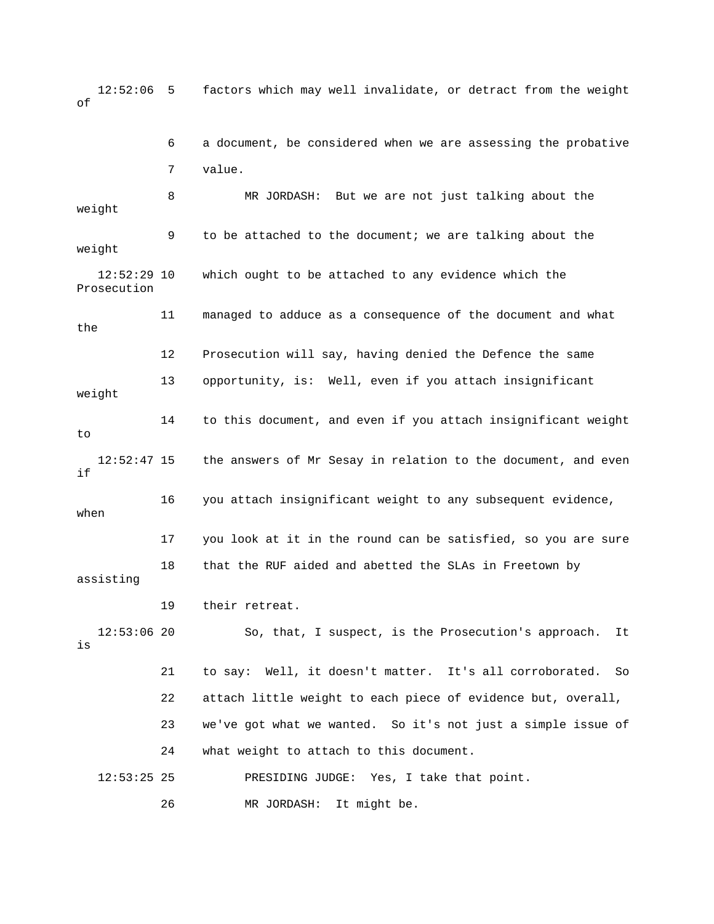12:52:06 5 factors which may well invalidate, or detract from the weight of

 7 value. 8 MR JORDASH: But we are not just talking about the weight 9 to be attached to the document; we are talking about the weight Prosecution 11 managed to adduce as a consequence of the document and what 12 Prosecution will say, having denied the Defence the same 13 opportunity, is: Well, even if you attach insignificant weight 4 to this document, and even if you attach insignificant weight 12:52:47 15 the answers of Mr Sesay in relation to the document, and even 16 you attach insignificant weight to any subsequent evidence, 17 you look at it in the round can be satisfied, so you are sure 18 that the RUF aided and abetted the SLAs in Freetown by assisting 19 their retreat. 22 attach little weight to each piece of evidence but, overall, 23 we've got what we wanted. So it's not just a simple issue of 24 what weight to attach to this document. 6 a document, be considered when we are assessing the probative 12:52:29 10 which ought to be attached to any evidence which the the 1 to if when 12:53:06 20 So, that, I suspect, is the Prosecution's approach. It is 21 to say: Well, it doesn't matter. It's all corroborated. So 12:53:25 25 PRESIDING JUDGE: Yes, I take that point. 26 MR JORDASH: It might be.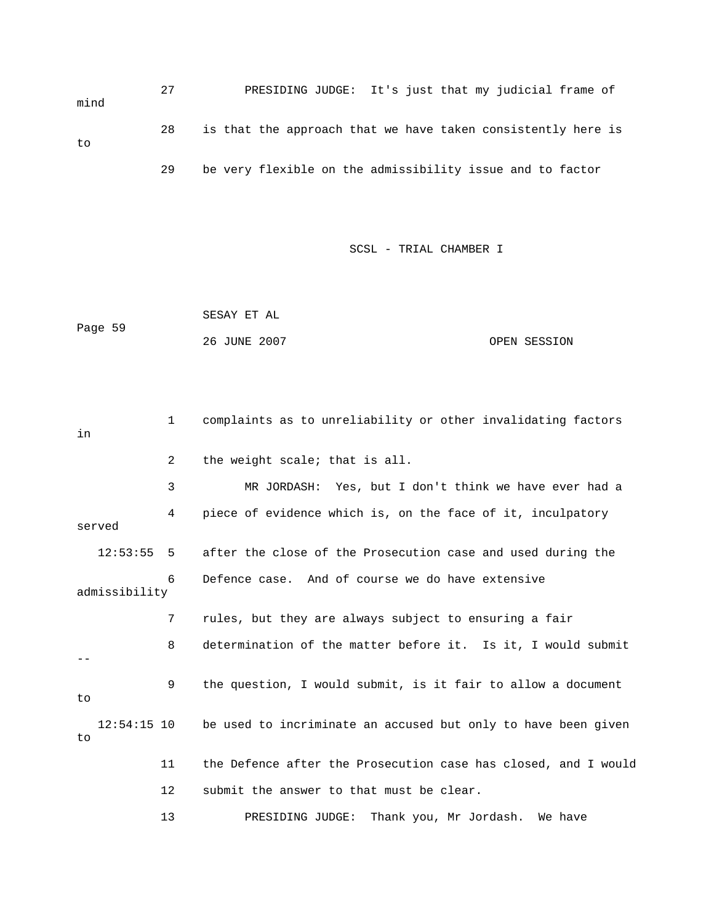27 PRESIDING JUDGE: It's just that my judicial frame of 28 is that the approach that we have taken consistently here is 29 be very flexible on the admissibility issue and to factor mind to

SCSL - TRIAL CHAMBER I

 SESAY ET AL Page 59 26 JUNE 2007 OPEN SESSION

 3 MR JORDASH: Yes, but I don't think we have ever had a 4 piece of evidence which is, on the face of it, inculpatory served after the close of the Prosecution case and used during the 6 Defence case. And of course we do have extensive admissibility 8 determination of the matter before it. Is it, I would submit 9 the question, I would submit, is it fair to allow a document 12:54:15 10 be used to incriminate an accused but only to have been given 1 complaints as to unreliability or other invalidating factors in 2 the weight scale; that is all.  $12:53:55$  5 7 rules, but they are always subject to ensuring a fair - to to 11 the Defence after the Prosecution case has closed, and I would 12 submit the answer to that must be clear. 13 PRESIDING JUDGE: Thank you, Mr Jordash. We have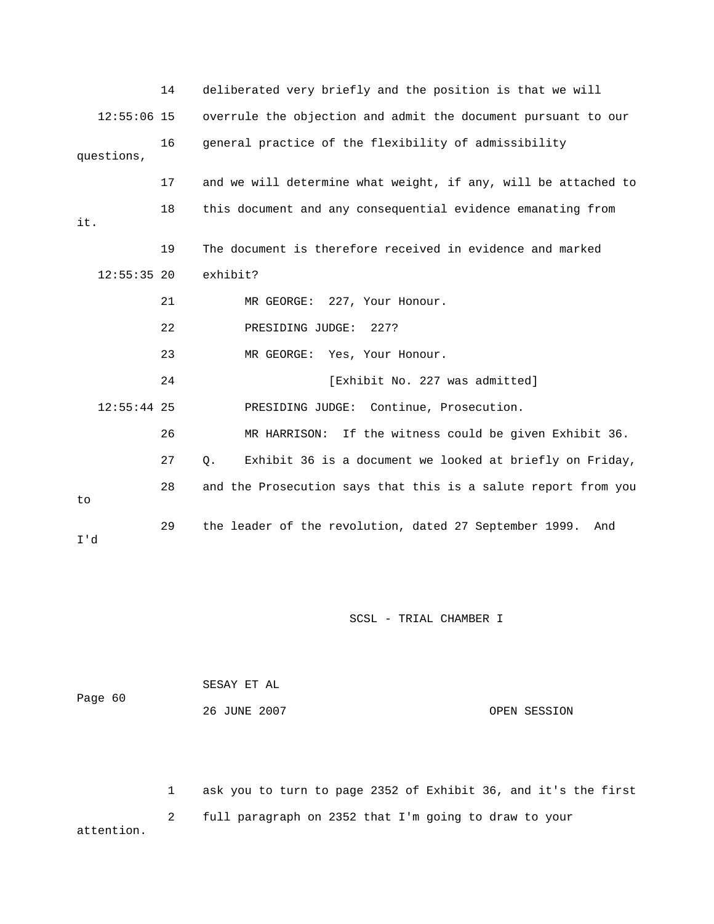|               | 14 | deliberated very briefly and the position is that we will         |
|---------------|----|-------------------------------------------------------------------|
| $12:55:06$ 15 |    | overrule the objection and admit the document pursuant to our     |
| questions,    | 16 | general practice of the flexibility of admissibility              |
|               | 17 | and we will determine what weight, if any, will be attached to    |
| it.           | 18 | this document and any consequential evidence emanating from       |
|               | 19 | The document is therefore received in evidence and marked         |
| $12:55:35$ 20 |    | exhibit?                                                          |
|               | 21 | MR GEORGE: 227, Your Honour.                                      |
|               | 22 | PRESIDING JUDGE:<br>227?                                          |
|               | 23 | MR GEORGE: Yes, Your Honour.                                      |
|               | 24 | [Exhibit No. 227 was admitted]                                    |
| $12:55:44$ 25 |    | PRESIDING JUDGE: Continue, Prosecution.                           |
|               | 26 | MR HARRISON: If the witness could be given Exhibit 36.            |
|               | 27 | Exhibit 36 is a document we looked at briefly on Friday,<br>$Q$ . |
| to            | 28 | and the Prosecution says that this is a salute report from you    |
| I'd           | 29 | the leader of the revolution, dated 27 September 1999.<br>And     |

| Page 60 | SESAY ET AL  |              |
|---------|--------------|--------------|
|         | 26 JUNE 2007 | OPEN SESSION |

1 ask you to turn to page 2352 of Exhibit 36, and it's the first 2 full paragraph on 2352 that I'm going to draw to your attention.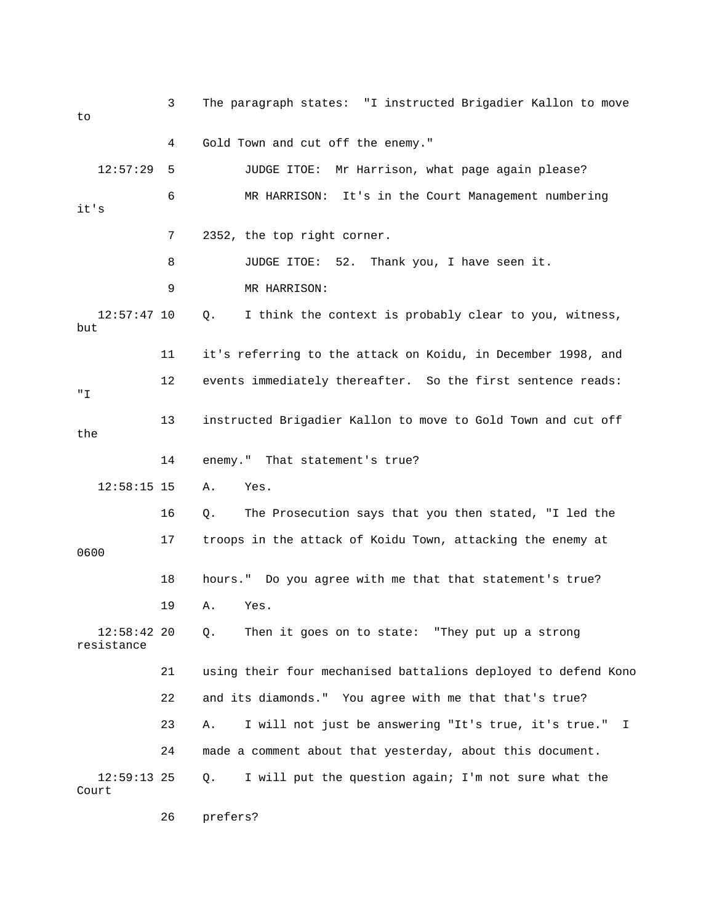| to                          | 3  | The paragraph states: "I instructed Brigadier Kallon to move     |
|-----------------------------|----|------------------------------------------------------------------|
|                             | 4  | Gold Town and cut off the enemy."                                |
| 12:57:29                    | 5  | JUDGE ITOE: Mr Harrison, what page again please?                 |
| it's                        | 6  | MR HARRISON: It's in the Court Management numbering              |
|                             | 7  | 2352, the top right corner.                                      |
|                             | 8  | JUDGE ITOE: 52.<br>Thank you, I have seen it.                    |
|                             | 9  | MR HARRISON:                                                     |
| $12:57:47$ 10<br>but        |    | I think the context is probably clear to you, witness,<br>Q.     |
|                             | 11 | it's referring to the attack on Koidu, in December 1998, and     |
| " I                         | 12 | events immediately thereafter. So the first sentence reads:      |
| the                         | 13 | instructed Brigadier Kallon to move to Gold Town and cut off     |
|                             | 14 | enemy." That statement's true?                                   |
| $12:58:15$ 15               |    | Yes.<br>Α.                                                       |
|                             | 16 | The Prosecution says that you then stated, "I led the<br>Q.      |
| 0600                        | 17 | troops in the attack of Koidu Town, attacking the enemy at       |
|                             | 18 | hours." Do you agree with me that that statement's true?         |
|                             | 19 | Α.<br>Yes.                                                       |
| $12:58:42$ 20<br>resistance |    | Then it goes on to state: "They put up a strong<br>Q.            |
|                             | 21 | using their four mechanised battalions deployed to defend Kono   |
|                             | 22 | and its diamonds." You agree with me that that's true?           |
|                             | 23 | I will not just be answering "It's true, it's true."<br>Α.<br>I. |
|                             | 24 | made a comment about that yesterday, about this document.        |
| $12:59:13$ 25<br>Court      |    | I will put the question again; I'm not sure what the<br>$Q$ .    |

26 prefers?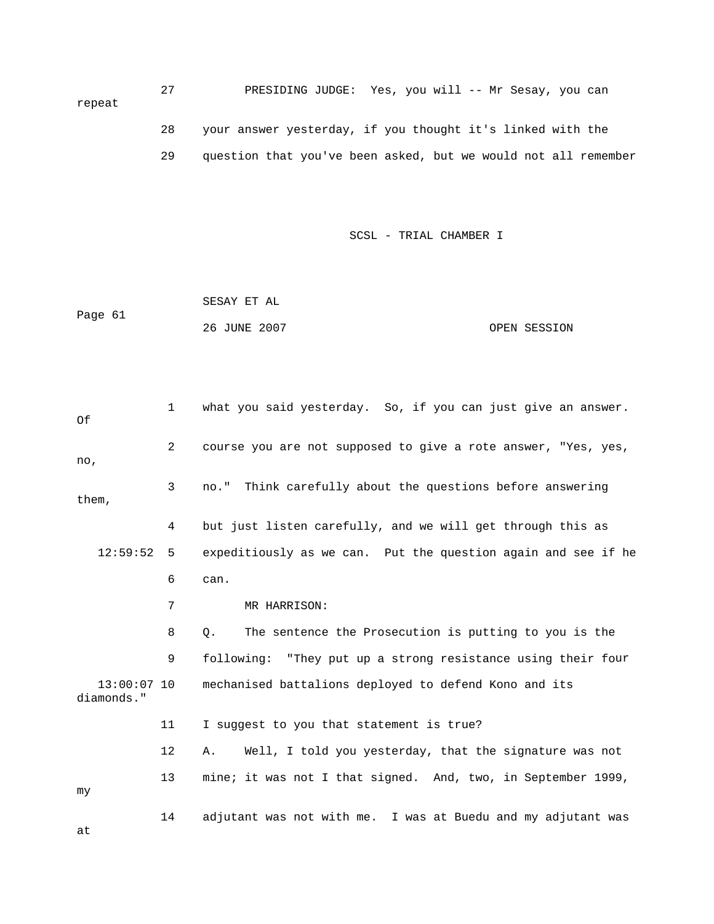27 PRESIDING JUDGE: Yes, you will -- Mr Sesay, you can repeat 28 your answer yesterday, if you thought it's linked with the 29 question that you've been asked, but we would not all remember

SCSL - TRIAL CHAMBER I

|         | SESAY ET AL  |              |
|---------|--------------|--------------|
| Page 61 |              |              |
|         | 26 JUNE 2007 | OPEN SESSION |

 1 what you said yesterday. So, if you can just give an answer. 2 course you are not supposed to give a rote answer, "Yes, yes, 3 no." Think carefully about the questions before answering them, 12:59:52 5 expeditiously as we can. Put the question again and see if he 8 Q. The sentence the Prosecution is putting to you is the 9 following: "They put up a strong resistance using their four 13:00:07 10 mechanised battalions deployed to defend Kono and its 11 I suggest to you that statement is true? 14 adjutant was not with me. I was at Buedu and my adjutant was Of no, 4 but just listen carefully, and we will get through this as 6 can. 7 MR HARRISON: diamonds." 12 A. Well, I told you yesterday, that the signature was not 13 mine; it was not I that signed. And, two, in September 1999, my

at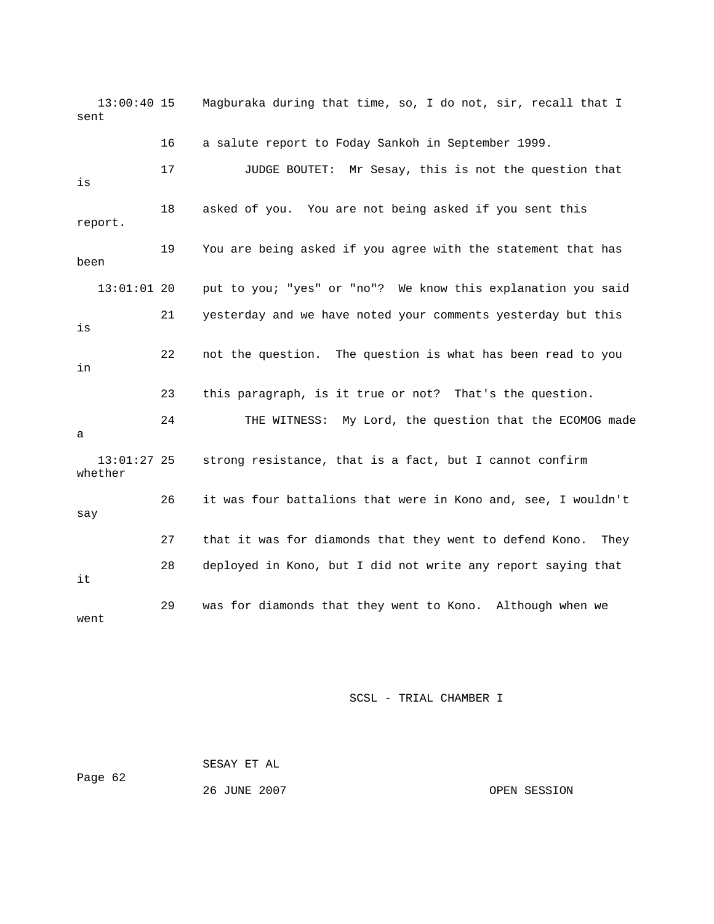13:00:40 15 Magburaka during that time, so, I do not, sir, recall that I sent 16 a salute report to Foday Sankoh in September 1999. 17 JUDGE BOUTET: Mr Sesay, this is not the question that 18 asked of you. You are not being asked if you sent this 19 You are being asked if you agree with the statement that has 21 yesterday and we have noted your comments yesterday but this 22 not the question. The question is what has been read to you 23 this paragraph, is it true or not? That's the question. 24 THE WITNESS: My Lord, the question that the ECOMOG made 13:01:27 25 strong resistance, that is a fact, but I cannot confirm 26 it was four battalions that were in Kono and, see, I wouldn't 28 deployed in Kono, but I did not write any report saying that 29 was for diamonds that they went to Kono. Although when we is report. been 13:01:01 20 put to you; "yes" or "no"? We know this explanation you said is in a whether say 27 that it was for diamonds that they went to defend Kono. They it went

SCSL - TRIAL CHAMBER I

 SESAY ET AL Page 62

26 JUNE 2007 OPEN SESSION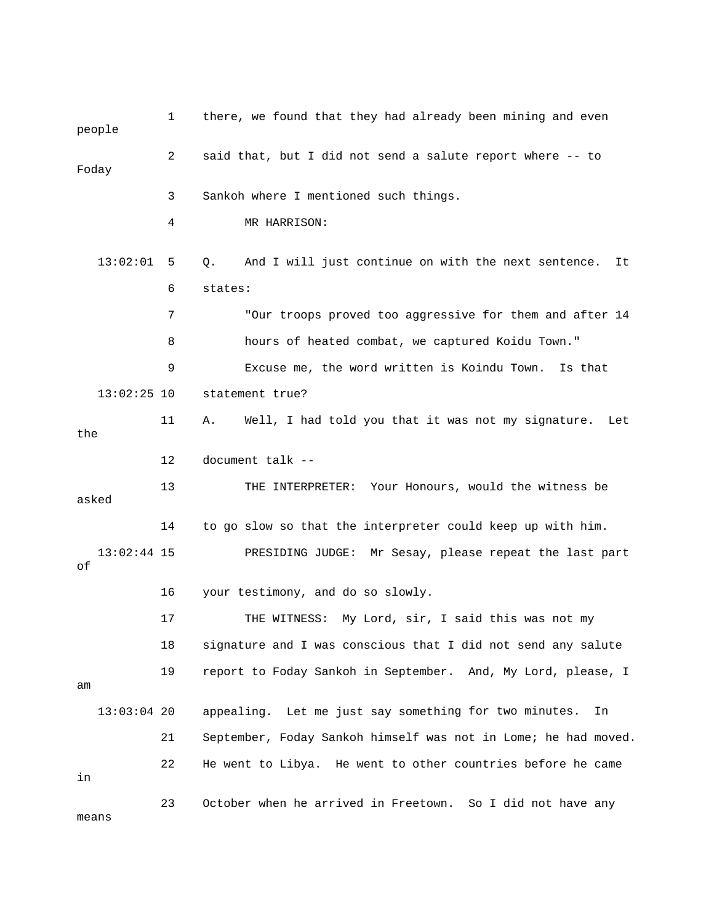| people              | 1  | there, we found that they had already been mining and even      |
|---------------------|----|-----------------------------------------------------------------|
| Foday               | 2  | said that, but I did not send a salute report where -- to       |
|                     | 3  | Sankoh where I mentioned such things.                           |
|                     | 4  | MR HARRISON:                                                    |
| 13:02:01            | 5  | And I will just continue on with the next sentence. It<br>Q.    |
|                     | 6  | states:                                                         |
|                     | 7  | "Our troops proved too aggressive for them and after 14         |
|                     | 8  | hours of heated combat, we captured Koidu Town."                |
|                     | 9  | Excuse me, the word written is Koindu Town.<br>Is that          |
| $13:02:25$ 10       |    | statement true?                                                 |
| the                 | 11 | Well, I had told you that it was not my signature.<br>Α.<br>Let |
|                     | 12 | document talk --                                                |
| asked               | 13 | THE INTERPRETER: Your Honours, would the witness be             |
|                     | 14 | to go slow so that the interpreter could keep up with him.      |
| $13:02:44$ 15<br>оf |    | PRESIDING JUDGE: Mr Sesay, please repeat the last part          |
|                     | 16 | your testimony, and do so slowly.                               |
|                     | 17 | My Lord, sir, I said this was not my<br>THE WITNESS:            |
|                     | 18 | signature and I was conscious that I did not send any salute    |
| am                  | 19 | report to Foday Sankoh in September. And, My Lord, please, I    |
| $13:03:04$ 20       |    | appealing. Let me just say something for two minutes.<br>In     |
|                     | 21 | September, Foday Sankoh himself was not in Lome; he had moved.  |
| in                  | 22 | He went to Libya. He went to other countries before he came     |
| means               | 23 | October when he arrived in Freetown. So I did not have any      |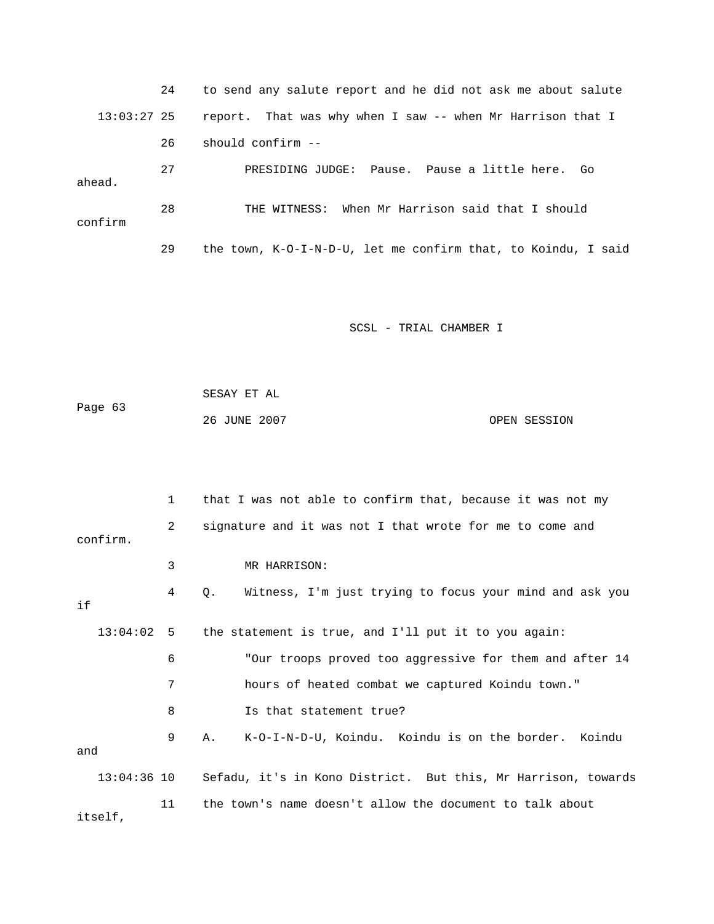24 to send any salute report and he did not ask me about salute 13:03:27 25 report. That was why when I saw -- when Mr Harrison that I 26 should confirm -- 29 the town, K-O-I-N-D-U, let me confirm that, to Koindu, I said 27 PRESIDING JUDGE: Pause. Pause a little here. Go ahead. 28 THE WITNESS: When Mr Harrison said that I should confirm

SCSL - TRIAL CHAMBER I

 SESAY ET AL Page 63 26 JUNE 2007 OPEN SESSION

 1 that I was not able to confirm that, because it was not my 3 MR HARRISON: 4 Q. Witness, I'm just trying to focus your mind and ask you 6 "Our troops proved too aggressive for them and after 14 7 hours of heated combat we captured Koindu town." 8 Is that statement true? and 13:04:36 10 Sefadu, it's in Kono District. But this, Mr Harrison, towards 11 the town's name doesn't allow the document to talk about 2 signature and it was not I that wrote for me to come and confirm. if 13:04:02 5 the statement is true, and I'll put it to you again: 9 A. K-O-I-N-D-U, Koindu. Koindu is on the border. Koindu itself,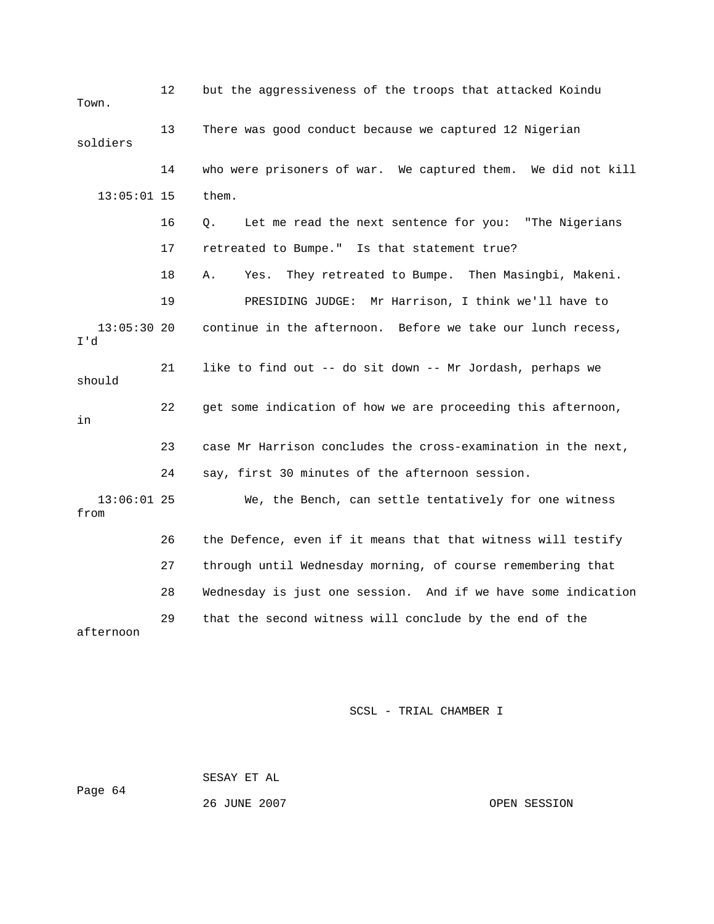12 but the aggressiveness of the troops that attacked Koindu 14 who were prisoners of war. We captured them. We did not kill them. 16 Q. Let me read the next sentence for you: "The Nigerians 17 retreated to Bumpe." Is that statement true? 18 A. Yes. They retreated to Bumpe. Then Masingbi, Makeni. continue in the afternoon. Before we take our lunch recess, 21 like to find out -- do sit down -- Mr Jordash, perhaps we 23 case Mr Harrison concludes the cross-examination in the next, 24 say, first 30 minutes of the afternoon session. 27 through until Wednesday morning, of course remembering that 28 Wednesday is just one session. And if we have some indication 29 that the second witness will conclude by the end of the Town. 13 There was good conduct because we captured 12 Nigerian soldiers  $13:05:01$  15 19 PRESIDING JUDGE: Mr Harrison, I think we'll have to  $13:05:30$  20 I'd should 22 get some indication of how we are proceeding this afternoon, in 13:06:01 25 We, the Bench, can settle tentatively for one witness from 26 the Defence, even if it means that that witness will testify afternoon

SCSL - TRIAL CHAMBER I

 SESAY ET AL Page 64

26 JUNE 2007 OPEN SESSION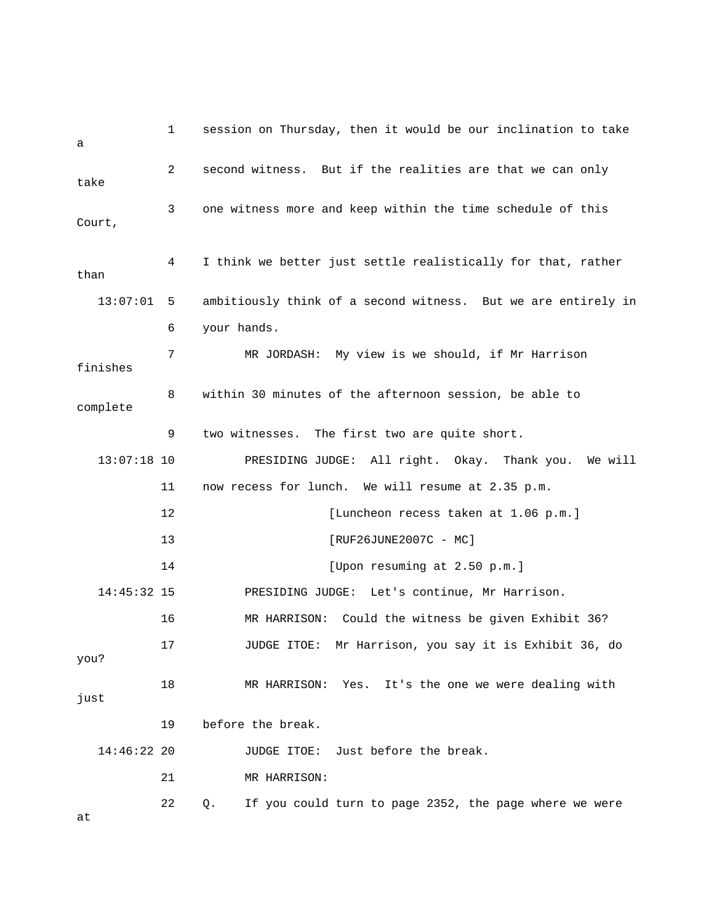| a             | 1  | session on Thursday, then it would be our inclination to take |
|---------------|----|---------------------------------------------------------------|
| take          | 2  | second witness. But if the realities are that we can only     |
| Court,        | 3  | one witness more and keep within the time schedule of this    |
| than          | 4  | I think we better just settle realistically for that, rather  |
| 13:07:01      | 5  | ambitiously think of a second witness. But we are entirely in |
|               | 6  | your hands.                                                   |
| finishes      | 7  | MR JORDASH: My view is we should, if Mr Harrison              |
| complete      | 8  | within 30 minutes of the afternoon session, be able to        |
|               | 9  | two witnesses. The first two are quite short.                 |
| $13:07:18$ 10 |    | PRESIDING JUDGE: All right. Okay. Thank you. We will          |
|               | 11 | now recess for lunch. We will resume at 2.35 p.m.             |
|               | 12 | [Luncheon recess taken at 1.06 p.m.]                          |
|               | 13 | [RUF26JUNE2007C - MC]                                         |
|               | 14 | [Upon resuming at 2.50 p.m.]                                  |
| 14:45:32 15   |    | PRESIDING JUDGE: Let's continue, Mr Harrison.                 |
|               | 16 | MR HARRISON: Could the witness be given Exhibit 36?           |
| you?          | 17 | JUDGE ITOE: Mr Harrison, you say it is Exhibit 36, do         |
| just          | 18 | MR HARRISON: Yes. It's the one we were dealing with           |
|               | 19 | before the break.                                             |
| $14:46:22$ 20 |    | Just before the break.<br>JUDGE ITOE:                         |
|               | 21 | MR HARRISON:                                                  |
| at            | 22 | If you could turn to page 2352, the page where we were<br>Q.  |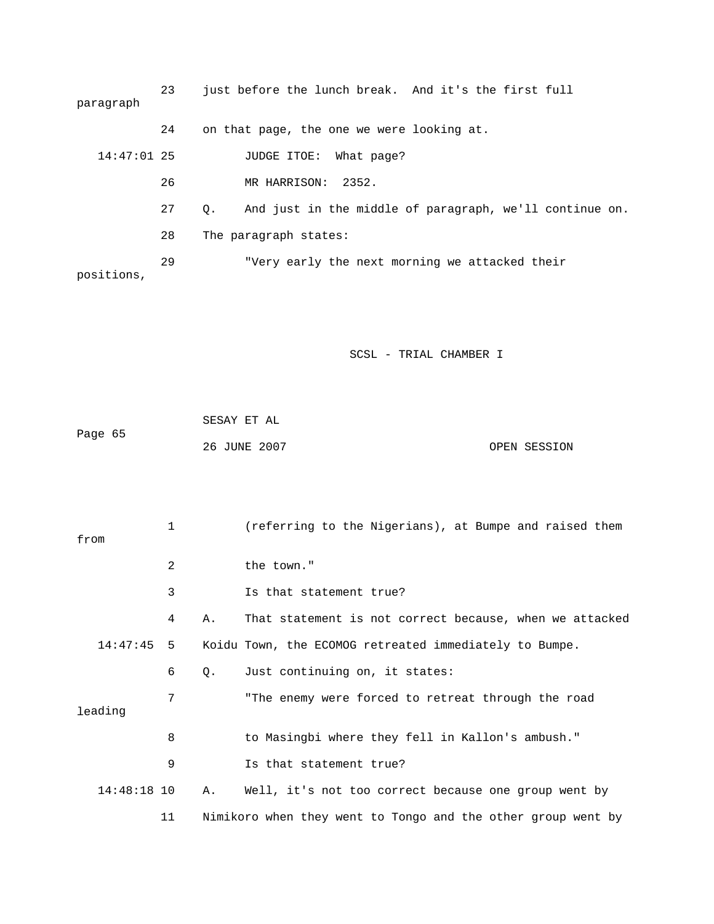23 just before the lunch break. And it's the first full hat page? 14:47:01 25 JUDGE ITOE: W 27 Q. And just in the middle of paragraph, we'll continue on. 28 The paragraph states: 29 TVery early the next morning we attacked their positions, paragraph 24 on that page, the one we were looking at. 26 MR HARRISON: 2352.

|         | SESAY ET AL  |              |
|---------|--------------|--------------|
| Page 65 |              |              |
|         | 26 JUNE 2007 | OPEN SESSION |

| from          | 1  |    | (referring to the Nigerians), at Bumpe and raised them       |
|---------------|----|----|--------------------------------------------------------------|
|               | 2  |    | the town."                                                   |
|               | 3  |    | Is that statement true?                                      |
|               | 4  | Α. | That statement is not correct because, when we attacked      |
| $14:47:45$ 5  |    |    | Koidu Town, the ECOMOG retreated immediately to Bumpe.       |
|               | 6  | Q. | Just continuing on, it states:                               |
| leading       | 7  |    | "The enemy were forced to retreat through the road           |
|               | 8  |    | to Masingbi where they fell in Kallon's ambush."             |
|               | 9  |    | Is that statement true?                                      |
| $14:48:18$ 10 |    | Α. | Well, it's not too correct because one group went by         |
|               | 11 |    | Nimikoro when they went to Tongo and the other group went by |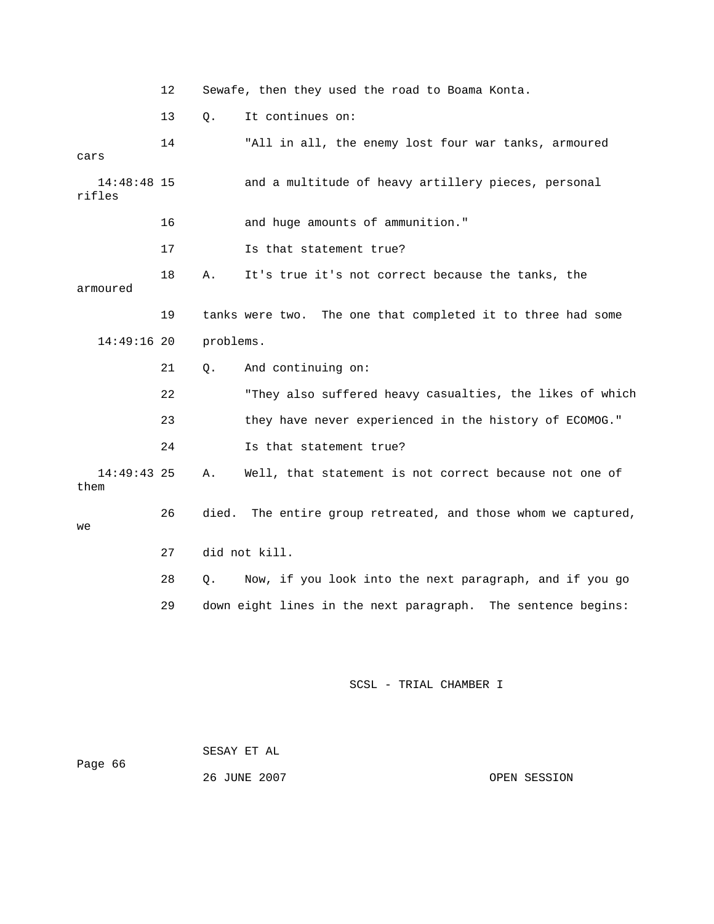|  | Sewafe, then they used the road to Boama Konta. |  |  |  |  |  |  |  |  |  |
|--|-------------------------------------------------|--|--|--|--|--|--|--|--|--|
|--|-------------------------------------------------|--|--|--|--|--|--|--|--|--|

13 Q. It continues on:

| cars                    | 14 |           | "All in all, the enemy lost four war tanks, armoured         |
|-------------------------|----|-----------|--------------------------------------------------------------|
| $14:48:48$ 15<br>rifles |    |           | and a multitude of heavy artillery pieces, personal          |
|                         | 16 |           | and huge amounts of ammunition."                             |
|                         | 17 |           | Is that statement true?                                      |
| armoured                | 18 | Α.        | It's true it's not correct because the tanks, the            |
|                         | 19 |           | tanks were two. The one that completed it to three had some  |
| $14:49:16$ 20           |    | problems. |                                                              |
|                         | 21 | Q.        | And continuing on:                                           |
|                         | 22 |           | "They also suffered heavy casualties, the likes of which     |
|                         | 23 |           | they have never experienced in the history of ECOMOG."       |
|                         | 24 |           | Is that statement true?                                      |
| $14:49:43$ 25<br>them   |    | Α.        | Well, that statement is not correct because not one of       |
| we                      | 26 | died.     | The entire group retreated, and those whom we captured,      |
|                         | 27 |           | did not kill.                                                |
|                         | 28 | Q.        | Now, if you look into the next paragraph, and if you go      |
|                         | 29 |           | down eight lines in the next paragraph. The sentence begins: |
|                         |    |           |                                                              |
|                         |    |           |                                                              |

| Page 66 | SESAY ET AL  |              |
|---------|--------------|--------------|
|         | 26 JUNE 2007 | OPEN SESSION |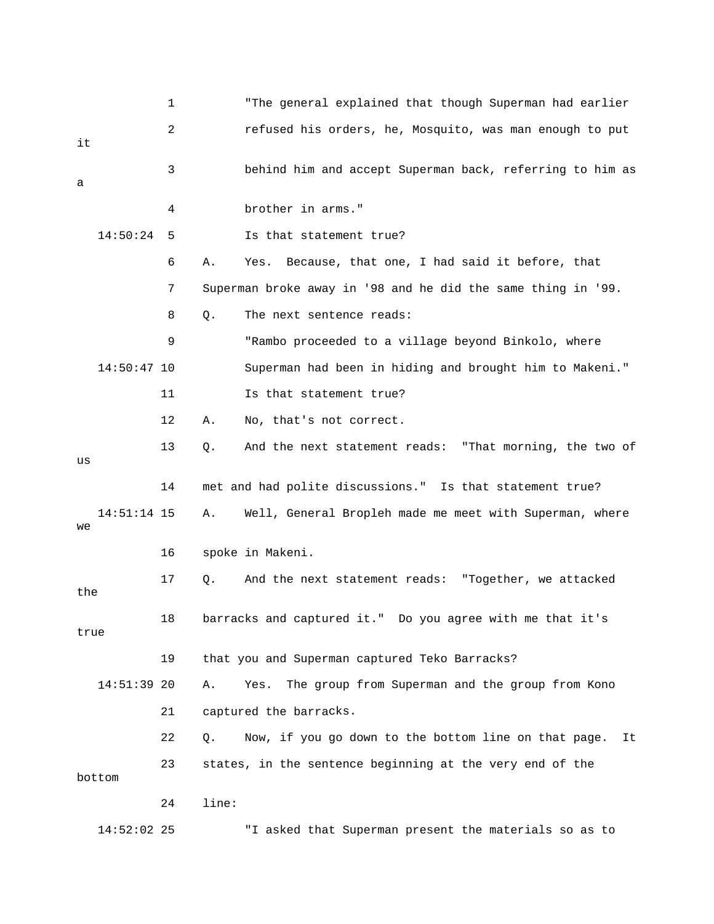|      |               | 1  |       | "The general explained that though Superman had earlier      |
|------|---------------|----|-------|--------------------------------------------------------------|
| it   |               | 2  |       | refused his orders, he, Mosquito, was man enough to put      |
| а    |               | 3  |       | behind him and accept Superman back, referring to him as     |
|      |               | 4  |       | brother in arms."                                            |
|      | 14:50:24      | 5  |       | Is that statement true?                                      |
|      |               | 6  | Α.    | Because, that one, I had said it before, that<br>Yes.        |
|      |               | 7  |       | Superman broke away in '98 and he did the same thing in '99. |
|      |               | 8  | Q.    | The next sentence reads:                                     |
|      |               | 9  |       | "Rambo proceeded to a village beyond Binkolo, where          |
|      | $14:50:47$ 10 |    |       | Superman had been in hiding and brought him to Makeni."      |
|      |               | 11 |       | Is that statement true?                                      |
|      |               | 12 | Α.    | No, that's not correct.                                      |
| us   |               | 13 | Q.    | And the next statement reads: "That morning, the two of      |
|      |               | 14 |       | met and had polite discussions." Is that statement true?     |
| we   | 14:51:14 15   |    | Α.    | Well, General Bropleh made me meet with Superman, where      |
|      |               | 16 |       | spoke in Makeni.                                             |
| the  |               | 17 | Q.    | And the next statement reads: "Together, we attacked         |
| true |               | 18 |       | barracks and captured it." Do you agree with me that it's    |
|      |               | 19 |       | that you and Superman captured Teko Barracks?                |
|      | 14:51:39 20   |    | Α.    | Yes.<br>The group from Superman and the group from Kono      |
|      |               | 21 |       | captured the barracks.                                       |
|      |               | 22 | Q.    | Now, if you go down to the bottom line on that page.<br>It   |
|      | bottom        | 23 |       | states, in the sentence beginning at the very end of the     |
|      |               | 24 | line: |                                                              |
|      | $14:52:02$ 25 |    |       | "I asked that Superman present the materials so as to        |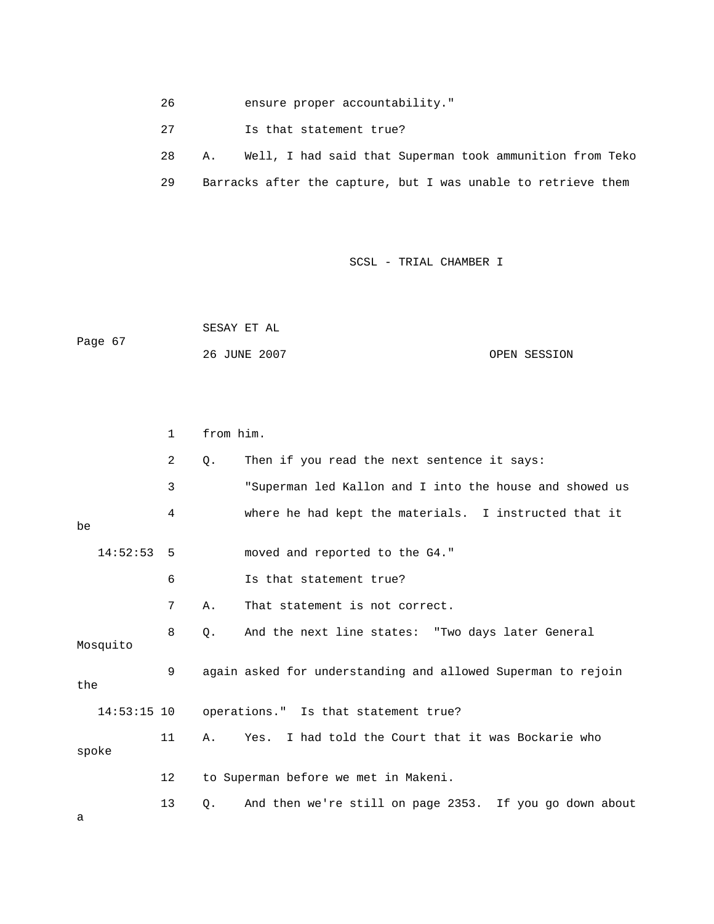26 ensure proper acc ountability."

27 **Is that statement true?** 

|  |                                                               |  |  |  |  | Well, I had said that Superman took ammunition from Teko |  |
|--|---------------------------------------------------------------|--|--|--|--|----------------------------------------------------------|--|
|  | Barracks after the capture, but I was unable to retrieve them |  |  |  |  |                                                          |  |

## SCSL - TRIAL CHAMBER I

|         | SESAY ET AL  |              |
|---------|--------------|--------------|
| Page 67 |              |              |
|         | 26 JUNE 2007 | OPEN SESSION |

|       |               | $\mathbf{1}$   | from him. |                                                              |
|-------|---------------|----------------|-----------|--------------------------------------------------------------|
|       |               | $\overline{a}$ | $Q$ .     | Then if you read the next sentence it says:                  |
|       |               | 3              |           | "Superman led Kallon and I into the house and showed us      |
| be    |               | 4              |           | where he had kept the materials. I instructed that it        |
|       | 14:52:53      | -5             |           | moved and reported to the G4."                               |
|       |               | 6              |           | Is that statement true?                                      |
|       |               | 7              | Α.        | That statement is not correct.                               |
|       | Mosquito      | 8              | 0.        | And the next line states: "Two days later General            |
| the   |               | 9              |           | again asked for understanding and allowed Superman to rejoin |
|       | $14:53:15$ 10 |                |           | operations." Is that statement true?                         |
| spoke |               | 11             | A.        | Yes. I had told the Court that it was Bockarie who           |
|       |               | 12             |           | to Superman before we met in Makeni.                         |
|       |               | 13             | Q.        | And then we're still on page 2353. If you go down about      |

a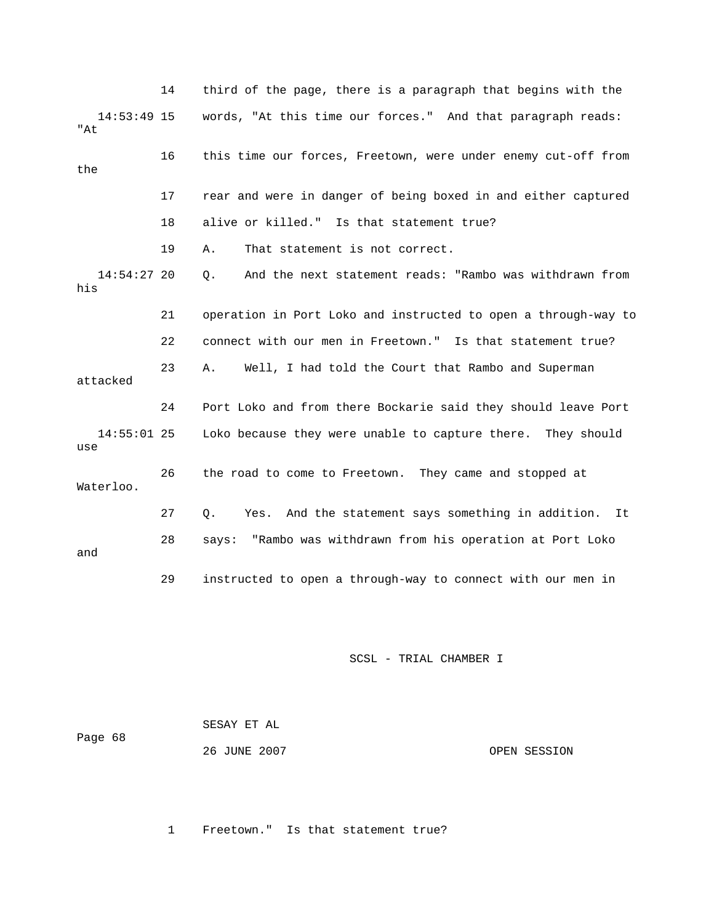|                      | 14 | third of the page, there is a paragraph that begins with the   |
|----------------------|----|----------------------------------------------------------------|
| $14:53:49$ 15<br>"At |    | words, "At this time our forces." And that paragraph reads:    |
| the                  | 16 | this time our forces, Freetown, were under enemy cut-off from  |
|                      | 17 | rear and were in danger of being boxed in and either captured  |
|                      | 18 | alive or killed." Is that statement true?                      |
|                      | 19 | That statement is not correct.<br>Α.                           |
| $14:54:27$ 20<br>his |    | And the next statement reads: "Rambo was withdrawn from<br>О.  |
|                      | 21 | operation in Port Loko and instructed to open a through-way to |
|                      | 22 | connect with our men in Freetown." Is that statement true?     |
| attacked             | 23 | Well, I had told the Court that Rambo and Superman<br>Α.       |
|                      | 24 | Port Loko and from there Bockarie said they should leave Port  |
| $14:55:01$ 25<br>use |    | Loko because they were unable to capture there. They should    |
| Waterloo.            | 26 | the road to come to Freetown. They came and stopped at         |
|                      | 27 | Yes. And the statement says something in addition. It<br>Q.    |
| and                  | 28 | says: "Rambo was withdrawn from his operation at Port Loko     |
|                      | 29 | instructed to open a through-way to connect with our men in    |

| Page 68 | SESAY ET AL  |              |
|---------|--------------|--------------|
|         | 26 JUNE 2007 | OPEN SESSION |

1 Freetown." Is that statement true?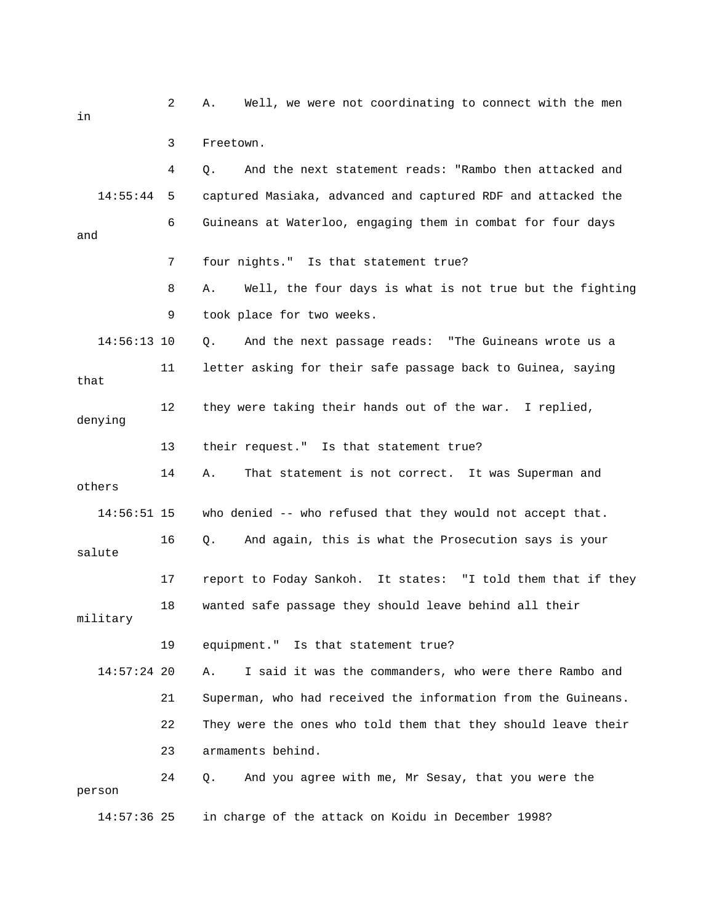2 A. Well, we were not coordinating to connect with the men 4 Q. And the next statement reads: "Rambo then attacked and 14:55:44 5 captured Masiaka, advanced and captured RDF and attacked the 6 Guineans at Waterloo, engaging them in combat for four days and ? 7 four nights." Is that statement true 9 took place for two weeks. 11 letter asking for their safe passage back to Guinea, saying denying others 14:56:51 15 who denied -- who refused that they would not accept that. 17 report to Foday Sankoh. It states: "I told them that if they 18 wanted safe passage they should leave behind all their 19 equipment." Is that statement true? A. I said it was the commanders, who were there Rambo and . 21 Superman, who had received the information from the Guineans 22 They were the ones who told them that they should leave their 23 armaments behind. in charge of the attack on Koidu in December 1998? in 3 Freetown. 8 A. Well, the four days is what is not true but the fighting 14:56:13 10 Q. And the next passage reads: "The Guineans wrote us a that 12 they were taking their hands out of the war. I replied, 13 their request." Is that statement true? 14 A. That statement is not correct. It was Superman and 16 Q. And again, this is what the Prosecution says is your salute military 14:57:24 20 24 Q. And you agree with me, Mr Sesay, that you were the person 14:57: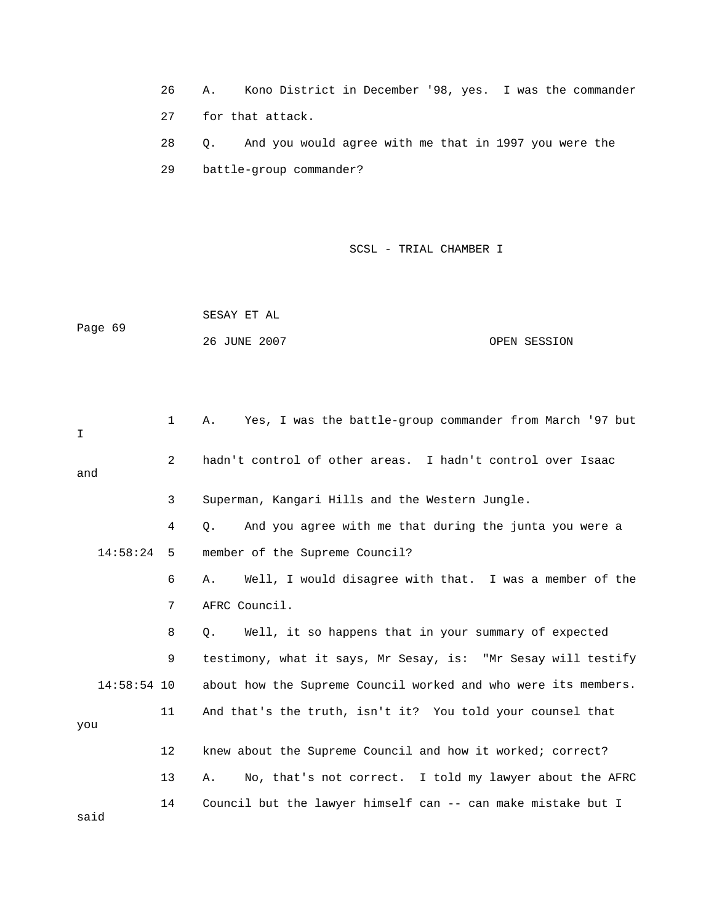26 A. Kono District in December '98, yes. I was the commander 27 for that attack.

 29 battle-group commander? 28 Q. And you would agree with me that in 1997 you were the

SCSL - TRIAL CHAMBER I

 SESAY ET AL OPEN SESSION Page 69 26 JUNE 2007

| I             | 1            | Yes, I was the battle-group commander from March '97 but<br>Α.    |
|---------------|--------------|-------------------------------------------------------------------|
| and           | 2            | hadn't control of other areas. I hadn't control over Isaac        |
|               | $\mathbf{3}$ | Superman, Kangari Hills and the Western Jungle.                   |
|               | 4            | And you agree with me that during the junta you were a<br>О.      |
| 14:58:24      | - 5          | member of the Supreme Council?                                    |
|               | 6            | Well, I would disagree with that. I was a member of the<br>Α.     |
|               | 7            | AFRC Council.                                                     |
|               | 8            | Well, it so happens that in your summary of expected<br>$\circ$ . |
|               | 9            | testimony, what it says, Mr Sesay, is: "Mr Sesay will testify     |
| $14:58:54$ 10 |              | about how the Supreme Council worked and who were its members.    |
| you           | 11           | And that's the truth, isn't it? You told your counsel that        |
|               | 12           | knew about the Supreme Council and how it worked; correct?        |
|               | 13           | No, that's not correct. I told my lawyer about the AFRC<br>Α.     |
| said          | 14           | Council but the lawyer himself can -- can make mistake but I      |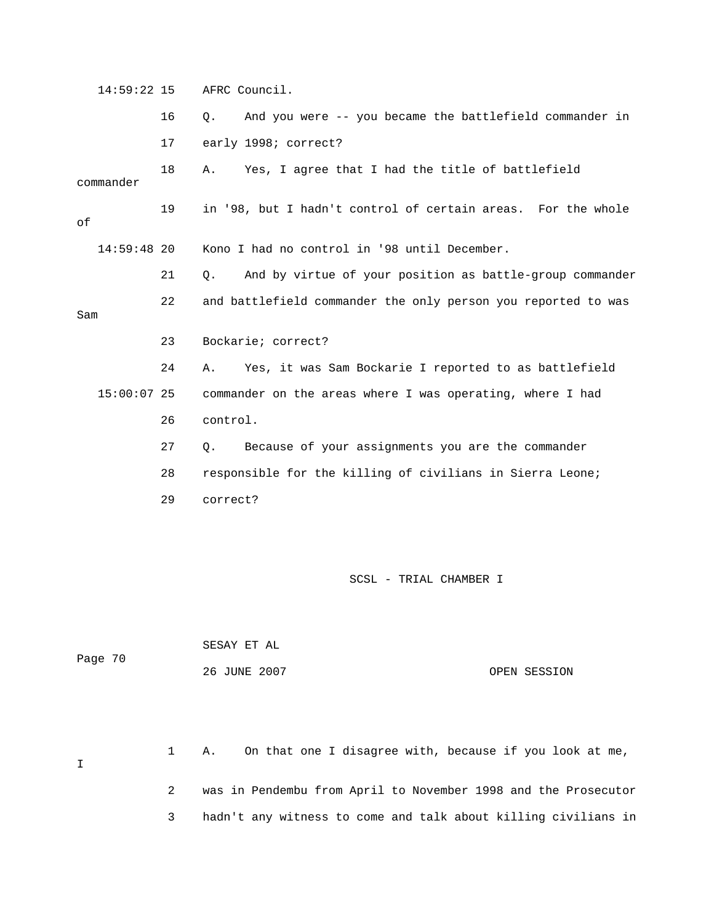14:59:22 15 AFRC Council.

 16 Q. And you were -- you became the battlefield commander in 17 early 1998; correct? 18 A. Yes, I agree that I had the title of battlefield Kono I had no control in '98 until December. 21 Q. And by virtue of your position as battle-group commander Sam 24 A. Yes, it was Sam Bockarie I reported to as battlefield 27 Q. Because of your assignments you are the commander 28 responsible for the killing of civilians in Sierra Leone; commander 19 in '98, but I hadn't control of certain areas. For the whole of 14:59:48 20 22 and battlefield commander the only person you reported to was 23 Bockarie; correct? 15:00:07 25 commander on the areas where I was operating, where I had 26 control. 29 correct?

SCSL - TRIAL CHAMBER I

 SESAY ET AL 26 JUNE 2007 OPEN SESSION Page 70

 1 A. On that one I disagree with, because if you look at me, 2 was in Pendembu from April to November 1998 and the Prosecutor 3 hadn't any witness to come and talk about killing civilians in I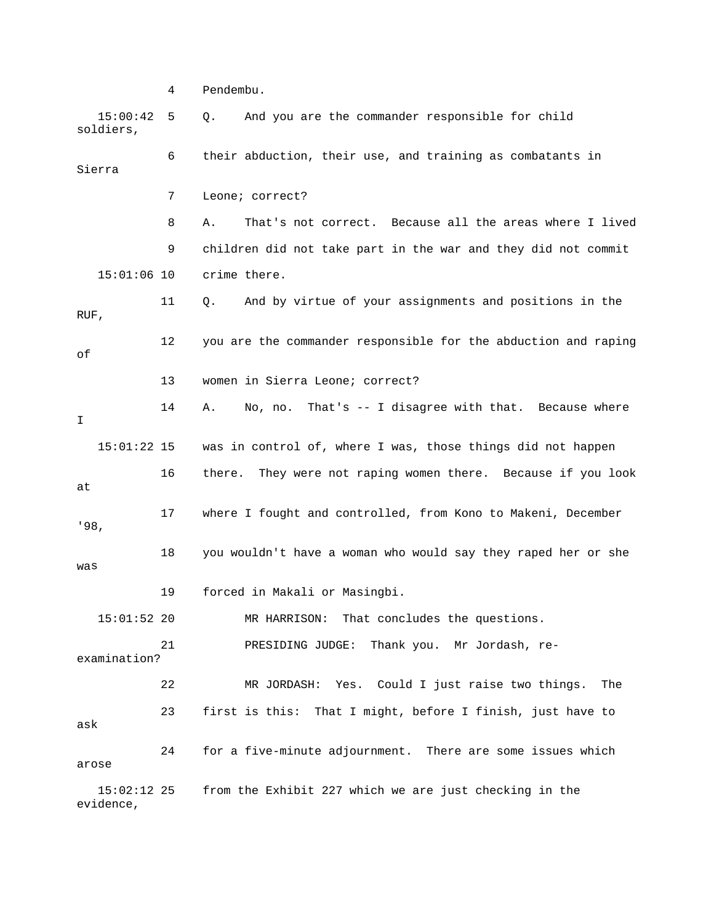4 Pendembu. 15:00:42 5 Q. And you are the commander responsible for child soldiers, 6 their abduction, their use, and training as combatants in Sierra 9 children did not take part in the war and they did not commit 15:01:06 10 crime there. 11 Q. And by virtue of your assignments and positions in the 12 you are the commander responsible for the abduction and raping 13 women in Sierra Leone; correct? 14 A. No, no. That's -- I disagree with that. Because where 16 there. They were not raping women there. Because if you look 17 where I fought and controlled, from Kono to Makeni, December '98, 18 you wouldn't have a woman who would say they raped her or she was 19 forced in Makali or Masingbi. 22 MR JORDASH: Yes. Could I just raise two things. The  $15:02:12$  25 from the Exhibit 227 which we are just checking in the evidence, 7 Leone; correct? 8 A. That's not correct. Because all the areas where I lived RUF, of I 15:01:22 15 was in control of, where I was, those things did not happen at 15:01:52 20 MR HARRISON: That concludes the questions. 21 PRESIDING JUDGE: Thank you. Mr Jordash, reexamination? 23 first is this: That I might, before I finish, just have to ask 24 for a five-minute adjournment. There are some issues which arose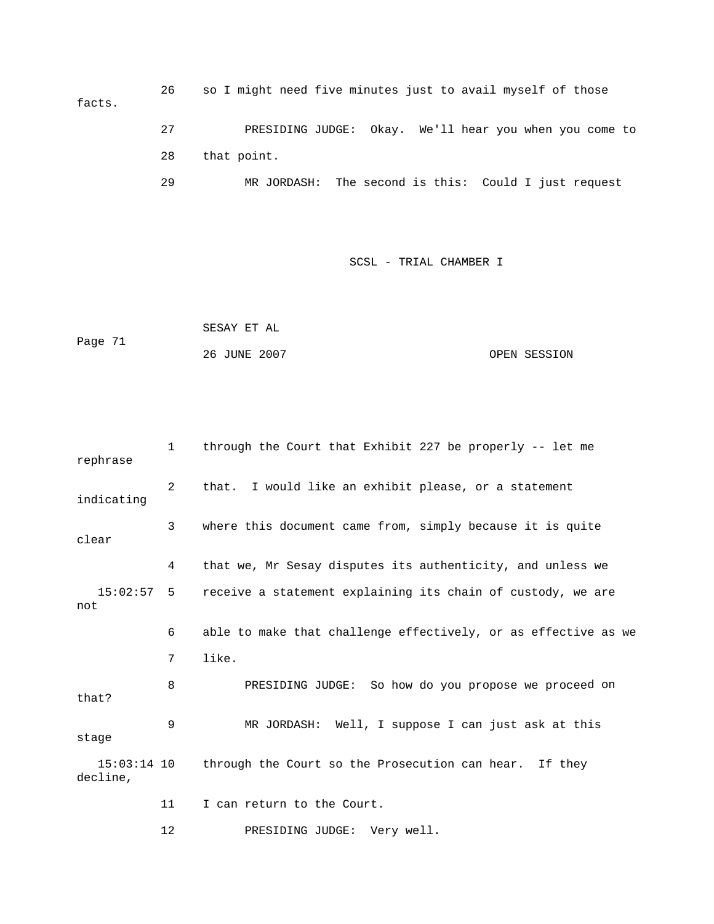26 so I might need five minutes just to avail myself of those facts. 29 MR JORDASH: The second is this: Could I just request 27 PRESIDING JUDGE: Okay. We'll hear you when you come to 28 that point.

SCSL - TRIAL CHAMBER I

 OPEN SESSION SESAY ET AL Page 71 26 JUNE 2007

 1 through the Court that Exhibit 227 be properly -- let me 2 that. I would like an exhibit please, or a statement indicating 4 that we, Mr Sesay disputes its authenticity, and unless we 15:02:57 5 receive a statement explaining its chain of custody, we are not 6 able to make that challenge effectively, or as effective as we d on 8 PRESIDING JUDGE: So how do you propose we procee 11 I can return to the Court. rephrase 3 where this document came from, simply because it is quite clear 7 like. that? 9 MR JORDASH: Well, I suppose I can just ask at this stage 15:03:14 10 through the Court so the Prosecution can hear. If they decline,

12 PRESIDING JUDGE: Very well.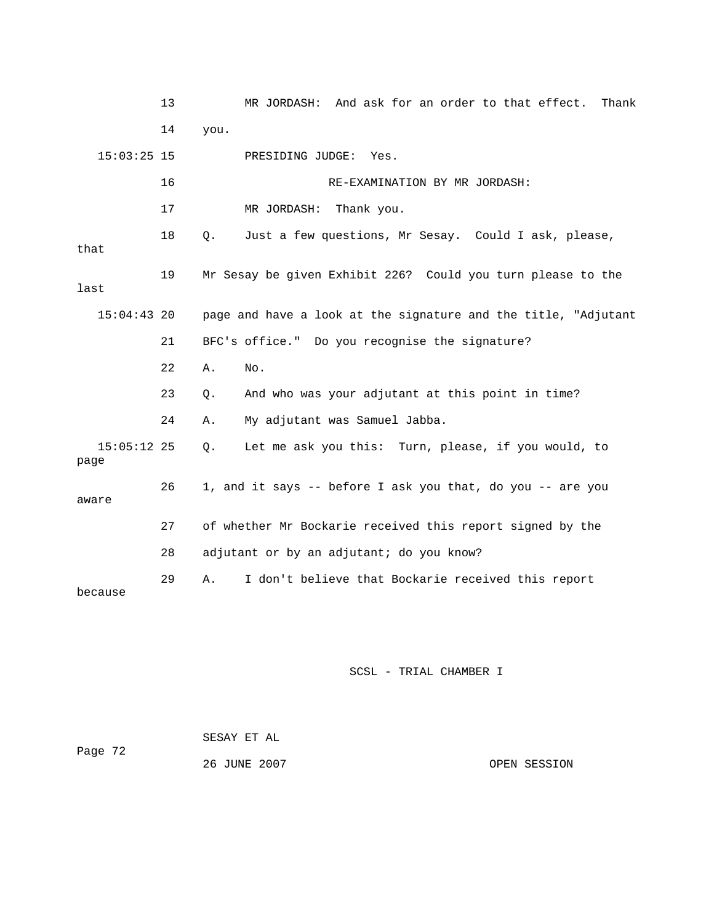13 MR JORDASH: And ask for an order to that effect. Thank 15:03:25 15 PRESIDING JUDGE: Yes. 16 RE-EXAMINATION BY MR JORDASH: 18 Q. Just a few questions, Mr Sesay. Could I ask, please, 19 Mr Sesay be given Exhibit 226? Could you turn please to the last 15:04:43 20 page and have a look at the signature and the title, "Adjutant 21 BFC's office." Do you recognise the signature? 22 A. No. 23 Q. And who was your adjutant at this point in time? Q. Let me ask you this: Turn, please, if you would, to 26 1, and it says -- before I ask you that, do you -- are you 27 of whether Mr Bockarie received this report signed by the 28 adjutant or by an adjutant; do you know? 29 A. I don't believe that Bockarie received this report 14 you. 17 MR JORDASH: Thank you. that 24 A. My adjutant was Samuel Jabba.  $15:05:12$  25 page aware because

| Page 72 | SESAY ET AL  |              |
|---------|--------------|--------------|
|         | 26 JUNE 2007 | OPEN SESSION |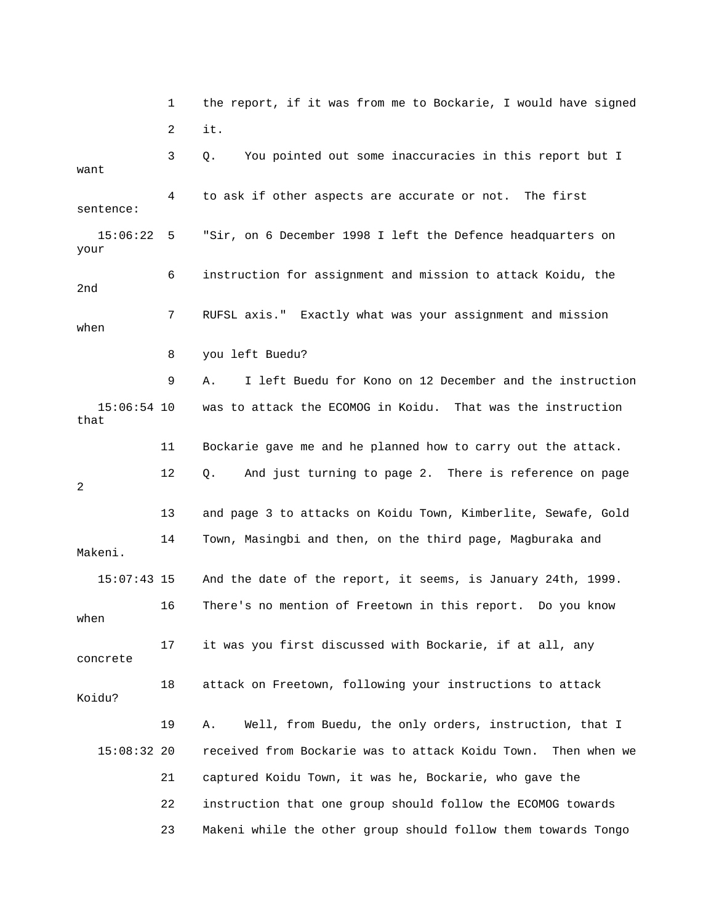1 the report, if it was from me to Bockarie, I would have signed 2 it. 3 Q. You pointed out some inaccuracies in this report but I want 4 to ask if other aspects are accurate or not. The first 15:06:22 5 "Sir, on 6 December 1998 I left the Defence headquarters on your 6 instruction for assignment and mission to attack Koidu, the 2nd 7 RUFSL axis." Exactly what was your assignment and mission 9 A. I left Buedu for Kono on 12 December and the instruction was to attack the ECOMOG in Koidu. That was the instruction 11 Bockarie gave me and he planned how to carry out the attack. 13 and page 3 to attacks on Koidu Town, Kimberlite, Sewafe, Gold 14 Town, Masingbi and then, on the third page, Magburaka and 18 attack on Freetown, following your instructions to attack Koidu? 19 A. Well, from Buedu, the only orders, instruction, that I received from Bockarie was to attack Koidu Town. Then when we 23 Makeni while the other group should follow them towards Tongo sentence: when 8 you left Buedu? 15:06:54 that 12 Q. And just turning to page 2. There is reference on page 2 Makeni. 15:07:43 15 And the date of the report, it seems, is January 24th, 1999. 16 There's no mention of Freetown in this report. Do you know when 17 it was you first discussed with Bockarie, if at all, any concrete 15:08:32 20 21 captured Koidu Town, it was he, Bockarie, who gave the 22 instruction that one group should follow the ECOMOG towards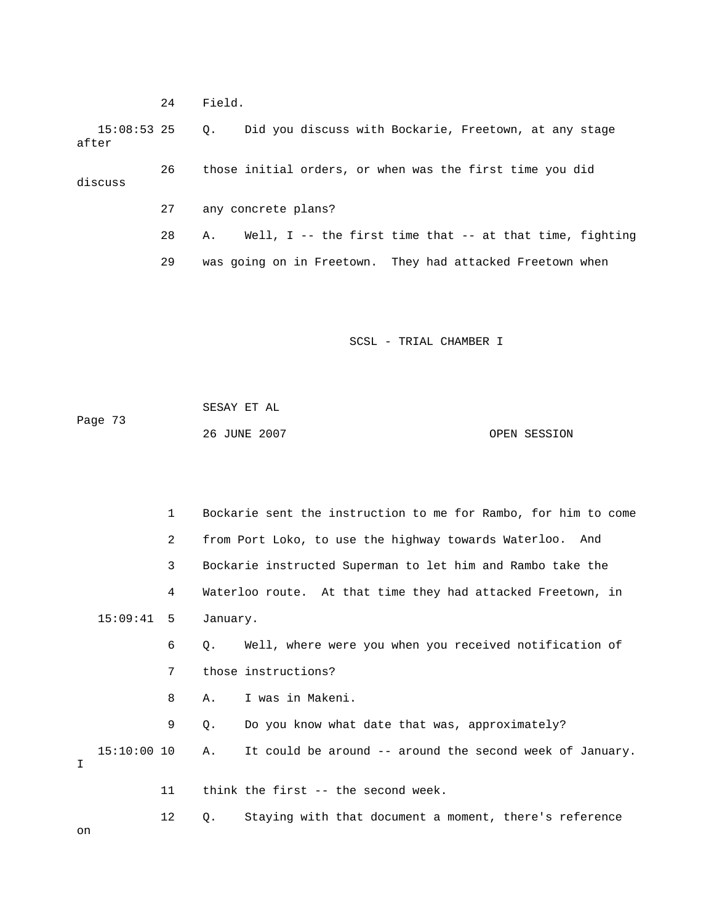24 Field. 27 any concrete plans? 28 A. Well, I -- the first time that -- at that time, fighting 15:08:53 25 Q. Did you discuss with Bockarie, Freetown, at any stage after 26 those initial orders, or when was the first time you did discuss 29 was going on in Freetown. They had attacked Freetown when

SCSL - TRIAL CHAMBER I

 SESAY ET AL Page 73 26 JUNE 2007 OPEN SESSION

 1 Bockarie sent the instruction to me for Rambo, for him to come 2 from Port Loko, to use the highway towards Waterloo. And 3 Bockarie instructed Superman to let him and Rambo take the 4 Waterloo route. At that time they had attacked Freetown, in 6 Q. Well, where were you when you received notification of 7 those instructions? 8 A. I was in Makeni. 9 Q. Do you know what date that was, approximately? 15:10:00 10 A. It could be around -- around the second week of January. 12 Q. Staying with that document a moment, there's reference 15:09:41 5 January. I 11 think the first -- the second week.

on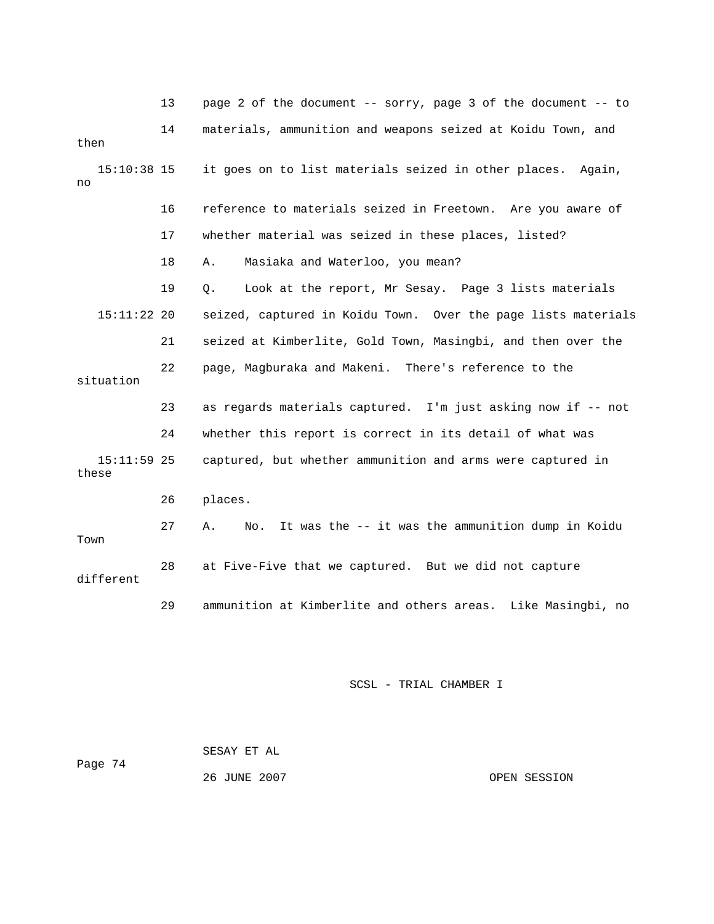|                        | 13 | page 2 of the document -- sorry, page 3 of the document -- to  |
|------------------------|----|----------------------------------------------------------------|
| then                   | 14 | materials, ammunition and weapons seized at Koidu Town, and    |
| $15:10:38$ 15<br>no    |    | it goes on to list materials seized in other places. Again,    |
|                        | 16 | reference to materials seized in Freetown. Are you aware of    |
|                        | 17 | whether material was seized in these places, listed?           |
|                        | 18 | Masiaka and Waterloo, you mean?<br>Α.                          |
|                        | 19 | Look at the report, Mr Sesay. Page 3 lists materials<br>Q.     |
| $15:11:22$ 20          |    | seized, captured in Koidu Town. Over the page lists materials  |
|                        | 21 | seized at Kimberlite, Gold Town, Masingbi, and then over the   |
| situation              | 22 | page, Magburaka and Makeni. There's reference to the           |
|                        | 23 | as regards materials captured. I'm just asking now if -- not   |
|                        | 24 | whether this report is correct in its detail of what was       |
| $15:11:59$ 25<br>these |    | captured, but whether ammunition and arms were captured in     |
|                        | 26 | places.                                                        |
| Town                   | 27 | It was the -- it was the ammunition dump in Koidu<br>Α.<br>No. |
| different              | 28 | at Five-Five that we captured. But we did not capture          |
|                        | 29 | ammunition at Kimberlite and others areas. Like Masingbi, no   |

| Page 74 | SESAY ET AL  |              |
|---------|--------------|--------------|
|         | 26 JUNE 2007 | OPEN SESSION |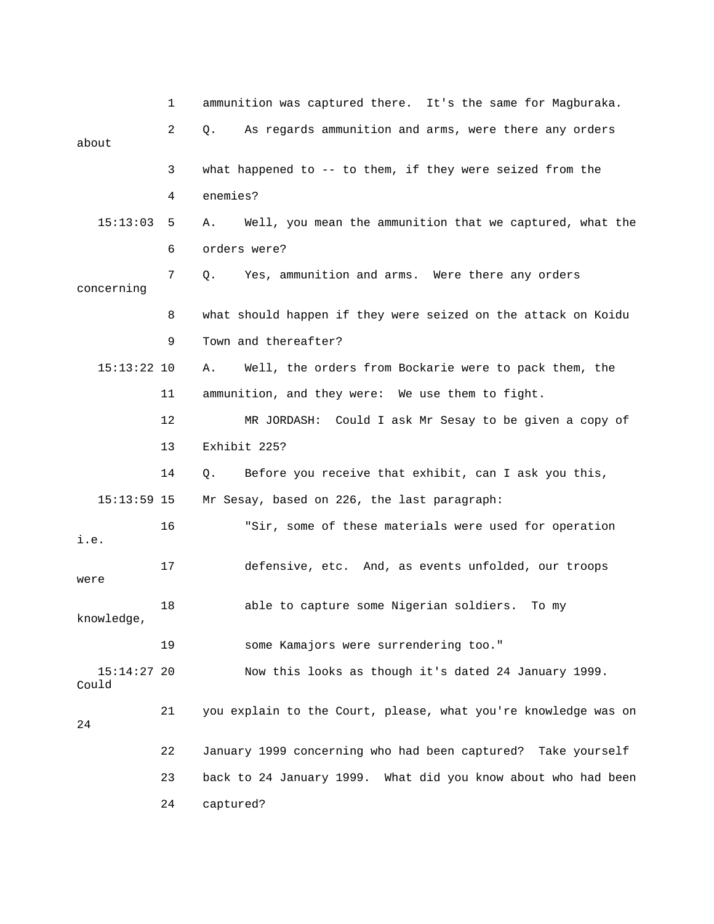|                        | 1  | ammunition was captured there. It's the same for Magburaka.    |
|------------------------|----|----------------------------------------------------------------|
| about                  | 2  | As regards ammunition and arms, were there any orders<br>Q.    |
|                        | 3  | what happened to -- to them, if they were seized from the      |
|                        | 4  | enemies?                                                       |
| 15:13:03               | 5  | Well, you mean the ammunition that we captured, what the<br>Α. |
|                        | 6  | orders were?                                                   |
| concerning             | 7  | Yes, ammunition and arms. Were there any orders<br>Q.          |
|                        | 8  | what should happen if they were seized on the attack on Koidu  |
|                        | 9  | Town and thereafter?                                           |
| $15:13:22$ 10          |    | Well, the orders from Bockarie were to pack them, the<br>Α.    |
|                        | 11 | ammunition, and they were: We use them to fight.               |
|                        | 12 | MR JORDASH: Could I ask Mr Sesay to be given a copy of         |
|                        | 13 | Exhibit 225?                                                   |
|                        | 14 | Before you receive that exhibit, can I ask you this,<br>Q.     |
| $15:13:59$ 15          |    | Mr Sesay, based on 226, the last paragraph:                    |
| i.e.                   | 16 | "Sir, some of these materials were used for operation          |
| were                   | 17 | defensive, etc. And, as events unfolded, our troops            |
| knowledge,             | 18 | able to capture some Nigerian soldiers. To my                  |
|                        | 19 | some Kamajors were surrendering too."                          |
| $15:14:27$ 20<br>Could |    | Now this looks as though it's dated 24 January 1999.           |
| 24                     | 21 | you explain to the Court, please, what you're knowledge was on |
|                        | 22 | January 1999 concerning who had been captured? Take yourself   |
|                        | 23 | back to 24 January 1999. What did you know about who had been  |
|                        | 24 | captured?                                                      |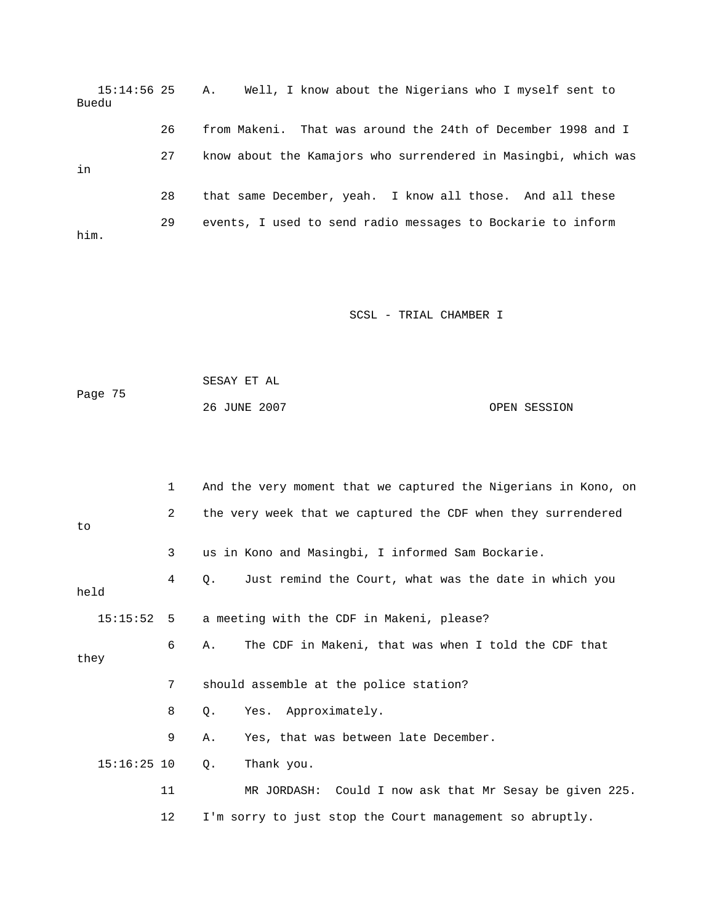15:14:56 25 A. Well, I know about the Nigerians who I myself sent to 26 from Makeni. That was around the 24th of December 1998 and I him. Buedu 27 know about the Kamajors who surrendered in Masingbi, which was in 28 that same December, yeah. I know all those. And all these 29 events, I used to send radio messages to Bockarie to inform

```
Page 75
            SESAY ET AL 
            26 JUNE 2007 OPEN SESSION
```

|               | $\mathbf{1}$   | And the very moment that we captured the Nigerians in Kono, on |
|---------------|----------------|----------------------------------------------------------------|
| to            | $\overline{2}$ | the very week that we captured the CDF when they surrendered   |
|               | 3              | us in Kono and Masingbi, I informed Sam Bockarie.              |
| held          | 4              | Just remind the Court, what was the date in which you<br>О.    |
| 15:15:52      | - 5            | a meeting with the CDF in Makeni, please?                      |
| they          | 6              | The CDF in Makeni, that was when I told the CDF that<br>Α.     |
|               | 7              | should assemble at the police station?                         |
|               | 8              | Yes. Approximately.<br>О.                                      |
|               | 9              | Yes, that was between late December.<br>Α.                     |
| $15:16:25$ 10 |                | Thank you.<br>Q.                                               |
|               | 11             | MR JORDASH: Could I now ask that Mr Sesay be given 225.        |
|               | 12             | I'm sorry to just stop the Court management so abruptly.       |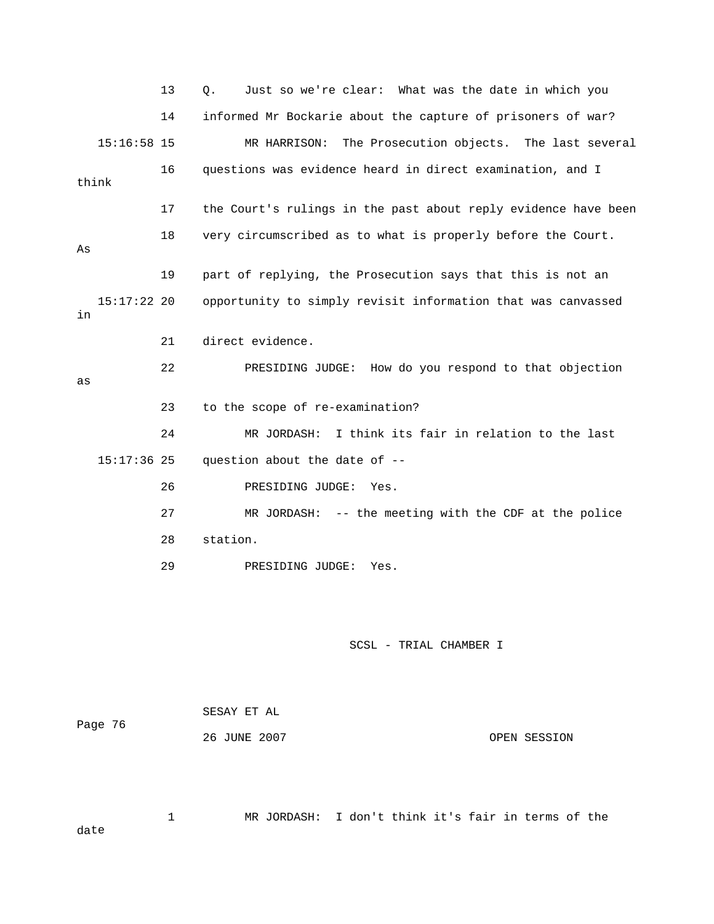13 Q. Just so we're clear: What was the date in which you 14 informed Mr Bockarie about the capture of prisoners of war? 15:16:58 15 MR HARRISON: The Prosecution objects. The last several 16 questions was evidence heard in direct examination, and I 17 the Court's rulings in the past about reply evidence have been 19 part of replying, the Prosecution says that this is not an 22 PRESIDING JUDGE: How do you respond to that objection 15:17:36 25 question about the date of -- 26 PRESIDING JUDGE: Yes. 27 MR JORDASH: -- the meeting with the CDF at the police think 18 very circumscribed as to what is properly before the Court. As 15:17:22 20 opportunity to simply revisit information that was canvassed in 21 direct evidence. as 23 to the scope of re-examination? 24 MR JORDASH: I think its fair in relation to the last 28 station. 29 PRESIDING JUDGE: Yes.

SCSL - TRIAL CHAMBER I

| Page 76 | SESAY ET AL  |              |
|---------|--------------|--------------|
|         | 26 JUNE 2007 | OPEN SESSION |

 1 MR JORDASH: I don't think it's fair in terms of the date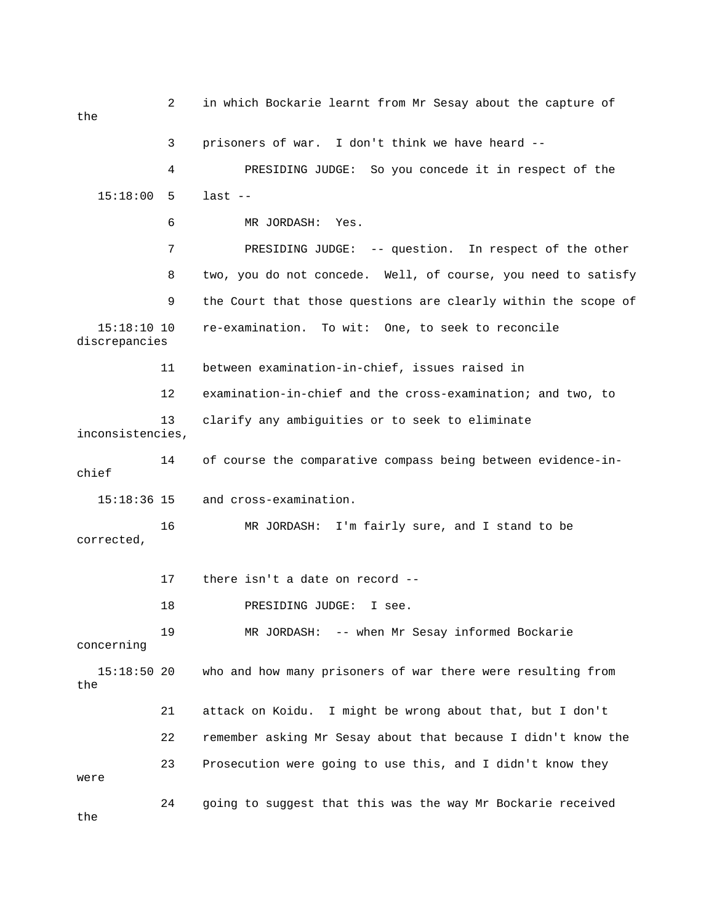2 in which Bockarie learnt from Mr Sesay about the capture of the 4 PRESIDING JUDGE: So you concede it in respect of the 15:18:00 5 last -- 6 MR JORDASH: Yes. 7 PRESIDING JUDGE: -- question. In respect of the other 8 two, you do not concede. Well, of course, you need to satisfy 9 the Court that those questions are clearly within the scope of 15:18:10 10 re-examination. To wit: One, to seek to reconcile 12 examination-in-chief and the cross-examination; and two, to 13 clarify any ambiguities or to seek to eliminate inconsistencies, 18 PRESIDING JUDGE: I see. MR JORDASH: -- when Mr Sesay informed Bockarie concerning who and how many prisoners of war there were resulting from the 21 attack on Koidu. I might be wrong about that, but I don't 22 remember asking Mr Sesay about that because I didn't know the 23 Prosecution were going to use this, and I didn't know they 24 going to suggest that this was the way Mr Bockarie received 3 prisoners of war. I don't think we have heard - discrepancies 11 between examination-in-chief, issues raised in 14 of course the comparative compass being between evidence-inchief 15:18:36 15 and cross-examination. 16 MR JORDASH: I'm fairly sure, and I stand to be corrected, 17 there isn't a date on record -- 19  $15:18:50$  20 were the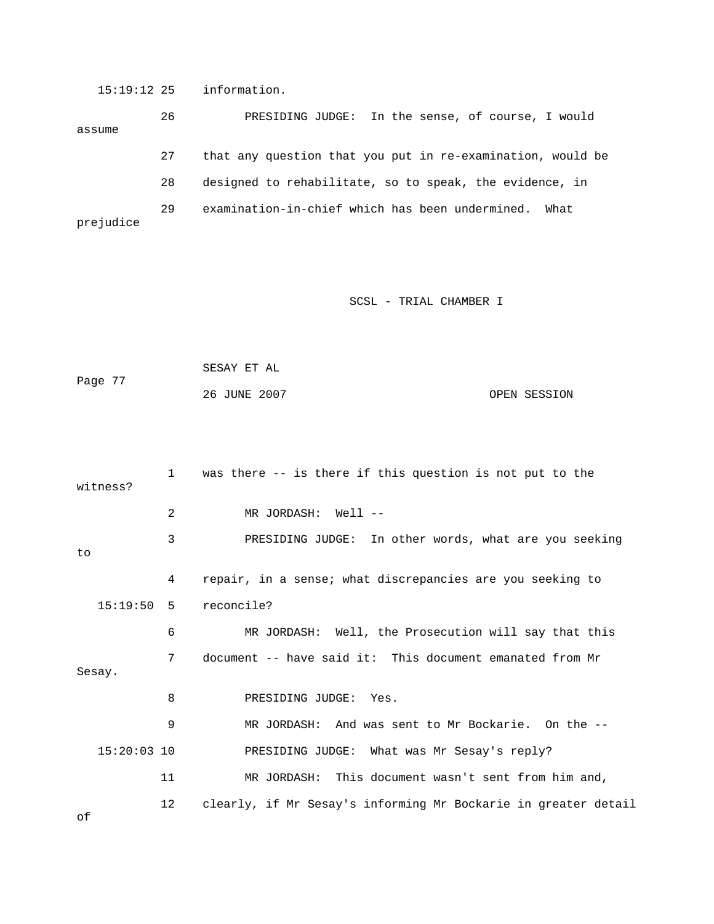15:19:12 25 information.

 26 PRESIDING JUDGE: In the sense, of course, I would 27 that any question that you put in re-examination, would be 29 examination-in-chief which has been undermined. What assume 28 designed to rehabilitate, so to speak, the evidence, in prejudice

SCSL - TRIAL CHAMBER I

```
 SESAY ET AL 
Page 77 
             26 JUNE 2007 OPEN SESSION
```

```
 1 was there -- is there if this question is not put to the 
witness?
            3 PRESIDING JUDGE: In other words, what are you seeking 
            6 MR JORDASH: Well, the Prosecution will say that this 
            7 document -- have said it: This document emanated from Mr 
Sesay.
9 MR JORDASH: And was sent to Mr Bockarie. On the --
           11 MR JORDASH: This document wasn't sent from him and, 
           12 clearly, if Mr Sesay's informing Mr Bockarie in greater detail 
            2 MR JORDASH: Well -- 
to
            4 repair, in a sense; what discrepancies are you seeking to 
   15:19:50 5 reconcile? 
            8 PRESIDING JUDGE: Yes. 
   15:20:03 10 PRESIDING JUDGE: What was Mr Sesay's reply?
```
of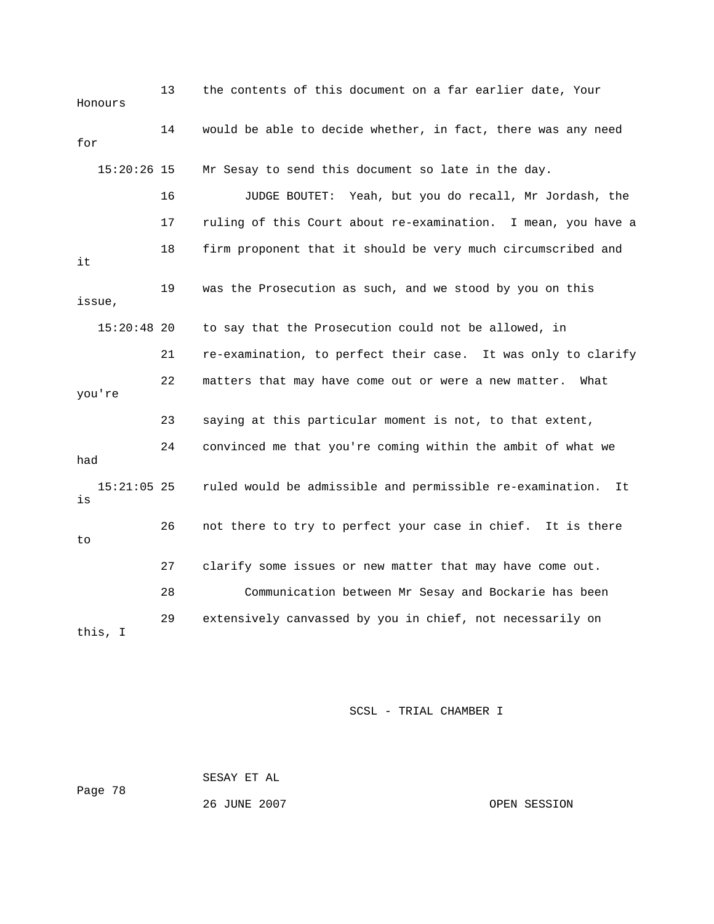13 the contents of this document on a far earlier date, Your Honours 14 would be able to decide whether, in fact, there was any need 15:20:26 15 Mr Sesay to send this document so late in the day. 16 JUDGE BOUTET: Yeah, but you do recall, Mr Jordash, the 17 ruling of this Court about re-examination. I mean, you have a 18 firm proponent that it should be very much circumscribed and 19 was the Prosecution as such, and we stood by you on this 15:20:48 20 to say that the Prosecution could not be allowed, in 21 re-examination, to perfect their case. It was only to clarify 22 matters that may have come out or were a new matter. What you're 24 convinced me that you're coming within the ambit of what we 15:21:05 25 ruled would be admissible and permissible re-examination. It 26 not there to try to perfect your case in chief. It is there 29 extensively canvassed by you in chief, not necessarily on for it issue, 23 saying at this particular moment is not, to that extent, had is to 27 clarify some issues or new matter that may have come out. 28 Communication between Mr Sesay and Bockarie has been this, I

SCSL - TRIAL CHAMBER I

 SESAY ET AL Page 78 26 JUNE 2007 OPEN SESSION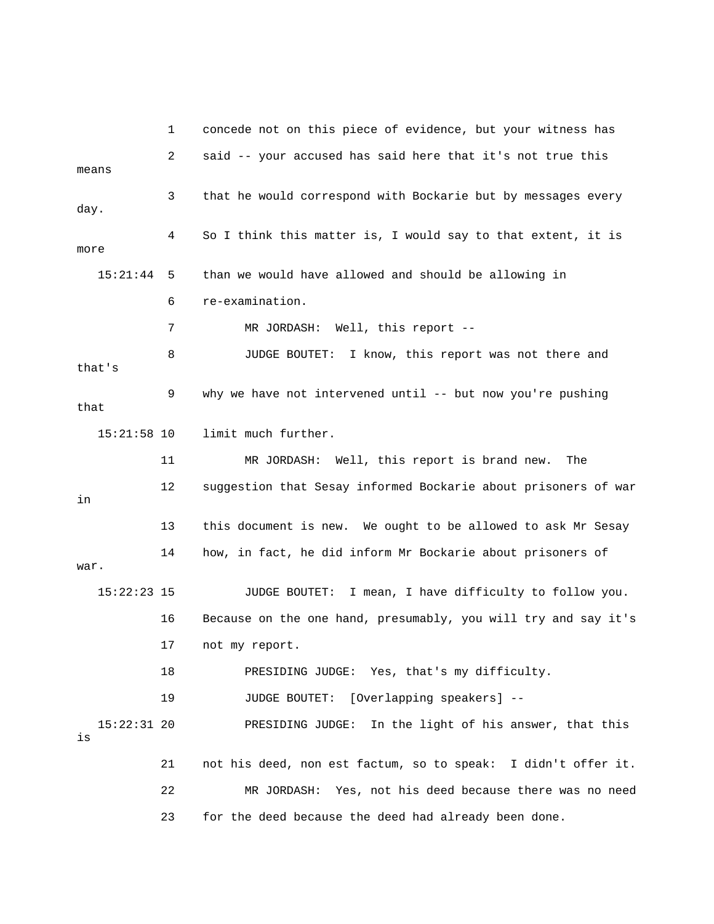|                     | ı. | concede not on this piece of evidence, but your witness has    |
|---------------------|----|----------------------------------------------------------------|
| means               | 2  | said -- your accused has said here that it's not true this     |
| day.                | 3  | that he would correspond with Bockarie but by messages every   |
| more                | 4  | So I think this matter is, I would say to that extent, it is   |
| 15:21:44            | 5  | than we would have allowed and should be allowing in           |
|                     | 6  | re-examination.                                                |
|                     | 7  | MR JORDASH: Well, this report --                               |
| that's              | 8  | JUDGE BOUTET:<br>I know, this report was not there and         |
| that                | 9  | why we have not intervened until -- but now you're pushing     |
| $15:21:58$ 10       |    | limit much further.                                            |
|                     | 11 | MR JORDASH: Well, this report is brand new.<br>The             |
| in                  | 12 | suggestion that Sesay informed Bockarie about prisoners of war |
|                     | 13 | this document is new. We ought to be allowed to ask Mr Sesay   |
| war.                | 14 | how, in fact, he did inform Mr Bockarie about prisoners of     |
| $15:22:23$ 15       |    | JUDGE BOUTET:<br>I mean, I have difficulty to follow you.      |
|                     | 16 | Because on the one hand, presumably, you will try and say it's |
|                     | 17 | not my report.                                                 |
|                     | 18 | PRESIDING JUDGE: Yes, that's my difficulty.                    |
|                     | 19 | [Overlapping speakers] --<br><b>JUDGE BOUTET:</b>              |
| $15:22:31$ 20<br>is |    | In the light of his answer, that this<br>PRESIDING JUDGE:      |
|                     | 21 | not his deed, non est factum, so to speak: I didn't offer it.  |
|                     | 22 | MR JORDASH:<br>Yes, not his deed because there was no need     |
|                     | 23 | for the deed because the deed had already been done.           |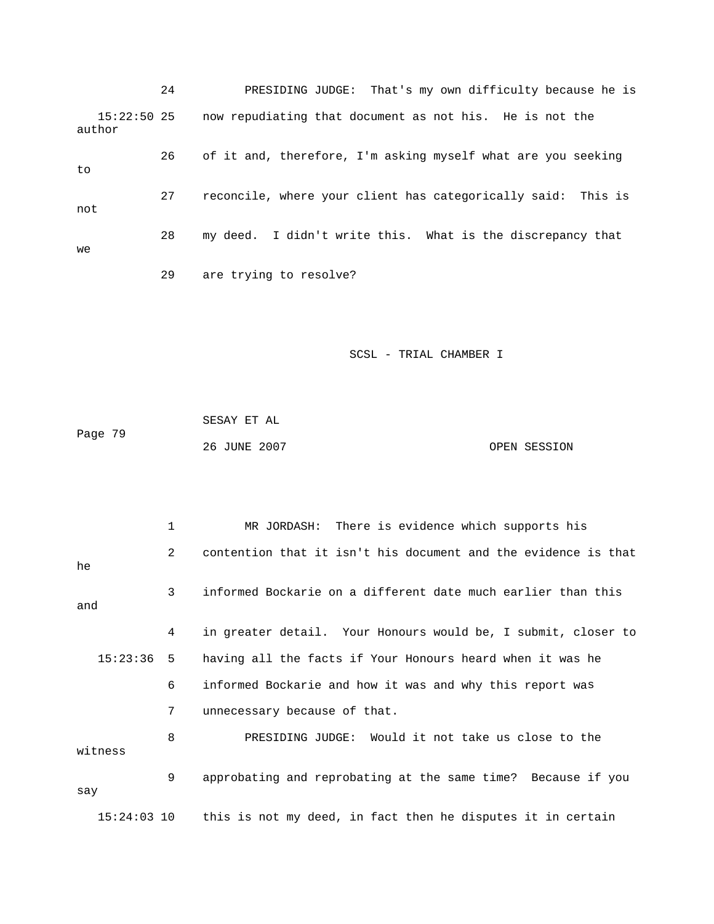24 PRESIDING JUDGE: That's my own difficulty because he is 15:22:50 25 now repudiating that document as not his. He is not the author 26 of it and, therefore, I'm asking myself what are you seeking 29 are trying to resolve? to 27 reconcile, where your client has categorically said: This is not 28 my deed. I didn't write this. What is the discrepancy that we

SCSL - TRIAL CHAMBER I

Page 79 26 JUNE 2007 OPEN SESSION SESAY ET AL

 1 MR JORDASH: There is evidence which supports his 2 contention that it isn't his document and the evidence is that 3 informed Bockarie on a different date much earlier than this and 4 in greater detail. Your Honours would be, I submit, closer to 6 informed Bockarie and how it was and why this report was 7 unnecessary because of that. 8 PRESIDING JUDGE: Would it not take us close to the witness 9 approbating and reprobating at the same time? Because if you 15:24:03 10 this is not my deed, in fact then he disputes it in certain he 15:23:36 5 having all the facts if Your Honours heard when it was he say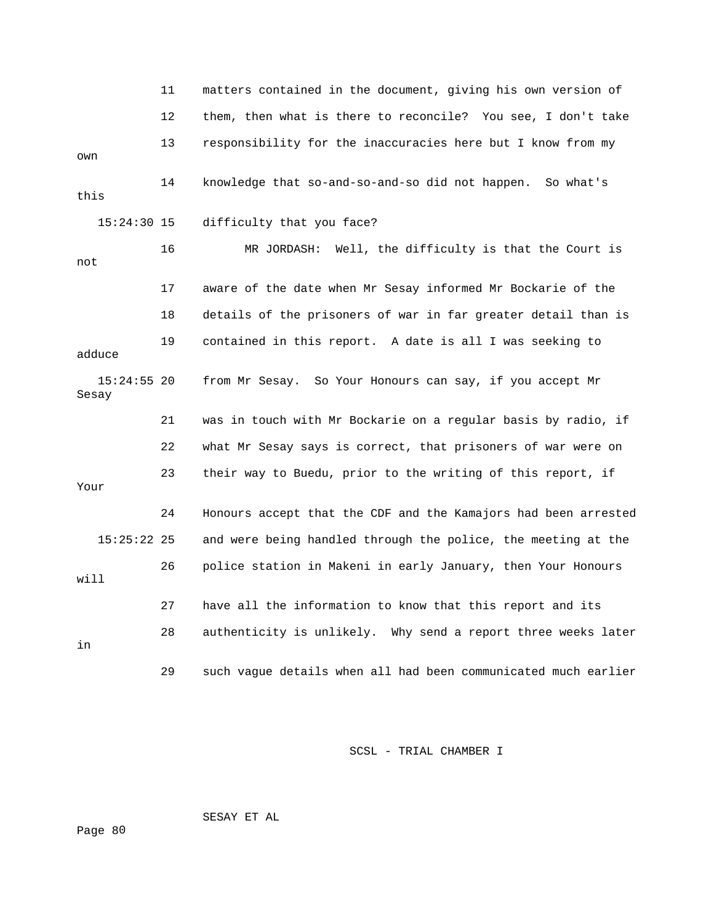11 matters contained in the document, giving his own version of 12 them, then what is there to reconcile? You see, I don't take 13 responsibility for the inaccuracies here but I know from my this 16 MR JORDASH: Well, the difficulty is that the Court is 17 aware of the date when Mr Sesay informed Mr Bockarie of the adduce 21 was in touch with Mr Bockarie on a regular basis by radio, if 22 what Mr Sesay says is correct, that prisoners of war were on 23 their way to Buedu, prior to the writing of this report, if Your 24 Honours accept that the CDF and the Kamajors had been arrested 27 have all the information to know that this report and its 28 authenticity is unlikely. Why send a report three weeks later own 14 knowledge that so-and-so-and-so did not happen. So what's 15:24:30 15 difficulty that you face? not 18 details of the prisoners of war in far greater detail than is 19 contained in this report. A date is all I was seeking to 15:24:55 20 from Mr Sesay. So Your Honours can say, if you accept Mr Sesay 15:25:22 25 and were being handled through the police, the meeting at the 26 police station in Makeni in early January, then Your Honours will in 29 such vague details when all had been communicated much earlier

SCSL - TRIAL CHAMBER I

SESAY ET AL

0 Page 8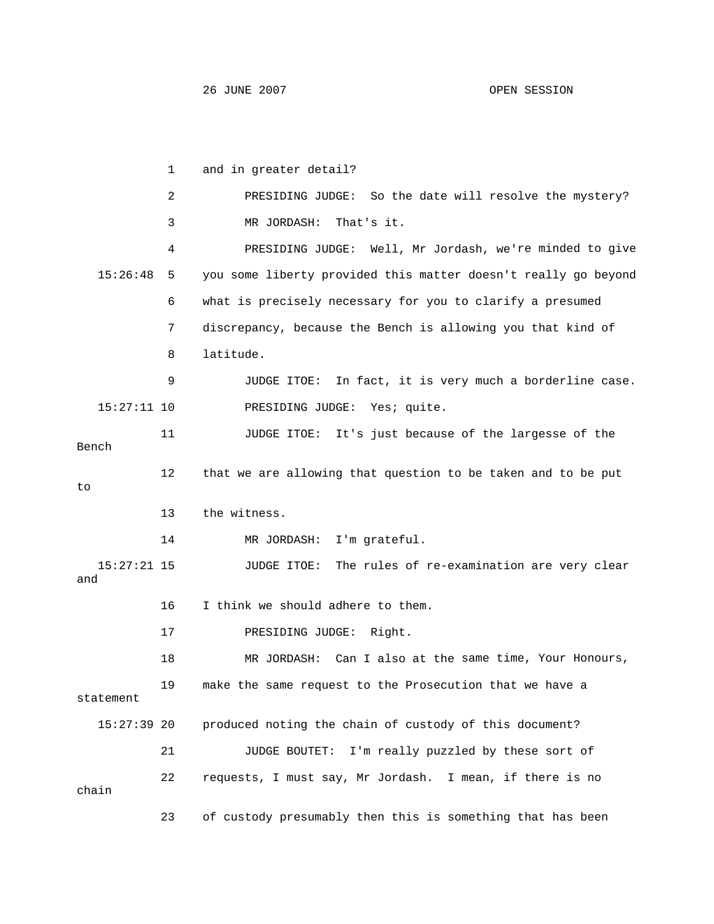|     |               | 1  | and in greater detail?                                         |
|-----|---------------|----|----------------------------------------------------------------|
|     |               | 2  | PRESIDING JUDGE: So the date will resolve the mystery?         |
|     |               | 3  | MR JORDASH:<br>That's it.                                      |
|     |               | 4  | PRESIDING JUDGE: Well, Mr Jordash, we're minded to give        |
|     | 15:26:48      | 5  | you some liberty provided this matter doesn't really go beyond |
|     |               | 6  | what is precisely necessary for you to clarify a presumed      |
|     |               | 7  | discrepancy, because the Bench is allowing you that kind of    |
|     |               | 8  | latitude.                                                      |
|     |               | 9  | In fact, it is very much a borderline case.<br>JUDGE ITOE:     |
|     | $15:27:11$ 10 |    | PRESIDING JUDGE: Yes; quite.                                   |
|     | Bench         | 11 | JUDGE ITOE: It's just because of the largesse of the           |
| to  |               | 12 | that we are allowing that question to be taken and to be put   |
|     |               | 13 | the witness.                                                   |
|     |               | 14 | I'm grateful.<br>MR JORDASH:                                   |
| and | $15:27:21$ 15 |    | The rules of re-examination are very clear<br>JUDGE ITOE:      |
|     |               | 16 | I think we should adhere to them.                              |
|     |               | 17 | PRESIDING JUDGE:<br>Right.                                     |
|     |               | 18 | MR JORDASH: Can I also at the same time, Your Honours,         |
|     | statement     | 19 | make the same request to the Prosecution that we have a        |
|     | $15:27:39$ 20 |    | produced noting the chain of custody of this document?         |
|     |               | 21 | JUDGE BOUTET:<br>I'm really puzzled by these sort of           |
|     | chain         | 22 | requests, I must say, Mr Jordash. I mean, if there is no       |
|     |               | 23 | of custody presumably then this is something that has been     |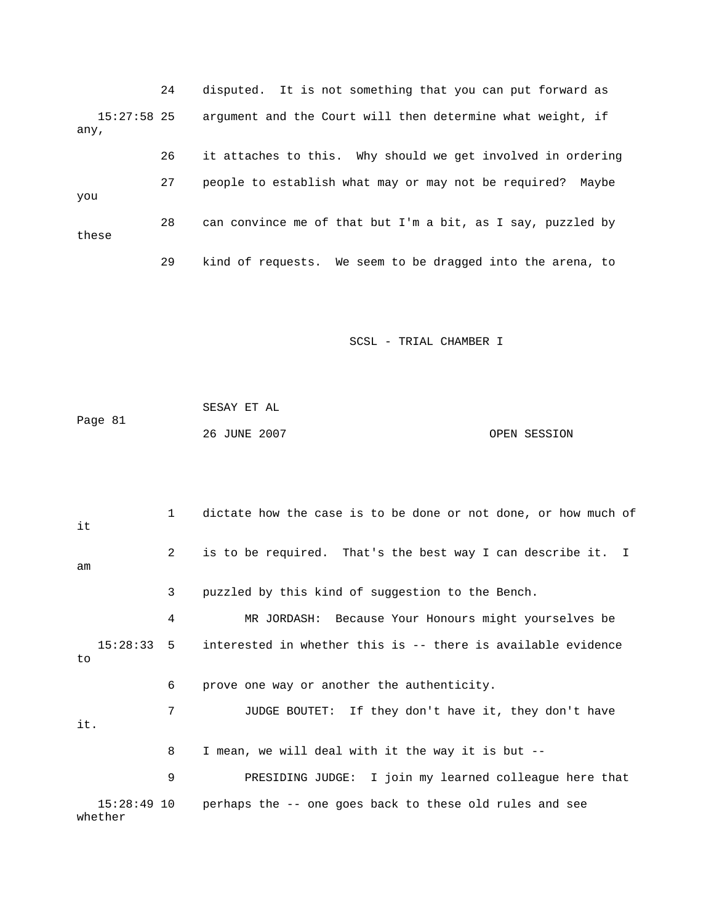24 disputed. It is not something that you can put forward as 15:27:58 25 argument and the Court will then determine what weight, if be 27 people to establish what may or may not be required? May 28 can convince me of that but I'm a bit, as I say, puzzled by these o 29 kind of requests. We seem to be dragged into the arena, t any, 26 it attaches to this. Why should we get involved in ordering you

|         | SESAY ET AL  |              |
|---------|--------------|--------------|
| Page 81 |              |              |
|         | 26 JUNE 2007 | OPEN SESSION |

| it                 | $\mathbf{1}$   | dictate how the case is to be done or not done, or how much of         |
|--------------------|----------------|------------------------------------------------------------------------|
| am                 | $\overline{2}$ | is to be required. That's the best way I can describe it. I            |
|                    | 3              | puzzled by this kind of suggestion to the Bench.                       |
|                    | 4              | MR JORDASH: Because Your Honours might yourselves be                   |
| $15:28:33$ 5<br>to |                | interested in whether this is -- there is available evidence           |
|                    | 6              | prove one way or another the authenticity.                             |
| it.                | 7              | JUDGE BOUTET: If they don't have it, they don't have                   |
|                    | 8              | I mean, we will deal with it the way it is but --                      |
|                    | 9              | PRESIDING JUDGE: I join my learned colleague here that                 |
| whether            |                | $15:28:49$ 10 perhaps the $-$ one goes back to these old rules and see |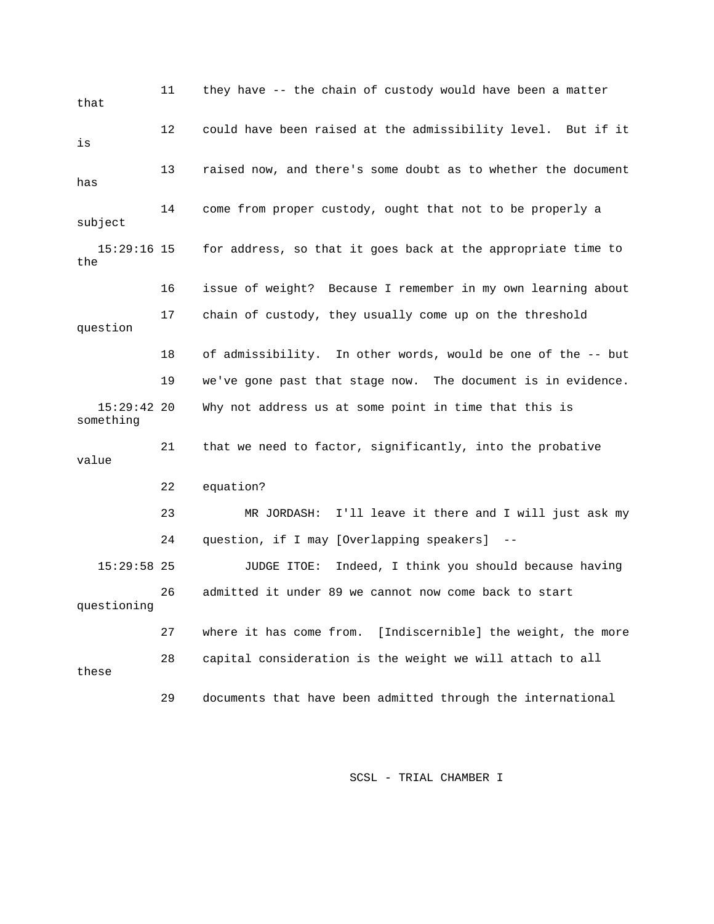11 they have -- the chain of custody would have been a matter 12 could have been raised at the admissibility level. But if it 13 raised now, and there's some doubt as to whether the document subject  $15:29:16$  15 for address, so that it goes back at the appropriate time to 16 issue of weight? Because I remember in my own learning about 17 chain of custody, they usually come up on the threshold question 18 of admissibility. In other words, would be one of the -- but 15:29:42 20 Why not address us at some point in time that this is 21 that we need to factor, significantly, into the probative 22 equation? 23 MR JORDASH: I'll leave it there and I will just ask my 15:29:58 25 JUDGE ITOE: Indeed, I think you should because having 26 admitted it under 89 we cannot now come back to start 28 capital consideration is the weight we will attach to all that is has 14 come from proper custody, ought that not to be properly a the 19 we've gone past that stage now. The document is in evidence. something value 24 question, if I may [Overlapping speakers] - questioning 27 where it has come from. [Indiscernible] the weight, the more these 29 documents that have been admitted through the international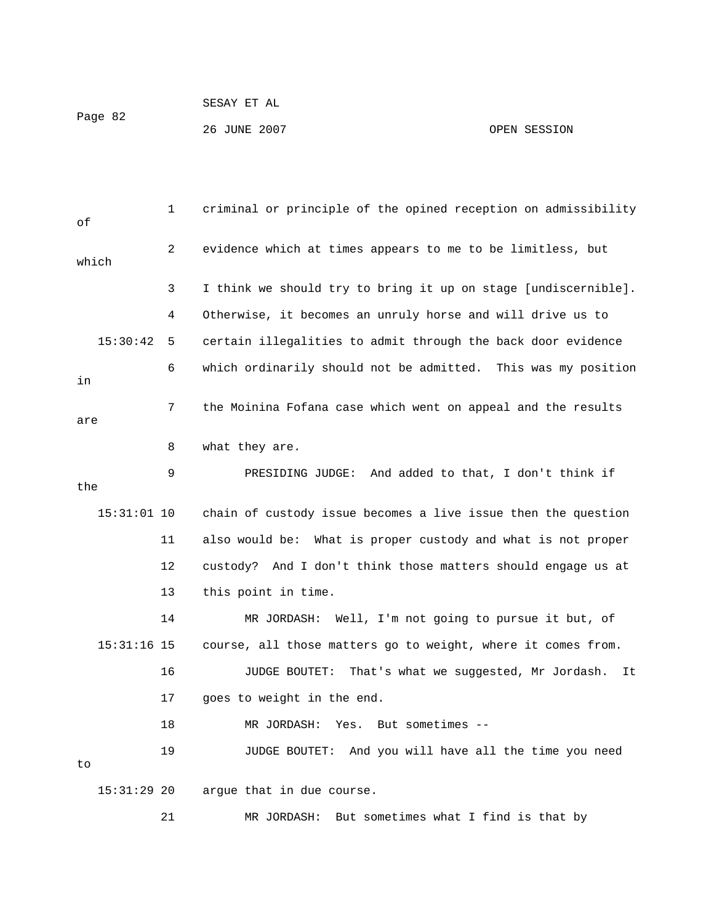| Page 82 | SESAY ET AL  |              |
|---------|--------------|--------------|
|         | 26 JUNE 2007 | OPEN SESSION |

 1 criminal or principle of the opined reception on admissibility 2 evidence which at times appears to me to be limitless, but 3 I think we should try to bring it up on stage [undiscernible]. 4 Otherwise, it becomes an unruly horse and will drive us to 6 which ordinarily should not be admitted. This was my position 7 the Moinina Fofana case which went on appeal and the results are 8 what they are. 9 PRESIDING JUDGE: And added to that, I don't think if the chain of custody issue becomes a live issue then the question 12 custody? And I don't think those matters should engage us at 15:31:16 15 course, all those matters go to weight, where it comes from. 16 JUDGE BOUTET: That's what we suggested, Mr Jordash. It 17 goes to weight in the end. 19 JUDGE BOUTET: And you will have all the time you need of which 15:30:42 5 certain illegalities to admit through the back door evidence in 15:3 11 also would be: What is proper custody and what is not proper 13 this point in time. 14 MR JORDASH: Well, I'm not going to pursue it but, of 18 MR JORDASH: Yes. But sometimes - to 15:31:29 20 argue that in due course. 21 MR JORDASH: But sometimes what I find is that by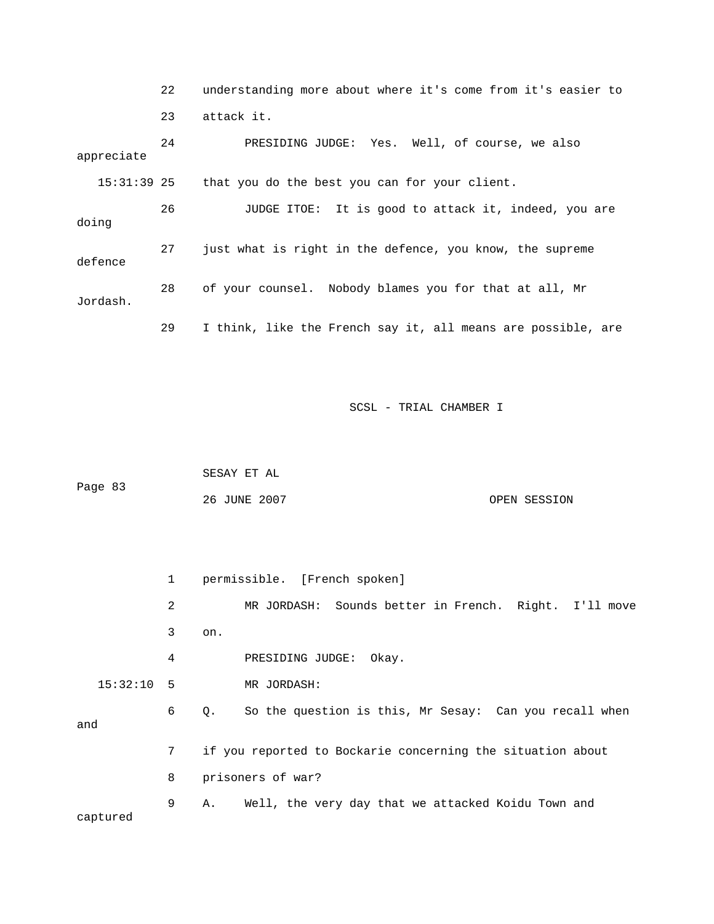|               | 22 | understanding more about where it's come from it's easier to |
|---------------|----|--------------------------------------------------------------|
|               | 23 | attack it.                                                   |
| appreciate    | 24 | PRESIDING JUDGE: Yes. Well, of course, we also               |
| $15:31:39$ 25 |    | that you do the best you can for your client.                |
| doing         | 26 | JUDGE ITOE: It is good to attack it, indeed, you are         |
| defence       | 27 | just what is right in the defence, you know, the supreme     |
| Jordash.      | 28 | of your counsel. Nobody blames you for that at all, Mr       |
|               | 29 | I think, like the French say it, all means are possible, are |

|         | SESAY ET AL  |              |
|---------|--------------|--------------|
| Page 83 |              |              |
|         | 26 JUNE 2007 | OPEN SESSION |

 2 MR JORDASH: Sounds better in French. Right. I'll move 3 on. 4 PRESIDING JUDGE: Okay. 15:32:10 5 MR JORDASH: 6 Q. So the question is this, Mr Sesay: Can you recall when and 7 if you reported to Bockarie concerning the situation about 9 A. Well, the very day that we attacked Koidu Town and captured 1 permissible. [French spoken] 8 prisoners of war?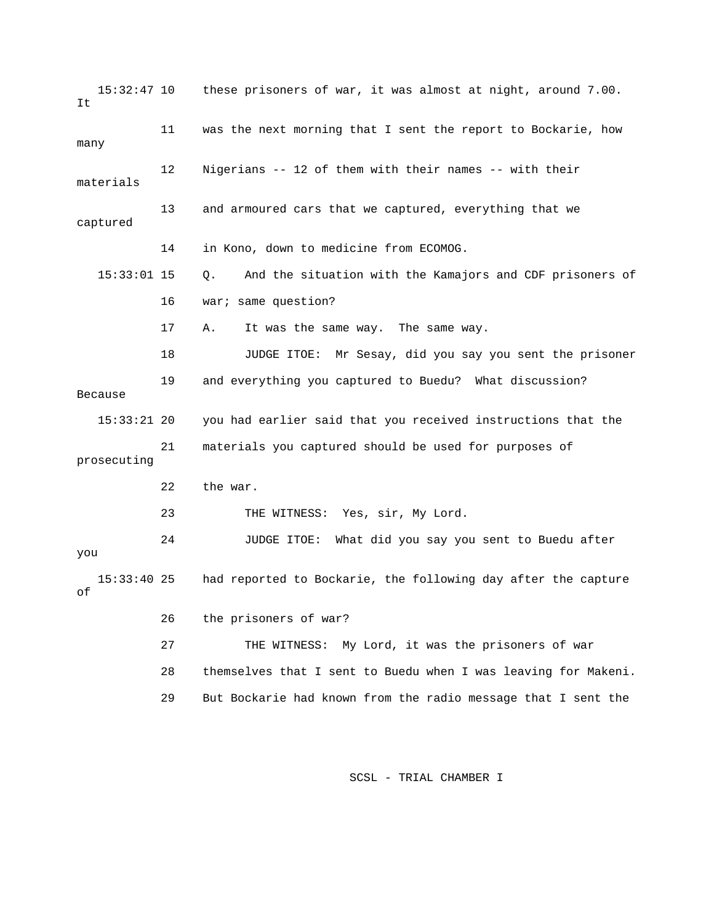15:32:47 10 these prisoners of war, it was almost at night, around 7.00. 12 Migerians -- 12 of them with their names -- with their 13 and armoured cars that we captured, everything that we 14 in Kono, down to medicine from ECOMOG. 15:33:01 15 Q. And the situation with the Kamajors and CDF prisoners of 17 A. It was the same way. The same way. 15:33:21 20 you had earlier said that you received instructions that the 21 materials you captured should be used for purposes of prosecuting 22 the war. you 15:33:40 25 had reported to Bockarie, the following day after the capture 27 THE WITNESS: My Lord, it was the prisoners of war 28 themselves that I sent to Buedu when I was leaving for Makeni. It 11 was the next morning that I sent the report to Bockarie, how many materials captured 16 war; same question? 18 JUDGE ITOE: Mr Sesay, did you say you sent the prisoner 19 and everything you captured to Buedu? What discussion? Because 23 THE WITNESS: Yes, sir, My Lord. 24 JUDGE ITOE: What did you say you sent to Buedu after of 26 the prisoners of war? 29 But Bockarie had known from the radio message that I sent the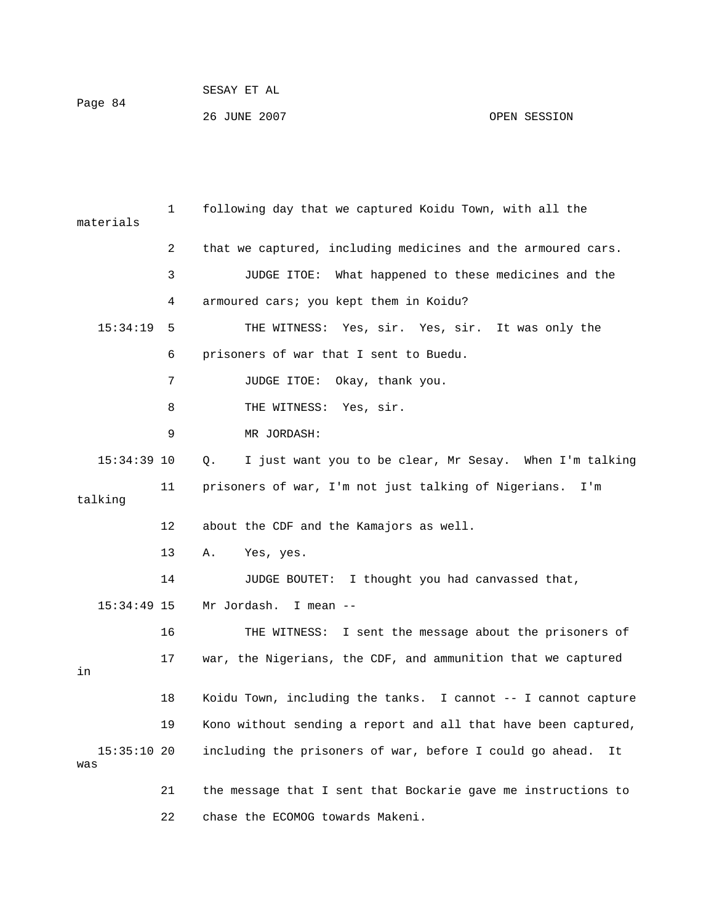| Page 84 | SESAY ET AL  |              |
|---------|--------------|--------------|
|         | 26 JUNE 2007 | OPEN SESSION |

 1 following day that we captured Koidu Town, with all the 2 that we captured, including medicines and the armoured cars. 3 JUDGE ITOE: What happened to these medicines and the 15:34:19 5 THE WITNESS: Yes, sir. Yes, sir. It was only the 6 prisoners of war that I sent to Buedu. 8 THE WITNESS: Yes, sir. 9 MR JORDASH: 15:34:39 10 Q. I just want you to be clear, Mr Sesay. When I'm talking 14 JUDGE BOUTET: I thought you had canvassed that, 16 THE WITNESS: I sent the message about the prisoners of 17 war, the Nigerians, the CDF, and ammunition that we captured 18 Koidu Town, including the tanks. I cannot -- I cannot capture 19 Kono without sending a report and all that have been captured, 15:35:10 20 including the prisoners of war, before I could go ahead. It 21 the message that I sent that Bockarie gave me instructions to materials 4 armoured cars; you kept them in Koidu? 7 JUDGE ITOE: Okay, thank you. 11 prisoners of war, I'm not just talking of Nigerians. I'm talking 12 about the CDF and the Kamajors as well. 13 A. Yes, yes. 15:34:49 15 Mr Jordash. I mean - in was 22 chase the ECOMOG towards Makeni.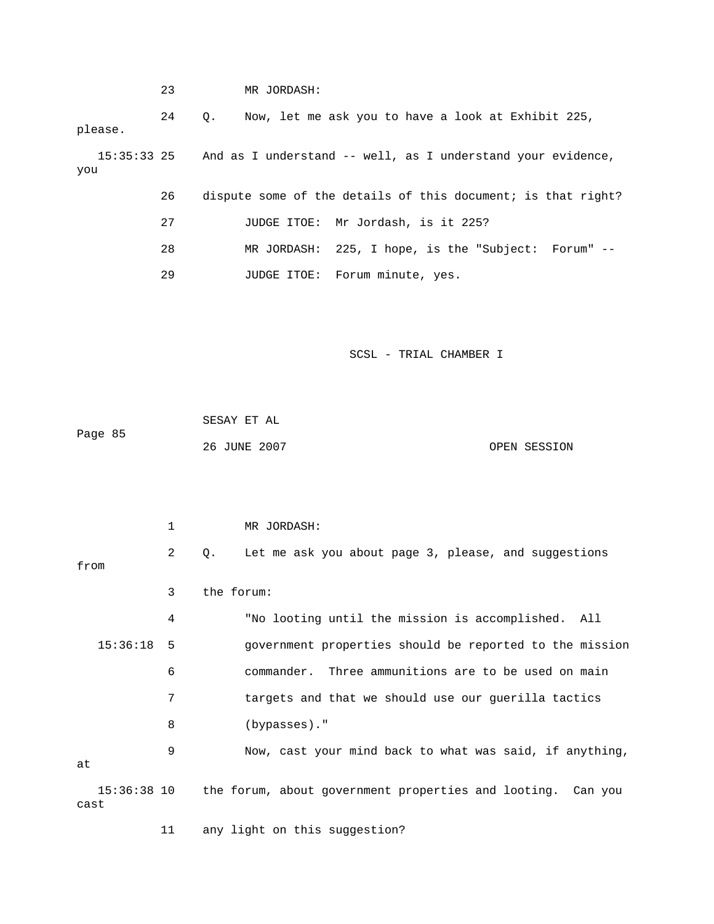|                      | 23           |             | MR JORDASH:  |                                                              |              |
|----------------------|--------------|-------------|--------------|--------------------------------------------------------------|--------------|
| please.              | 24           | $Q_{\star}$ |              | Now, let me ask you to have a look at Exhibit 225,           |              |
| $15:35:33$ 25<br>you |              |             |              | And as I understand -- well, as I understand your evidence,  |              |
|                      | 26           |             |              | dispute some of the details of this document; is that right? |              |
|                      | 27           |             |              | JUDGE ITOE: Mr Jordash, is it 225?                           |              |
|                      | 28           |             |              | MR JORDASH: 225, I hope, is the "Subject: Forum" --          |              |
|                      | 29           |             |              | JUDGE ITOE: Forum minute, yes.                               |              |
|                      |              |             |              | SCSL - TRIAL CHAMBER I                                       |              |
| Page 85              |              | SESAY ET AL | 26 JUNE 2007 |                                                              | OPEN SESSION |
|                      | $\mathbf{1}$ |             | MR JORDASH:  |                                                              |              |
|                      | $\sim$       |             |              | . The man and state about the same of the same and monocally |              |

| from         | 2           | Let me ask you about page 3, please, and suggestions<br>0.  |
|--------------|-------------|-------------------------------------------------------------|
|              | 3           | the forum:                                                  |
|              | 4           | "No looting until the mission is accomplished. All          |
| $15:36:18$ 5 |             | government properties should be reported to the mission     |
|              | 6           | commander. Three ammunitions are to be used on main         |
|              | 7           | targets and that we should use our guerilla tactics         |
|              | 8           | $(bypasses)$ ."                                             |
| at           | 9           | Now, cast your mind back to what was said, if anything,     |
| cast         | 15:36:38 10 | the forum, about government properties and looting. Can you |

11 any light on this suggestion?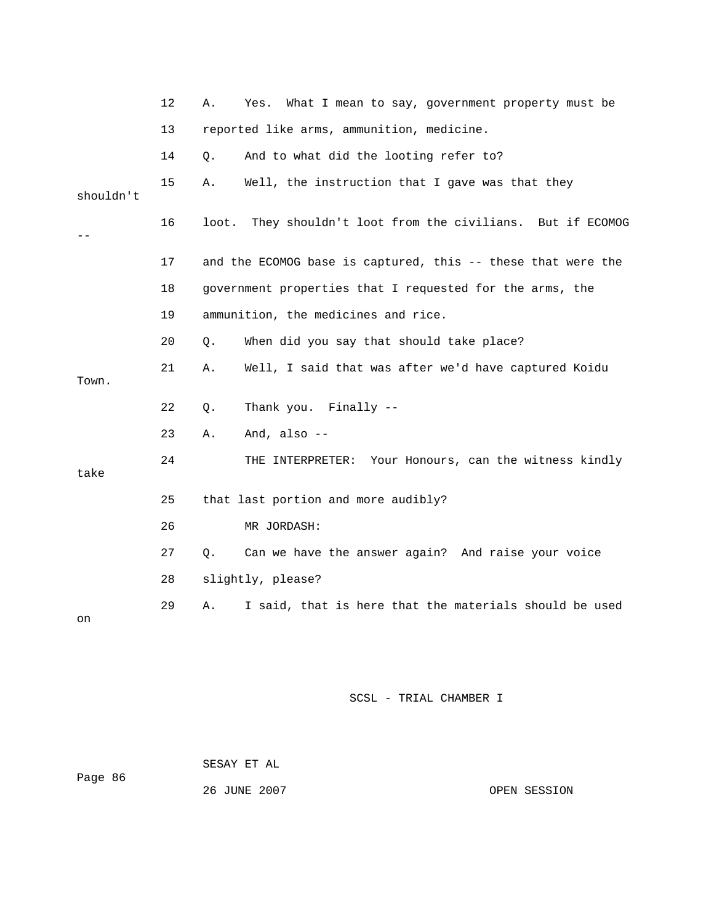|           | 12 | Α.    | What I mean to say, government property must be<br>Yes.      |
|-----------|----|-------|--------------------------------------------------------------|
|           | 13 |       | reported like arms, ammunition, medicine.                    |
|           | 14 | $Q$ . | And to what did the looting refer to?                        |
| shouldn't | 15 | Α.    | Well, the instruction that I gave was that they              |
|           | 16 | loot. | They shouldn't loot from the civilians. But if ECOMOG        |
|           | 17 |       | and the ECOMOG base is captured, this -- these that were the |
|           | 18 |       | government properties that I requested for the arms, the     |
|           | 19 |       | ammunition, the medicines and rice.                          |
|           | 20 | Q.    | When did you say that should take place?                     |
| Town.     | 21 | Α.    | Well, I said that was after we'd have captured Koidu         |
|           | 22 | $Q$ . | Thank you. Finally --                                        |
|           | 23 | Α.    | And, also $-$                                                |
| take      | 24 |       | THE INTERPRETER: Your Honours, can the witness kindly        |
|           | 25 |       | that last portion and more audibly?                          |
|           | 26 |       | MR JORDASH:                                                  |
|           | 27 | Q.    | Can we have the answer again? And raise your voice           |
|           | 28 |       | slightly, please?                                            |
| on        | 29 | Α.    | I said, that is here that the materials should be used       |

SESAY ET AL

```
86 
Page
```
26 JUNE 2007

OPEN SESSION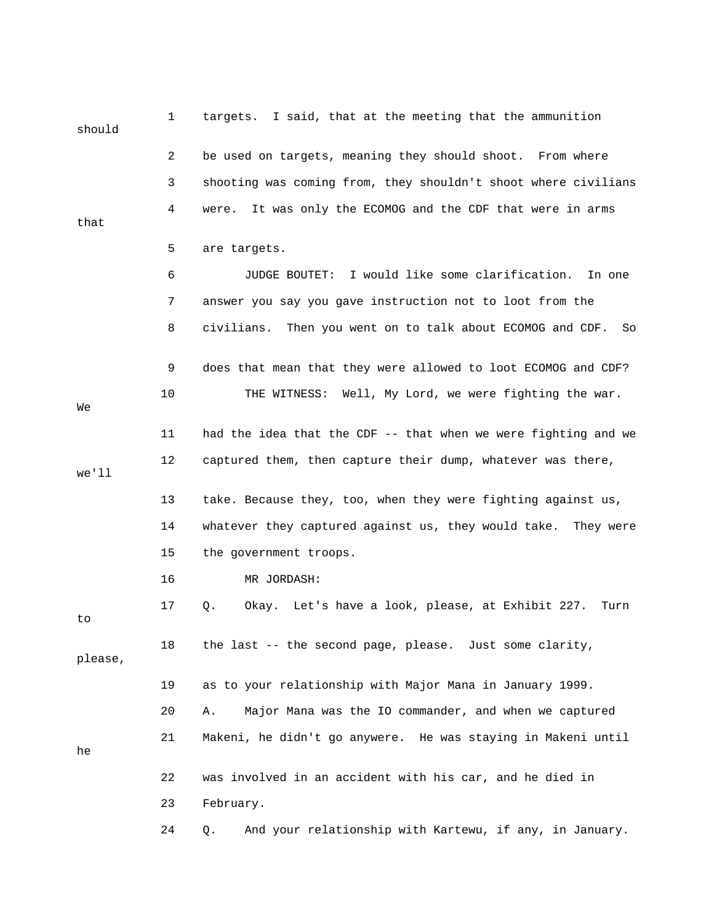| should  | 1  | targets. I said, that at the meeting that the ammunition           |
|---------|----|--------------------------------------------------------------------|
|         | 2  | be used on targets, meaning they should shoot. From where          |
|         | 3  | shooting was coming from, they shouldn't shoot where civilians     |
| that    | 4  | It was only the ECOMOG and the CDF that were in arms<br>were.      |
|         | 5  | are targets.                                                       |
|         | 6  | I would like some clarification.<br>JUDGE BOUTET:<br>In one        |
|         | 7  | answer you say you gave instruction not to loot from the           |
|         | 8  | Then you went on to talk about ECOMOG and CDF.<br>civilians.<br>So |
|         | 9  | does that mean that they were allowed to loot ECOMOG and CDF?      |
| We      | 10 | THE WITNESS: Well, My Lord, we were fighting the war.              |
|         | 11 | had the idea that the CDF -- that when we were fighting and we     |
| we'll   | 12 | captured them, then capture their dump, whatever was there,        |
|         | 13 | take. Because they, too, when they were fighting against us,       |
|         | 14 | whatever they captured against us, they would take.<br>They were   |
|         | 15 | the government troops.                                             |
|         | 16 | MR JORDASH:                                                        |
| to      | 17 | Okay. Let's have a look, please, at Exhibit 227.<br>Q.<br>Turn     |
| please, | 18 | the last -- the second page, please. Just some clarity,            |
|         | 19 | as to your relationship with Major Mana in January 1999.           |
|         | 20 | Major Mana was the IO commander, and when we captured<br>Α.        |
| he      | 21 | Makeni, he didn't go anywere. He was staying in Makeni until       |
|         | 22 | was involved in an accident with his car, and he died in           |
|         | 23 | February.                                                          |
|         | 24 | And your relationship with Kartewu, if any, in January.<br>Q.      |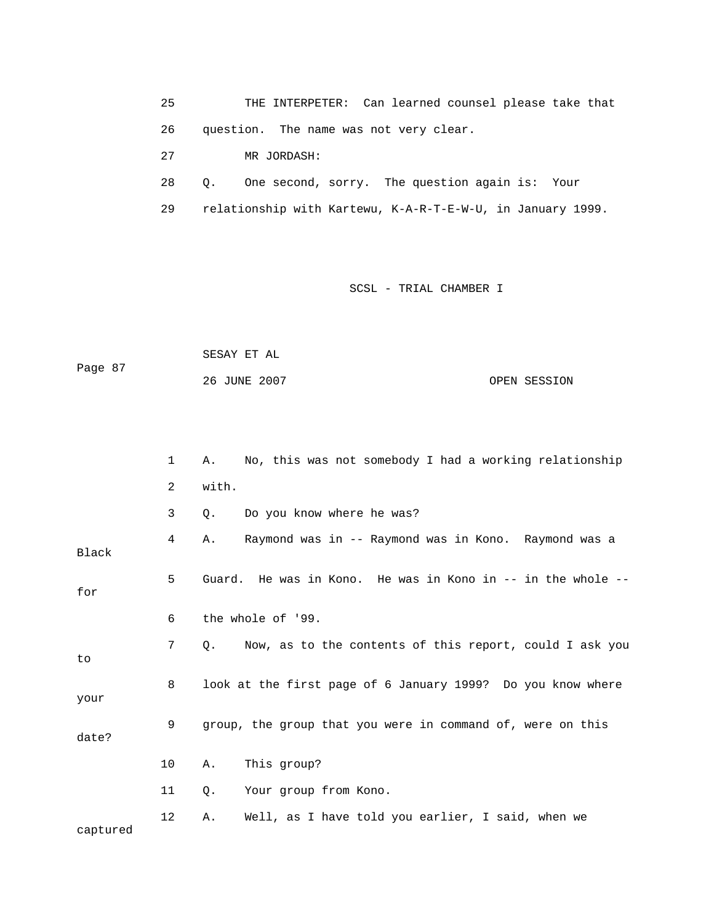25 THE INTERPET ER: Can learned counsel please take that 26 question. The nam e was not very clear. 27 MR JORDASH:

28 Q. One second, sorry. The question again is: Your

29 relationship with Kartewu, K-A-R-T-E-W-U, in January 1999.

## SCSL - TRIAL CHAMBER I

 SESAY ET AL Page 87 26 JUNE 2007 OPEN SESSION

|          | 1  | No, this was not somebody I had a working relationship<br>Α.  |
|----------|----|---------------------------------------------------------------|
|          | 2  | with.                                                         |
|          | 3  | Do you know where he was?<br>Q.                               |
| Black    | 4  | Raymond was in -- Raymond was in Kono. Raymond was a<br>Α.    |
| for      | 5  | Guard. He was in Kono. He was in Kono in -- in the whole --   |
|          | 6  | the whole of '99.                                             |
| to       | 7  | Now, as to the contents of this report, could I ask you<br>0. |
| your     | 8  | look at the first page of 6 January 1999? Do you know where   |
| date?    | 9  | group, the group that you were in command of, were on this    |
|          | 10 | This group?<br>Α.                                             |
|          | 11 | Your group from Kono.<br>Q.                                   |
| captured | 12 | Well, as I have told you earlier, I said, when we<br>Α.       |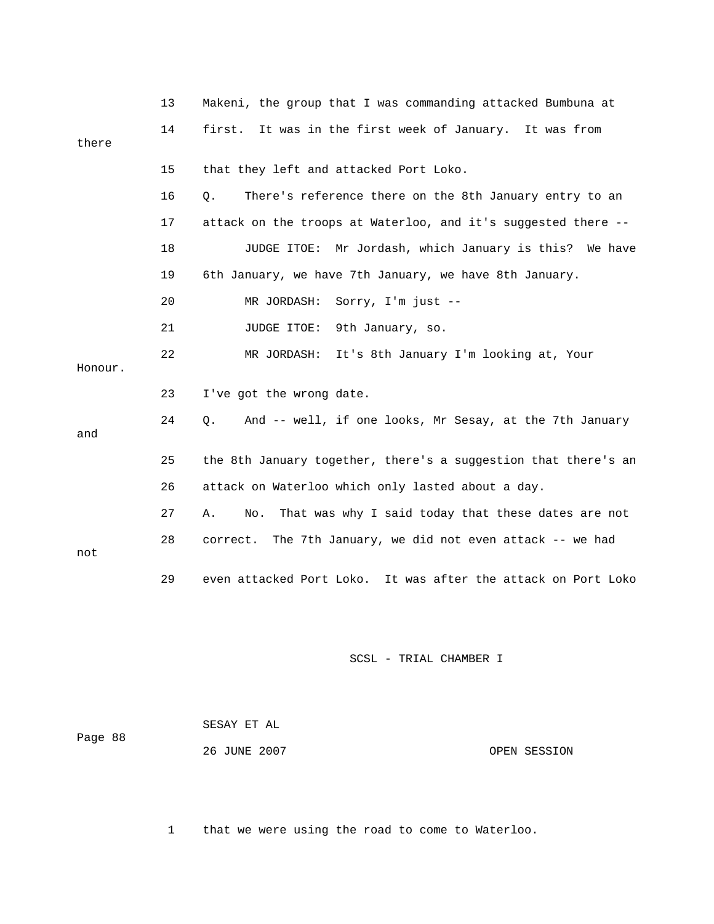|         | 13 | Makeni, the group that I was commanding attacked Bumbuna at     |
|---------|----|-----------------------------------------------------------------|
| there   | 14 | first. It was in the first week of January. It was from         |
|         | 15 | that they left and attacked Port Loko.                          |
|         | 16 | $Q$ .<br>There's reference there on the 8th January entry to an |
|         | 17 | attack on the troops at Waterloo, and it's suggested there --   |
|         | 18 | JUDGE ITOE: Mr Jordash, which January is this? We have          |
|         | 19 | 6th January, we have 7th January, we have 8th January.          |
|         | 20 | MR JORDASH:<br>Sorry, I'm just --                               |
|         | 21 | JUDGE ITOE:<br>9th January, so.                                 |
| Honour. | 22 | MR JORDASH:<br>It's 8th January I'm looking at, Your            |
|         | 23 | I've got the wrong date.                                        |
| and     | 24 | 0.<br>And -- well, if one looks, Mr Sesay, at the 7th January   |
|         | 25 | the 8th January together, there's a suggestion that there's an  |
|         | 26 | attack on Waterloo which only lasted about a day.               |
|         | 27 | That was why I said today that these dates are not<br>Α.<br>No. |
| not     | 28 | correct. The 7th January, we did not even attack -- we had      |
|         | 29 | even attacked Port Loko. It was after the attack on Port Loko   |

| Page 88 | SESAY ET AL  |              |
|---------|--------------|--------------|
|         | 26 JUNE 2007 | OPEN SESSION |

1 that we were using the road to come to Waterloo.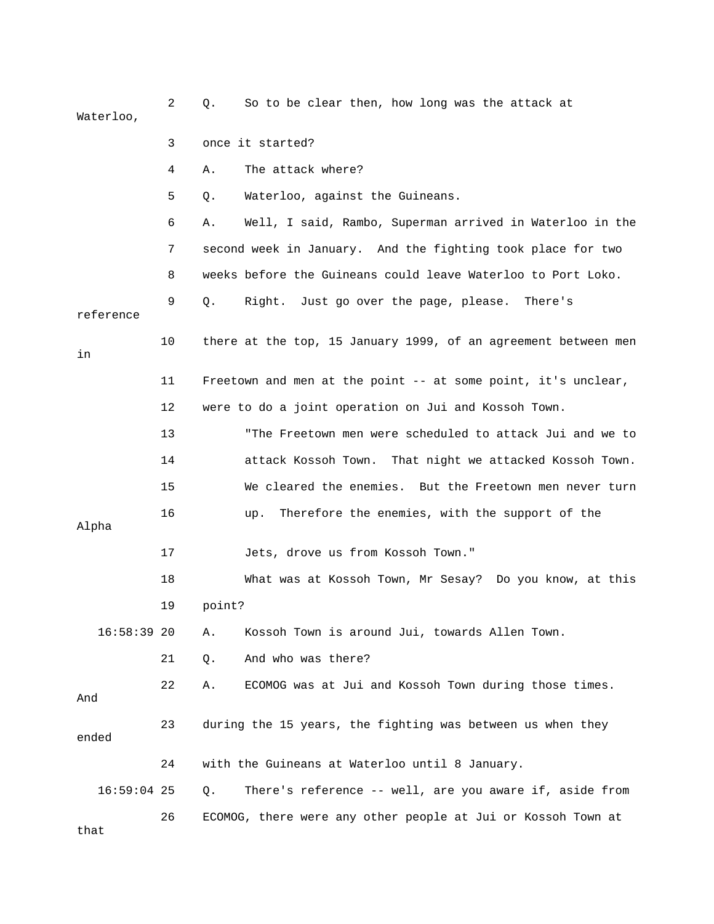2 Q. So to be clear then, how long was the attack at Waterloo,

- 3 once it started?
- 4 A. The attack where?
- 5 Q. Waterloo, against the Guineans.

 6 A. Well, I said, Rambo, Superman arrived in Waterloo in the 7 second week in January. And the fighting took place for two 8 weeks before the Guineans could leave Waterloo to Port Loko. 9 Q. Right. Just go over the page, please. There's

| reference     |    |                                                                |
|---------------|----|----------------------------------------------------------------|
| in            | 10 | there at the top, 15 January 1999, of an agreement between men |
|               | 11 | Freetown and men at the point -- at some point, it's unclear,  |
|               | 12 | were to do a joint operation on Jui and Kossoh Town.           |
|               | 13 | "The Freetown men were scheduled to attack Jui and we to       |
|               | 14 | attack Kossoh Town. That night we attacked Kossoh Town.        |
|               | 15 | We cleared the enemies. But the Freetown men never turn        |
| Alpha         | 16 | Therefore the enemies, with the support of the<br>up.          |
|               | 17 | Jets, drove us from Kossoh Town."                              |
|               | 18 | What was at Kossoh Town, Mr Sesay? Do you know, at this        |
|               | 19 | point?                                                         |
| $16:58:39$ 20 |    | Kossoh Town is around Jui, towards Allen Town.<br>Α.           |
|               | 21 | And who was there?<br>Q.                                       |
| And           | 22 | ECOMOG was at Jui and Kossoh Town during those times.<br>Α.    |
| ended         | 23 | during the 15 years, the fighting was between us when they     |
|               | 24 | with the Guineans at Waterloo until 8 January.                 |
| $16:59:04$ 25 |    | There's reference -- well, are you aware if, aside from<br>Q.  |
| that          | 26 | ECOMOG, there were any other people at Jui or Kossoh Town at   |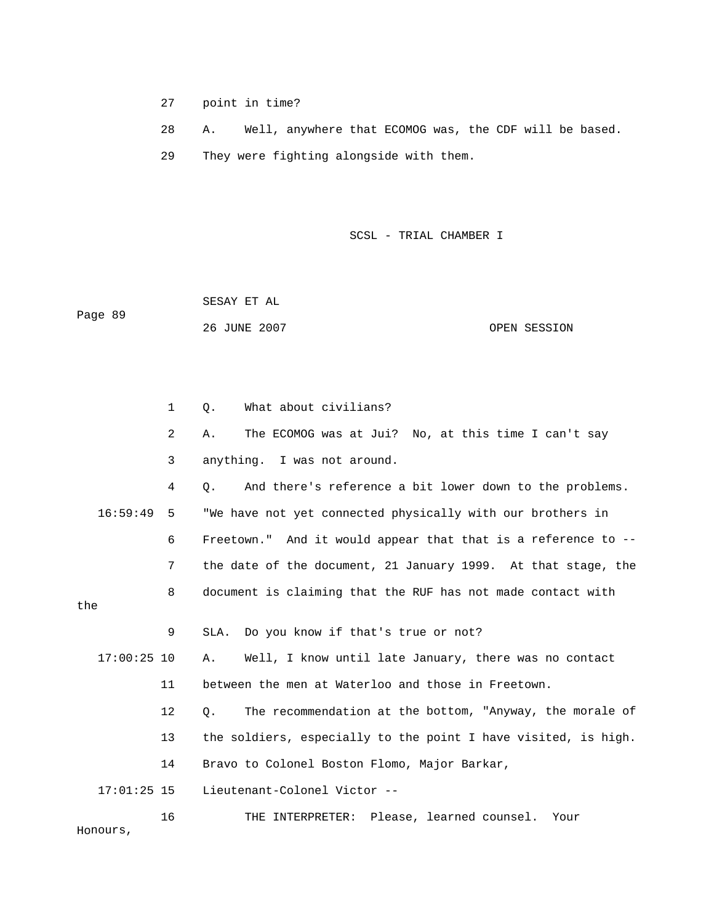27 point in time?

 28 A. Well, anywhere that ECOMOG was, the CDF will be based. 29 They were fighting alongside with them.

SCSL - TRIAL CHAMBER I

 26 JUNE 2007 OPEN SESSION SESAY ET AL Page 89

1 Q. What about civilians? 4 Q. And there's reference a bit lower down to the problems. 16:59:49 5 "We have not yet connected physically with our brothers in 6 Freetown." And it would appear that that is a reference to -- 7 the date of the document, 21 January 1999. At that stage, the 8 document is claiming that the RUF has not made contact with 17:00:25 10 A. Well, I know until late January, there was no contact 11 between the men at Waterloo and those in Freetown. 12 Q. The recommendation at the bottom, "Anyway, the morale of 13 the soldiers, especially to the point I have visited, is high. 14 Bravo to Colonel Boston Flomo, Major Barkar, 2 A. The ECOMOG was at Jui? No, at this time I can't say 3 anything. I was not around. the 9 SLA. Do you know if that's true or not? 17:01:25 15 Lieutenant-Colonel Victor -- 16 THE INTERPRETER: Please, learned counsel. Your

Honours,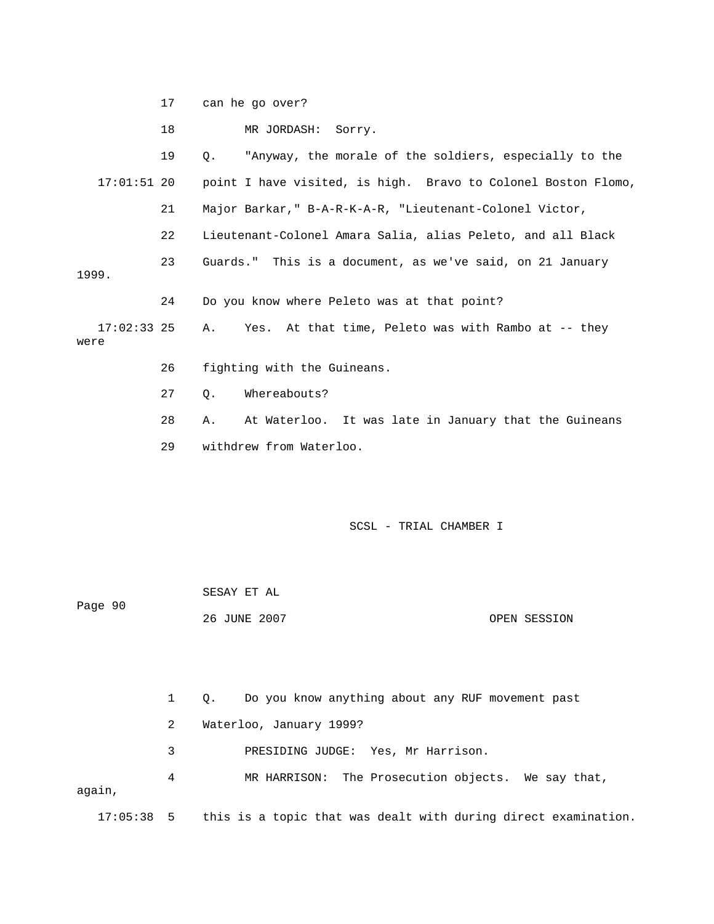17 can he go over?

18 MR JORDASH: Sorry.

 19 Q. "Anyway, the morale of the soldiers, especially to the 17:01:51 20 point I have visited, is high. Bravo to Colonel Boston Flomo, 22 Lieutenant-Colonel Amara Salia, alias Peleto, and all Black 1999. 17:02:33 25 A. Yes. At that time, Peleto was with Rambo at -- they 27 Q. Whereabouts? 28 A. At Waterloo. It was late in January that the Guineans 21 Major Barkar," B-A-R-K-A-R, "Lieutenant-Colonel Victor, 23 Guards." This is a document, as we've said, on 21 January 24 Do you know where Peleto was at that point? were 26 fighting with the Guineans.

29 withdrew from Waterloo.

SCSL - TRIAL CHAMBER I

| Page 90 | SESAY ET AL  |              |
|---------|--------------|--------------|
|         | 26 JUNE 2007 | OPEN SESSION |

1 Q. Do you know anything about any RUF movement past 3 PRESIDING JUDGE: Yes, Mr Harrison. 4 MR HARRISON: The Prosecution objects. We say that, again, 2 Waterloo, January 1999?

17:05:38 5 this is a topic that was dealt with during direct examination.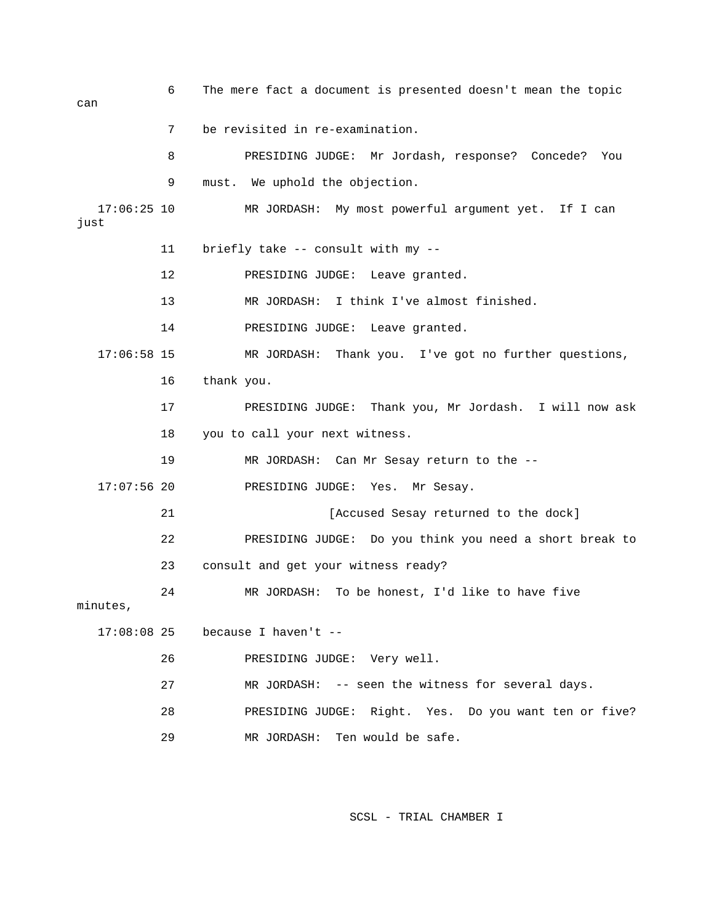6 The mere fact a document is presented doesn't mean the topic can 7 be revisited in re-examination. 8 PRESIDING JUDGE: Mr Jordash, response? Concede? You 9 must. We uphold the objection. 17:06:25 10 MR JORDASH: My most powerful argument yet. If I can just 12 PRESIDING JUDGE: Leave granted. 13 MR JORDASH: I think I've almost finished. 17:06:58 15 MR JORDASH: Thank you. I've got no further questions, 17 PRESIDING JUDGE: Thank you, Mr Jordash. I will now ask 17:07:56 20 PRESIDING JUDGE: Yes. Mr Sesay. 22 PRESIDING JUDGE: Do you think you need a short break to 23 consult and get your witness ready? 24 MR JORDASH: To be honest, I'd like to have five 27 MR JORDASH: -- seen the witness for several days. 29 MR JORDASH: Ten would be safe. 11 briefly take -- consult with my -- 14 PRESIDING JUDGE: Leave granted. 16 thank you. 18 you to call your next witness. 19 MR JORDASH: Can Mr Sesay return to the -- 21 **Example 21** [Accused Sesay returned to the dock] minutes, 17:08:08 25 because I haven't -- 26 PRESIDING JUDGE: Very well. 28 PRESIDING JUDGE: Right. Yes. Do you want ten or five?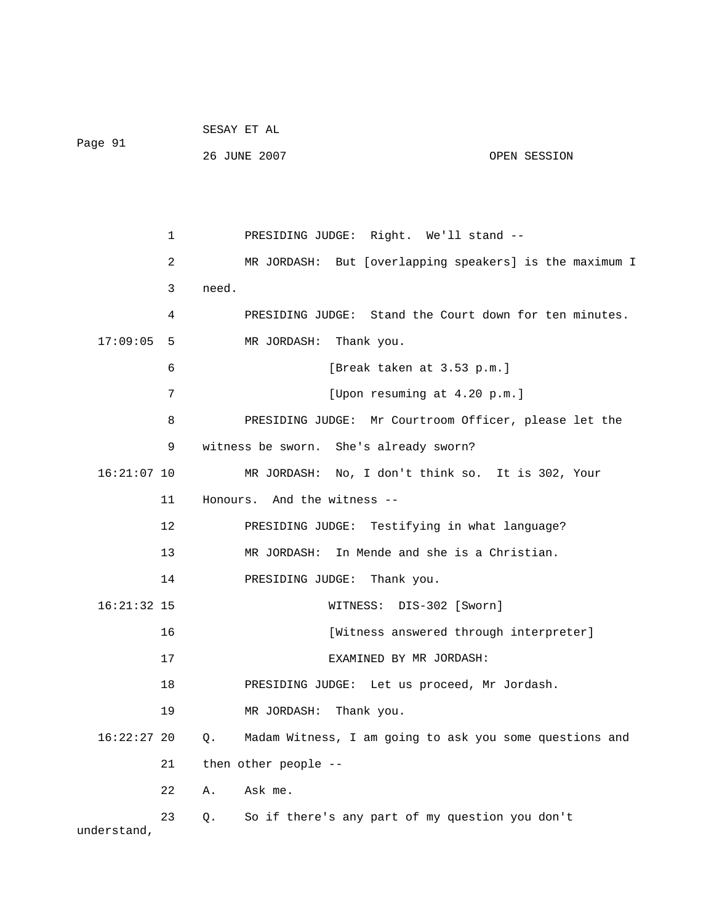|               |                | SESAY ET AL                                                      |  |
|---------------|----------------|------------------------------------------------------------------|--|
| Page 91       |                | 26 JUNE 2007<br>OPEN SESSION                                     |  |
|               |                |                                                                  |  |
|               |                |                                                                  |  |
|               | $\mathbf 1$    | PRESIDING JUDGE: Right. We'll stand --                           |  |
|               | $\overline{a}$ | MR JORDASH: But [overlapping speakers] is the maximum I          |  |
|               | 3              | need.                                                            |  |
|               | 4              | PRESIDING JUDGE: Stand the Court down for ten minutes.           |  |
| 17:09:05      | 5              | MR JORDASH: Thank you.                                           |  |
|               | 6              | [Break taken at 3.53 p.m.]                                       |  |
|               | 7              | [Upon resuming at 4.20 p.m.]                                     |  |
|               | 8              | PRESIDING JUDGE: Mr Courtroom Officer, please let the            |  |
|               | 9              | witness be sworn. She's already sworn?                           |  |
| $16:21:07$ 10 |                | MR JORDASH: No, I don't think so. It is 302, Your                |  |
|               | 11             | Honours. And the witness --                                      |  |
|               | 12             | PRESIDING JUDGE: Testifying in what language?                    |  |
|               | 13             | MR JORDASH: In Mende and she is a Christian.                     |  |
|               | 14             | PRESIDING JUDGE:<br>Thank you.                                   |  |
| $16:21:32$ 15 |                | WITNESS: DIS-302 [Sworn]                                         |  |
|               | 16             | [Witness answered through interpreter]                           |  |
|               | 17             | EXAMINED BY MR JORDASH:                                          |  |
|               | 18             | PRESIDING JUDGE: Let us proceed, Mr Jordash.                     |  |
|               | 19             | MR JORDASH:<br>Thank you.                                        |  |
| $16:22:27$ 20 |                | Madam Witness, I am going to ask you some questions and<br>$Q$ . |  |
|               | 21             | then other people --                                             |  |
|               | 22             | Ask me.<br>Α.                                                    |  |
|               | 23             | So if there's any part of my question you don't<br>Q.            |  |
| understand,   |                |                                                                  |  |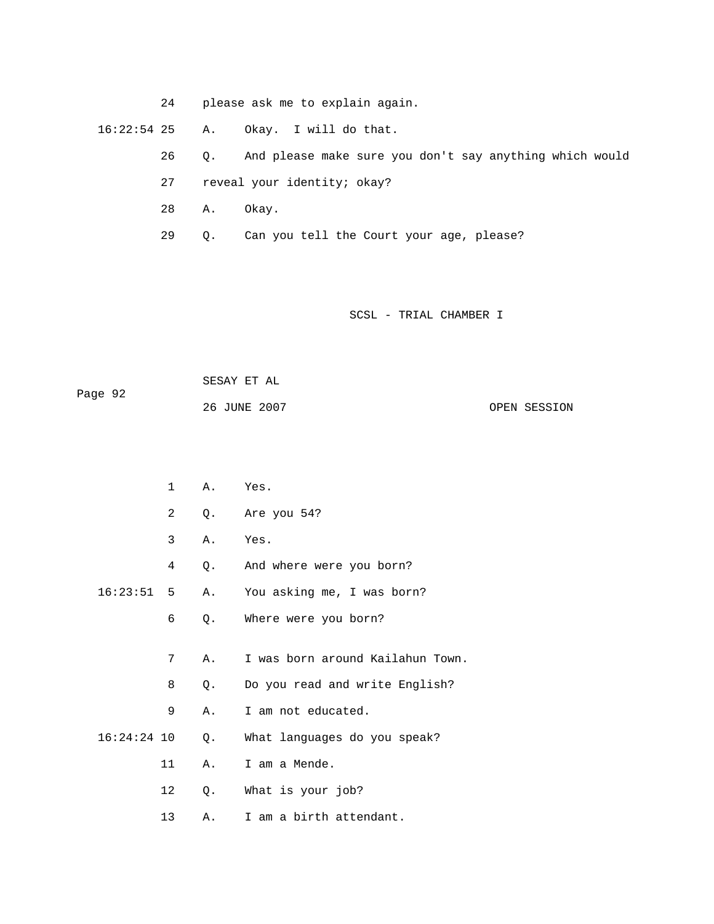24 please ask me to explain again.

16:22:54 25 A. Okay. I will do that.

- 26 Q. And please make sure you don't say anything which would
- 27 reveal your identity; okay?
- 28 A. Okay.
- 29 Q. Can you tell the Court your age, please?

| Page 92 | SESAY ET AL  |              |
|---------|--------------|--------------|
|         | 26 JUNE 2007 | OPEN SESSION |

|               | $\mathbf 1$    | Α. | Yes.                             |
|---------------|----------------|----|----------------------------------|
|               | $\overline{a}$ | Q. | Are you 54?                      |
|               | 3              | Α. | Yes.                             |
|               | 4              | Q. | And where were you born?         |
| 16:23:51      | 5              | Α. | You asking me, I was born?       |
|               | 6              | Q. | Where were you born?             |
|               |                |    |                                  |
|               | 7              | Α. | I was born around Kailahun Town. |
|               | 8              | Q. | Do you read and write English?   |
|               | 9              | Α. | I am not educated.               |
| $16:24:24$ 10 |                | Q. | What languages do you speak?     |
|               | 11             | Α. | I am a Mende.                    |
|               | 12             | Q. | What is your job?                |
|               | 13             | Α. | I am a birth attendant.          |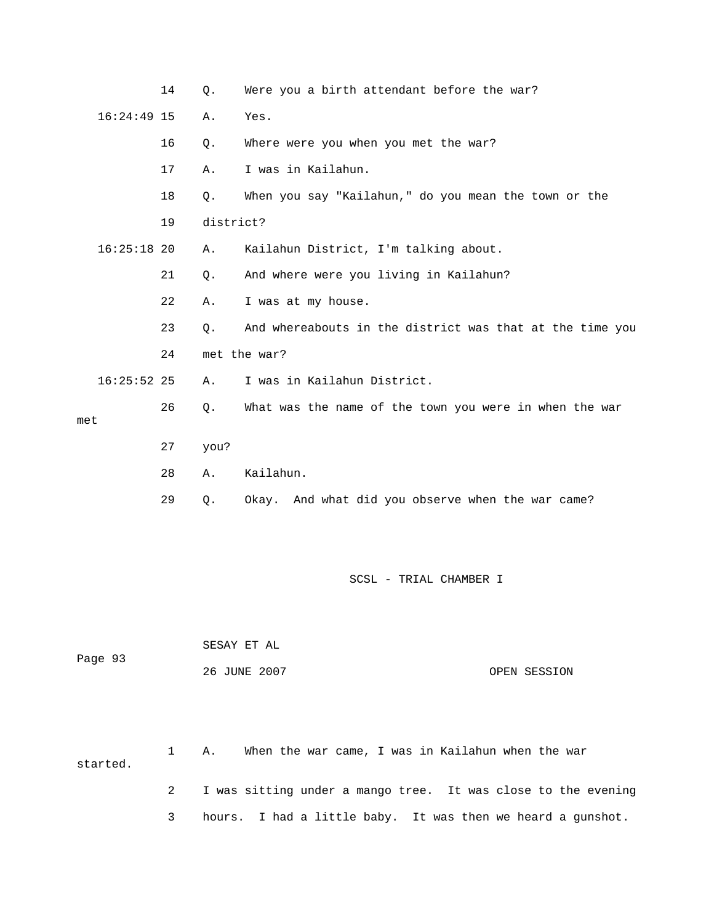|     |               | 14 | Q.        | Were you a birth attendant before the war?               |
|-----|---------------|----|-----------|----------------------------------------------------------|
|     | $16:24:49$ 15 |    | Α.        | Yes.                                                     |
|     |               | 16 | Q.        | Where were you when you met the war?                     |
|     |               | 17 | Α.        | I was in Kailahun.                                       |
|     |               | 18 | Q.        | When you say "Kailahun," do you mean the town or the     |
|     |               | 19 | district? |                                                          |
|     | $16:25:18$ 20 |    | Α.        | Kailahun District, I'm talking about.                    |
|     |               | 21 | Q.        | And where were you living in Kailahun?                   |
|     |               | 22 | Α.        | I was at my house.                                       |
|     |               | 23 | $\circ$ . | And whereabouts in the district was that at the time you |
|     |               | 24 |           | met the war?                                             |
|     | $16:25:52$ 25 |    | Α.        | I was in Kailahun District.                              |
| met |               | 26 | О.        | What was the name of the town you were in when the war   |
|     |               | 27 | you?      |                                                          |
|     |               | 28 | Α.        | Kailahun.                                                |
|     |               | 29 | Q.        | Okay. And what did you observe when the war came?        |

| Page 93 | SESAY ET AL  |              |
|---------|--------------|--------------|
|         | 26 JUNE 2007 | OPEN SESSION |

 1 A. When the war came, I was in Kailahun when the war 2 I was sitting under a mango tree. It was close to the evening started.

3 hours. I had a little baby. It was then we heard a gunshot.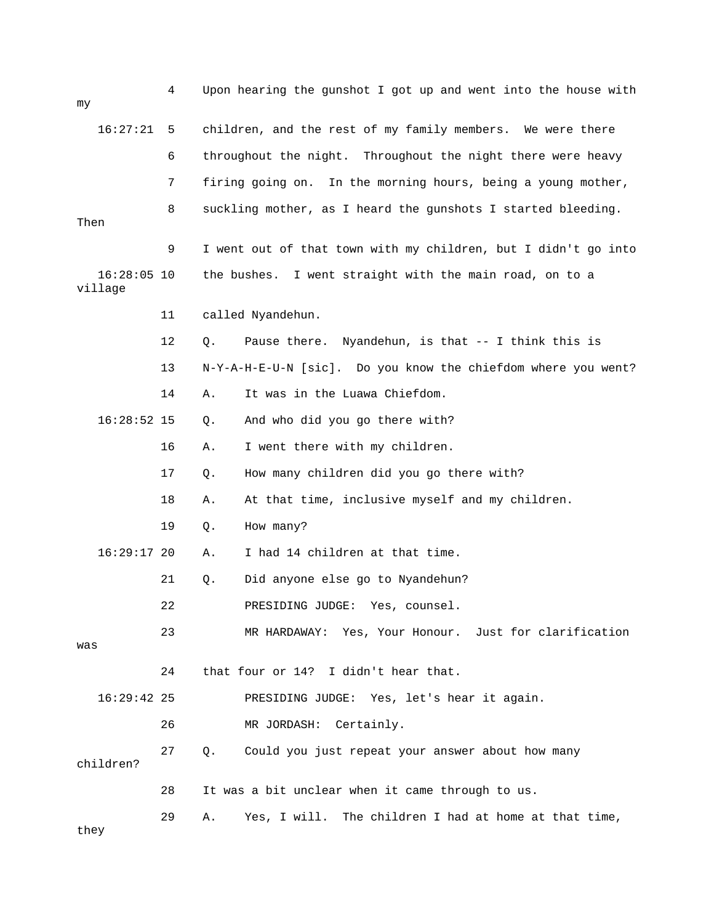| my                       | 4  | Upon hearing the gunshot I got up and went into the house with  |
|--------------------------|----|-----------------------------------------------------------------|
| 16:27:21                 | 5  | children, and the rest of my family members. We were there      |
|                          | 6  | throughout the night. Throughout the night there were heavy     |
|                          | 7  | firing going on.<br>In the morning hours, being a young mother, |
| Then                     | 8  | suckling mother, as I heard the gunshots I started bleeding.    |
|                          | 9  | I went out of that town with my children, but I didn't go into  |
| $16:28:05$ 10<br>village |    | the bushes.<br>I went straight with the main road, on to a      |
|                          | 11 | called Nyandehun.                                               |
|                          | 12 | Pause there. Nyandehun, is that -- I think this is<br>Q.        |
|                          | 13 | N-Y-A-H-E-U-N [sic]. Do you know the chiefdom where you went?   |
|                          | 14 | It was in the Luawa Chiefdom.<br>Α.                             |
| $16:28:52$ 15            |    | And who did you go there with?<br>Q.                            |
|                          | 16 | I went there with my children.<br>Α.                            |
|                          | 17 | How many children did you go there with?<br>Q.                  |
|                          | 18 | At that time, inclusive myself and my children.<br>Α.           |
|                          | 19 | How many?<br>Q.                                                 |
| $16:29:17$ 20            |    | I had 14 children at that time.<br>Α.                           |
|                          | 21 | Did anyone else go to Nyandehun?<br>Q.                          |
|                          | 22 | PRESIDING JUDGE:<br>Yes, counsel                                |
| was                      | 23 | MR HARDAWAY: Yes, Your Honour. Just for clarification           |
|                          | 24 | that four or 14? I didn't hear that.                            |
| $16:29:42$ 25            |    | PRESIDING JUDGE: Yes, let's hear it again.                      |
|                          | 26 | Certainly.<br>MR JORDASH:                                       |
| children?                | 27 | Could you just repeat your answer about how many<br>Q.          |
|                          | 28 | It was a bit unclear when it came through to us.                |
| they                     | 29 | Yes, I will. The children I had at home at that time,<br>Α.     |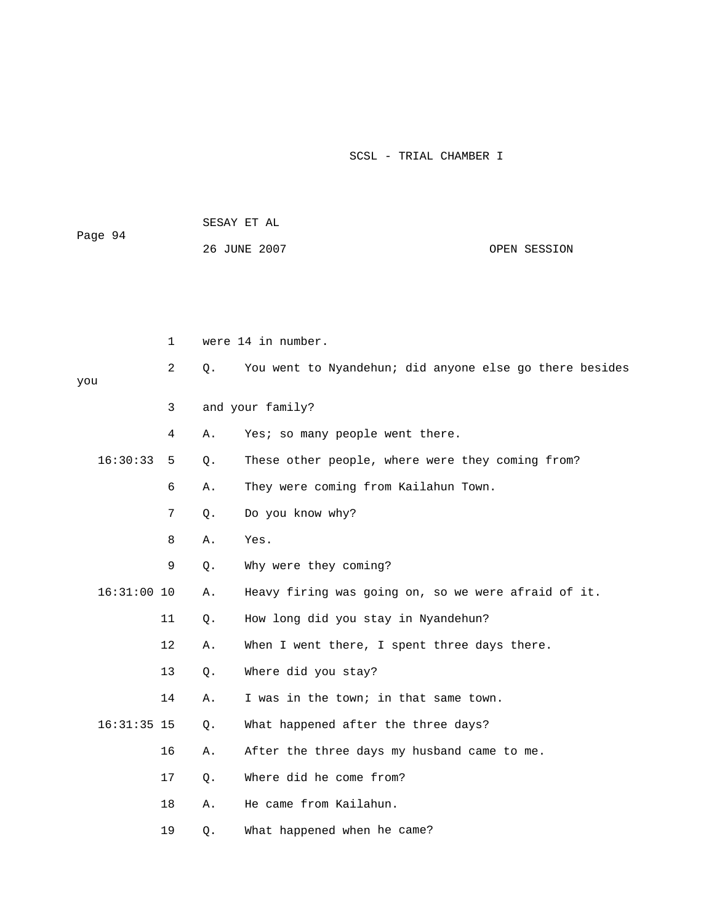| Page 94 | SESAY ET AL  |              |
|---------|--------------|--------------|
|         | 26 JUNE 2007 | OPEN SESSION |
|         |              |              |

|     |               | $\mathbf{1}$      |       | were 14 in number.                                      |  |  |
|-----|---------------|-------------------|-------|---------------------------------------------------------|--|--|
| you |               | 2                 | $Q$ . | You went to Nyandehun; did anyone else go there besides |  |  |
|     |               | 3                 |       | and your family?                                        |  |  |
|     |               | 4                 | Α.    | Yes; so many people went there.                         |  |  |
|     | 16:30:33      | 5                 | Q.    | These other people, where were they coming from?        |  |  |
|     |               | 6                 | Α.    | They were coming from Kailahun Town.                    |  |  |
|     |               | 7                 | Q.    | Do you know why?                                        |  |  |
|     |               | 8                 | Α.    | Yes.                                                    |  |  |
|     |               | 9                 | Q.    | Why were they coming?                                   |  |  |
|     | $16:31:00$ 10 |                   | Α.    | Heavy firing was going on, so we were afraid of it.     |  |  |
|     |               | 11                | $Q$ . | How long did you stay in Nyandehun?                     |  |  |
|     |               | $12 \overline{ }$ | Α.    | When I went there, I spent three days there.            |  |  |
|     |               | 13                | $Q$ . | Where did you stay?                                     |  |  |
|     |               | 14                | Α.    | I was in the town; in that same town.                   |  |  |
|     | $16:31:35$ 15 |                   | $Q$ . | What happened after the three days?                     |  |  |
|     |               | 16                | Α.    | After the three days my husband came to me.             |  |  |
|     |               | 17                | $Q$ . | Where did he come from?                                 |  |  |
|     |               | 18                | Α.    | He came from Kailahun.                                  |  |  |
|     |               | 19                | Q.    | What happened when he came?                             |  |  |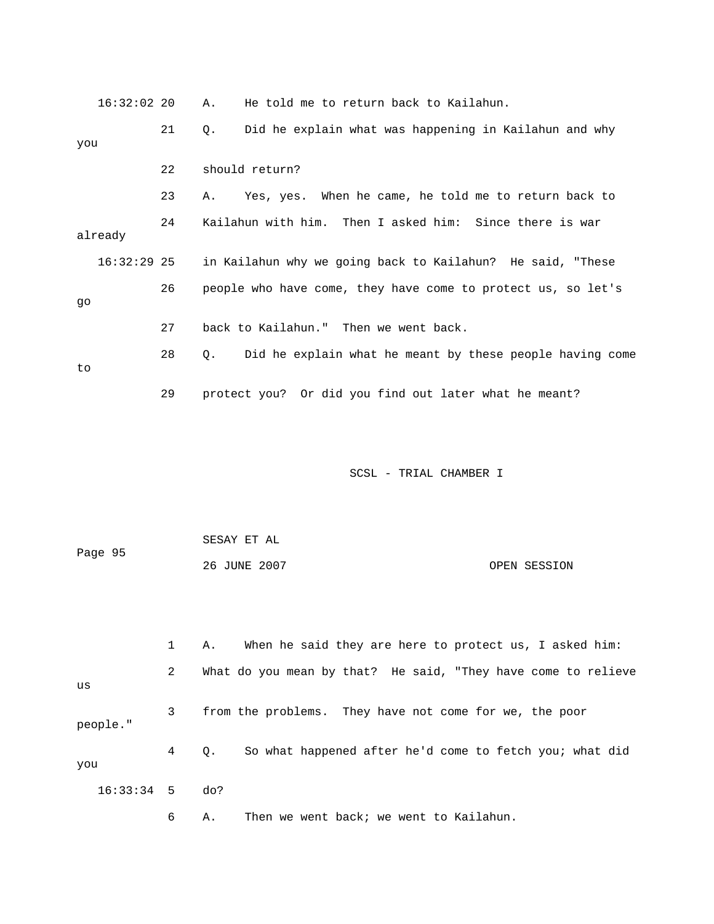| $16:32:02$ 20 |    | He told me to return back to Kailahun.<br>Α.                   |
|---------------|----|----------------------------------------------------------------|
| you           | 21 | Did he explain what was happening in Kailahun and why<br>Q.    |
|               | 22 | should return?                                                 |
|               | 23 | Yes, yes. When he came, he told me to return back to<br>Α.     |
| already       | 24 | Kailahun with him. Then I asked him: Since there is war        |
| $16:32:29$ 25 |    | in Kailahun why we going back to Kailahun? He said, "These     |
| go            | 26 | people who have come, they have come to protect us, so let's   |
|               | 27 | back to Kailahun." Then we went back.                          |
| to            | 28 | Did he explain what he meant by these people having come<br>Q. |
|               | 29 | protect you? Or did you find out later what he meant?          |
|               |    |                                                                |
|               |    | SCSL - TRIAL CHAMBER I                                         |
|               |    |                                                                |
| Page 95       |    | SESAY ET AL                                                    |
|               |    | 26 JUNE 2007<br>OPEN SESSION                                   |
|               |    |                                                                |
|               | 1  | When he said they are here to protect us, I asked him:<br>Α.   |
| us            | 2  | What do you mean by that? He said, "They have come to relieve  |
| people."      | 3  | from the problems. They have not come for we, the poor         |
| you           | 4  | So what happened after he'd come to fetch you; what did<br>Q.  |
| 16:33:34      |    |                                                                |
|               | 5  | do?                                                            |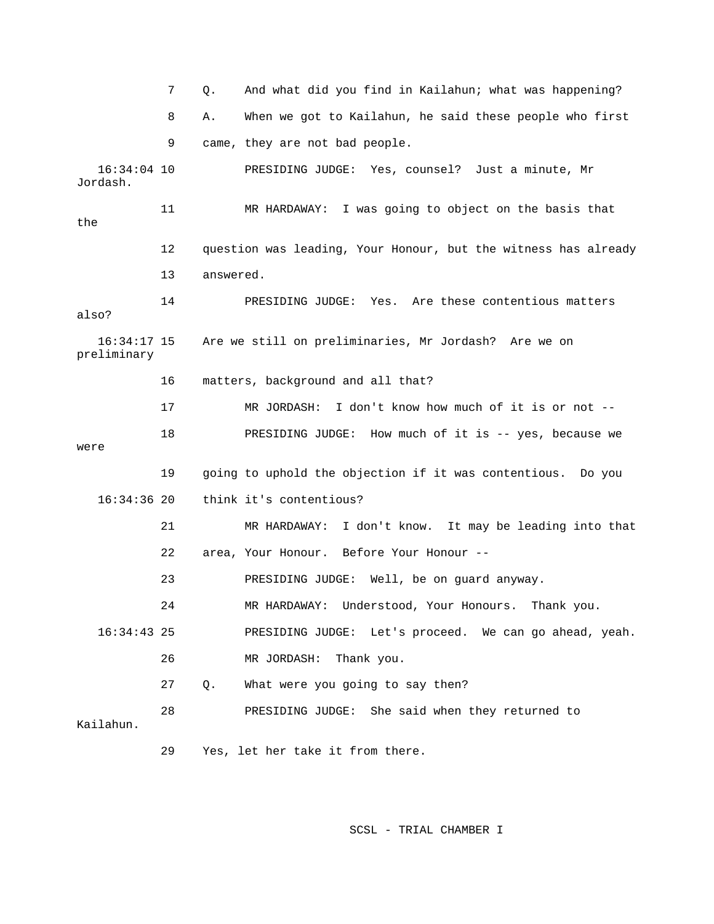7 Q. And what did you find in Kailahun; what was happening? 8 A. When we got to Kailahun, he said these people who first 9 came, they are not bad people. 16:34:04 10 PRESIDING JUDGE: Yes, counsel? Just a minute, Mr Jordash. 12 question was leading, Your Honour, but the witness has already Are we still on preliminaries, Mr Jordash? Are we on were 19 going to uphold the objection if it was contentious. Do you 21 MR HARDAWAY: I don't know. It may be leading into that 22 area, Your Honour. Before Your Honour -- 24 MR HARDAWAY: Understood, Your Honours. Thank you. PRESIDING JUDGE: Let's proceed. We can go ahead, yeah. 27 Q. What were you going to say then? 28 PRESIDING JUDGE: She said when they returned to 11 MR HARDAWAY: I was going to object on the basis that the 13 answered. 14 PRESIDING JUDGE: Yes. Are these contentious matters also?  $16:34:17$  15 preliminary 16 matters, background and all that? 17 MR JORDASH: I don't know how much of it is or not -- 18 PRESIDING JUDGE: How much of it is -- yes, because we 16:34:36 20 think it's contentious? 23 PRESIDING JUDGE: Well, be on guard anyway.  $16:34:43$  25 26 MR JORDASH: Thank you. Kailahun. 29 Yes, let her take it from there.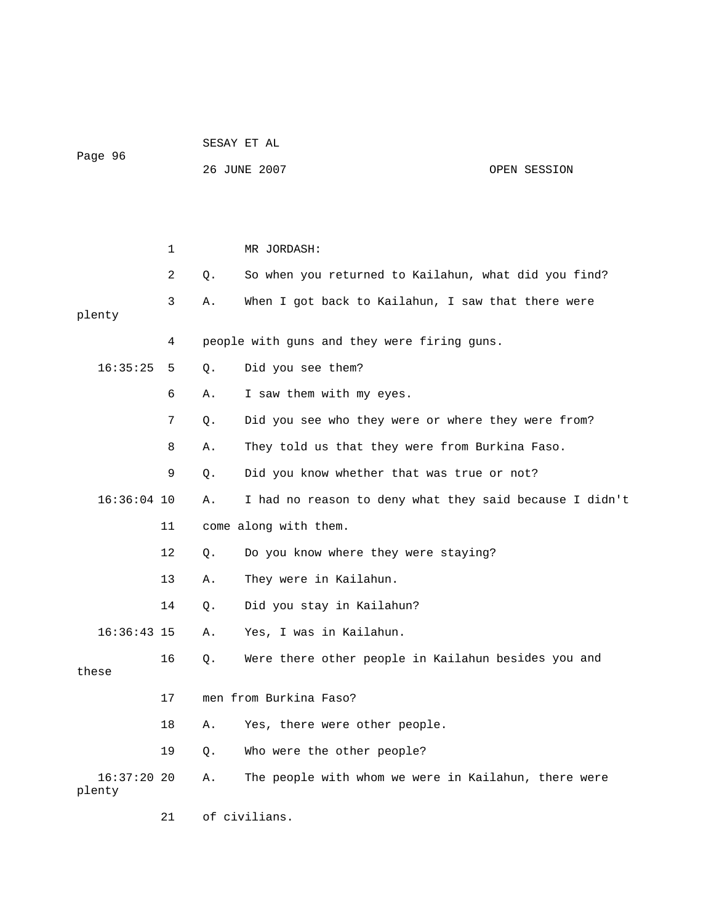|               |             |    | 26 JUNE 2007<br>OPEN SESSION                            |
|---------------|-------------|----|---------------------------------------------------------|
|               |             |    |                                                         |
|               |             |    |                                                         |
|               | $\mathbf 1$ |    | MR JORDASH:                                             |
|               | 2           | Q. | So when you returned to Kailahun, what did you find?    |
| plenty        | 3           | Α. | When I got back to Kailahun, I saw that there were      |
|               | 4           |    | people with guns and they were firing guns.             |
| 16:35:25      | 5           | Q. | Did you see them?                                       |
|               | 6           | Α. | I saw them with my eyes.                                |
|               | 7           | Q. | Did you see who they were or where they were from?      |
|               | 8           | Α. | They told us that they were from Burkina Faso.          |
|               | 9           | Q. | Did you know whether that was true or not?              |
| $16:36:04$ 10 |             | Α. | I had no reason to deny what they said because I didn't |
|               | 11          |    | come along with them.                                   |
|               | 12          | Q. | Do you know where they were staying?                    |
|               | 13          | Α. | They were in Kailahun.                                  |
|               | 14          | Q. | Did you stay in Kailahun?                               |
| $16:36:43$ 15 |             | Α. | Yes, I was in Kailahun.                                 |
| these         | 16          | Q. | Were there other people in Kailahun besides you and     |
|               | 17          |    | men from Burkina Faso?                                  |
|               | 18          | Α. | Yes, there were other people.                           |
|               | 19          | Q. | Who were the other people?                              |
| $16:37:20$ 20 |             | Α. | The people with whom we were in Kailahun, there were    |
| plenty        |             |    |                                                         |
|               | 21          |    | of civilians.                                           |

SESAY ET AL

Page 96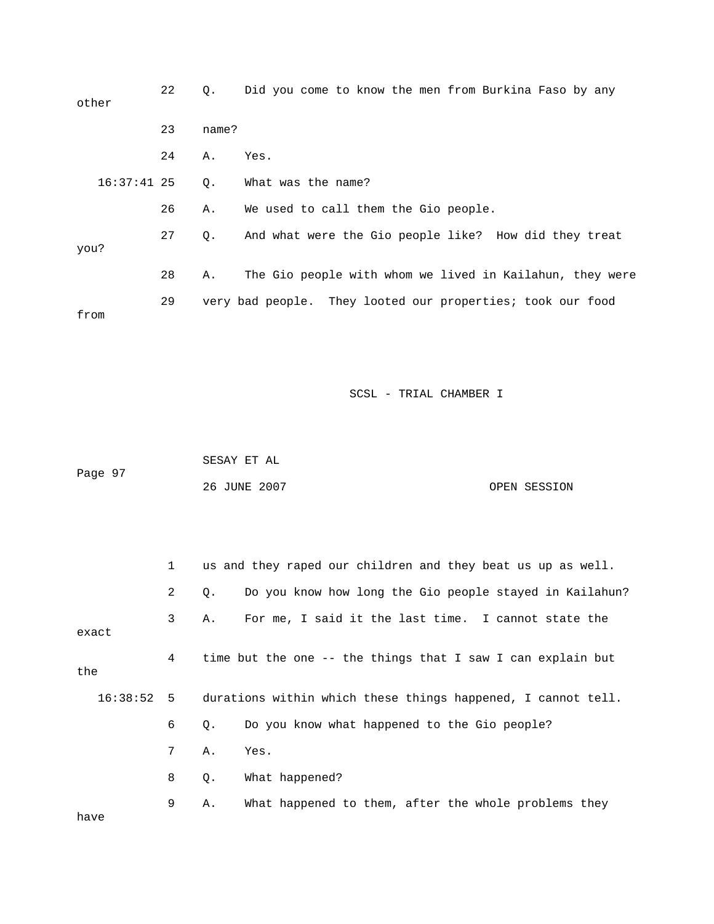| other         | 22 | Q.    | Did you come to know the men from Burkina Faso by any      |
|---------------|----|-------|------------------------------------------------------------|
|               | 23 | name? |                                                            |
|               | 24 | Α.    | Yes.                                                       |
| $16:37:41$ 25 |    | Q.    | What was the name?                                         |
|               | 26 | Α.    | We used to call them the Gio people.                       |
| you?          | 27 | Q.    | And what were the Gio people like? How did they treat      |
|               | 28 | Α.    | The Gio people with whom we lived in Kailahun, they were   |
| from          | 29 |       | very bad people. They looted our properties; took our food |

|         | SESAY ET AL  |              |
|---------|--------------|--------------|
| Page 97 |              |              |
|         | 26 JUNE 2007 | OPEN SESSION |

|       |  | $\mathbf{1}$ |    | us and they raped our children and they beat us up as well.             |  |  |
|-------|--|--------------|----|-------------------------------------------------------------------------|--|--|
|       |  | 2            | О. | Do you know how long the Gio people stayed in Kailahun?                 |  |  |
| exact |  | $\mathbf{3}$ | Α. | For me, I said it the last time. I cannot state the                     |  |  |
| the   |  | 4            |    | time but the one -- the things that I saw I can explain but             |  |  |
|       |  |              |    | 16:38:52 5 durations within which these things happened, I cannot tell. |  |  |
|       |  | 6            | О. | Do you know what happened to the Gio people?                            |  |  |
|       |  | 7            | Α. | Yes.                                                                    |  |  |
|       |  | 8            | Q. | What happened?                                                          |  |  |
|       |  | 9            | Α. | What happened to them, after the whole problems they                    |  |  |

have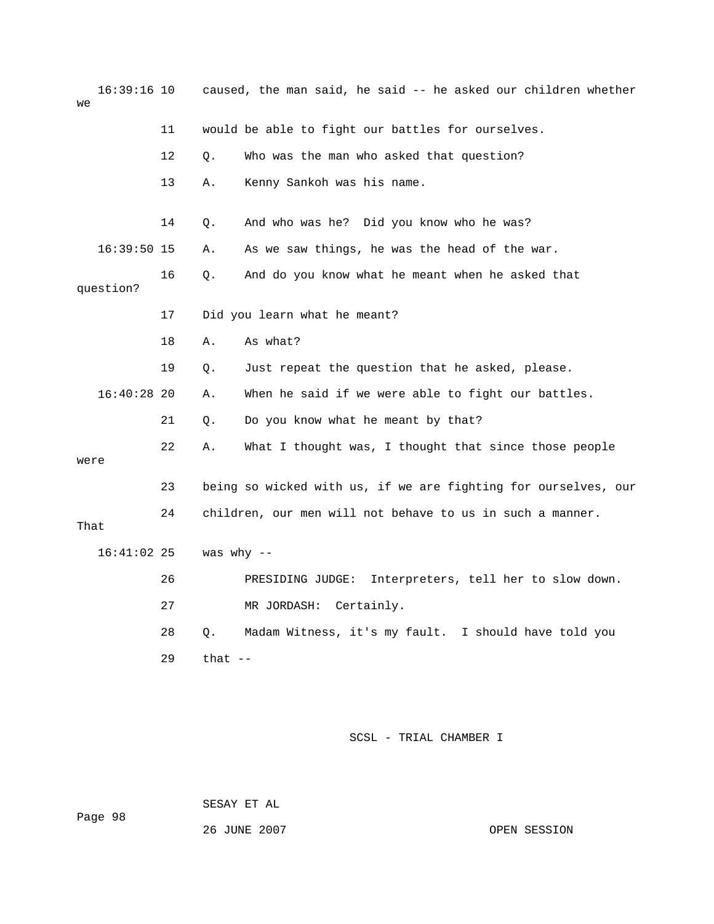| $16:39:16$ 10<br>we |    | caused, the man said, he said -- he asked our children whether |                                                                |  |
|---------------------|----|----------------------------------------------------------------|----------------------------------------------------------------|--|
|                     | 11 |                                                                | would be able to fight our battles for ourselves.              |  |
|                     | 12 | Q.                                                             | Who was the man who asked that question?                       |  |
|                     | 13 | Α.                                                             | Kenny Sankoh was his name.                                     |  |
|                     | 14 | Q.                                                             | And who was he? Did you know who he was?                       |  |
| $16:39:50$ 15       |    | Α.                                                             | As we saw things, he was the head of the war.                  |  |
| question?           | 16 | Q.                                                             | And do you know what he meant when he asked that               |  |
|                     | 17 |                                                                | Did you learn what he meant?                                   |  |
|                     | 18 | Α.                                                             | As what?                                                       |  |
|                     | 19 | Q.                                                             | Just repeat the question that he asked, please.                |  |
| $16:40:28$ 20       |    | Α.                                                             | When he said if we were able to fight our battles.             |  |
|                     | 21 | Q.                                                             | Do you know what he meant by that?                             |  |
| were                | 22 | Α.                                                             | What I thought was, I thought that since those people          |  |
|                     | 23 |                                                                | being so wicked with us, if we are fighting for ourselves, our |  |
| That                | 24 |                                                                | children, our men will not behave to us in such a manner.      |  |
| $16:41:02$ 25       |    | was why $--$                                                   |                                                                |  |
|                     | 26 |                                                                | PRESIDING JUDGE:<br>Interpreters, tell her to slow down.       |  |
|                     | 27 |                                                                | MR JORDASH: Certainly.                                         |  |
|                     | 28 | Q.                                                             | Madam Witness, it's my fault. I should have told you           |  |
|                     | 29 | that $--$                                                      |                                                                |  |
|                     |    |                                                                |                                                                |  |

SESAY ET AL

26 JUNE 2007 OPEN SESSION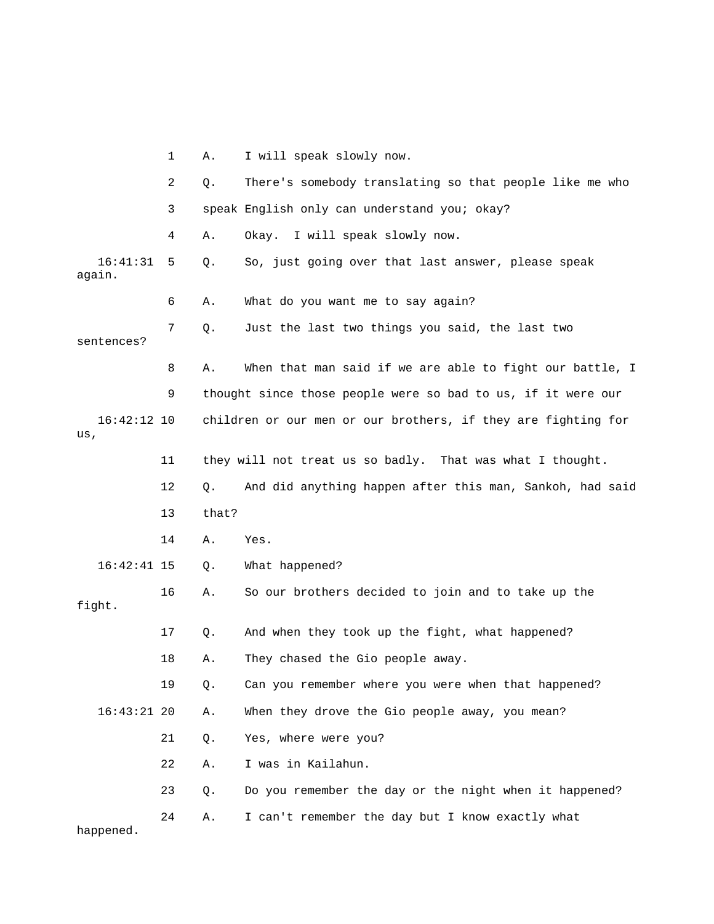|                      | 1  | Α.    | I will speak slowly now.                                      |
|----------------------|----|-------|---------------------------------------------------------------|
|                      | 2  | Q.    | There's somebody translating so that people like me who       |
|                      | 3  |       | speak English only can understand you; okay?                  |
|                      | 4  | Α.    | Okay. I will speak slowly now.                                |
| 16:41:31<br>again.   | 5  | Q.    | So, just going over that last answer, please speak            |
|                      | 6  | Α.    | What do you want me to say again?                             |
| sentences?           | 7  | Q.    | Just the last two things you said, the last two               |
|                      | 8  | Α.    | When that man said if we are able to fight our battle, I      |
|                      | 9  |       | thought since those people were so bad to us, if it were our  |
| $16:42:12$ 10<br>us, |    |       | children or our men or our brothers, if they are fighting for |
|                      | 11 |       | they will not treat us so badly. That was what I thought.     |
|                      | 12 | Q.    | And did anything happen after this man, Sankoh, had said      |
|                      | 13 | that? |                                                               |
|                      | 14 | Α.    | Yes.                                                          |
| $16:42:41$ 15        |    | Q.    | What happened?                                                |
| fight.               | 16 | Α.    | So our brothers decided to join and to take up the            |
|                      | 17 | Q.    | And when they took up the fight, what happened?               |
|                      | 18 | Α.    | They chased the Gio people away.                              |
|                      | 19 | Q.    | Can you remember where you were when that happened?           |
| $16:43:21$ 20        |    | Α.    | When they drove the Gio people away, you mean?                |
|                      | 21 | Q.    | Yes, where were you?                                          |
|                      | 22 | Α.    | I was in Kailahun.                                            |
|                      | 23 | Q.    | Do you remember the day or the night when it happened?        |
| happened.            | 24 | Α.    | I can't remember the day but I know exactly what              |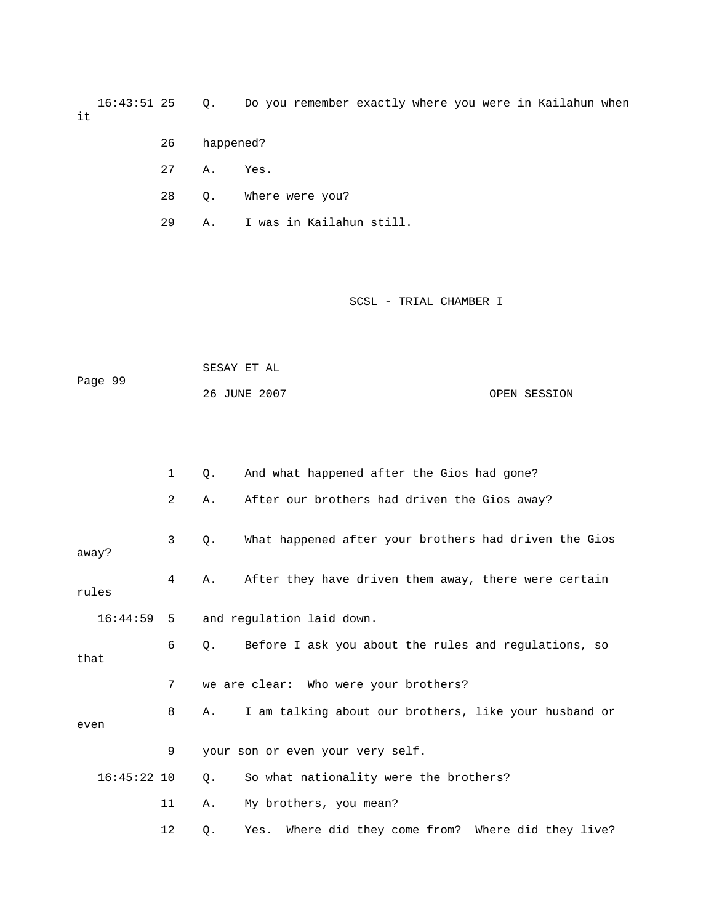16:43:51 25 Q. Do you remember exactly where you were in Kailahun when it

- 26 happened?
- 27 A. Yes.
- 28 Q. Where were you?
- 29 A. I was in Kailahun still.

| Page 99 | SESAY ET AL  |              |
|---------|--------------|--------------|
|         | 26 JUNE 2007 | OPEN SESSION |

|       |               | $\mathbf 1$    | 0.          | And what happened after the Gios had gone?            |
|-------|---------------|----------------|-------------|-------------------------------------------------------|
|       |               | $\overline{2}$ | Α.          | After our brothers had driven the Gios away?          |
| away? |               | 3              | Q.          | What happened after your brothers had driven the Gios |
|       | rules         | 4              | Α.          | After they have driven them away, there were certain  |
|       | 16:44:59      | -5             |             | and regulation laid down.                             |
| that  |               | 6              | $Q_{\star}$ | Before I ask you about the rules and regulations, so  |
|       |               | 7              |             | we are clear: Who were your brothers?                 |
| even  |               | 8              | Α.          | I am talking about our brothers, like your husband or |
|       |               | 9              |             | your son or even your very self.                      |
|       | $16:45:22$ 10 |                | Q.          | So what nationality were the brothers?                |
|       |               | 11             | Α.          | My brothers, you mean?                                |
|       |               | 12             | Q.          | Yes. Where did they come from? Where did they live?   |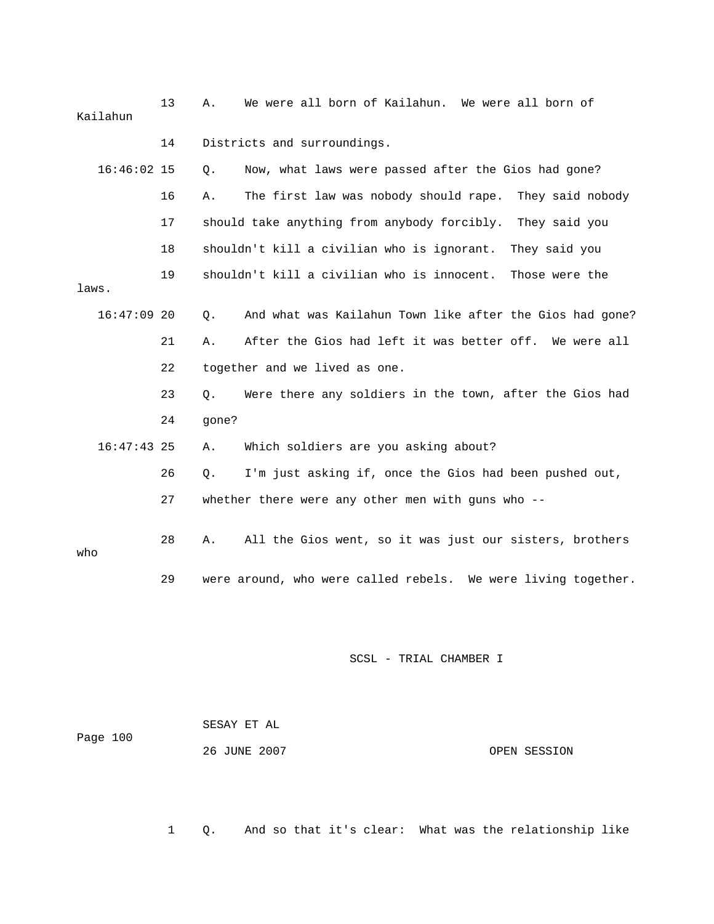| We were all born of Kailahun. We were all born of             | 13<br>Α.    | Kailahun      |  |  |
|---------------------------------------------------------------|-------------|---------------|--|--|
| Districts and surroundings.                                   | 14          |               |  |  |
| Now, what laws were passed after the Gios had gone?           | Q.          | $16:46:02$ 15 |  |  |
| The first law was nobody should rape.<br>They said nobody     | 16<br>Α.    |               |  |  |
| should take anything from anybody forcibly.<br>They said you  | 17          |               |  |  |
| shouldn't kill a civilian who is ignorant.<br>They said you   | 18          |               |  |  |
| shouldn't kill a civilian who is innocent.<br>Those were the  | 19          | laws.         |  |  |
| And what was Kailahun Town like after the Gios had gone?      | $Q$ .       | $16:47:09$ 20 |  |  |
| After the Gios had left it was better off. We were all        | 21<br>Α.    |               |  |  |
| together and we lived as one.                                 | 22          |               |  |  |
| Were there any soldiers in the town, after the Gios had       | 23<br>Q.    |               |  |  |
|                                                               | 24<br>gone? |               |  |  |
| Which soldiers are you asking about?                          | Α.          | $16:47:43$ 25 |  |  |
| I'm just asking if, once the Gios had been pushed out,        | 26<br>Q.    |               |  |  |
| whether there were any other men with guns who --             | 27          |               |  |  |
| All the Gios went, so it was just our sisters, brothers       | 28<br>Α.    | who           |  |  |
| were around, who were called rebels. We were living together. | 29          |               |  |  |
|                                                               |             |               |  |  |

| Page 100 | SESAY ET AL  |              |
|----------|--------------|--------------|
|          | 26 JUNE 2007 | OPEN SESSION |

1 Q. And so that it's clear: What was the relationship like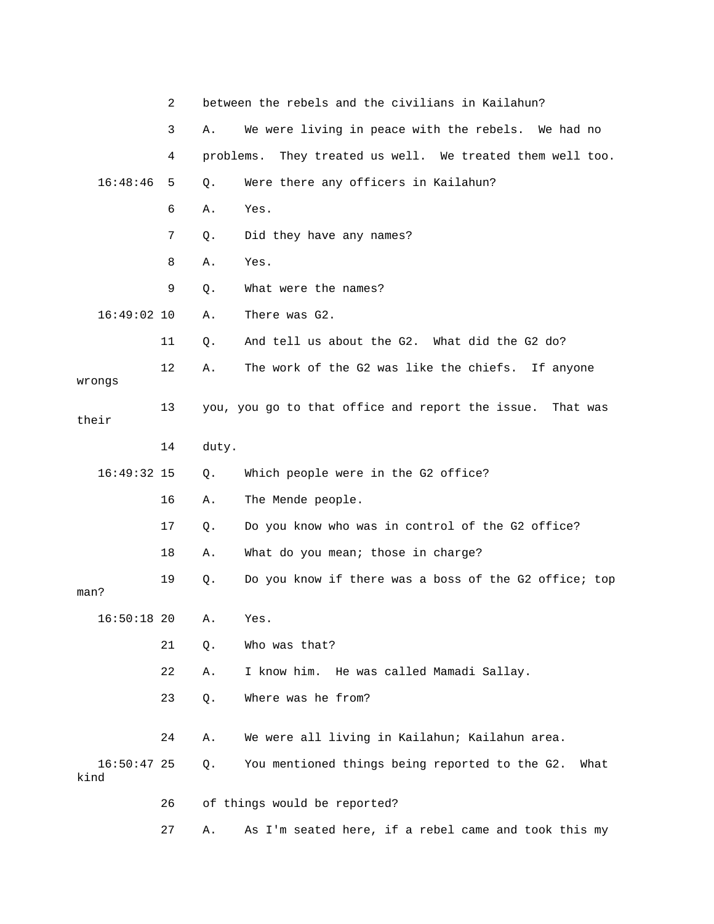|                       | 2  |           | between the rebels and the civilians in Kailahun?         |
|-----------------------|----|-----------|-----------------------------------------------------------|
|                       | 3  | Α.        | We were living in peace with the rebels. We had no        |
|                       | 4  | problems. | They treated us well. We treated them well too.           |
| 16:48:46              | 5  | Q.        | Were there any officers in Kailahun?                      |
|                       | 6  | Α.        | Yes.                                                      |
|                       | 7  | Q.        | Did they have any names?                                  |
|                       | 8  | Α.        | Yes.                                                      |
|                       | 9  | Q.        | What were the names?                                      |
| $16:49:02$ 10         |    | Α.        | There was G2.                                             |
|                       | 11 | Q.        | And tell us about the G2. What did the G2 do?             |
| wrongs                | 12 | Α.        | The work of the G2 was like the chiefs. If anyone         |
| their                 | 13 |           | you, you go to that office and report the issue. That was |
|                       | 14 | duty.     |                                                           |
| $16:49:32$ 15         |    | Q.        | Which people were in the G2 office?                       |
|                       | 16 | Α.        | The Mende people.                                         |
|                       | 17 | Q.        | Do you know who was in control of the G2 office?          |
|                       | 18 | Α.        | What do you mean; those in charge?                        |
| man?                  | 19 | Q.        | Do you know if there was a boss of the G2 office; top     |
| $16:50:18$ 20         |    | Α.        | Yes.                                                      |
|                       | 21 | Q.        | Who was that?                                             |
|                       | 22 | Α.        | I know him. He was called Mamadi Sallay.                  |
|                       | 23 | Q.        | Where was he from?                                        |
|                       | 24 | Α.        | We were all living in Kailahun; Kailahun area.            |
| $16:50:47$ 25<br>kind |    | Q.        | You mentioned things being reported to the G2.<br>What    |
|                       | 26 |           | of things would be reported?                              |
|                       | 27 | Α.        | As I'm seated here, if a rebel came and took this my      |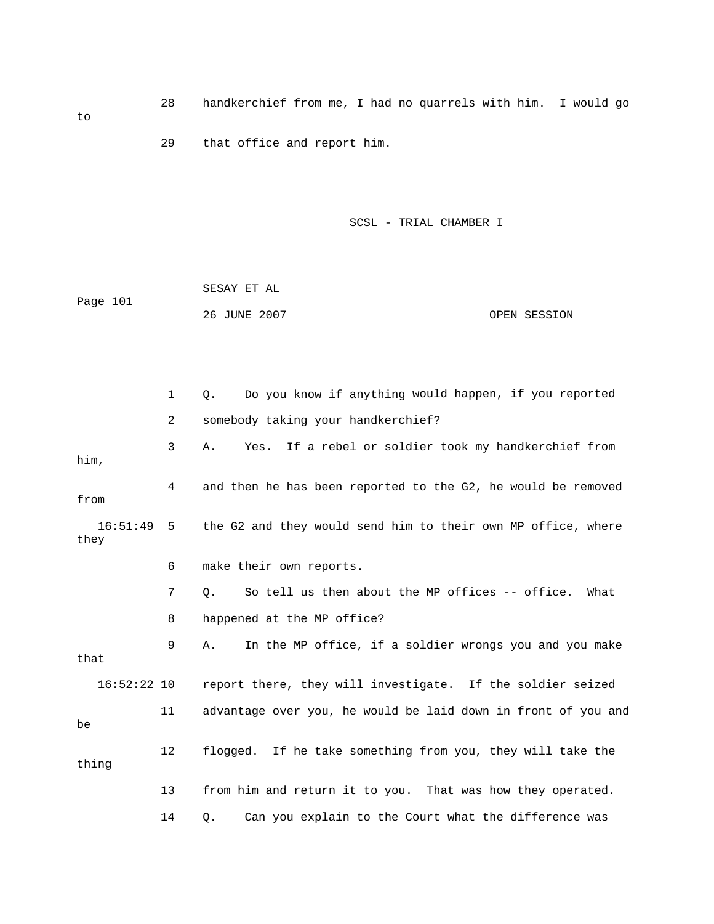28 handkerchief from me, I had no quarrels with him. I wo uld go 29 that office and report him.

SCSL - TRIAL CHAMBER I

|          | SESAY ET AL  |              |  |
|----------|--------------|--------------|--|
| Page 101 |              |              |  |
|          | 26 JUNE 2007 | OPEN SESSION |  |

|                      | 1              | Do you know if anything would happen, if you reported<br>Q.   |
|----------------------|----------------|---------------------------------------------------------------|
|                      | $\overline{2}$ | somebody taking your handkerchief?                            |
| him,                 | 3              | Yes. If a rebel or soldier took my handkerchief from<br>Α.    |
| from                 | 4              | and then he has been reported to the G2, he would be removed  |
| $16:51:49$ 5<br>they |                | the G2 and they would send him to their own MP office, where  |
|                      | 6              | make their own reports.                                       |
|                      | 7              | So tell us then about the MP offices -- office.<br>What<br>О. |
|                      | 8              | happened at the MP office?                                    |
| that                 | 9              | In the MP office, if a soldier wrongs you and you make<br>Α.  |
| $16:52:22$ 10        |                | report there, they will investigate. If the soldier seized    |
| be                   | 11             | advantage over you, he would be laid down in front of you and |
| thing                | 12             | flogged. If he take something from you, they will take the    |
|                      | 13             | from him and return it to you. That was how they operated.    |
|                      | 14             | Can you explain to the Court what the difference was<br>$Q$ . |

to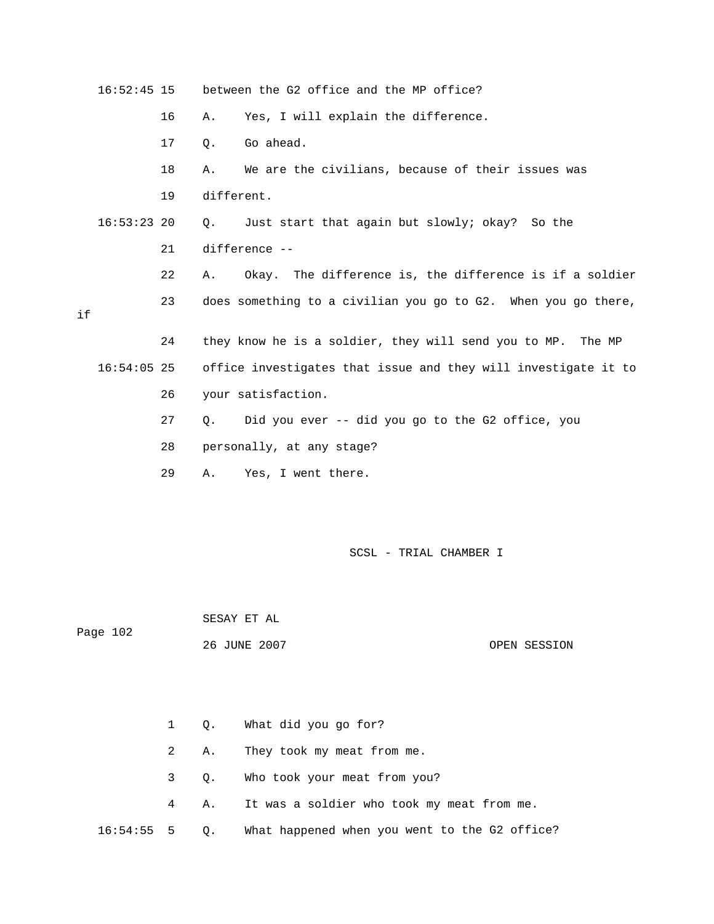|    | $16:52:45$ 15 |    |               | between the G2 office and the MP office?                       |  |  |
|----|---------------|----|---------------|----------------------------------------------------------------|--|--|
|    |               | 16 | Α.            | Yes, I will explain the difference.                            |  |  |
|    |               | 17 | $Q$ .         | Go ahead.                                                      |  |  |
|    |               | 18 | Α.            | We are the civilians, because of their issues was              |  |  |
|    |               | 19 | different.    |                                                                |  |  |
|    | $16:53:23$ 20 |    | $\circ$ .     | Just start that again but slowly; okay? So the                 |  |  |
|    |               | 21 | difference -- |                                                                |  |  |
|    |               | 22 | Α.            | Okay. The difference is, the difference is if a soldier        |  |  |
| if |               | 23 |               | does something to a civilian you go to G2. When you go there,  |  |  |
|    |               | 24 |               | they know he is a soldier, they will send you to MP. The MP    |  |  |
|    | $16:54:05$ 25 |    |               | office investigates that issue and they will investigate it to |  |  |
|    |               | 26 |               | your satisfaction.                                             |  |  |
|    |               | 27 | Q.            | Did you ever -- did you go to the G2 office, you               |  |  |
|    |               | 28 |               | personally, at any stage?                                      |  |  |
|    |               | 29 | Α.            | Yes, I went there.                                             |  |  |
|    |               |    |               |                                                                |  |  |
|    |               |    |               |                                                                |  |  |
|    |               |    |               | SCSL - TRIAL CHAMBER I                                         |  |  |

SESAY ET AL

Page 102

26 JUNE 2007 OPEN SESSION

2 A. They took my meat from me. 4 A. It was a soldier who took my meat from me. 16:54:55 5 Q. What happened when you went to the G2 office? 1 Q. What did you go for? 3 Q. Who took your meat from you?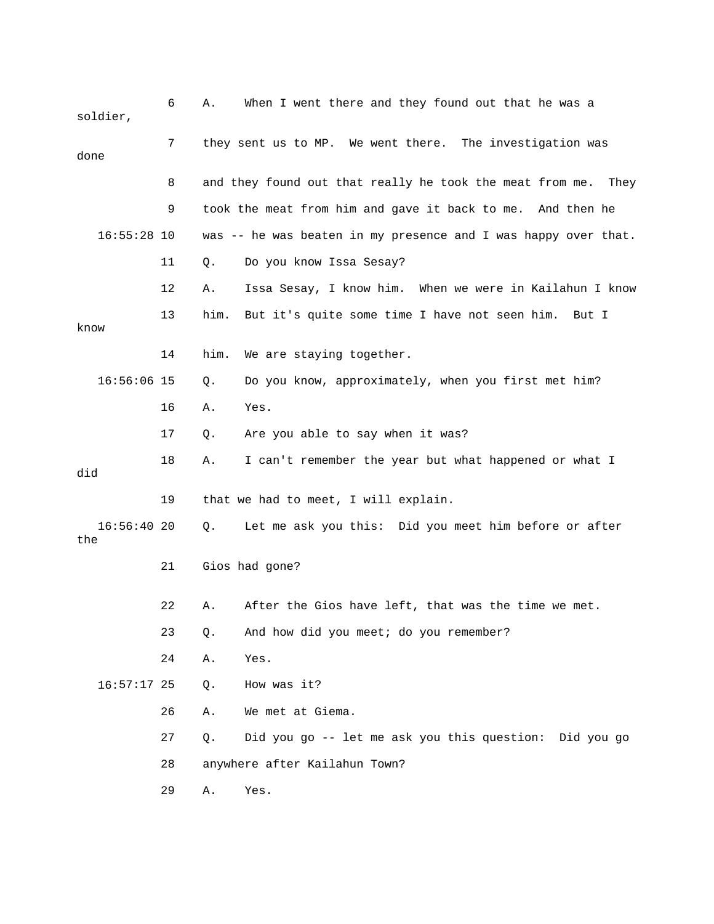| soldier,          | 6  | Α.                                                       | When I went there and they found out that he was a               |  |  |
|-------------------|----|----------------------------------------------------------|------------------------------------------------------------------|--|--|
| done              | 7  | they sent us to MP. We went there. The investigation was |                                                                  |  |  |
|                   | 8  |                                                          | and they found out that really he took the meat from me.<br>They |  |  |
|                   | 9  |                                                          | took the meat from him and gave it back to me. And then he       |  |  |
| $16:55:28$ 10     |    |                                                          | was $-$ he was beaten in my presence and I was happy over that.  |  |  |
|                   | 11 | Q.                                                       | Do you know Issa Sesay?                                          |  |  |
|                   | 12 | Α.                                                       | Issa Sesay, I know him. When we were in Kailahun I know          |  |  |
| know              | 13 | him.                                                     | But it's quite some time I have not seen him.<br>But I           |  |  |
|                   | 14 | him.                                                     | We are staying together.                                         |  |  |
| $16:56:06$ 15     |    | Q.                                                       | Do you know, approximately, when you first met him?              |  |  |
|                   | 16 | Α.                                                       | Yes.                                                             |  |  |
|                   | 17 | Q.                                                       | Are you able to say when it was?                                 |  |  |
| did               | 18 | Α.                                                       | I can't remember the year but what happened or what I            |  |  |
|                   | 19 |                                                          | that we had to meet, I will explain.                             |  |  |
| 16:56:4020<br>the |    | Q.                                                       | Let me ask you this: Did you meet him before or after            |  |  |
|                   | 21 |                                                          | Gios had gone?                                                   |  |  |
|                   | 22 | Α.                                                       | After the Gios have left, that was the time we met.              |  |  |
|                   | 23 | Q.                                                       | And how did you meet; do you remember?                           |  |  |
|                   | 24 | Α.                                                       | Yes.                                                             |  |  |
| $16:57:17$ 25     |    | Q.                                                       | How was it?                                                      |  |  |
|                   | 26 | Α.                                                       | We met at Giema.                                                 |  |  |
|                   | 27 | Q.                                                       | Did you go -- let me ask you this question:<br>Did you go        |  |  |
|                   | 28 |                                                          | anywhere after Kailahun Town?                                    |  |  |
|                   | 29 | Α.                                                       | Yes.                                                             |  |  |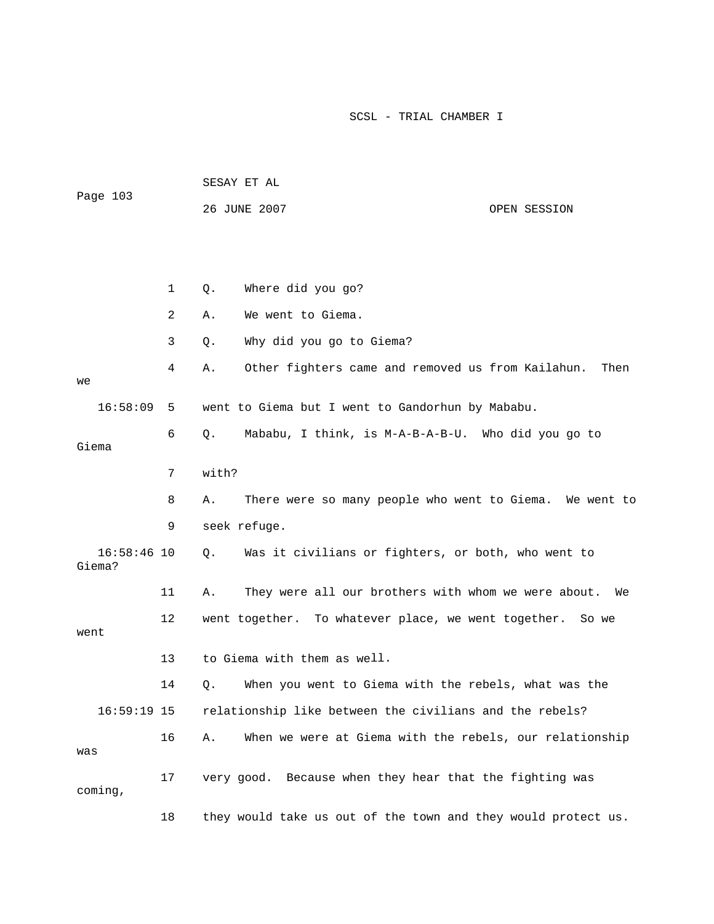| Page 103                |              | SESAY ET AL                                                   |      |  |  |
|-------------------------|--------------|---------------------------------------------------------------|------|--|--|
|                         |              | 26 JUNE 2007<br>OPEN SESSION                                  |      |  |  |
|                         |              |                                                               |      |  |  |
|                         |              |                                                               |      |  |  |
|                         | $\mathbf{1}$ | Where did you go?<br>$Q$ .                                    |      |  |  |
|                         | 2            | We went to Giema.<br>Α.                                       |      |  |  |
|                         | 3            | Why did you go to Giema?<br>Q.                                |      |  |  |
| we                      | 4            | Other fighters came and removed us from Kailahun.<br>Α.       | Then |  |  |
| 16:58:09                | 5            | went to Giema but I went to Gandorhun by Mababu.              |      |  |  |
| Giema                   | 6            | Mababu, I think, is M-A-B-A-B-U. Who did you go to<br>Q.      |      |  |  |
|                         | 7            | with?                                                         |      |  |  |
|                         | 8            | There were so many people who went to Giema. We went to<br>Α. |      |  |  |
|                         | 9            | seek refuge.                                                  |      |  |  |
| $16:58:46$ 10<br>Giema? |              | Was it civilians or fighters, or both, who went to<br>Q.      |      |  |  |
|                         | 11           | They were all our brothers with whom we were about.<br>Α.     | We   |  |  |
| went                    | 12           | went together. To whatever place, we went together. So we     |      |  |  |
|                         | 13           | to Giema with them as well.                                   |      |  |  |
|                         | 14           | When you went to Giema with the rebels, what was the<br>Q.    |      |  |  |
| $16:59:19$ 15           |              | relationship like between the civilians and the rebels?       |      |  |  |
| was                     | 16           | When we were at Giema with the rebels, our relationship<br>Α. |      |  |  |
| coming,                 | 17           | Because when they hear that the fighting was<br>very good.    |      |  |  |

18 they would take us out of the town and they would protect us.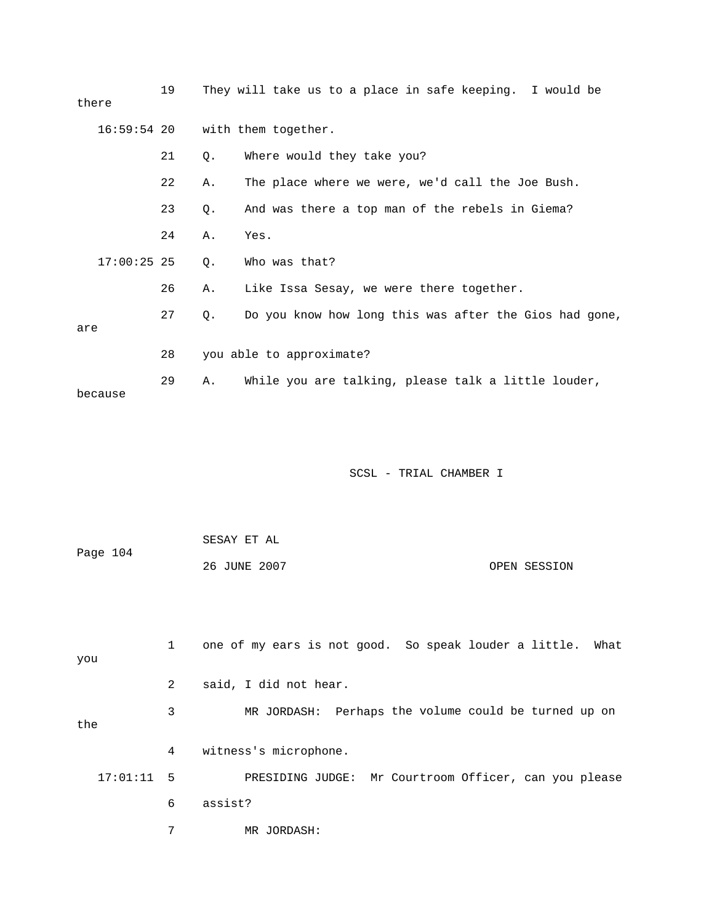| there         | 19 |       | They will take us to a place in safe keeping. I would be |
|---------------|----|-------|----------------------------------------------------------|
| 16:59:54 20   |    |       | with them together.                                      |
|               | 21 | Q.    | Where would they take you?                               |
|               | 22 | Α.    | The place where we were, we'd call the Joe Bush.         |
|               | 23 | Q.    | And was there a top man of the rebels in Giema?          |
|               | 24 | Α.    | Yes.                                                     |
| $17:00:25$ 25 |    | $Q$ . | Who was that?                                            |
|               | 26 | Α.    | Like Issa Sesay, we were there together.                 |
| are           | 27 | О.    | Do you know how long this was after the Gios had gone,   |
|               | 28 |       | you able to approximate?                                 |
| because       | 29 | Α.    | While you are talking, please talk a little louder,      |

| Page 104 | SESAY ET AL  |              |
|----------|--------------|--------------|
|          | 26 JUNE 2007 | OPEN SESSION |

| you          |   | one of my ears is not good. So speak louder a little. What |
|--------------|---|------------------------------------------------------------|
|              | 2 | said, I did not hear.                                      |
| the          | 3 | MR JORDASH: Perhaps the volume could be turned up on       |
|              | 4 | witness's microphone.                                      |
| $17:01:11$ 5 |   | PRESIDING JUDGE: Mr Courtroom Officer, can you please      |
|              | 6 | assist?                                                    |
|              | 7 | MR JORDASH:                                                |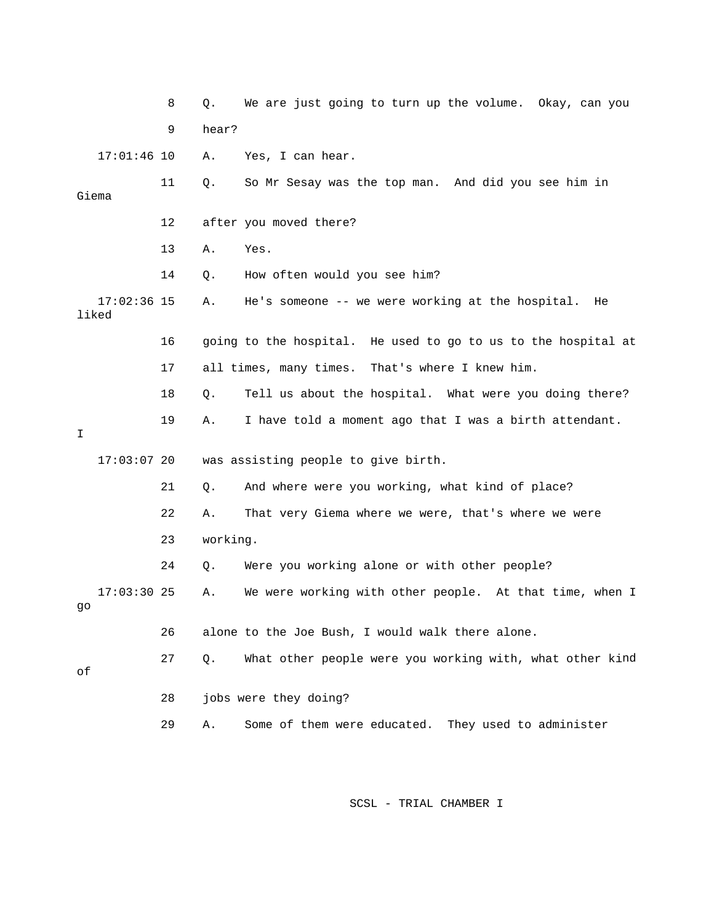|       |               | 8  | Q.       | We are just going to turn up the volume. Okay, can you        |
|-------|---------------|----|----------|---------------------------------------------------------------|
|       |               | 9  | hear?    |                                                               |
|       | $17:01:46$ 10 |    | Α.       | Yes, I can hear.                                              |
| Giema |               | 11 | Q.       | So Mr Sesay was the top man. And did you see him in           |
|       |               | 12 |          | after you moved there?                                        |
|       |               | 13 | Α.       | Yes.                                                          |
|       |               | 14 | Q.       | How often would you see him?                                  |
| liked | $17:02:36$ 15 |    | Α.       | He's someone -- we were working at the hospital.<br>He        |
|       |               | 16 |          | going to the hospital. He used to go to us to the hospital at |
|       |               | 17 |          | all times, many times. That's where I knew him.               |
|       |               | 18 | Q.       | Tell us about the hospital. What were you doing there?        |
| I     |               | 19 | Α.       | I have told a moment ago that I was a birth attendant.        |
|       | $17:03:07$ 20 |    |          | was assisting people to give birth.                           |
|       |               | 21 | Q.       | And where were you working, what kind of place?               |
|       |               | 22 | Α.       | That very Giema where we were, that's where we were           |
|       |               | 23 | working. |                                                               |
|       |               | 24 | Q.       | Were you working alone or with other people?                  |
| go    | $17:03:30$ 25 |    | Α.       | We were working with other people. At that time, when I       |
|       |               | 26 |          | alone to the Joe Bush, I would walk there alone.              |
| оf    |               | 27 | Q.       | What other people were you working with, what other kind      |
|       |               | 28 |          | jobs were they doing?                                         |
|       |               | 29 | Α.       | Some of them were educated. They used to administer           |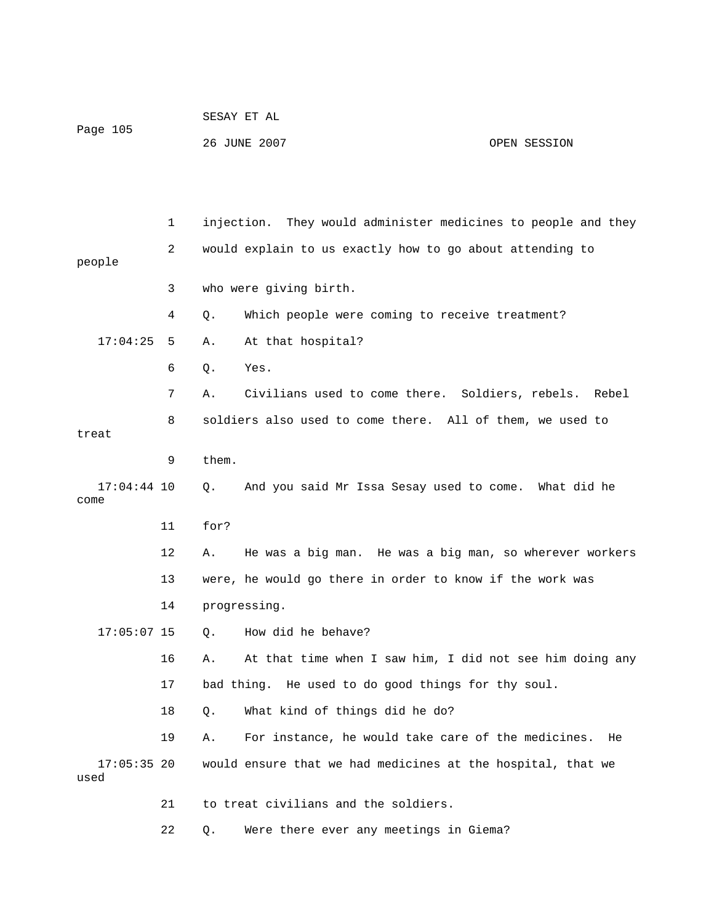| Page 105 | SESAY ET AL  |              |
|----------|--------------|--------------|
|          | 26 JUNE 2007 | OPEN SESSION |

 2 would explain to us exactly how to go about attending to 4 Q. Which people were coming to receive treatment? 6 Q. Yes. 7 A. Civilians used to come there. Soldiers, rebels. Rebel 8 soldiers also used to come there. All of them, we used to 9 them. 17:04:44 10 Q. And you said Mr Issa Sesay used to come. What did he 12 A. He was a big man. He was a big man, so wherever workers 13 were, he would go there in order to know if the work was 16 A. At that time when I saw him, I did not see him doing any 17 bad thing. He used to do good things for thy soul. 18 Q. What kind of things did he do? 19 A. For instance, he would take care of the medicines. He 17:05:35 20 would ensure that we had medicines at the hospital, that we 22 Q. Were there ever any meetings in Giema? 1 injection. They would administer medicines to people and they people 3 who were giving birth. 17:04:25 5 A. At that hospital? treat come 11 for? 14 progressing. 17:05:07 15 Q. How did he behave? used 21 to treat civilians and the soldiers.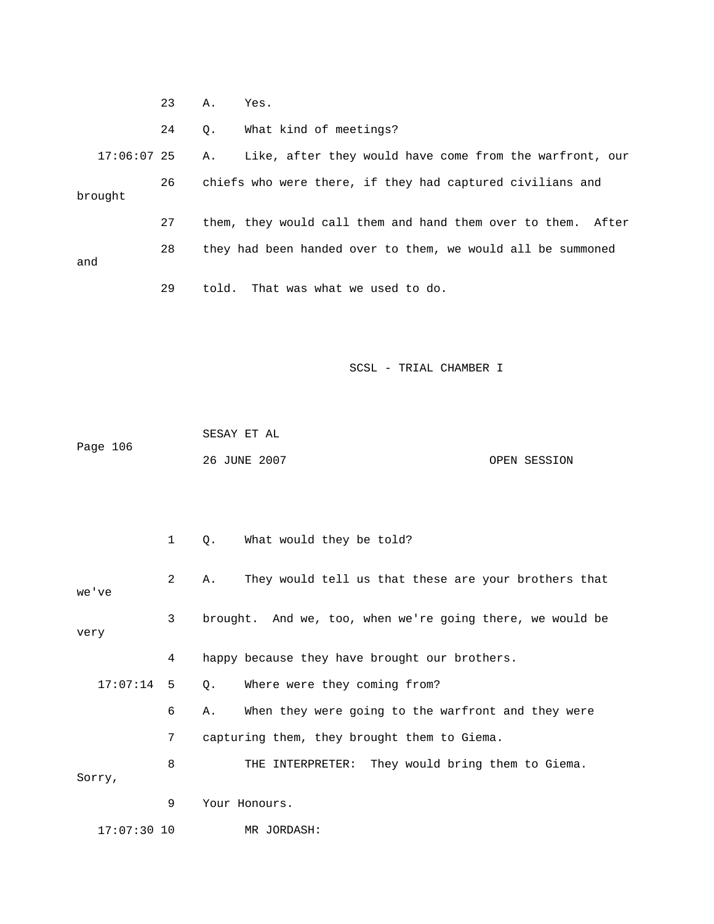|               | 23 | Α. | Yes.                                                         |
|---------------|----|----|--------------------------------------------------------------|
|               | 24 | 0. | What kind of meetings?                                       |
| $17:06:07$ 25 |    | Α. | Like, after they would have come from the warfront, our      |
| brought       | 26 |    | chiefs who were there, if they had captured civilians and    |
|               | 27 |    | them, they would call them and hand them over to them. After |
| and           | 28 |    | they had been handed over to them, we would all be summoned  |
|               | 29 |    | told. That was what we used to do.                           |

|          | SESAY ET AL  |              |
|----------|--------------|--------------|
| Page 106 |              |              |
|          | 26 JUNE 2007 | OPEN SESSION |

|               | $\mathbf{1}$ | What would they be told?<br>$\circ$ .                      |
|---------------|--------------|------------------------------------------------------------|
| we've         | 2            | They would tell us that these are your brothers that<br>Α. |
| very          | 3            | brought. And we, too, when we're going there, we would be  |
|               | 4            | happy because they have brought our brothers.              |
| 17:07:14      | 5            | Where were they coming from?<br>Q.                         |
|               | 6            | When they were going to the warfront and they were<br>Α.   |
|               | 7            | capturing them, they brought them to Giema.                |
| Sorry,        | 8            | THE INTERPRETER: They would bring them to Giema.           |
|               | 9            | Your Honours.                                              |
| $17:07:30$ 10 |              | MR JORDASH:                                                |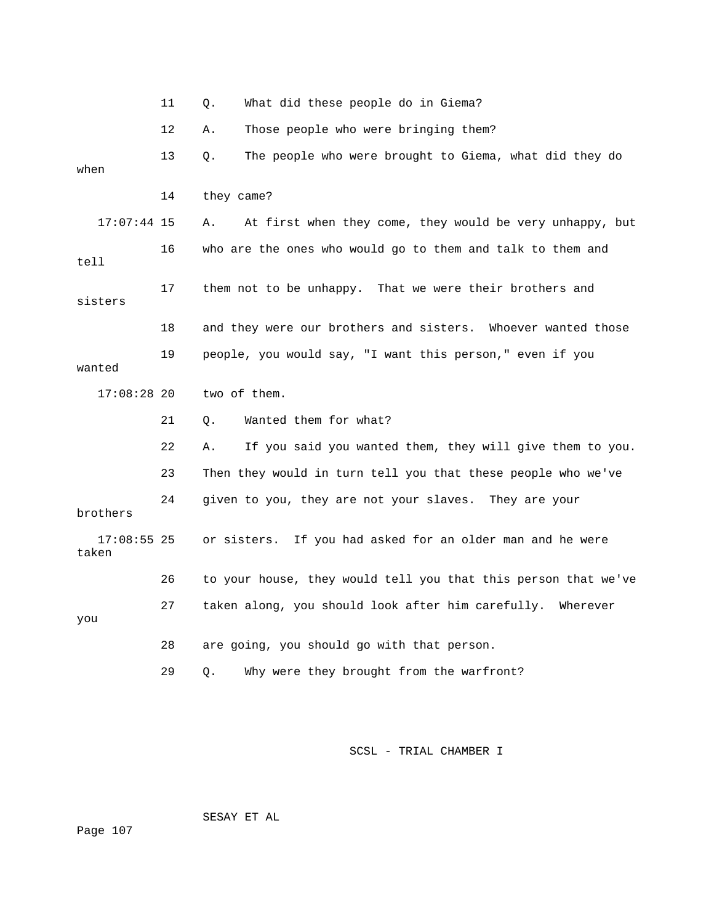|                        | 11 | What did these people do in Giema?<br>Q.                       |
|------------------------|----|----------------------------------------------------------------|
|                        | 12 | Those people who were bringing them?<br>Α.                     |
| when                   | 13 | Q.<br>The people who were brought to Giema, what did they do   |
|                        | 14 | they came?                                                     |
| $17:07:44$ 15          |    | At first when they come, they would be very unhappy, but<br>Α. |
| tell                   | 16 | who are the ones who would go to them and talk to them and     |
| sisters                | 17 | them not to be unhappy.<br>That we were their brothers and     |
|                        | 18 | and they were our brothers and sisters. Whoever wanted those   |
| wanted                 | 19 | people, you would say, "I want this person," even if you       |
| $17:08:28$ 20          |    | two of them.                                                   |
|                        | 21 | Wanted them for what?<br>Q.                                    |
|                        | 22 | If you said you wanted them, they will give them to you.<br>Α. |
|                        | 23 | Then they would in turn tell you that these people who we've   |
| brothers               | 24 | given to you, they are not your slaves. They are your          |
| $17:08:55$ 25<br>taken |    | or sisters. If you had asked for an older man and he were      |
|                        | 26 | to your house, they would tell you that this person that we've |
| you                    | 27 | taken along, you should look after him carefully.<br>Wherever  |
|                        | 28 | are going, you should go with that person.                     |
|                        | 29 | Why were they brought from the warfront?<br>Q.                 |

SESAY ET AL

Page 107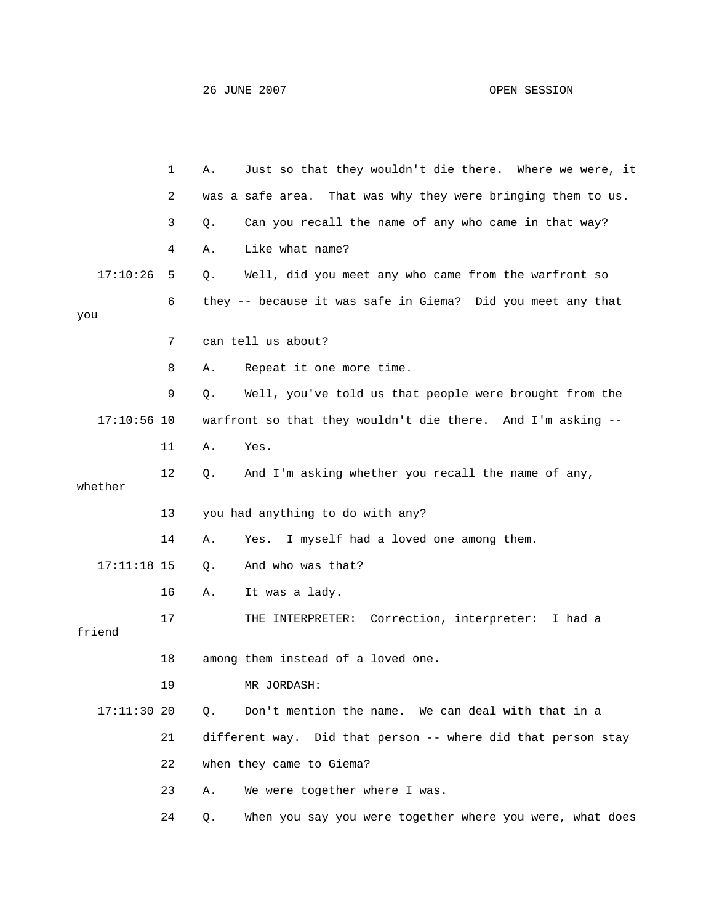|               | 1  | Α. | Just so that they wouldn't die there. Where we were, it         |
|---------------|----|----|-----------------------------------------------------------------|
|               | 2  |    | That was why they were bringing them to us.<br>was a safe area. |
|               | 3  | Q. | Can you recall the name of any who came in that way?            |
|               | 4  | Α. | Like what name?                                                 |
| 17:10:26      | 5  | Q. | Well, did you meet any who came from the warfront so            |
| you           | 6  |    | they -- because it was safe in Giema? Did you meet any that     |
|               | 7  |    | can tell us about?                                              |
|               | 8  | Α. | Repeat it one more time.                                        |
|               | 9  | Q. | Well, you've told us that people were brought from the          |
| $17:10:56$ 10 |    |    | warfront so that they wouldn't die there. And I'm asking --     |
|               | 11 | Α. | Yes.                                                            |
| whether       | 12 | Q. | And I'm asking whether you recall the name of any,              |
|               | 13 |    | you had anything to do with any?                                |
|               | 14 | Α. | I myself had a loved one among them.<br>Yes.                    |
| $17:11:18$ 15 |    | Q. | And who was that?                                               |
|               | 16 | Α. | It was a lady.                                                  |
| friend        | 17 |    | THE INTERPRETER: Correction, interpreter: I had a               |
|               | 18 |    | among them instead of a loved one.                              |
|               | 19 |    | MR JORDASH:                                                     |
| $17:11:30$ 20 |    | Q. | Don't mention the name. We can deal with that in a              |
|               | 21 |    | different way. Did that person -- where did that person stay    |
|               | 22 |    | when they came to Giema?                                        |
|               | 23 | Α. | We were together where I was.                                   |
|               | 24 | Q. | When you say you were together where you were, what does        |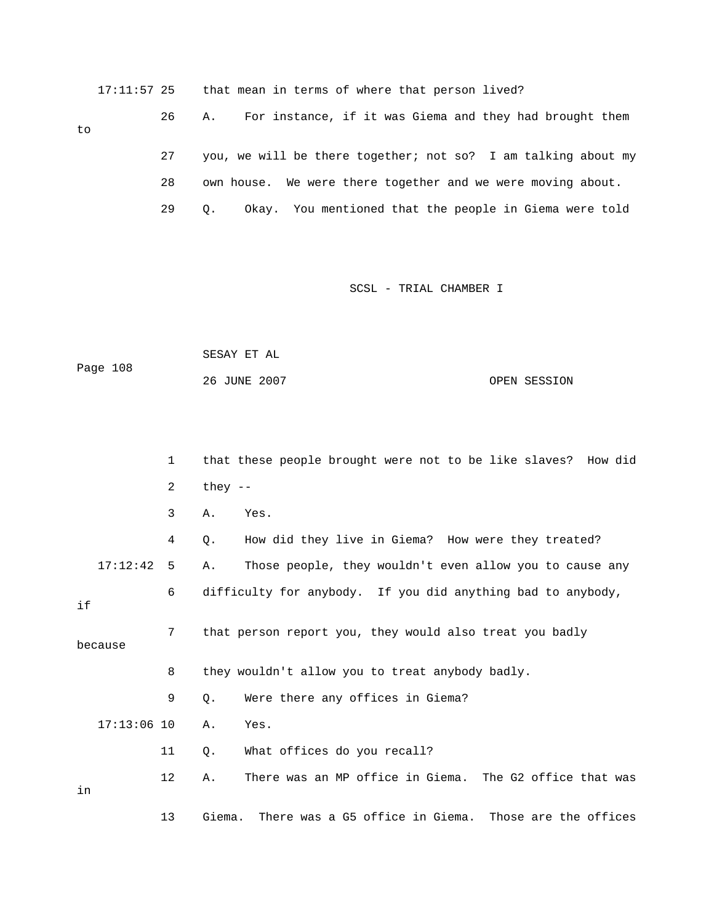17:11:57 25 that mean in terms of where that person lived?

## to

|    | you, we will be there together; not so? I am talking about my |
|----|---------------------------------------------------------------|
| 28 | own house. We were there together and we were moving about.   |
|    | Okay. You mentioned that the people in Giema were told        |

26 A. For instance, if it was Giema and they had brought them

| Page 108 | SESAY ET AL  |              |
|----------|--------------|--------------|
|          | 26 JUNE 2007 | OPEN SESSION |

|               | $\mathbf{1}$      | that these people brought were not to be like slaves? How did   |
|---------------|-------------------|-----------------------------------------------------------------|
|               | $\overline{2}$    | they $--$                                                       |
|               | 3                 | Yes.<br>Α.                                                      |
|               | 4                 | How did they live in Giema? How were they treated?<br>О.        |
| 17:12:42      | 5                 | Those people, they wouldn't even allow you to cause any<br>Α.   |
| if            | 6                 | difficulty for anybody. If you did anything bad to anybody,     |
| because       | 7                 | that person report you, they would also treat you badly         |
|               | 8                 | they wouldn't allow you to treat anybody badly.                 |
|               | 9                 | Were there any offices in Giema?<br>Q.                          |
| $17:13:06$ 10 |                   | $A$ .<br>Yes.                                                   |
|               | 11                | What offices do you recall?<br>$Q$ .                            |
| in            | $12 \overline{ }$ | There was an MP office in Giema. The G2 office that was<br>Α.   |
|               | 13                | There was a G5 office in Giema. Those are the offices<br>Giema. |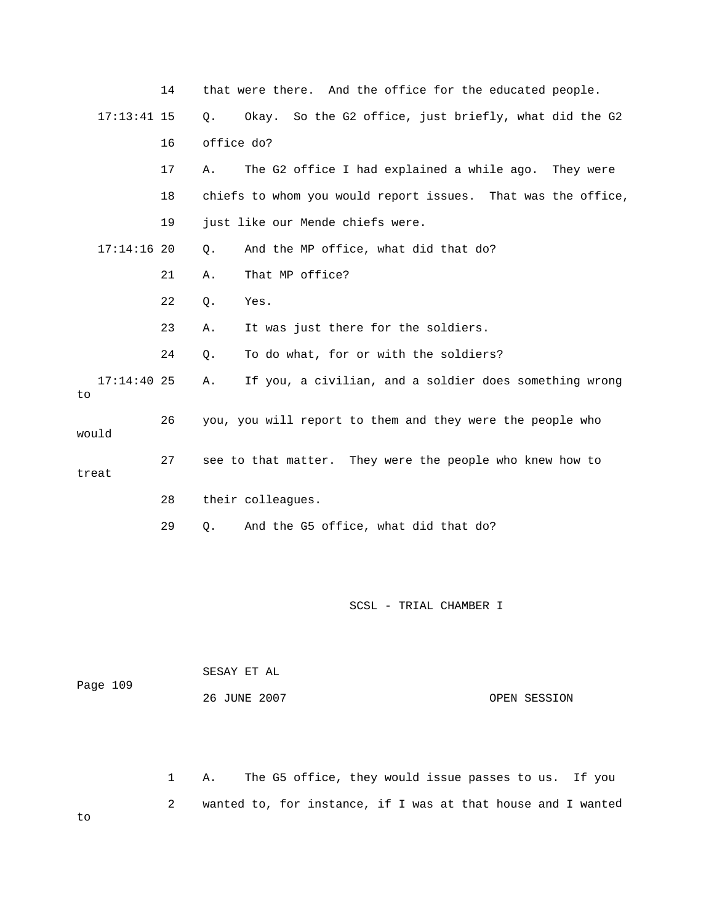|                     | 14 | that were there. And the office for the educated people.     |
|---------------------|----|--------------------------------------------------------------|
| $17:13:41$ 15       |    | Okay. So the G2 office, just briefly, what did the G2<br>Q.  |
|                     | 16 | office do?                                                   |
|                     | 17 | The G2 office I had explained a while ago. They were<br>Α.   |
|                     | 18 | chiefs to whom you would report issues. That was the office, |
|                     | 19 | just like our Mende chiefs were.                             |
| $17:14:16$ 20       |    | And the MP office, what did that do?<br>$Q$ .                |
|                     | 21 | That MP office?<br>Α.                                        |
|                     | 22 | Yes.<br>Q.                                                   |
|                     | 23 | It was just there for the soldiers.<br>Α.                    |
|                     | 24 | To do what, for or with the soldiers?<br>Q.                  |
| $17:14:40$ 25<br>to |    | If you, a civilian, and a soldier does something wrong<br>Α. |
| would               | 26 | you, you will report to them and they were the people who    |
| treat               | 27 | see to that matter. They were the people who knew how to     |
|                     | 28 | their colleagues.                                            |
|                     | 29 | And the G5 office, what did that do?<br>Q.                   |
|                     |    |                                                              |
|                     |    | SCSL - TRIAL CHAMBER I                                       |

| Page 109 | SESAY ET AL  |              |
|----------|--------------|--------------|
|          | 26 JUNE 2007 | OPEN SESSION |

2 wanted to, for instance, if I was at that house and I wanted 1 A. The G5 office, they would issue passes to us. If you

to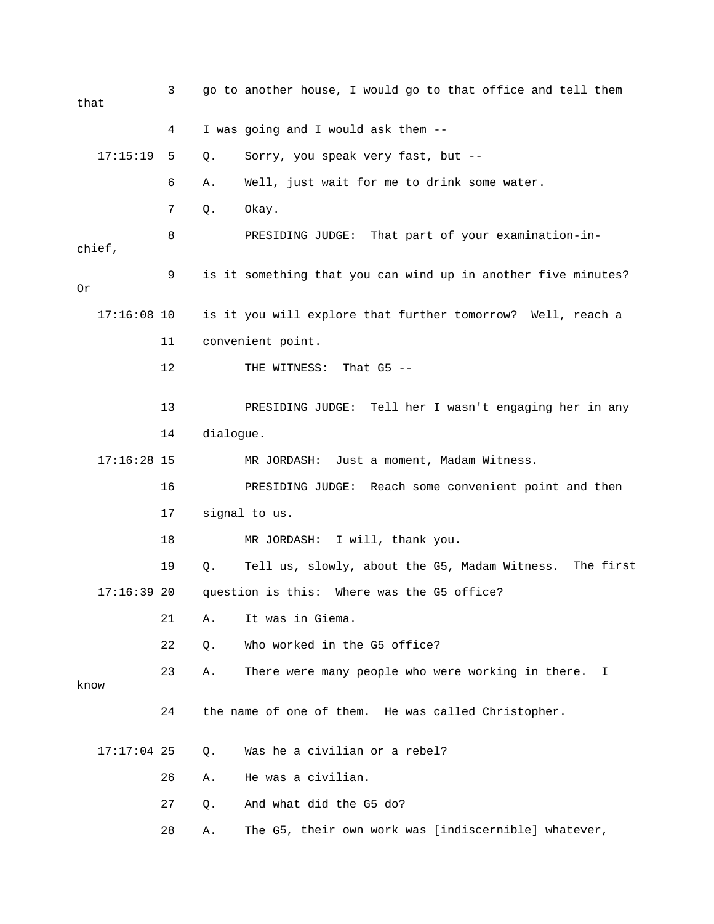3 go to another house, I would go to that office and tell the m that 4 I was going and I would ask them -- 6 A. Well, just wait for me to drink some water. 7 Q. Okay. 8 THESIDING JUDGE: That part of your examination-inchief, 9 is it something that you can wind up in another five minutes? is it you will explore that further tomorrow? Well, reach a 11 convenient point. 12 THE WITNESS: That G5 --17:16:28 15 MR JORDASH: Just a moment, Madam Witness. 16 PRESIDING JUDGE: Reach some convenient point and then 19 Q. Tell us, slowly, about the G5, Madam Witness. The first 17:16:39 20 question is this: Where was the G5 office? 22 Q. Who worked in the G5 office? 17:17:04 25 Q. Was he a civilian or a rebel? 28 A. The G5, their own work was [indiscernible] whatever, 17:15:19 5 Q. Sorry, you speak very fast, but -- Or  $17:16:08$  10 13 PRESIDING JUDGE: Tell her I wasn't engaging her in any 14 dialogue. 17 signal to us. 18 MR JORDASH: I will, thank you. 21 A. It was in Giema. 23 A. There were many people who were working in there. I know 24 the name of one of them. He was called Christopher. 26 A. He was a civilian. 27 Q. And what did the G5 do?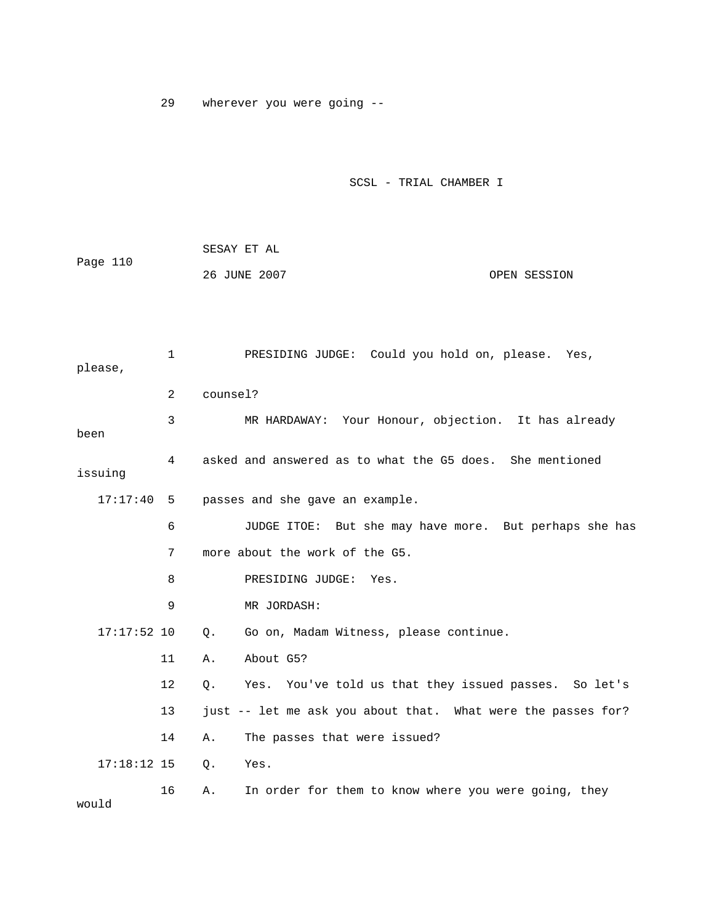29 wherever you were going --

|          | SESAY ET AL  |              |
|----------|--------------|--------------|
| Page 110 |              |              |
|          | 26 JUNE 2007 | OPEN SESSION |

| please,       | $\mathbf{1}$   |          | PRESIDING JUDGE: Could you hold on, please. Yes,             |
|---------------|----------------|----------|--------------------------------------------------------------|
|               | $\overline{2}$ | counsel? |                                                              |
| been          | 3              |          | MR HARDAWAY: Your Honour, objection. It has already          |
| issuing       | 4              |          | asked and answered as to what the G5 does. She mentioned     |
| $17:17:40$ 5  |                |          | passes and she gave an example.                              |
|               | 6              |          | JUDGE ITOE: But she may have more. But perhaps she has       |
|               | 7              |          | more about the work of the G5.                               |
|               | 8              |          | PRESIDING JUDGE:<br>Yes.                                     |
|               | 9              |          | MR JORDASH:                                                  |
| $17:17:52$ 10 |                | Q.       | Go on, Madam Witness, please continue.                       |
|               | 11             | Α.       | About G5?                                                    |
|               | 12             | О.       | Yes. You've told us that they issued passes. So let's        |
|               | 13             |          | just -- let me ask you about that. What were the passes for? |
|               | 14             | Α.       | The passes that were issued?                                 |
| $17:18:12$ 15 |                | $Q$ .    | Yes.                                                         |
| would         | 16             | Α.       | In order for them to know where you were going, they         |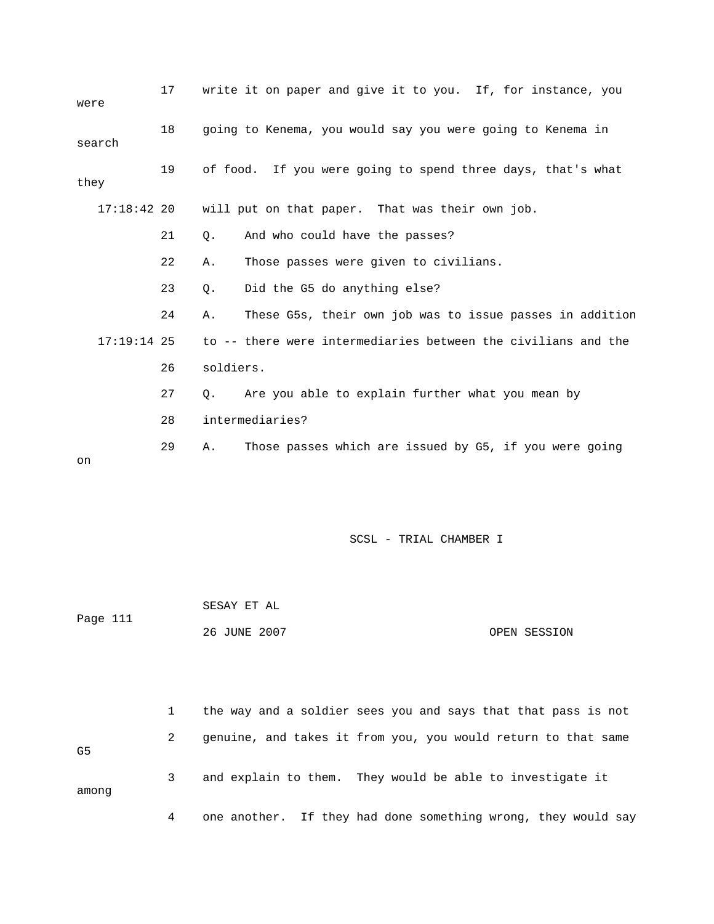| were          | 17 | write it on paper and give it to you. If, for instance, you    |
|---------------|----|----------------------------------------------------------------|
| search        | 18 | going to Kenema, you would say you were going to Kenema in     |
| they          | 19 | of food. If you were going to spend three days, that's what    |
| $17:18:42$ 20 |    | will put on that paper. That was their own job.                |
|               | 21 | And who could have the passes?<br>$\circ$ .                    |
|               | 22 | Those passes were given to civilians.<br>Α.                    |
|               | 23 | Did the G5 do anything else?<br>$\circ$ .                      |
|               | 24 | These G5s, their own job was to issue passes in addition<br>Α. |
| $17:19:14$ 25 |    | to -- there were intermediaries between the civilians and the  |
|               | 26 | soldiers.                                                      |
|               | 27 | Are you able to explain further what you mean by<br>$\circ$ .  |
|               | 28 | intermediaries?                                                |
| on            | 29 | Those passes which are issued by G5, if you were going<br>Α.   |

|          | SESAY ET AL  |              |
|----------|--------------|--------------|
| Page 111 |              |              |
|          | 26 JUNE 2007 | OPEN SESSION |

|       |   | the way and a soldier sees you and says that that pass is not |
|-------|---|---------------------------------------------------------------|
| G5    | 2 | genuine, and takes it from you, you would return to that same |
| among | 3 | and explain to them. They would be able to investigate it     |
|       | 4 | one another. If they had done something wrong, they would say |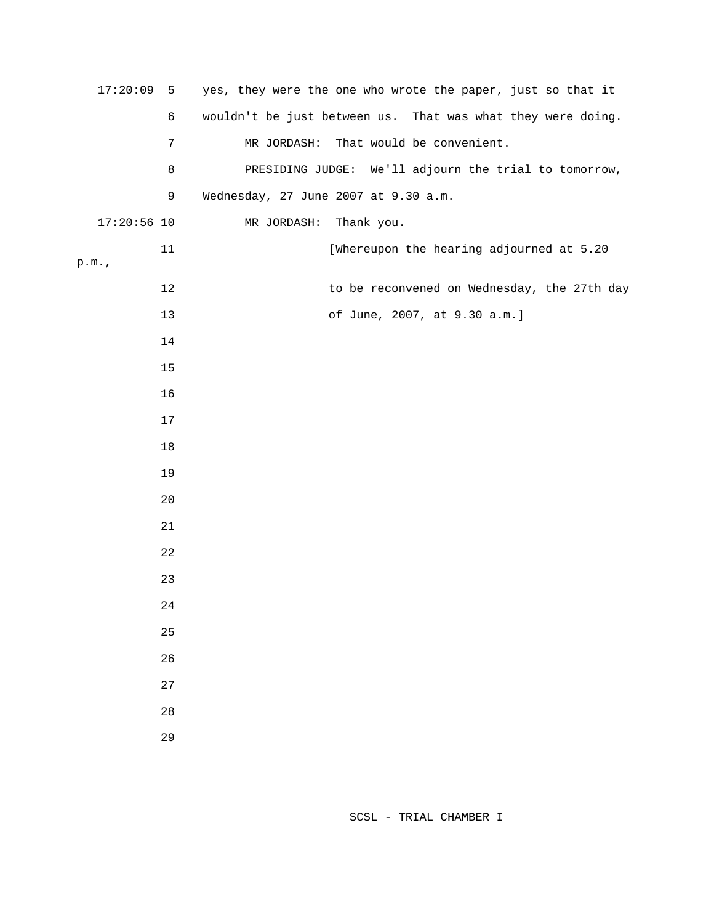| 17:20:09      | 5          | yes, they were the one who wrote the paper, just so that it |
|---------------|------------|-------------------------------------------------------------|
|               | $\epsilon$ | wouldn't be just between us. That was what they were doing. |
|               | 7          | That would be convenient.<br>MR JORDASH:                    |
|               | 8          | PRESIDING JUDGE: We'll adjourn the trial to tomorrow,       |
|               | 9          | Wednesday, 27 June 2007 at 9.30 a.m.                        |
| $17:20:56$ 10 |            | MR JORDASH:<br>Thank you.                                   |
| p.m.          | 11         | [Whereupon the hearing adjourned at 5.20                    |
|               | 12         | to be reconvened on Wednesday, the 27th day                 |
|               | $13$       | of June, 2007, at 9.30 a.m.]                                |
|               | 14         |                                                             |
|               | $15$       |                                                             |
|               | 16         |                                                             |
|               | 17         |                                                             |
|               | $18\,$     |                                                             |
|               | 19         |                                                             |
|               | 20         |                                                             |
|               | 21         |                                                             |
|               | 22         |                                                             |
|               | 23         |                                                             |
|               | 24         |                                                             |
|               | 25         |                                                             |
|               | 26         |                                                             |
|               | $2\,7$     |                                                             |
|               | 28         |                                                             |
|               | 29         |                                                             |